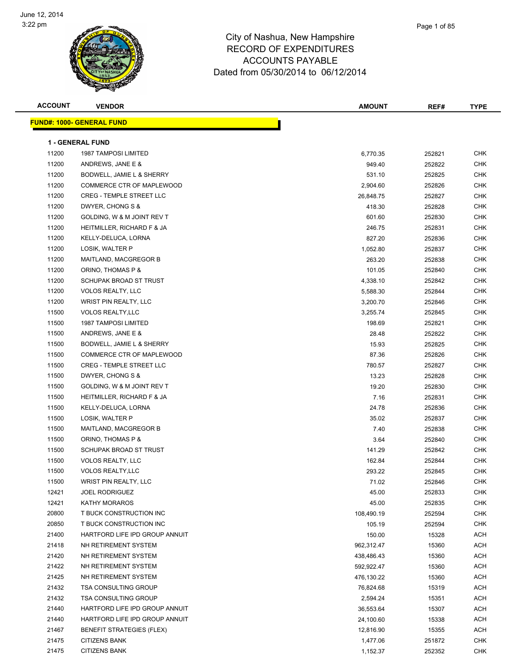

| <b>ACCOUNT</b> | <b>VENDOR</b>                    | <b>AMOUNT</b> | REF#   | <b>TYPE</b> |
|----------------|----------------------------------|---------------|--------|-------------|
|                | <b>FUND#: 1000- GENERAL FUND</b> |               |        |             |
|                |                                  |               |        |             |
|                | <b>1 - GENERAL FUND</b>          |               |        |             |
| 11200          | <b>1987 TAMPOSI LIMITED</b>      | 6,770.35      | 252821 | <b>CHK</b>  |
| 11200          | ANDREWS, JANE E &                | 949.40        | 252822 | <b>CHK</b>  |
| 11200          | BODWELL, JAMIE L & SHERRY        | 531.10        | 252825 | <b>CHK</b>  |
| 11200          | COMMERCE CTR OF MAPLEWOOD        | 2,904.60      | 252826 | CHK         |
| 11200          | <b>CREG - TEMPLE STREET LLC</b>  | 26,848.75     | 252827 | <b>CHK</b>  |
| 11200          | DWYER, CHONG S &                 | 418.30        | 252828 | <b>CHK</b>  |
| 11200          | GOLDING, W & M JOINT REV T       | 601.60        | 252830 | <b>CHK</b>  |
| 11200          | HEITMILLER, RICHARD F & JA       | 246.75        | 252831 | <b>CHK</b>  |
| 11200          | KELLY-DELUCA, LORNA              | 827.20        | 252836 | <b>CHK</b>  |
| 11200          | LOSIK, WALTER P                  | 1,052.80      | 252837 | <b>CHK</b>  |
| 11200          | MAITLAND, MACGREGOR B            | 263.20        | 252838 | <b>CHK</b>  |
| 11200          | ORINO, THOMAS P &                | 101.05        | 252840 | <b>CHK</b>  |
| 11200          | SCHUPAK BROAD ST TRUST           | 4,338.10      | 252842 | <b>CHK</b>  |
| 11200          | <b>VOLOS REALTY, LLC</b>         | 5,588.30      | 252844 | <b>CHK</b>  |
| 11200          | <b>WRIST PIN REALTY, LLC</b>     | 3,200.70      | 252846 | CHK         |
| 11500          | <b>VOLOS REALTY, LLC</b>         | 3,255.74      | 252845 | <b>CHK</b>  |
| 11500          | <b>1987 TAMPOSI LIMITED</b>      | 198.69        | 252821 | <b>CHK</b>  |
| 11500          | ANDREWS, JANE E &                | 28.48         | 252822 | <b>CHK</b>  |
| 11500          | BODWELL, JAMIE L & SHERRY        | 15.93         | 252825 | <b>CHK</b>  |
| 11500          | COMMERCE CTR OF MAPLEWOOD        | 87.36         | 252826 | <b>CHK</b>  |
| 11500          | <b>CREG - TEMPLE STREET LLC</b>  | 780.57        | 252827 | <b>CHK</b>  |
| 11500          | DWYER, CHONG S &                 | 13.23         | 252828 | <b>CHK</b>  |
| 11500          | GOLDING, W & M JOINT REV T       | 19.20         | 252830 | <b>CHK</b>  |
| 11500          | HEITMILLER, RICHARD F & JA       | 7.16          | 252831 | <b>CHK</b>  |
| 11500          | KELLY-DELUCA, LORNA              | 24.78         | 252836 | <b>CHK</b>  |
| 11500          | LOSIK, WALTER P                  | 35.02         | 252837 | CHK         |
| 11500          | MAITLAND, MACGREGOR B            | 7.40          | 252838 | <b>CHK</b>  |
| 11500          | ORINO, THOMAS P &                | 3.64          | 252840 | <b>CHK</b>  |
| 11500          | SCHUPAK BROAD ST TRUST           | 141.29        | 252842 | <b>CHK</b>  |
| 11500          | <b>VOLOS REALTY, LLC</b>         | 162.84        | 252844 | <b>CHK</b>  |
| 11500          | <b>VOLOS REALTY, LLC</b>         | 293.22        | 252845 | <b>CHK</b>  |
| 11500          | WRIST PIN REALTY, LLC            | 71.02         | 252846 | <b>CHK</b>  |
| 12421          | <b>JOEL RODRIGUEZ</b>            | 45.00         | 252833 | <b>CHK</b>  |
| 12421          | <b>KATHY MORAROS</b>             | 45.00         | 252835 | <b>CHK</b>  |
| 20800          | T BUCK CONSTRUCTION INC          | 108,490.19    | 252594 | <b>CHK</b>  |
| 20850          | T BUCK CONSTRUCTION INC          | 105.19        | 252594 | <b>CHK</b>  |
| 21400          | HARTFORD LIFE IPD GROUP ANNUIT   | 150.00        | 15328  | <b>ACH</b>  |
| 21418          | NH RETIREMENT SYSTEM             | 962,312.47    | 15360  | ACH         |
| 21420          | NH RETIREMENT SYSTEM             | 438,486.43    | 15360  | ACH         |
| 21422          | NH RETIREMENT SYSTEM             | 592,922.47    | 15360  | <b>ACH</b>  |
| 21425          | NH RETIREMENT SYSTEM             | 476,130.22    | 15360  | ACH         |
| 21432          | TSA CONSULTING GROUP             | 76,824.68     | 15319  | ACH         |
| 21432          | <b>TSA CONSULTING GROUP</b>      | 2,594.24      | 15351  | <b>ACH</b>  |
| 21440          | HARTFORD LIFE IPD GROUP ANNUIT   | 36,553.64     | 15307  | ACH         |
| 21440          | HARTFORD LIFE IPD GROUP ANNUIT   | 24,100.60     | 15338  | <b>ACH</b>  |
| 21467          | <b>BENEFIT STRATEGIES (FLEX)</b> | 12,816.90     | 15355  | ACH         |
| 21475          | <b>CITIZENS BANK</b>             | 1,477.06      | 251872 | <b>CHK</b>  |
| 21475          | <b>CITIZENS BANK</b>             | 1,152.37      | 252352 | <b>CHK</b>  |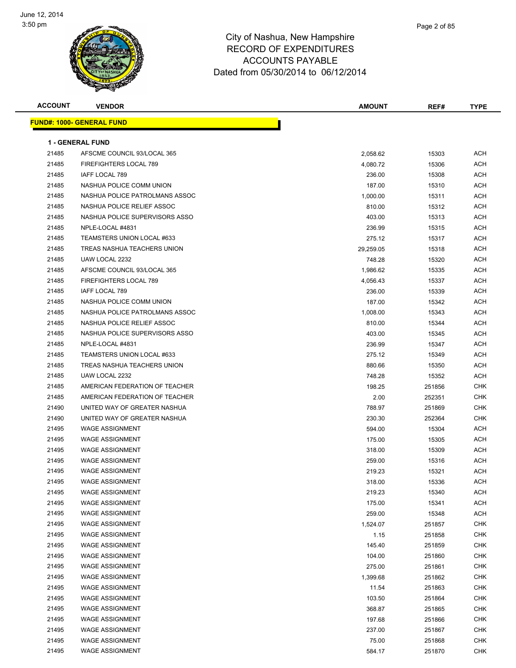

| <b>ACCOUNT</b> | <b>VENDOR</b>                                                | <b>AMOUNT</b>      | REF#   | <b>TYPE</b>              |
|----------------|--------------------------------------------------------------|--------------------|--------|--------------------------|
|                | <b>FUND#: 1000- GENERAL FUND</b>                             |                    |        |                          |
|                | <b>1 - GENERAL FUND</b>                                      |                    |        |                          |
| 21485          | AFSCME COUNCIL 93/LOCAL 365                                  | 2,058.62           | 15303  | <b>ACH</b>               |
| 21485          | FIREFIGHTERS LOCAL 789                                       | 4,080.72           | 15306  | <b>ACH</b>               |
| 21485          | IAFF LOCAL 789                                               | 236.00             | 15308  | <b>ACH</b>               |
| 21485          | NASHUA POLICE COMM UNION                                     | 187.00             | 15310  | <b>ACH</b>               |
| 21485          | NASHUA POLICE PATROLMANS ASSOC                               | 1,000.00           | 15311  | <b>ACH</b>               |
| 21485          | NASHUA POLICE RELIEF ASSOC                                   | 810.00             | 15312  | <b>ACH</b>               |
| 21485          | NASHUA POLICE SUPERVISORS ASSO                               | 403.00             | 15313  | <b>ACH</b>               |
| 21485          | NPLE-LOCAL #4831                                             | 236.99             | 15315  | ACH                      |
| 21485          | TEAMSTERS UNION LOCAL #633                                   | 275.12             | 15317  | <b>ACH</b>               |
| 21485          | TREAS NASHUA TEACHERS UNION                                  | 29,259.05          | 15318  | <b>ACH</b>               |
| 21485          | UAW LOCAL 2232                                               | 748.28             | 15320  | <b>ACH</b>               |
| 21485          | AFSCME COUNCIL 93/LOCAL 365                                  | 1,986.62           | 15335  | <b>ACH</b>               |
| 21485          | FIREFIGHTERS LOCAL 789                                       |                    |        | <b>ACH</b>               |
|                | <b>IAFF LOCAL 789</b>                                        | 4,056.43<br>236.00 | 15337  | <b>ACH</b>               |
| 21485          | NASHUA POLICE COMM UNION                                     |                    | 15339  | <b>ACH</b>               |
| 21485          |                                                              | 187.00             | 15342  |                          |
| 21485          | NASHUA POLICE PATROLMANS ASSOC<br>NASHUA POLICE RELIEF ASSOC | 1,008.00           | 15343  | <b>ACH</b><br><b>ACH</b> |
| 21485<br>21485 | NASHUA POLICE SUPERVISORS ASSO                               | 810.00             | 15344  |                          |
|                |                                                              | 403.00             | 15345  | ACH                      |
| 21485          | NPLE-LOCAL #4831                                             | 236.99             | 15347  | ACH                      |
| 21485          | TEAMSTERS UNION LOCAL #633                                   | 275.12             | 15349  | <b>ACH</b>               |
| 21485          | TREAS NASHUA TEACHERS UNION                                  | 880.66             | 15350  | <b>ACH</b>               |
| 21485          | UAW LOCAL 2232                                               | 748.28             | 15352  | <b>ACH</b>               |
| 21485          | AMERICAN FEDERATION OF TEACHER                               | 198.25             | 251856 | <b>CHK</b>               |
| 21485          | AMERICAN FEDERATION OF TEACHER                               | 2.00               | 252351 | <b>CHK</b>               |
| 21490          | UNITED WAY OF GREATER NASHUA                                 | 788.97             | 251869 | <b>CHK</b>               |
| 21490          | UNITED WAY OF GREATER NASHUA                                 | 230.30             | 252364 | <b>CHK</b>               |
| 21495          | <b>WAGE ASSIGNMENT</b>                                       | 594.00             | 15304  | <b>ACH</b>               |
| 21495          | <b>WAGE ASSIGNMENT</b>                                       | 175.00             | 15305  | <b>ACH</b>               |
| 21495          | <b>WAGE ASSIGNMENT</b>                                       | 318.00             | 15309  | ACH                      |
| 21495          | <b>WAGE ASSIGNMENT</b>                                       | 259.00             | 15316  | ACH                      |
| 21495          | <b>WAGE ASSIGNMENT</b>                                       | 219.23             | 15321  | <b>ACH</b>               |
| 21495          | <b>WAGE ASSIGNMENT</b>                                       | 318.00             | 15336  | <b>ACH</b>               |
| 21495          | <b>WAGE ASSIGNMENT</b>                                       | 219.23             | 15340  | <b>ACH</b>               |
| 21495          | <b>WAGE ASSIGNMENT</b>                                       | 175.00             | 15341  | <b>ACH</b>               |
| 21495          | <b>WAGE ASSIGNMENT</b>                                       | 259.00             | 15348  | <b>ACH</b>               |
| 21495          | <b>WAGE ASSIGNMENT</b>                                       | 1,524.07           | 251857 | <b>CHK</b>               |
| 21495          | <b>WAGE ASSIGNMENT</b>                                       | 1.15               | 251858 | <b>CHK</b>               |
| 21495          | <b>WAGE ASSIGNMENT</b>                                       | 145.40             | 251859 | <b>CHK</b>               |
| 21495          | <b>WAGE ASSIGNMENT</b>                                       | 104.00             | 251860 | <b>CHK</b>               |
| 21495          | <b>WAGE ASSIGNMENT</b>                                       | 275.00             | 251861 | <b>CHK</b>               |
| 21495          | <b>WAGE ASSIGNMENT</b>                                       | 1,399.68           | 251862 | <b>CHK</b>               |
| 21495          | <b>WAGE ASSIGNMENT</b>                                       | 11.54              | 251863 | <b>CHK</b>               |
| 21495          | <b>WAGE ASSIGNMENT</b>                                       | 103.50             | 251864 | <b>CHK</b>               |
| 21495          | <b>WAGE ASSIGNMENT</b>                                       | 368.87             | 251865 | <b>CHK</b>               |
| 21495          | <b>WAGE ASSIGNMENT</b>                                       | 197.68             | 251866 | <b>CHK</b>               |
| 21495          | <b>WAGE ASSIGNMENT</b>                                       | 237.00             | 251867 | <b>CHK</b>               |
| 21495          | <b>WAGE ASSIGNMENT</b>                                       | 75.00              | 251868 | <b>CHK</b>               |
| 21495          | <b>WAGE ASSIGNMENT</b>                                       | 584.17             | 251870 | <b>CHK</b>               |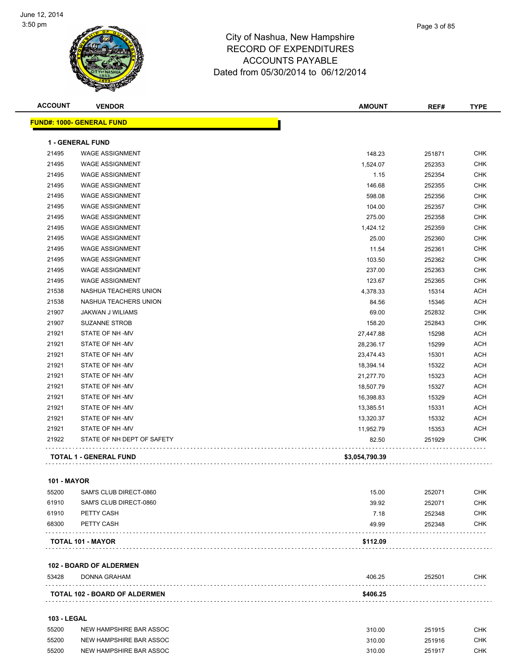

| <b>FUND#: 1000- GENERAL FUND</b><br><b>1 - GENERAL FUND</b><br>21495<br><b>WAGE ASSIGNMENT</b><br>148.23<br>251871<br>21495<br><b>WAGE ASSIGNMENT</b><br>1,524.07<br>252353<br>21495<br><b>WAGE ASSIGNMENT</b><br>252354<br>1.15<br>21495<br><b>WAGE ASSIGNMENT</b><br>146.68<br>252355<br>21495<br><b>WAGE ASSIGNMENT</b><br>598.08<br>252356<br>21495<br><b>WAGE ASSIGNMENT</b><br>104.00<br>252357<br>21495<br><b>WAGE ASSIGNMENT</b><br>275.00<br>252358<br>21495<br><b>WAGE ASSIGNMENT</b><br>1,424.12<br>252359<br>21495<br><b>WAGE ASSIGNMENT</b><br>25.00<br>252360<br>21495<br><b>WAGE ASSIGNMENT</b><br>11.54<br>252361<br>21495<br><b>WAGE ASSIGNMENT</b><br>103.50<br>252362<br>237.00<br>21495<br><b>WAGE ASSIGNMENT</b><br>252363<br>21495<br><b>WAGE ASSIGNMENT</b><br>123.67<br>252365<br>21538<br>NASHUA TEACHERS UNION<br>4,378.33<br>15314<br>21538<br>NASHUA TEACHERS UNION<br>84.56<br>15346<br>69.00<br>21907<br>JAKWAN J WILIAMS<br>252832<br>21907<br><b>SUZANNE STROB</b><br>158.20<br>252843<br>21921<br>STATE OF NH-MV<br>27,447.88<br>15298<br>21921<br>STATE OF NH-MV<br>15299<br>28,236.17<br>21921<br>STATE OF NH-MV<br>23,474.43<br>15301<br>21921<br>STATE OF NH-MV<br>15322<br>18,394.14<br>21921<br>STATE OF NH-MV<br>15323<br>21,277.70<br>21921<br>STATE OF NH-MV<br>15327<br>18,507.79<br>21921<br>STATE OF NH-MV<br>15329<br>16,398.83<br>21921<br>STATE OF NH-MV<br>13,385.51<br>15331<br>21921<br>STATE OF NH-MV<br>13,320.37<br>15332<br>21921<br>STATE OF NH-MV<br>11,952.79<br>15353<br>21922<br>STATE OF NH DEPT OF SAFETY<br>82.50<br>251929<br><b>TOTAL 1 - GENERAL FUND</b><br>\$3,054,790.39<br>101 - MAYOR<br>55200<br>SAM'S CLUB DIRECT-0860<br>15.00<br>252071<br>61910<br>SAM'S CLUB DIRECT-0860<br>39.92<br>252071<br>61910<br>PETTY CASH<br>7.18<br>252348<br>68300<br>PETTY CASH<br>49.99<br>252348<br>\$112.09<br>TOTAL 101 - MAYOR<br>.<br><b>102 - BOARD OF ALDERMEN</b><br>53428<br>406.25<br>252501<br><b>DONNA GRAHAM</b><br>TOTAL 102 - BOARD OF ALDERMEN<br>\$406.25<br>103 - LEGAL | <b>ACCOUNT</b> | <b>VENDOR</b> | <b>AMOUNT</b> | REF# | <b>TYPE</b> |
|-----------------------------------------------------------------------------------------------------------------------------------------------------------------------------------------------------------------------------------------------------------------------------------------------------------------------------------------------------------------------------------------------------------------------------------------------------------------------------------------------------------------------------------------------------------------------------------------------------------------------------------------------------------------------------------------------------------------------------------------------------------------------------------------------------------------------------------------------------------------------------------------------------------------------------------------------------------------------------------------------------------------------------------------------------------------------------------------------------------------------------------------------------------------------------------------------------------------------------------------------------------------------------------------------------------------------------------------------------------------------------------------------------------------------------------------------------------------------------------------------------------------------------------------------------------------------------------------------------------------------------------------------------------------------------------------------------------------------------------------------------------------------------------------------------------------------------------------------------------------------------------------------------------------------------------------------------------------------------------------------------------------------------------------------------|----------------|---------------|---------------|------|-------------|
|                                                                                                                                                                                                                                                                                                                                                                                                                                                                                                                                                                                                                                                                                                                                                                                                                                                                                                                                                                                                                                                                                                                                                                                                                                                                                                                                                                                                                                                                                                                                                                                                                                                                                                                                                                                                                                                                                                                                                                                                                                                     |                |               |               |      |             |
|                                                                                                                                                                                                                                                                                                                                                                                                                                                                                                                                                                                                                                                                                                                                                                                                                                                                                                                                                                                                                                                                                                                                                                                                                                                                                                                                                                                                                                                                                                                                                                                                                                                                                                                                                                                                                                                                                                                                                                                                                                                     |                |               |               |      |             |
|                                                                                                                                                                                                                                                                                                                                                                                                                                                                                                                                                                                                                                                                                                                                                                                                                                                                                                                                                                                                                                                                                                                                                                                                                                                                                                                                                                                                                                                                                                                                                                                                                                                                                                                                                                                                                                                                                                                                                                                                                                                     |                |               |               |      | <b>CHK</b>  |
|                                                                                                                                                                                                                                                                                                                                                                                                                                                                                                                                                                                                                                                                                                                                                                                                                                                                                                                                                                                                                                                                                                                                                                                                                                                                                                                                                                                                                                                                                                                                                                                                                                                                                                                                                                                                                                                                                                                                                                                                                                                     |                |               |               |      | <b>CHK</b>  |
|                                                                                                                                                                                                                                                                                                                                                                                                                                                                                                                                                                                                                                                                                                                                                                                                                                                                                                                                                                                                                                                                                                                                                                                                                                                                                                                                                                                                                                                                                                                                                                                                                                                                                                                                                                                                                                                                                                                                                                                                                                                     |                |               |               |      | <b>CHK</b>  |
|                                                                                                                                                                                                                                                                                                                                                                                                                                                                                                                                                                                                                                                                                                                                                                                                                                                                                                                                                                                                                                                                                                                                                                                                                                                                                                                                                                                                                                                                                                                                                                                                                                                                                                                                                                                                                                                                                                                                                                                                                                                     |                |               |               |      | <b>CHK</b>  |
|                                                                                                                                                                                                                                                                                                                                                                                                                                                                                                                                                                                                                                                                                                                                                                                                                                                                                                                                                                                                                                                                                                                                                                                                                                                                                                                                                                                                                                                                                                                                                                                                                                                                                                                                                                                                                                                                                                                                                                                                                                                     |                |               |               |      | <b>CHK</b>  |
|                                                                                                                                                                                                                                                                                                                                                                                                                                                                                                                                                                                                                                                                                                                                                                                                                                                                                                                                                                                                                                                                                                                                                                                                                                                                                                                                                                                                                                                                                                                                                                                                                                                                                                                                                                                                                                                                                                                                                                                                                                                     |                |               |               |      | <b>CHK</b>  |
|                                                                                                                                                                                                                                                                                                                                                                                                                                                                                                                                                                                                                                                                                                                                                                                                                                                                                                                                                                                                                                                                                                                                                                                                                                                                                                                                                                                                                                                                                                                                                                                                                                                                                                                                                                                                                                                                                                                                                                                                                                                     |                |               |               |      | <b>CHK</b>  |
|                                                                                                                                                                                                                                                                                                                                                                                                                                                                                                                                                                                                                                                                                                                                                                                                                                                                                                                                                                                                                                                                                                                                                                                                                                                                                                                                                                                                                                                                                                                                                                                                                                                                                                                                                                                                                                                                                                                                                                                                                                                     |                |               |               |      | <b>CHK</b>  |
|                                                                                                                                                                                                                                                                                                                                                                                                                                                                                                                                                                                                                                                                                                                                                                                                                                                                                                                                                                                                                                                                                                                                                                                                                                                                                                                                                                                                                                                                                                                                                                                                                                                                                                                                                                                                                                                                                                                                                                                                                                                     |                |               |               |      | <b>CHK</b>  |
|                                                                                                                                                                                                                                                                                                                                                                                                                                                                                                                                                                                                                                                                                                                                                                                                                                                                                                                                                                                                                                                                                                                                                                                                                                                                                                                                                                                                                                                                                                                                                                                                                                                                                                                                                                                                                                                                                                                                                                                                                                                     |                |               |               |      | <b>CHK</b>  |
|                                                                                                                                                                                                                                                                                                                                                                                                                                                                                                                                                                                                                                                                                                                                                                                                                                                                                                                                                                                                                                                                                                                                                                                                                                                                                                                                                                                                                                                                                                                                                                                                                                                                                                                                                                                                                                                                                                                                                                                                                                                     |                |               |               |      | <b>CHK</b>  |
|                                                                                                                                                                                                                                                                                                                                                                                                                                                                                                                                                                                                                                                                                                                                                                                                                                                                                                                                                                                                                                                                                                                                                                                                                                                                                                                                                                                                                                                                                                                                                                                                                                                                                                                                                                                                                                                                                                                                                                                                                                                     |                |               |               |      | <b>CHK</b>  |
|                                                                                                                                                                                                                                                                                                                                                                                                                                                                                                                                                                                                                                                                                                                                                                                                                                                                                                                                                                                                                                                                                                                                                                                                                                                                                                                                                                                                                                                                                                                                                                                                                                                                                                                                                                                                                                                                                                                                                                                                                                                     |                |               |               |      | <b>CHK</b>  |
|                                                                                                                                                                                                                                                                                                                                                                                                                                                                                                                                                                                                                                                                                                                                                                                                                                                                                                                                                                                                                                                                                                                                                                                                                                                                                                                                                                                                                                                                                                                                                                                                                                                                                                                                                                                                                                                                                                                                                                                                                                                     |                |               |               |      | <b>ACH</b>  |
|                                                                                                                                                                                                                                                                                                                                                                                                                                                                                                                                                                                                                                                                                                                                                                                                                                                                                                                                                                                                                                                                                                                                                                                                                                                                                                                                                                                                                                                                                                                                                                                                                                                                                                                                                                                                                                                                                                                                                                                                                                                     |                |               |               |      | <b>ACH</b>  |
|                                                                                                                                                                                                                                                                                                                                                                                                                                                                                                                                                                                                                                                                                                                                                                                                                                                                                                                                                                                                                                                                                                                                                                                                                                                                                                                                                                                                                                                                                                                                                                                                                                                                                                                                                                                                                                                                                                                                                                                                                                                     |                |               |               |      | <b>CHK</b>  |
|                                                                                                                                                                                                                                                                                                                                                                                                                                                                                                                                                                                                                                                                                                                                                                                                                                                                                                                                                                                                                                                                                                                                                                                                                                                                                                                                                                                                                                                                                                                                                                                                                                                                                                                                                                                                                                                                                                                                                                                                                                                     |                |               |               |      | <b>CHK</b>  |
|                                                                                                                                                                                                                                                                                                                                                                                                                                                                                                                                                                                                                                                                                                                                                                                                                                                                                                                                                                                                                                                                                                                                                                                                                                                                                                                                                                                                                                                                                                                                                                                                                                                                                                                                                                                                                                                                                                                                                                                                                                                     |                |               |               |      | <b>ACH</b>  |
|                                                                                                                                                                                                                                                                                                                                                                                                                                                                                                                                                                                                                                                                                                                                                                                                                                                                                                                                                                                                                                                                                                                                                                                                                                                                                                                                                                                                                                                                                                                                                                                                                                                                                                                                                                                                                                                                                                                                                                                                                                                     |                |               |               |      | <b>ACH</b>  |
|                                                                                                                                                                                                                                                                                                                                                                                                                                                                                                                                                                                                                                                                                                                                                                                                                                                                                                                                                                                                                                                                                                                                                                                                                                                                                                                                                                                                                                                                                                                                                                                                                                                                                                                                                                                                                                                                                                                                                                                                                                                     |                |               |               |      | <b>ACH</b>  |
|                                                                                                                                                                                                                                                                                                                                                                                                                                                                                                                                                                                                                                                                                                                                                                                                                                                                                                                                                                                                                                                                                                                                                                                                                                                                                                                                                                                                                                                                                                                                                                                                                                                                                                                                                                                                                                                                                                                                                                                                                                                     |                |               |               |      | <b>ACH</b>  |
|                                                                                                                                                                                                                                                                                                                                                                                                                                                                                                                                                                                                                                                                                                                                                                                                                                                                                                                                                                                                                                                                                                                                                                                                                                                                                                                                                                                                                                                                                                                                                                                                                                                                                                                                                                                                                                                                                                                                                                                                                                                     |                |               |               |      | <b>ACH</b>  |
|                                                                                                                                                                                                                                                                                                                                                                                                                                                                                                                                                                                                                                                                                                                                                                                                                                                                                                                                                                                                                                                                                                                                                                                                                                                                                                                                                                                                                                                                                                                                                                                                                                                                                                                                                                                                                                                                                                                                                                                                                                                     |                |               |               |      | <b>ACH</b>  |
|                                                                                                                                                                                                                                                                                                                                                                                                                                                                                                                                                                                                                                                                                                                                                                                                                                                                                                                                                                                                                                                                                                                                                                                                                                                                                                                                                                                                                                                                                                                                                                                                                                                                                                                                                                                                                                                                                                                                                                                                                                                     |                |               |               |      | <b>ACH</b>  |
|                                                                                                                                                                                                                                                                                                                                                                                                                                                                                                                                                                                                                                                                                                                                                                                                                                                                                                                                                                                                                                                                                                                                                                                                                                                                                                                                                                                                                                                                                                                                                                                                                                                                                                                                                                                                                                                                                                                                                                                                                                                     |                |               |               |      | <b>ACH</b>  |
|                                                                                                                                                                                                                                                                                                                                                                                                                                                                                                                                                                                                                                                                                                                                                                                                                                                                                                                                                                                                                                                                                                                                                                                                                                                                                                                                                                                                                                                                                                                                                                                                                                                                                                                                                                                                                                                                                                                                                                                                                                                     |                |               |               |      | <b>ACH</b>  |
|                                                                                                                                                                                                                                                                                                                                                                                                                                                                                                                                                                                                                                                                                                                                                                                                                                                                                                                                                                                                                                                                                                                                                                                                                                                                                                                                                                                                                                                                                                                                                                                                                                                                                                                                                                                                                                                                                                                                                                                                                                                     |                |               |               |      | <b>ACH</b>  |
|                                                                                                                                                                                                                                                                                                                                                                                                                                                                                                                                                                                                                                                                                                                                                                                                                                                                                                                                                                                                                                                                                                                                                                                                                                                                                                                                                                                                                                                                                                                                                                                                                                                                                                                                                                                                                                                                                                                                                                                                                                                     |                |               |               |      | CHK         |
|                                                                                                                                                                                                                                                                                                                                                                                                                                                                                                                                                                                                                                                                                                                                                                                                                                                                                                                                                                                                                                                                                                                                                                                                                                                                                                                                                                                                                                                                                                                                                                                                                                                                                                                                                                                                                                                                                                                                                                                                                                                     |                |               |               |      |             |
|                                                                                                                                                                                                                                                                                                                                                                                                                                                                                                                                                                                                                                                                                                                                                                                                                                                                                                                                                                                                                                                                                                                                                                                                                                                                                                                                                                                                                                                                                                                                                                                                                                                                                                                                                                                                                                                                                                                                                                                                                                                     |                |               |               |      |             |
|                                                                                                                                                                                                                                                                                                                                                                                                                                                                                                                                                                                                                                                                                                                                                                                                                                                                                                                                                                                                                                                                                                                                                                                                                                                                                                                                                                                                                                                                                                                                                                                                                                                                                                                                                                                                                                                                                                                                                                                                                                                     |                |               |               |      | CHK         |
|                                                                                                                                                                                                                                                                                                                                                                                                                                                                                                                                                                                                                                                                                                                                                                                                                                                                                                                                                                                                                                                                                                                                                                                                                                                                                                                                                                                                                                                                                                                                                                                                                                                                                                                                                                                                                                                                                                                                                                                                                                                     |                |               |               |      | CHK         |
|                                                                                                                                                                                                                                                                                                                                                                                                                                                                                                                                                                                                                                                                                                                                                                                                                                                                                                                                                                                                                                                                                                                                                                                                                                                                                                                                                                                                                                                                                                                                                                                                                                                                                                                                                                                                                                                                                                                                                                                                                                                     |                |               |               |      | CHK         |
|                                                                                                                                                                                                                                                                                                                                                                                                                                                                                                                                                                                                                                                                                                                                                                                                                                                                                                                                                                                                                                                                                                                                                                                                                                                                                                                                                                                                                                                                                                                                                                                                                                                                                                                                                                                                                                                                                                                                                                                                                                                     |                |               |               |      | <b>CHK</b>  |
|                                                                                                                                                                                                                                                                                                                                                                                                                                                                                                                                                                                                                                                                                                                                                                                                                                                                                                                                                                                                                                                                                                                                                                                                                                                                                                                                                                                                                                                                                                                                                                                                                                                                                                                                                                                                                                                                                                                                                                                                                                                     |                |               |               |      |             |
|                                                                                                                                                                                                                                                                                                                                                                                                                                                                                                                                                                                                                                                                                                                                                                                                                                                                                                                                                                                                                                                                                                                                                                                                                                                                                                                                                                                                                                                                                                                                                                                                                                                                                                                                                                                                                                                                                                                                                                                                                                                     |                |               |               |      |             |
|                                                                                                                                                                                                                                                                                                                                                                                                                                                                                                                                                                                                                                                                                                                                                                                                                                                                                                                                                                                                                                                                                                                                                                                                                                                                                                                                                                                                                                                                                                                                                                                                                                                                                                                                                                                                                                                                                                                                                                                                                                                     |                |               |               |      | <b>CHK</b>  |
|                                                                                                                                                                                                                                                                                                                                                                                                                                                                                                                                                                                                                                                                                                                                                                                                                                                                                                                                                                                                                                                                                                                                                                                                                                                                                                                                                                                                                                                                                                                                                                                                                                                                                                                                                                                                                                                                                                                                                                                                                                                     |                |               |               |      |             |
|                                                                                                                                                                                                                                                                                                                                                                                                                                                                                                                                                                                                                                                                                                                                                                                                                                                                                                                                                                                                                                                                                                                                                                                                                                                                                                                                                                                                                                                                                                                                                                                                                                                                                                                                                                                                                                                                                                                                                                                                                                                     |                |               |               |      |             |

| 55200 | NEW HAMPSHIRE BAR ASSOC | 310.00 | 251915 | снк |
|-------|-------------------------|--------|--------|-----|
| 55200 | NEW HAMPSHIRE BAR ASSOC | 310.00 | 251916 | СНК |
| 55200 | NEW HAMPSHIRE BAR ASSOC | 310.00 | 251917 | снк |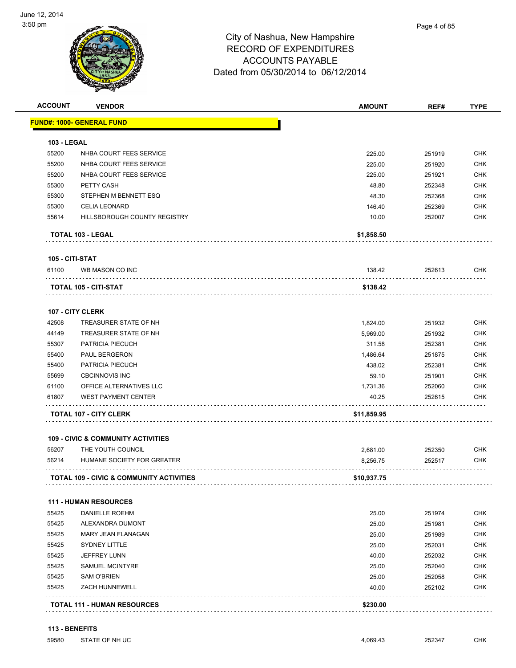

| <b>ACCOUNT</b>     | <b>VENDOR</b>                                 | <b>AMOUNT</b> | REF#   | <b>TYPE</b> |
|--------------------|-----------------------------------------------|---------------|--------|-------------|
|                    | <u> FUND#: 1000- GENERAL FUND</u>             |               |        |             |
| <b>103 - LEGAL</b> |                                               |               |        |             |
| 55200              | NHBA COURT FEES SERVICE                       | 225.00        | 251919 | <b>CHK</b>  |
| 55200              | NHBA COURT FEES SERVICE                       | 225.00        | 251920 | <b>CHK</b>  |
| 55200              | NHBA COURT FEES SERVICE                       | 225.00        | 251921 | <b>CHK</b>  |
| 55300              | PETTY CASH                                    | 48.80         | 252348 | <b>CHK</b>  |
| 55300              | STEPHEN M BENNETT ESQ                         | 48.30         | 252368 | <b>CHK</b>  |
| 55300              | <b>CELIA LEONARD</b>                          | 146.40        | 252369 | <b>CHK</b>  |
| 55614              | HILLSBOROUGH COUNTY REGISTRY                  | 10.00         | 252007 | <b>CHK</b>  |
|                    | <b>TOTAL 103 - LEGAL</b>                      | \$1,858.50    |        |             |
| 105 - CITI-STAT    |                                               |               |        |             |
| 61100              | WB MASON CO INC                               | 138.42        | 252613 | <b>CHK</b>  |
|                    | TOTAL 105 - CITI-STAT                         | \$138.42      |        |             |
|                    | <b>107 - CITY CLERK</b>                       |               |        |             |
| 42508              | TREASURER STATE OF NH                         | 1,824.00      | 251932 | <b>CHK</b>  |
| 44149              | TREASURER STATE OF NH                         | 5,969.00      | 251932 | <b>CHK</b>  |
| 55307              | PATRICIA PIECUCH                              | 311.58        | 252381 | <b>CHK</b>  |
| 55400              | <b>PAUL BERGERON</b>                          | 1,486.64      | 251875 | <b>CHK</b>  |
| 55400              | PATRICIA PIECUCH                              | 438.02        | 252381 | <b>CHK</b>  |
| 55699              | <b>CBCINNOVIS INC</b>                         | 59.10         | 251901 | <b>CHK</b>  |
| 61100              | OFFICE ALTERNATIVES LLC                       | 1,731.36      | 252060 | <b>CHK</b>  |
| 61807              | <b>WEST PAYMENT CENTER</b>                    | 40.25         | 252615 | <b>CHK</b>  |
|                    | <b>TOTAL 107 - CITY CLERK</b>                 | \$11,859.95   |        |             |
|                    | <b>109 - CIVIC &amp; COMMUNITY ACTIVITIES</b> |               |        |             |
| 56207              | THE YOUTH COUNCIL                             | 2,681.00      | 252350 | <b>CHK</b>  |
| 56214              | HUMANE SOCIETY FOR GREATER                    | 8,256.75      | 252517 | <b>CHK</b>  |
|                    | TOTAL 109 - CIVIC & COMMUNITY ACTIVITIES      | \$10,937.75   |        |             |
|                    | <b>111 - HUMAN RESOURCES</b>                  |               |        |             |
| 55425              | <b>DANIELLE ROEHM</b>                         | 25.00         | 251974 | <b>CHK</b>  |
| 55425              | ALEXANDRA DUMONT                              | 25.00         | 251981 | <b>CHK</b>  |
| 55425              | MARY JEAN FLANAGAN                            | 25.00         | 251989 | <b>CHK</b>  |
| 55425              | SYDNEY LITTLE                                 | 25.00         | 252031 | <b>CHK</b>  |
| 55425              | JEFFREY LUNN                                  | 40.00         | 252032 | <b>CHK</b>  |
| 55425              | <b>SAMUEL MCINTYRE</b>                        | 25.00         | 252040 | <b>CHK</b>  |
| 55425              | <b>SAM O'BRIEN</b>                            | 25.00         | 252058 | <b>CHK</b>  |
| 55425              | ZACH HUNNEWELL                                | 40.00         | 252102 | <b>CHK</b>  |
|                    | <b>TOTAL 111 - HUMAN RESOURCES</b>            | \$230.00      |        |             |
|                    |                                               |               |        |             |

**113 - BENEFITS**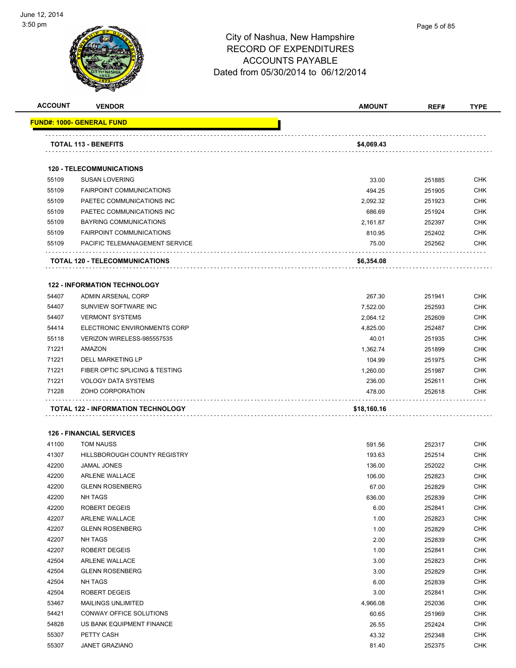

### City of Nashua, New Hampshire RECORD OF EXPENDITURES ACCOUNTS PAYABLE Dated from 05/30/2014 to 06/12/2014

**ACCOUNT VENDOR AMOUNT REF# TYPE**

|       | <u> FUND#: 1000- GENERAL FUND</u>         |             |        |            |
|-------|-------------------------------------------|-------------|--------|------------|
|       | <b>TOTAL 113 - BENEFITS</b>               | \$4,069.43  |        |            |
|       | <b>120 - TELECOMMUNICATIONS</b>           |             |        |            |
| 55109 | <b>SUSAN LOVERING</b>                     | 33.00       | 251885 | <b>CHK</b> |
| 55109 | <b>FAIRPOINT COMMUNICATIONS</b>           | 494.25      | 251905 | <b>CHK</b> |
| 55109 | PAETEC COMMUNICATIONS INC                 | 2,092.32    | 251923 | <b>CHK</b> |
| 55109 | PAETEC COMMUNICATIONS INC                 | 686.69      | 251924 | <b>CHK</b> |
| 55109 | <b>BAYRING COMMUNICATIONS</b>             | 2,161.87    | 252397 | <b>CHK</b> |
| 55109 | <b>FAIRPOINT COMMUNICATIONS</b>           | 810.95      | 252402 | <b>CHK</b> |
| 55109 | PACIFIC TELEMANAGEMENT SERVICE            | 75.00       | 252562 | <b>CHK</b> |
|       | .<br>TOTAL 120 - TELECOMMUNICATIONS       | \$6,354.08  |        |            |
|       | <b>122 - INFORMATION TECHNOLOGY</b>       |             |        |            |
| 54407 | <b>ADMIN ARSENAL CORP</b>                 | 267.30      | 251941 | <b>CHK</b> |
| 54407 | SUNVIEW SOFTWARE INC                      | 7,522.00    | 252593 | <b>CHK</b> |
| 54407 | <b>VERMONT SYSTEMS</b>                    | 2,064.12    | 252609 | <b>CHK</b> |
| 54414 | ELECTRONIC ENVIRONMENTS CORP              | 4,825.00    | 252487 | <b>CHK</b> |
| 55118 | VERIZON WIRELESS-985557535                | 40.01       | 251935 | <b>CHK</b> |
| 71221 | AMAZON                                    | 1,362.74    | 251899 | <b>CHK</b> |
| 71221 | <b>DELL MARKETING LP</b>                  | 104.99      | 251975 | <b>CHK</b> |
| 71221 | FIBER OPTIC SPLICING & TESTING            | 1,260.00    | 251987 | <b>CHK</b> |
| 71221 | <b>VOLOGY DATA SYSTEMS</b>                | 236.00      | 252611 | <b>CHK</b> |
| 71228 | ZOHO CORPORATION                          | 478.00      | 252618 | <b>CHK</b> |
|       | <b>TOTAL 122 - INFORMATION TECHNOLOGY</b> | \$18,160.16 |        |            |
|       | <b>126 - FINANCIAL SERVICES</b>           |             |        |            |
| 41100 | <b>TOM NAUSS</b>                          | 591.56      | 252317 | <b>CHK</b> |
| 41307 | HILLSBOROUGH COUNTY REGISTRY              | 193.63      | 252514 | <b>CHK</b> |
| 42200 | <b>JAMAL JONES</b>                        | 136.00      | 252022 | <b>CHK</b> |
| 42200 | <b>ARLENE WALLACE</b>                     | 106.00      | 252823 | <b>CHK</b> |
| 42200 | <b>GLENN ROSENBERG</b>                    | 67.00       | 252829 | <b>CHK</b> |
| 42200 | NH TAGS                                   | 636.00      | 252839 | <b>CHK</b> |
| 42200 | ROBERT DEGEIS                             | 6.00        | 252841 | CHK        |
| 42207 | <b>ARLENE WALLACE</b>                     | 1.00        | 252823 | <b>CHK</b> |
| 42207 | <b>GLENN ROSENBERG</b>                    | 1.00        | 252829 | <b>CHK</b> |
| 42207 | NH TAGS                                   | 2.00        | 252839 | <b>CHK</b> |
| 42207 | ROBERT DEGEIS                             | 1.00        | 252841 | <b>CHK</b> |
| 42504 | ARLENE WALLACE                            | 3.00        | 252823 | <b>CHK</b> |
| 42504 | <b>GLENN ROSENBERG</b>                    | 3.00        | 252829 | <b>CHK</b> |
| 42504 | NH TAGS                                   | 6.00        | 252839 | <b>CHK</b> |
| 42504 | ROBERT DEGEIS                             | 3.00        | 252841 | <b>CHK</b> |
| 53467 | <b>MAILINGS UNLIMITED</b>                 | 4,966.08    | 252036 | <b>CHK</b> |
| 54421 | CONWAY OFFICE SOLUTIONS                   | 60.65       | 251969 | <b>CHK</b> |
| 54828 | US BANK EQUIPMENT FINANCE                 | 26.55       | 252424 | <b>CHK</b> |
| 55307 | PETTY CASH                                | 43.32       | 252348 | <b>CHK</b> |
| 55307 | JANET GRAZIANO                            | 81.40       | 252375 | <b>CHK</b> |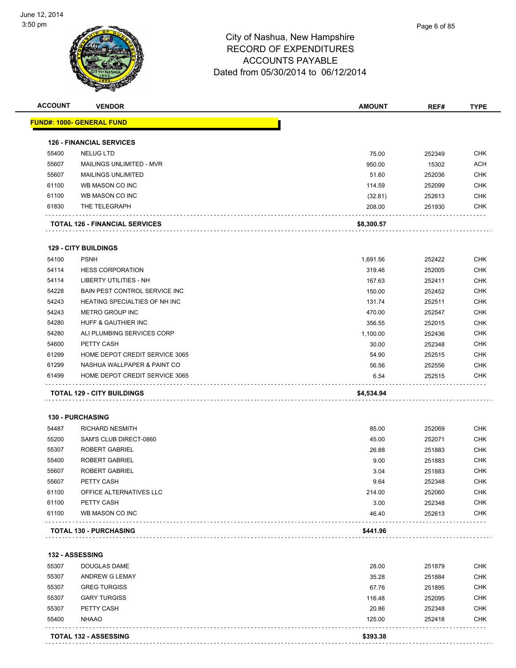

|       |                                       | <b>AMOUNT</b> | REF#   | <b>TYPE</b> |
|-------|---------------------------------------|---------------|--------|-------------|
|       | <u> FUND#: 1000- GENERAL FUND</u>     |               |        |             |
|       | <b>126 - FINANCIAL SERVICES</b>       |               |        |             |
| 55400 | NELUG LTD                             | 75.00         | 252349 | <b>CHK</b>  |
| 55607 | MAILINGS UNLIMITED - MVR              | 950.00        | 15302  | <b>ACH</b>  |
| 55607 | <b>MAILINGS UNLIMITED</b>             | 51.60         | 252036 | <b>CHK</b>  |
| 61100 | WB MASON CO INC                       | 114.59        | 252099 | <b>CHK</b>  |
| 61100 | WB MASON CO INC                       | (32.81)       | 252613 | <b>CHK</b>  |
| 61830 | THE TELEGRAPH                         | 208.00        | 251930 | <b>CHK</b>  |
|       | <b>TOTAL 126 - FINANCIAL SERVICES</b> | \$8,300.57    |        |             |
|       | <b>129 - CITY BUILDINGS</b>           |               |        |             |
| 54100 | <b>PSNH</b>                           | 1,691.56      | 252422 | <b>CHK</b>  |
| 54114 | <b>HESS CORPORATION</b>               | 319.46        | 252005 | <b>CHK</b>  |
| 54114 | <b>LIBERTY UTILITIES - NH</b>         | 167.63        | 252411 | <b>CHK</b>  |
| 54228 | BAIN PEST CONTROL SERVICE INC         | 150.00        | 252452 | <b>CHK</b>  |
| 54243 | HEATING SPECIALTIES OF NH INC         | 131.74        | 252511 | <b>CHK</b>  |
| 54243 | <b>METRO GROUP INC</b>                | 470.00        | 252547 | <b>CHK</b>  |
| 54280 | HUFF & GAUTHIER INC                   | 356.55        | 252015 | <b>CHK</b>  |
| 54280 | ALI PLUMBING SERVICES CORP            | 1,100.00      | 252436 | <b>CHK</b>  |
| 54600 | PETTY CASH                            | 30.00         | 252348 | <b>CHK</b>  |
| 61299 | HOME DEPOT CREDIT SERVICE 3065        | 54.90         | 252515 | <b>CHK</b>  |
| 61299 | NASHUA WALLPAPER & PAINT CO           | 56.56         | 252556 | <b>CHK</b>  |
| 61499 | HOME DEPOT CREDIT SERVICE 3065        | 6.54          | 252515 | <b>CHK</b>  |
|       |                                       |               |        |             |
|       | <b>TOTAL 129 - CITY BUILDINGS</b>     | \$4,534.94    |        |             |
|       | <b>130 - PURCHASING</b>               |               |        |             |
| 54487 | <b>RICHARD NESMITH</b>                | 85.00         | 252069 | <b>CHK</b>  |
| 55200 | SAM'S CLUB DIRECT-0860                | 45.00         | 252071 | <b>CHK</b>  |
| 55307 | ROBERT GABRIEL                        | 26.88         | 251883 | <b>CHK</b>  |
| 55400 | <b>ROBERT GABRIEL</b>                 | 9.00          | 251883 | <b>CHK</b>  |
| 55607 | <b>ROBERT GABRIEL</b>                 | 3.04          | 251883 | <b>CHK</b>  |
| 55607 | PETTY CASH                            | 9.64          | 252348 | <b>CHK</b>  |
| 61100 | OFFICE ALTERNATIVES LLC               | 214.00        | 252060 | CHK         |
| 61100 | PETTY CASH                            | 3.00          | 252348 | CHK         |
| 61100 | WB MASON CO INC                       | 46.40         | 252613 | CHK         |
|       | <b>TOTAL 130 - PURCHASING</b>         | \$441.96      |        |             |
|       |                                       |               |        |             |
|       | <b>132 - ASSESSING</b>                |               |        |             |
| 55307 | <b>DOUGLAS DAME</b>                   | 28.00         | 251879 | <b>CHK</b>  |
| 55307 | <b>ANDREW G LEMAY</b>                 | 35.28         | 251884 | <b>CHK</b>  |
| 55307 | <b>GREG TURGISS</b>                   | 67.76         | 251895 | <b>CHK</b>  |
| 55307 | <b>GARY TURGISS</b>                   | 116.48        | 252095 | <b>CHK</b>  |
| 55307 | PETTY CASH                            | 20.86         | 252348 | <b>CHK</b>  |
| 55400 | <b>NHAAO</b>                          | 125.00        | 252418 | <b>CHK</b>  |
|       | TOTAL 132 - ASSESSING                 | \$393.38      |        |             |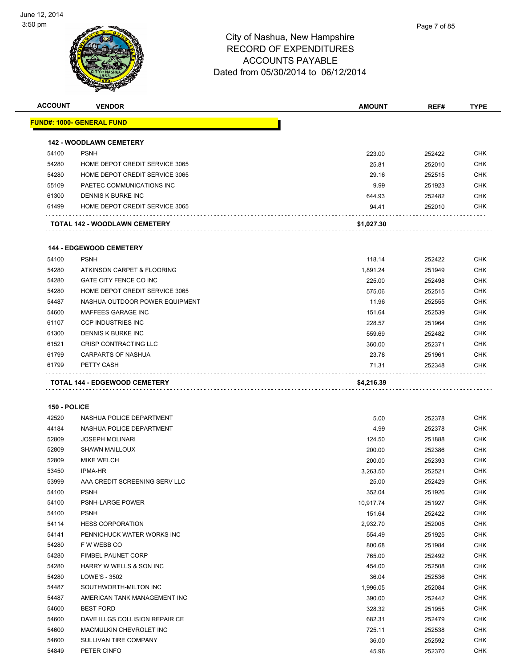

| <b>ACCOUNT</b> | <b>VENDOR</b>                     | <b>AMOUNT</b> | REF#   | <b>TYPE</b> |
|----------------|-----------------------------------|---------------|--------|-------------|
|                | <u> FUND#: 1000- GENERAL FUND</u> |               |        |             |
|                | <b>142 - WOODLAWN CEMETERY</b>    |               |        |             |
| 54100          | <b>PSNH</b>                       | 223.00        | 252422 | <b>CHK</b>  |
| 54280          | HOME DEPOT CREDIT SERVICE 3065    | 25.81         | 252010 | <b>CHK</b>  |
| 54280          | HOME DEPOT CREDIT SERVICE 3065    | 29.16         | 252515 | <b>CHK</b>  |
| 55109          | PAETEC COMMUNICATIONS INC         | 9.99          | 251923 | <b>CHK</b>  |
| 61300          | DENNIS K BURKE INC                | 644.93        | 252482 | <b>CHK</b>  |
| 61499          | HOME DEPOT CREDIT SERVICE 3065    | 94.41         | 252010 | <b>CHK</b>  |
|                | TOTAL 142 - WOODLAWN CEMETERY     | \$1,027.30    |        |             |
|                | <b>144 - EDGEWOOD CEMETERY</b>    |               |        |             |
| 54100          | <b>PSNH</b>                       |               |        | <b>CHK</b>  |
|                |                                   | 118.14        | 252422 |             |
| 54280          | ATKINSON CARPET & FLOORING        | 1,891.24      | 251949 | <b>CHK</b>  |
| 54280          | GATE CITY FENCE CO INC            | 225.00        | 252498 | <b>CHK</b>  |
| 54280          | HOME DEPOT CREDIT SERVICE 3065    | 575.06        | 252515 | <b>CHK</b>  |
| 54487          | NASHUA OUTDOOR POWER EQUIPMENT    | 11.96         | 252555 | <b>CHK</b>  |
| 54600          | MAFFEES GARAGE INC                | 151.64        | 252539 | <b>CHK</b>  |
| 61107          | <b>CCP INDUSTRIES INC</b>         | 228.57        | 251964 | <b>CHK</b>  |
| 61300          | DENNIS K BURKE INC                | 559.69        | 252482 | <b>CHK</b>  |
| 61521          | CRISP CONTRACTING LLC             | 360.00        | 252371 | <b>CHK</b>  |
| 61799          | CARPARTS OF NASHUA                | 23.78         | 251961 | <b>CHK</b>  |
| 61799          | PETTY CASH                        | 71.31         | 252348 | <b>CHK</b>  |
|                | TOTAL 144 - EDGEWOOD CEMETERY     | \$4,216.39    |        |             |
|                |                                   |               |        |             |
| 150 - POLICE   |                                   |               |        |             |
|                |                                   |               |        |             |
| 42520<br>44184 | NASHUA POLICE DEPARTMENT          | 5.00          | 252378 | <b>CHK</b>  |
|                | NASHUA POLICE DEPARTMENT          | 4.99          | 252378 | <b>CHK</b>  |
| 52809          | <b>JOSEPH MOLINARI</b>            | 124.50        | 251888 | <b>CHK</b>  |
| 52809          | <b>SHAWN MAILLOUX</b>             | 200.00        | 252386 | <b>CHK</b>  |
| 52809          | <b>MIKE WELCH</b>                 | 200.00        | 252393 | <b>CHK</b>  |
| 53450          | <b>IPMA-HR</b>                    | 3,263.50      | 252521 | <b>CHK</b>  |
| 53999          | AAA CREDIT SCREENING SERV LLC     | 25.00         | 252429 | <b>CHK</b>  |
| 54100          | <b>PSNH</b>                       | 352.04        | 251926 | <b>CHK</b>  |
| 54100          | PSNH-LARGE POWER                  | 10,917.74     | 251927 | <b>CHK</b>  |
| 54100          | <b>PSNH</b>                       | 151.64        | 252422 | <b>CHK</b>  |
| 54114          | <b>HESS CORPORATION</b>           | 2,932.70      | 252005 | <b>CHK</b>  |
| 54141          | PENNICHUCK WATER WORKS INC        | 554.49        | 251925 | <b>CHK</b>  |
| 54280          | F W WEBB CO                       | 800.68        | 251984 | <b>CHK</b>  |
| 54280          | FIMBEL PAUNET CORP                | 765.00        | 252492 | <b>CHK</b>  |
| 54280          | HARRY W WELLS & SON INC           | 454.00        | 252508 | <b>CHK</b>  |
| 54280          | LOWE'S - 3502                     | 36.04         | 252536 | <b>CHK</b>  |
| 54487          | SOUTHWORTH-MILTON INC             | 1,996.05      | 252084 | <b>CHK</b>  |
| 54487          | AMERICAN TANK MANAGEMENT INC      | 390.00        | 252442 | <b>CHK</b>  |
| 54600          | <b>BEST FORD</b>                  | 328.32        | 251955 | <b>CHK</b>  |
| 54600          | DAVE ILLGS COLLISION REPAIR CE    | 682.31        | 252479 | <b>CHK</b>  |
| 54600          | MACMULKIN CHEVROLET INC           | 725.11        | 252538 | <b>CHK</b>  |
| 54600          | SULLIVAN TIRE COMPANY             | 36.00         | 252592 | <b>CHK</b>  |
| 54849          | PETER CINFO                       | 45.96         | 252370 | <b>CHK</b>  |
|                |                                   |               |        |             |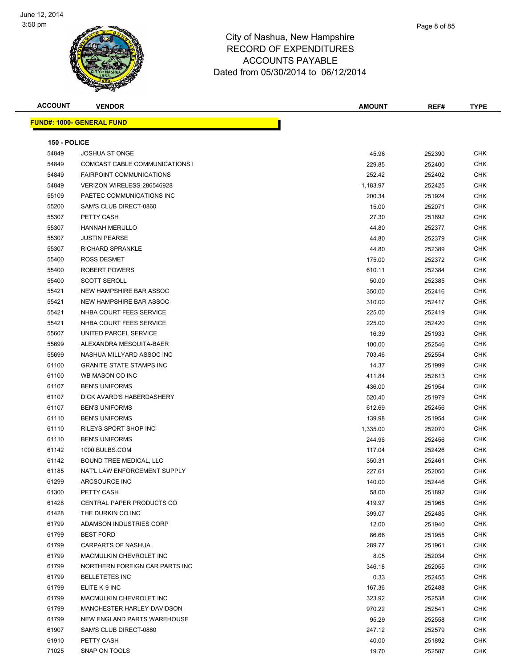

| <b>ACCOUNT</b> | <b>VENDOR</b>                     | <b>AMOUNT</b> | REF#   | <b>TYPE</b> |
|----------------|-----------------------------------|---------------|--------|-------------|
|                | <u> FUND#: 1000- GENERAL FUND</u> |               |        |             |
|                |                                   |               |        |             |
| 150 - POLICE   |                                   |               |        |             |
| 54849          | <b>JOSHUA ST ONGE</b>             | 45.96         | 252390 | <b>CHK</b>  |
| 54849          | COMCAST CABLE COMMUNICATIONS I    | 229.85        | 252400 | <b>CHK</b>  |
| 54849          | <b>FAIRPOINT COMMUNICATIONS</b>   | 252.42        | 252402 | <b>CHK</b>  |
| 54849          | VERIZON WIRELESS-286546928        | 1,183.97      | 252425 | CHK         |
| 55109          | PAETEC COMMUNICATIONS INC         | 200.34        | 251924 | <b>CHK</b>  |
| 55200          | SAM'S CLUB DIRECT-0860            | 15.00         | 252071 | <b>CHK</b>  |
| 55307          | PETTY CASH                        | 27.30         | 251892 | <b>CHK</b>  |
| 55307          | <b>HANNAH MERULLO</b>             | 44.80         | 252377 | <b>CHK</b>  |
| 55307          | <b>JUSTIN PEARSE</b>              | 44.80         | 252379 | <b>CHK</b>  |
| 55307          | <b>RICHARD SPRANKLE</b>           | 44.80         | 252389 | <b>CHK</b>  |
| 55400          | ROSS DESMET                       | 175.00        | 252372 | CHK         |
| 55400          | <b>ROBERT POWERS</b>              | 610.11        | 252384 | <b>CHK</b>  |
| 55400          | <b>SCOTT SEROLL</b>               | 50.00         | 252385 | <b>CHK</b>  |
| 55421          | NEW HAMPSHIRE BAR ASSOC           | 350.00        | 252416 | <b>CHK</b>  |
| 55421          | NEW HAMPSHIRE BAR ASSOC           | 310.00        | 252417 | <b>CHK</b>  |
| 55421          | NHBA COURT FEES SERVICE           | 225.00        | 252419 | <b>CHK</b>  |
| 55421          | NHBA COURT FEES SERVICE           | 225.00        | 252420 | <b>CHK</b>  |
| 55607          | UNITED PARCEL SERVICE             | 16.39         | 251933 | <b>CHK</b>  |
| 55699          | ALEXANDRA MESQUITA-BAER           | 100.00        | 252546 | <b>CHK</b>  |
| 55699          | NASHUA MILLYARD ASSOC INC         | 703.46        | 252554 | <b>CHK</b>  |
| 61100          | <b>GRANITE STATE STAMPS INC</b>   | 14.37         | 251999 | <b>CHK</b>  |
| 61100          | WB MASON CO INC                   | 411.84        | 252613 | <b>CHK</b>  |
| 61107          | <b>BEN'S UNIFORMS</b>             | 436.00        | 251954 | <b>CHK</b>  |
| 61107          | DICK AVARD'S HABERDASHERY         | 520.40        | 251979 | <b>CHK</b>  |
| 61107          | <b>BEN'S UNIFORMS</b>             | 612.69        | 252456 | <b>CHK</b>  |
| 61110          | <b>BEN'S UNIFORMS</b>             | 139.98        | 251954 | CHK         |
| 61110          | RILEYS SPORT SHOP INC             | 1,335.00      | 252070 | <b>CHK</b>  |
| 61110          | <b>BEN'S UNIFORMS</b>             | 244.96        | 252456 | <b>CHK</b>  |
| 61142          | 1000 BULBS.COM                    | 117.04        | 252426 | <b>CHK</b>  |
| 61142          | <b>BOUND TREE MEDICAL, LLC</b>    | 350.31        | 252461 | <b>CHK</b>  |
| 61185          | NAT'L LAW ENFORCEMENT SUPPLY      | 227.61        | 252050 | <b>CHK</b>  |
| 61299          | ARCSOURCE INC                     | 140.00        | 252446 | <b>CHK</b>  |
| 61300          | PETTY CASH                        | 58.00         | 251892 | <b>CHK</b>  |
| 61428          | CENTRAL PAPER PRODUCTS CO         | 419.97        | 251965 | <b>CHK</b>  |
| 61428          | THE DURKIN CO INC                 | 399.07        | 252485 | <b>CHK</b>  |
| 61799          | ADAMSON INDUSTRIES CORP           | 12.00         | 251940 | <b>CHK</b>  |
| 61799          | <b>BEST FORD</b>                  | 86.66         | 251955 | <b>CHK</b>  |
| 61799          | <b>CARPARTS OF NASHUA</b>         | 289.77        | 251961 | <b>CHK</b>  |
| 61799          | MACMULKIN CHEVROLET INC           | 8.05          | 252034 | <b>CHK</b>  |
| 61799          | NORTHERN FOREIGN CAR PARTS INC    | 346.18        | 252055 | <b>CHK</b>  |
| 61799          | <b>BELLETETES INC</b>             | 0.33          | 252455 | <b>CHK</b>  |
| 61799          | ELITE K-9 INC                     | 167.36        | 252488 | <b>CHK</b>  |
| 61799          | MACMULKIN CHEVROLET INC           | 323.92        | 252538 | <b>CHK</b>  |
| 61799          | MANCHESTER HARLEY-DAVIDSON        | 970.22        | 252541 | CHK         |
| 61799          | NEW ENGLAND PARTS WAREHOUSE       | 95.29         | 252558 | <b>CHK</b>  |
| 61907          | SAM'S CLUB DIRECT-0860            | 247.12        | 252579 | CHK         |
| 61910          | PETTY CASH                        | 40.00         | 251892 | CHK         |
| 71025          | SNAP ON TOOLS                     | 19.70         | 252587 | <b>CHK</b>  |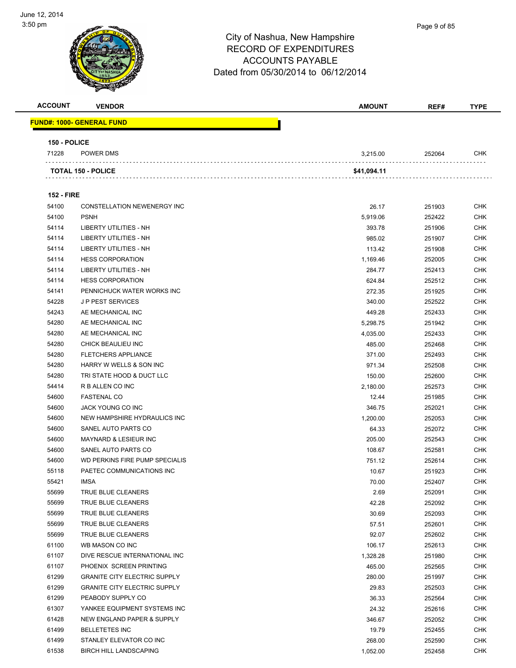

| Page 9 of 85 |
|--------------|
|              |
|              |

| <b>ACCOUNT</b>    | <b>VENDOR</b>                                     | <b>AMOUNT</b>    | REF#             | <b>TYPE</b>              |
|-------------------|---------------------------------------------------|------------------|------------------|--------------------------|
|                   | <u> FUND#: 1000- GENERAL FUND</u>                 |                  |                  |                          |
|                   |                                                   |                  |                  |                          |
| 150 - POLICE      |                                                   |                  |                  |                          |
| 71228             | POWER DMS                                         | 3,215.00         | 252064           | <b>CHK</b>               |
|                   | <b>TOTAL 150 - POLICE</b>                         |                  |                  |                          |
|                   |                                                   | \$41,094.11      |                  |                          |
|                   |                                                   |                  |                  |                          |
| <b>152 - FIRE</b> |                                                   |                  |                  |                          |
| 54100             | CONSTELLATION NEWENERGY INC                       | 26.17            | 251903           | <b>CHK</b>               |
| 54100             | <b>PSNH</b>                                       | 5,919.06         | 252422           | <b>CHK</b>               |
| 54114             | <b>LIBERTY UTILITIES - NH</b>                     | 393.78           | 251906           | <b>CHK</b>               |
| 54114             | LIBERTY UTILITIES - NH                            | 985.02           | 251907           | <b>CHK</b>               |
| 54114             | LIBERTY UTILITIES - NH                            | 113.42           | 251908           | <b>CHK</b>               |
| 54114<br>54114    | <b>HESS CORPORATION</b><br>LIBERTY UTILITIES - NH | 1,169.46         | 252005           | <b>CHK</b>               |
| 54114             | <b>HESS CORPORATION</b>                           | 284.77           | 252413           | <b>CHK</b><br><b>CHK</b> |
| 54141             | PENNICHUCK WATER WORKS INC                        | 624.84<br>272.35 | 252512<br>251925 | <b>CHK</b>               |
| 54228             | <b>JP PEST SERVICES</b>                           | 340.00           | 252522           | <b>CHK</b>               |
| 54243             | AE MECHANICAL INC                                 | 449.28           | 252433           | <b>CHK</b>               |
| 54280             | AE MECHANICAL INC                                 | 5,298.75         | 251942           | <b>CHK</b>               |
| 54280             | AE MECHANICAL INC                                 | 4,035.00         | 252433           | <b>CHK</b>               |
| 54280             | CHICK BEAULIEU INC                                | 485.00           | 252468           | <b>CHK</b>               |
| 54280             | <b>FLETCHERS APPLIANCE</b>                        | 371.00           | 252493           | <b>CHK</b>               |
| 54280             | HARRY W WELLS & SON INC                           | 971.34           | 252508           | <b>CHK</b>               |
| 54280             | TRI STATE HOOD & DUCT LLC                         | 150.00           | 252600           | <b>CHK</b>               |
| 54414             | R B ALLEN CO INC                                  | 2,180.00         | 252573           | <b>CHK</b>               |
| 54600             | <b>FASTENAL CO</b>                                | 12.44            | 251985           | <b>CHK</b>               |
| 54600             | JACK YOUNG CO INC                                 | 346.75           | 252021           | <b>CHK</b>               |
| 54600             | NEW HAMPSHIRE HYDRAULICS INC                      | 1,200.00         | 252053           | <b>CHK</b>               |
| 54600             | SANEL AUTO PARTS CO                               | 64.33            | 252072           | <b>CHK</b>               |
| 54600             | <b>MAYNARD &amp; LESIEUR INC</b>                  | 205.00           | 252543           | <b>CHK</b>               |
| 54600             | SANEL AUTO PARTS CO                               | 108.67           | 252581           | <b>CHK</b>               |
| 54600             | WD PERKINS FIRE PUMP SPECIALIS                    | 751.12           | 252614           | <b>CHK</b>               |
| 55118             | PAETEC COMMUNICATIONS INC                         | 10.67            | 251923           | <b>CHK</b>               |
| 55421             | <b>IMSA</b>                                       | 70.00            | 252407           | <b>CHK</b>               |
| 55699             | TRUE BLUE CLEANERS                                | 2.69             | 252091           | CHK                      |
| 55699             | TRUE BLUE CLEANERS                                | 42.28            | 252092           | <b>CHK</b>               |
| 55699             | TRUE BLUE CLEANERS                                | 30.69            | 252093           | <b>CHK</b>               |
| 55699             | TRUE BLUE CLEANERS                                | 57.51            | 252601           | <b>CHK</b>               |
| 55699             | TRUE BLUE CLEANERS                                | 92.07            | 252602           | <b>CHK</b>               |
| 61100             | WB MASON CO INC                                   | 106.17           | 252613           | <b>CHK</b>               |
| 61107             | DIVE RESCUE INTERNATIONAL INC                     | 1,328.28         | 251980           | <b>CHK</b>               |
| 61107             | PHOENIX SCREEN PRINTING                           | 465.00           | 252565           | <b>CHK</b>               |
| 61299             | <b>GRANITE CITY ELECTRIC SUPPLY</b>               | 280.00           | 251997           | <b>CHK</b>               |
| 61299             | <b>GRANITE CITY ELECTRIC SUPPLY</b>               | 29.83            | 252503           | <b>CHK</b>               |
| 61299             | PEABODY SUPPLY CO                                 | 36.33            | 252564           | <b>CHK</b>               |
| 61307             | YANKEE EQUIPMENT SYSTEMS INC                      | 24.32            | 252616           | <b>CHK</b>               |
| 61428             | NEW ENGLAND PAPER & SUPPLY                        | 346.67           | 252052           | <b>CHK</b>               |
| 61499             | <b>BELLETETES INC</b>                             | 19.79            | 252455           | <b>CHK</b>               |
| 61499             | STANLEY ELEVATOR CO INC                           | 268.00           | 252590           | <b>CHK</b>               |
| 61538             | <b>BIRCH HILL LANDSCAPING</b>                     | 1,052.00         | 252458           | <b>CHK</b>               |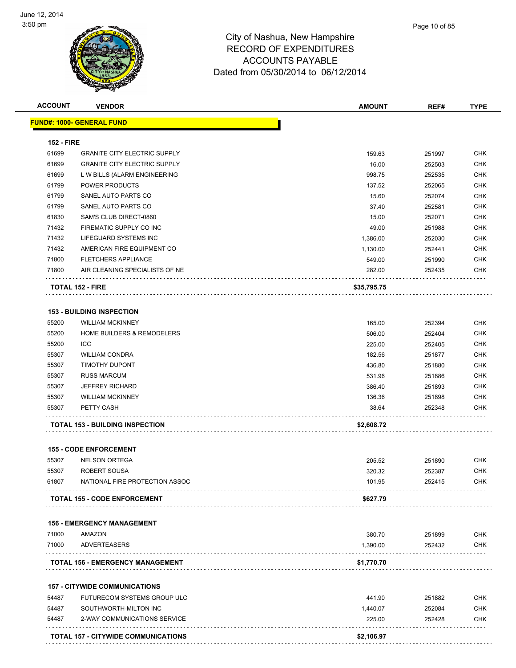

|                   | <b>VENDOR</b>                                         | <b>AMOUNT</b>      | REF#             | <b>TYPE</b>              |
|-------------------|-------------------------------------------------------|--------------------|------------------|--------------------------|
|                   | <u> FUND#: 1000- GENERAL FUND</u>                     |                    |                  |                          |
| <b>152 - FIRE</b> |                                                       |                    |                  |                          |
| 61699             | <b>GRANITE CITY ELECTRIC SUPPLY</b>                   | 159.63             | 251997           | <b>CHK</b>               |
| 61699             | <b>GRANITE CITY ELECTRIC SUPPLY</b>                   | 16.00              | 252503           | <b>CHK</b>               |
| 61699             | L W BILLS (ALARM ENGINEERING                          | 998.75             | 252535           | <b>CHK</b>               |
| 61799             | POWER PRODUCTS                                        | 137.52             | 252065           | <b>CHK</b>               |
| 61799             | SANEL AUTO PARTS CO                                   | 15.60              | 252074           | <b>CHK</b>               |
| 61799             | SANEL AUTO PARTS CO                                   | 37.40              | 252581           | <b>CHK</b>               |
| 61830             | SAM'S CLUB DIRECT-0860                                | 15.00              | 252071           | <b>CHK</b>               |
| 71432             | FIREMATIC SUPPLY CO INC                               | 49.00              | 251988           | <b>CHK</b>               |
| 71432             | LIFEGUARD SYSTEMS INC                                 | 1,386.00           | 252030           | <b>CHK</b>               |
| 71432             | AMERICAN FIRE EQUIPMENT CO                            | 1,130.00           | 252441           | <b>CHK</b>               |
| 71800             | <b>FLETCHERS APPLIANCE</b>                            | 549.00             | 251990           | <b>CHK</b>               |
| 71800             | AIR CLEANING SPECIALISTS OF NE                        | 282.00             | 252435           | <b>CHK</b>               |
|                   | <b>TOTAL 152 - FIRE</b>                               | \$35,795.75        |                  |                          |
|                   | <b>153 - BUILDING INSPECTION</b>                      |                    |                  |                          |
| 55200             | <b>WILLIAM MCKINNEY</b>                               |                    |                  | <b>CHK</b>               |
| 55200             | <b>HOME BUILDERS &amp; REMODELERS</b>                 | 165.00<br>506.00   | 252394<br>252404 | <b>CHK</b>               |
| 55200             | <b>ICC</b>                                            | 225.00             | 252405           | <b>CHK</b>               |
| 55307             | <b>WILLIAM CONDRA</b>                                 | 182.56             | 251877           | <b>CHK</b>               |
| 55307             | <b>TIMOTHY DUPONT</b>                                 | 436.80             | 251880           | <b>CHK</b>               |
| 55307             | <b>RUSS MARCUM</b>                                    | 531.96             | 251886           | <b>CHK</b>               |
| 55307             | <b>JEFFREY RICHARD</b>                                | 386.40             | 251893           | <b>CHK</b>               |
| 55307             | <b>WILLIAM MCKINNEY</b>                               | 136.36             | 251898           | <b>CHK</b>               |
| 55307             | PETTY CASH                                            | 38.64              | 252348           | <b>CHK</b>               |
|                   | <b>TOTAL 153 - BUILDING INSPECTION</b>                | \$2,608.72         |                  |                          |
|                   |                                                       |                    |                  |                          |
|                   | <b>155 - CODE ENFORCEMENT</b>                         |                    |                  |                          |
| 55307             | <b>NELSON ORTEGA</b>                                  | 205.52             | 251890           | <b>CHK</b>               |
|                   | ROBERT SOUSA                                          | 320.32             | 252387           | <b>CHK</b>               |
| 55307             |                                                       |                    |                  |                          |
| 61807             | NATIONAL FIRE PROTECTION ASSOC                        | 101.95             | 252415           | CHK                      |
|                   | <b>TOTAL 155 - CODE ENFORCEMENT</b>                   | \$627.79           |                  |                          |
|                   | <b>156 - EMERGENCY MANAGEMENT</b>                     |                    |                  |                          |
| 71000             | AMAZON                                                | 380.70             | 251899           | <b>CHK</b>               |
| 71000             | <b>ADVERTEASERS</b>                                   | 1,390.00           | 252432           | <b>CHK</b>               |
|                   | <b>TOTAL 156 - EMERGENCY MANAGEMENT</b>               | \$1,770.70         |                  |                          |
|                   | <b>157 - CITYWIDE COMMUNICATIONS</b>                  |                    |                  |                          |
| 54487             | FUTURECOM SYSTEMS GROUP ULC                           |                    |                  |                          |
|                   |                                                       | 441.90             | 251882           | <b>CHK</b>               |
| 54487<br>54487    | SOUTHWORTH-MILTON INC<br>2-WAY COMMUNICATIONS SERVICE | 1,440.07<br>225.00 | 252084<br>252428 | <b>CHK</b><br><b>CHK</b> |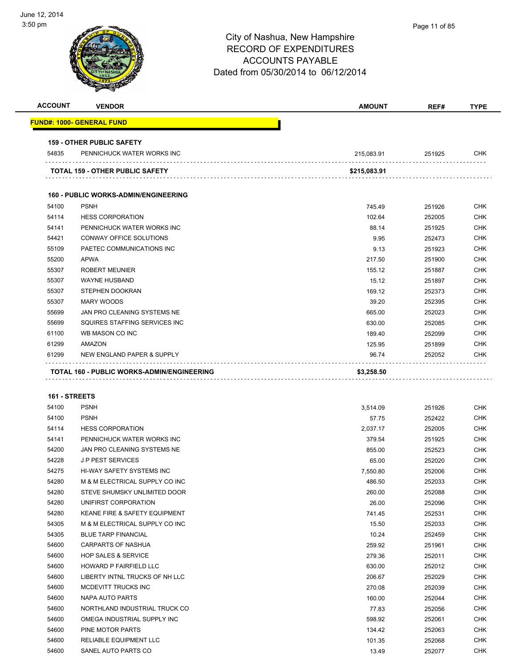

| <b>ACCOUNT</b>       | <b>VENDOR</b>                                        | AMOUNT          | REF#             | <b>TYPE</b>              |
|----------------------|------------------------------------------------------|-----------------|------------------|--------------------------|
|                      | <u> FUND#: 1000- GENERAL FUND</u>                    |                 |                  |                          |
|                      | <b>159 - OTHER PUBLIC SAFETY</b>                     |                 |                  |                          |
| 54835                | PENNICHUCK WATER WORKS INC                           | 215,083.91      | 251925           | <b>CHK</b>               |
|                      | <b>TOTAL 159 - OTHER PUBLIC SAFETY</b>               | \$215,083.91    |                  |                          |
|                      | <b>160 - PUBLIC WORKS-ADMIN/ENGINEERING</b>          |                 |                  |                          |
| 54100                | <b>PSNH</b>                                          | 745.49          | 251926           | <b>CHK</b>               |
| 54114                | <b>HESS CORPORATION</b>                              | 102.64          | 252005           | <b>CHK</b>               |
| 54141                | PENNICHUCK WATER WORKS INC                           | 88.14           | 251925           | <b>CHK</b>               |
| 54421                | CONWAY OFFICE SOLUTIONS                              | 9.95            | 252473           | <b>CHK</b>               |
| 55109                | PAETEC COMMUNICATIONS INC                            | 9.13            | 251923           | <b>CHK</b>               |
| 55200                | <b>APWA</b>                                          | 217.50          | 251900           | <b>CHK</b>               |
| 55307                | <b>ROBERT MEUNIER</b>                                | 155.12          | 251887           | <b>CHK</b>               |
| 55307                | <b>WAYNE HUSBAND</b>                                 | 15.12           | 251897           | <b>CHK</b>               |
| 55307                | STEPHEN DOOKRAN                                      | 169.12          | 252373           | <b>CHK</b>               |
| 55307                | <b>MARY WOODS</b>                                    | 39.20           | 252395           | <b>CHK</b>               |
| 55699                | JAN PRO CLEANING SYSTEMS NE                          | 665.00          | 252023           | <b>CHK</b>               |
| 55699                | SQUIRES STAFFING SERVICES INC                        | 630.00          | 252085           | <b>CHK</b>               |
| 61100                | WB MASON CO INC                                      | 189.40          | 252099           | <b>CHK</b>               |
| 61299                | AMAZON                                               | 125.95          | 251899           | <b>CHK</b>               |
| 61299                | NEW ENGLAND PAPER & SUPPLY                           | 96.74           | 252052           | <b>CHK</b>               |
|                      | TOTAL 160 - PUBLIC WORKS-ADMIN/ENGINEERING           | \$3,258.50      |                  |                          |
|                      |                                                      |                 |                  |                          |
|                      |                                                      |                 |                  |                          |
| <b>161 - STREETS</b> |                                                      |                 |                  |                          |
| 54100                | <b>PSNH</b>                                          | 3,514.09        | 251926           | <b>CHK</b>               |
| 54100                | <b>PSNH</b>                                          | 57.75           | 252422           | <b>CHK</b>               |
| 54114                | <b>HESS CORPORATION</b>                              | 2,037.17        | 252005           | <b>CHK</b>               |
| 54141                | PENNICHUCK WATER WORKS INC                           | 379.54          | 251925           | <b>CHK</b>               |
| 54200                | JAN PRO CLEANING SYSTEMS NE                          | 855.00          | 252523           | <b>CHK</b>               |
| 54228                | <b>JP PEST SERVICES</b>                              | 65.00           | 252020           | <b>CHK</b>               |
| 54275                | <b>HI-WAY SAFETY SYSTEMS INC</b>                     | 7,550.80        | 252006           | <b>CHK</b>               |
| 54280                | M & M ELECTRICAL SUPPLY CO INC                       | 486.50          | 252033           | <b>CHK</b>               |
| 54280<br>54280       | STEVE SHUMSKY UNLIMITED DOOR<br>UNIFIRST CORPORATION | 260.00          | 252088           | <b>CHK</b><br><b>CHK</b> |
| 54280                | KEANE FIRE & SAFETY EQUIPMENT                        | 26.00           | 252096           | <b>CHK</b>               |
| 54305                | M & M ELECTRICAL SUPPLY CO INC                       | 741.45<br>15.50 | 252531<br>252033 | <b>CHK</b>               |
| 54305                | <b>BLUE TARP FINANCIAL</b>                           | 10.24           | 252459           | <b>CHK</b>               |
| 54600                | <b>CARPARTS OF NASHUA</b>                            | 259.92          | 251961           | <b>CHK</b>               |
| 54600                | <b>HOP SALES &amp; SERVICE</b>                       | 279.36          | 252011           | <b>CHK</b>               |
| 54600                | HOWARD P FAIRFIELD LLC                               | 630.00          | 252012           | <b>CHK</b>               |
| 54600                | LIBERTY INTNL TRUCKS OF NH LLC                       | 206.67          | 252029           | <b>CHK</b>               |
| 54600                | MCDEVITT TRUCKS INC                                  | 270.08          | 252039           | <b>CHK</b>               |
| 54600                | NAPA AUTO PARTS                                      | 160.00          | 252044           | <b>CHK</b>               |
| 54600                | NORTHLAND INDUSTRIAL TRUCK CO                        | 77.83           | 252056           | <b>CHK</b>               |
| 54600                | OMEGA INDUSTRIAL SUPPLY INC                          | 598.92          | 252061           | <b>CHK</b>               |
| 54600                | PINE MOTOR PARTS                                     | 134.42          | 252063           | <b>CHK</b>               |
| 54600                | RELIABLE EQUIPMENT LLC                               | 101.35          | 252068           | CHK                      |
| 54600                | SANEL AUTO PARTS CO                                  | 13.49           | 252077           | <b>CHK</b>               |
|                      |                                                      |                 |                  |                          |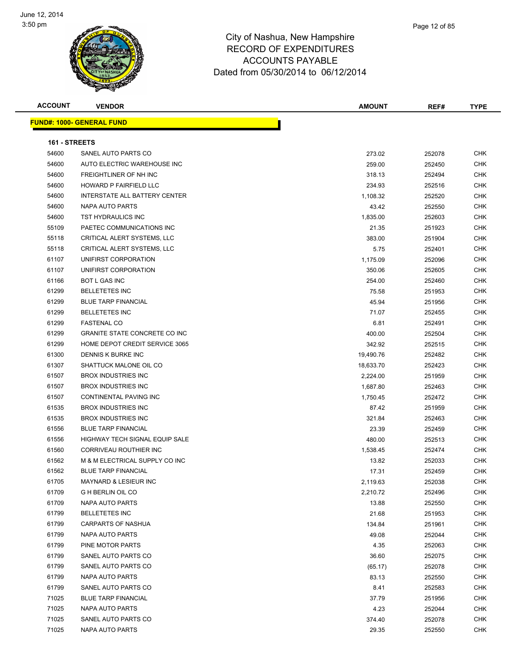

| <b>ACCOUNT</b> | <b>VENDOR</b>                        | <b>AMOUNT</b> | REF#   | <b>TYPE</b> |
|----------------|--------------------------------------|---------------|--------|-------------|
|                | <b>FUND#: 1000- GENERAL FUND</b>     |               |        |             |
| 161 - STREETS  |                                      |               |        |             |
| 54600          | SANEL AUTO PARTS CO                  | 273.02        | 252078 | <b>CHK</b>  |
| 54600          | AUTO ELECTRIC WAREHOUSE INC          | 259.00        | 252450 | CHK         |
| 54600          | FREIGHTLINER OF NH INC               | 318.13        | 252494 | CHK         |
| 54600          | <b>HOWARD P FAIRFIELD LLC</b>        | 234.93        | 252516 | CHK         |
| 54600          | INTERSTATE ALL BATTERY CENTER        | 1,108.32      | 252520 | CHK         |
| 54600          | NAPA AUTO PARTS                      | 43.42         | 252550 | CHK         |
| 54600          | TST HYDRAULICS INC                   | 1,835.00      | 252603 | CHK         |
| 55109          | PAETEC COMMUNICATIONS INC            | 21.35         | 251923 | <b>CHK</b>  |
| 55118          | CRITICAL ALERT SYSTEMS, LLC          | 383.00        | 251904 | <b>CHK</b>  |
| 55118          | CRITICAL ALERT SYSTEMS, LLC          | 5.75          | 252401 | CHK         |
| 61107          | UNIFIRST CORPORATION                 | 1,175.09      | 252096 | CHK         |
| 61107          | UNIFIRST CORPORATION                 | 350.06        | 252605 | CHK         |
| 61166          | <b>BOT L GAS INC</b>                 | 254.00        | 252460 | CHK         |
| 61299          | <b>BELLETETES INC</b>                | 75.58         | 251953 | CHK         |
| 61299          | <b>BLUE TARP FINANCIAL</b>           | 45.94         | 251956 | <b>CHK</b>  |
| 61299          | <b>BELLETETES INC</b>                | 71.07         | 252455 | CHK         |
| 61299          | <b>FASTENAL CO</b>                   | 6.81          | 252491 | CHK         |
| 61299          | <b>GRANITE STATE CONCRETE CO INC</b> | 400.00        | 252504 | CHK         |
| 61299          | HOME DEPOT CREDIT SERVICE 3065       | 342.92        | 252515 | <b>CHK</b>  |
| 61300          | DENNIS K BURKE INC                   | 19,490.76     | 252482 | <b>CHK</b>  |
| 61307          | SHATTUCK MALONE OIL CO               | 18,633.70     | 252423 | <b>CHK</b>  |
| 61507          | <b>BROX INDUSTRIES INC</b>           | 2,224.00      | 251959 | CHK         |
| 61507          | <b>BROX INDUSTRIES INC</b>           | 1,687.80      | 252463 | CHK         |
| 61507          | CONTINENTAL PAVING INC               | 1,750.45      | 252472 | CHK         |
| 61535          | <b>BROX INDUSTRIES INC</b>           | 87.42         | 251959 | CHK         |
| 61535          | <b>BROX INDUSTRIES INC</b>           | 321.84        | 252463 | <b>CHK</b>  |
| 61556          | <b>BLUE TARP FINANCIAL</b>           | 23.39         | 252459 | CHK         |
| 61556          | HIGHWAY TECH SIGNAL EQUIP SALE       | 480.00        | 252513 | <b>CHK</b>  |
| 61560          | CORRIVEAU ROUTHIER INC               | 1,538.45      | 252474 | CHK         |
| 61562          | M & M ELECTRICAL SUPPLY CO INC       | 13.82         | 252033 | <b>CHK</b>  |
| 61562          | <b>BLUE TARP FINANCIAL</b>           | 17.31         | 252459 | CHK         |
| 61705          | MAYNARD & LESIEUR INC                | 2,119.63      | 252038 | <b>CHK</b>  |
| 61709          | <b>GHBERLIN OIL CO</b>               | 2,210.72      | 252496 | CHK         |
| 61709          | <b>NAPA AUTO PARTS</b>               | 13.88         | 252550 | <b>CHK</b>  |
| 61799          | <b>BELLETETES INC</b>                | 21.68         | 251953 | <b>CHK</b>  |
| 61799          | CARPARTS OF NASHUA                   | 134.84        | 251961 | <b>CHK</b>  |
| 61799          | NAPA AUTO PARTS                      | 49.08         | 252044 | <b>CHK</b>  |
| 61799          | PINE MOTOR PARTS                     | 4.35          | 252063 | CHK         |
| 61799          | SANEL AUTO PARTS CO                  | 36.60         | 252075 | CHK         |
| 61799          | SANEL AUTO PARTS CO                  | (65.17)       | 252078 | CHK         |
| 61799          | NAPA AUTO PARTS                      | 83.13         | 252550 | CHK         |
| 61799          | SANEL AUTO PARTS CO                  | 8.41          | 252583 | <b>CHK</b>  |
| 71025          | <b>BLUE TARP FINANCIAL</b>           | 37.79         | 251956 | <b>CHK</b>  |
| 71025          | NAPA AUTO PARTS                      | 4.23          | 252044 | <b>CHK</b>  |
| 71025          | SANEL AUTO PARTS CO                  | 374.40        | 252078 | <b>CHK</b>  |
| 71025          | NAPA AUTO PARTS                      | 29.35         | 252550 | CHK         |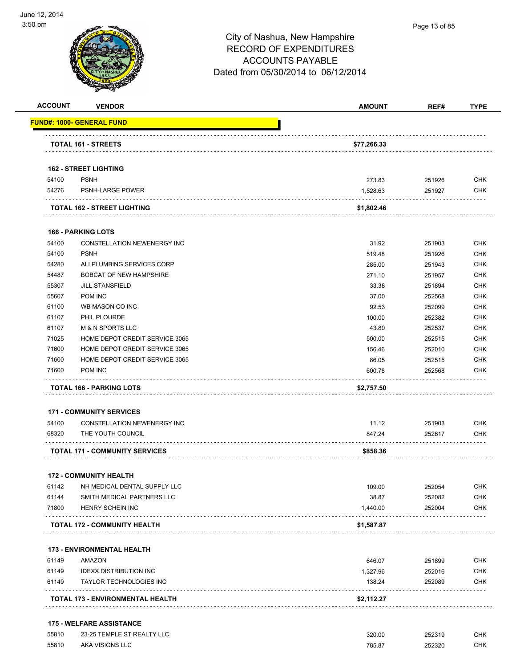

Page 13 of 85

| <b>ACCOUNT</b> | <b>VENDOR</b>                              | <b>AMOUNT</b> | REF#   | <b>TYPE</b> |
|----------------|--------------------------------------------|---------------|--------|-------------|
|                | <u> FUND#: 1000- GENERAL FUND</u>          |               |        |             |
|                | <b>TOTAL 161 - STREETS</b>                 | \$77,266.33   |        |             |
|                | <b>162 - STREET LIGHTING</b>               |               |        |             |
| 54100          | <b>PSNH</b>                                | 273.83        | 251926 | <b>CHK</b>  |
| 54276          | <b>PSNH-LARGE POWER</b>                    | 1,528.63      | 251927 | <b>CHK</b>  |
|                | TOTAL 162 - STREET LIGHTING                | \$1,802.46    |        |             |
|                | <b>166 - PARKING LOTS</b>                  |               |        |             |
| 54100          | CONSTELLATION NEWENERGY INC                | 31.92         | 251903 | CHK         |
| 54100          | <b>PSNH</b>                                | 519.48        | 251926 | <b>CHK</b>  |
| 54280          | ALI PLUMBING SERVICES CORP                 | 285.00        | 251943 | <b>CHK</b>  |
| 54487          | <b>BOBCAT OF NEW HAMPSHIRE</b>             | 271.10        | 251957 | <b>CHK</b>  |
| 55307          | <b>JILL STANSFIELD</b>                     | 33.38         | 251894 | <b>CHK</b>  |
| 55607          | POM INC                                    | 37.00         | 252568 | <b>CHK</b>  |
| 61100          | WB MASON CO INC                            | 92.53         | 252099 | <b>CHK</b>  |
| 61107          | PHIL PLOURDE                               | 100.00        | 252382 | <b>CHK</b>  |
| 61107          | <b>M &amp; N SPORTS LLC</b>                | 43.80         | 252537 | <b>CHK</b>  |
| 71025          | HOME DEPOT CREDIT SERVICE 3065             | 500.00        | 252515 | <b>CHK</b>  |
| 71600          | HOME DEPOT CREDIT SERVICE 3065             | 156.46        | 252010 | <b>CHK</b>  |
| 71600          | HOME DEPOT CREDIT SERVICE 3065             | 86.05         | 252515 | <b>CHK</b>  |
| 71600          | POM INC                                    | 600.78        | 252568 | <b>CHK</b>  |
|                | <b>TOTAL 166 - PARKING LOTS</b>            | \$2,757.50    |        |             |
|                | <b>171 - COMMUNITY SERVICES</b>            |               |        |             |
| 54100          | CONSTELLATION NEWENERGY INC                | 11.12         | 251903 | <b>CHK</b>  |
| 68320          | THE YOUTH COUNCIL                          | 847.24        | 252617 | <b>CHK</b>  |
|                | .<br><b>TOTAL 171 - COMMUNITY SERVICES</b> | \$858.36      |        |             |
|                |                                            |               |        |             |
|                | <b>172 - COMMUNITY HEALTH</b>              |               |        |             |
| 61142          | NH MEDICAL DENTAL SUPPLY LLC               | 109.00        | 252054 | <b>CHK</b>  |
| 61144          | SMITH MEDICAL PARTNERS LLC                 | 38.87         | 252082 | <b>CHK</b>  |
| 71800          | HENRY SCHEIN INC                           | 1,440.00      | 252004 | <b>CHK</b>  |
|                | TOTAL 172 - COMMUNITY HEALTH               | \$1,587.87    |        |             |
|                | <b>173 - ENVIRONMENTAL HEALTH</b>          |               |        |             |
| 61149          | AMAZON                                     | 646.07        | 251899 | <b>CHK</b>  |
| 61149          | <b>IDEXX DISTRIBUTION INC</b>              | 1,327.96      | 252016 | <b>CHK</b>  |
| 61149          | <b>TAYLOR TECHNOLOGIES INC</b>             | 138.24        | 252089 | <b>CHK</b>  |
|                | TOTAL 173 - ENVIRONMENTAL HEALTH           | \$2,112.27    |        |             |
|                |                                            |               |        |             |
|                | <b>175 - WELFARE ASSISTANCE</b>            |               |        |             |
| 55810          | 23-25 TEMPLE ST REALTY LLC                 | 320.00        | 252319 | <b>CHK</b>  |

55810 AKA VISIONS LLC 785.87 252320 CHK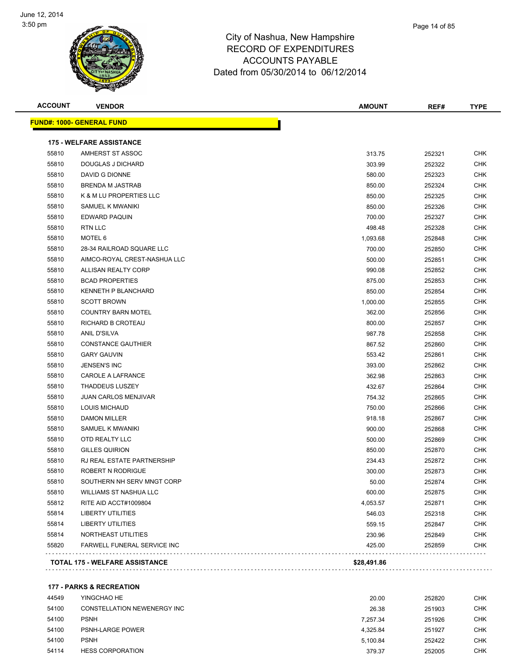

| Page 14 of 85 |
|---------------|
|               |

| <b>ACCOUNT</b> | <b>VENDOR</b>                         | <b>AMOUNT</b> | REF#   | <b>TYPE</b> |
|----------------|---------------------------------------|---------------|--------|-------------|
|                | <u> FUND#: 1000- GENERAL FUND</u>     |               |        |             |
|                | <b>175 - WELFARE ASSISTANCE</b>       |               |        |             |
| 55810          | AMHERST ST ASSOC                      | 313.75        | 252321 | <b>CHK</b>  |
| 55810          | <b>DOUGLAS J DICHARD</b>              | 303.99        | 252322 | <b>CHK</b>  |
| 55810          | DAVID G DIONNE                        | 580.00        | 252323 | <b>CHK</b>  |
| 55810          | <b>BRENDA M JASTRAB</b>               | 850.00        | 252324 | <b>CHK</b>  |
| 55810          | K & M LU PROPERTIES LLC               | 850.00        | 252325 | <b>CHK</b>  |
| 55810          | SAMUEL K MWANIKI                      | 850.00        | 252326 | <b>CHK</b>  |
| 55810          | EDWARD PAQUIN                         | 700.00        | 252327 | <b>CHK</b>  |
| 55810          | RTN LLC                               | 498.48        | 252328 | <b>CHK</b>  |
| 55810          | MOTEL 6                               | 1,093.68      | 252848 | <b>CHK</b>  |
| 55810          | 28-34 RAILROAD SQUARE LLC             | 700.00        | 252850 | <b>CHK</b>  |
| 55810          | AIMCO-ROYAL CREST-NASHUA LLC          | 500.00        | 252851 | <b>CHK</b>  |
| 55810          | ALLISAN REALTY CORP                   | 990.08        | 252852 | <b>CHK</b>  |
| 55810          | <b>BCAD PROPERTIES</b>                | 875.00        | 252853 | CHK         |
| 55810          | KENNETH P BLANCHARD                   | 850.00        | 252854 | CHK         |
| 55810          | <b>SCOTT BROWN</b>                    | 1,000.00      | 252855 | <b>CHK</b>  |
| 55810          | <b>COUNTRY BARN MOTEL</b>             | 362.00        | 252856 | <b>CHK</b>  |
| 55810          | RICHARD B CROTEAU                     | 800.00        | 252857 | <b>CHK</b>  |
| 55810          | <b>ANIL D'SILVA</b>                   | 987.78        | 252858 | CHK         |
| 55810          | <b>CONSTANCE GAUTHIER</b>             | 867.52        | 252860 | <b>CHK</b>  |
| 55810          | <b>GARY GAUVIN</b>                    | 553.42        | 252861 | CHK         |
| 55810          | <b>JENSEN'S INC</b>                   | 393.00        | 252862 | CHK         |
| 55810          | CAROLE A LAFRANCE                     | 362.98        | 252863 | CHK         |
| 55810          | <b>THADDEUS LUSZEY</b>                | 432.67        | 252864 | <b>CHK</b>  |
| 55810          | <b>JUAN CARLOS MENJIVAR</b>           | 754.32        | 252865 | <b>CHK</b>  |
| 55810          | LOUIS MICHAUD                         | 750.00        | 252866 | <b>CHK</b>  |
| 55810          | <b>DAMON MILLER</b>                   | 918.18        | 252867 | <b>CHK</b>  |
| 55810          | SAMUEL K MWANIKI                      | 900.00        | 252868 | <b>CHK</b>  |
| 55810          | OTD REALTY LLC                        | 500.00        | 252869 | CHK         |
| 55810          | <b>GILLES QUIRION</b>                 | 850.00        | 252870 | <b>CHK</b>  |
| 55810          | RJ REAL ESTATE PARTNERSHIP            | 234.43        | 252872 | <b>CHK</b>  |
| 55810          | ROBERT N RODRIGUE                     | 300.00        | 252873 | <b>CHK</b>  |
| 55810          | SOUTHERN NH SERV MNGT CORP            | 50.00         | 252874 | <b>CHK</b>  |
| 55810          | WILLIAMS ST NASHUA LLC                | 600.00        | 252875 | <b>CHK</b>  |
| 55812          | RITE AID ACCT#1009804                 | 4,053.57      | 252871 | <b>CHK</b>  |
| 55814          | <b>LIBERTY UTILITIES</b>              | 546.03        | 252318 | <b>CHK</b>  |
| 55814          | LIBERTY UTILITIES                     | 559.15        | 252847 | <b>CHK</b>  |
| 55814          | NORTHEAST UTILITIES                   | 230.96        | 252849 | <b>CHK</b>  |
| 55820          | <b>FARWELL FUNERAL SERVICE INC</b>    | 425.00        | 252859 | <b>CHK</b>  |
|                | <b>TOTAL 175 - WELFARE ASSISTANCE</b> | \$28,491.86   |        |             |
|                |                                       |               |        |             |

**177 - PARKS & RECREATION**

| 44549 | YINGCHAO HE                 | 20.00    | 252820 | СНК  |
|-------|-----------------------------|----------|--------|------|
| 54100 | CONSTELLATION NEWENERGY INC | 26.38    | 251903 | СНК  |
| 54100 | <b>PSNH</b>                 | 7.257.34 | 251926 | СНК  |
| 54100 | <b>PSNH-LARGE POWER</b>     | 4.325.84 | 251927 | CHK. |
| 54100 | <b>PSNH</b>                 | 5.100.84 | 252422 | снк  |
| 54114 | <b>HESS CORPORATION</b>     | 379.37   | 252005 | СНК  |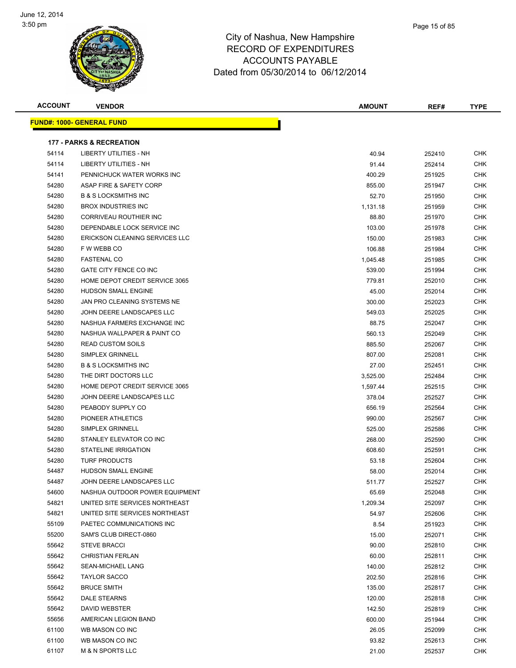

| <b>ACCOUNT</b> | <b>VENDOR</b>                       | <b>AMOUNT</b> | REF#             | <b>TYPE</b> |
|----------------|-------------------------------------|---------------|------------------|-------------|
|                | <b>FUND#: 1000- GENERAL FUND</b>    |               |                  |             |
|                |                                     |               |                  |             |
|                | <b>177 - PARKS &amp; RECREATION</b> |               |                  |             |
| 54114          | <b>LIBERTY UTILITIES - NH</b>       | 40.94         | 252410           | <b>CHK</b>  |
| 54114          | LIBERTY UTILITIES - NH              | 91.44         | 252414           | <b>CHK</b>  |
| 54141          | PENNICHUCK WATER WORKS INC          | 400.29        | 251925           | <b>CHK</b>  |
| 54280          | ASAP FIRE & SAFETY CORP             | 855.00        | 251947           | <b>CHK</b>  |
| 54280          | <b>B &amp; S LOCKSMITHS INC</b>     | 52.70         | 251950           | <b>CHK</b>  |
| 54280          | <b>BROX INDUSTRIES INC</b>          | 1,131.18      | 251959           | <b>CHK</b>  |
| 54280          | CORRIVEAU ROUTHIER INC              | 88.80         | 251970           | <b>CHK</b>  |
| 54280          | DEPENDABLE LOCK SERVICE INC         | 103.00        | 251978           | <b>CHK</b>  |
| 54280          | ERICKSON CLEANING SERVICES LLC      | 150.00        | 251983           | <b>CHK</b>  |
| 54280          | F W WEBB CO                         | 106.88        | 251984           | <b>CHK</b>  |
| 54280          | <b>FASTENAL CO</b>                  | 1,045.48      | 251985           | <b>CHK</b>  |
| 54280          | GATE CITY FENCE CO INC              | 539.00        | 251994           | <b>CHK</b>  |
| 54280          | HOME DEPOT CREDIT SERVICE 3065      | 779.81        | 252010           | <b>CHK</b>  |
| 54280          | HUDSON SMALL ENGINE                 | 45.00         | 252014           | <b>CHK</b>  |
| 54280          | JAN PRO CLEANING SYSTEMS NE         | 300.00        | 252023           | <b>CHK</b>  |
| 54280          | JOHN DEERE LANDSCAPES LLC           | 549.03        | 252025           | <b>CHK</b>  |
| 54280          | NASHUA FARMERS EXCHANGE INC         | 88.75         | 252047           | <b>CHK</b>  |
| 54280          | NASHUA WALLPAPER & PAINT CO         | 560.13        | 252049           | <b>CHK</b>  |
| 54280          | <b>READ CUSTOM SOILS</b>            | 885.50        | 252067           | <b>CHK</b>  |
| 54280          | <b>SIMPLEX GRINNELL</b>             | 807.00        | 252081           | <b>CHK</b>  |
| 54280          | <b>B &amp; S LOCKSMITHS INC</b>     | 27.00         | 252451           | <b>CHK</b>  |
| 54280          | THE DIRT DOCTORS LLC                | 3,525.00      | 252484           | <b>CHK</b>  |
| 54280          | HOME DEPOT CREDIT SERVICE 3065      | 1,597.44      | 252515           | <b>CHK</b>  |
| 54280          | JOHN DEERE LANDSCAPES LLC           | 378.04        | 252527           | <b>CHK</b>  |
| 54280          | PEABODY SUPPLY CO                   | 656.19        | 252564           | <b>CHK</b>  |
| 54280          | PIONEER ATHLETICS                   | 990.00        | 252567           | <b>CHK</b>  |
| 54280          | <b>SIMPLEX GRINNELL</b>             | 525.00        | 252586           | <b>CHK</b>  |
| 54280          | STANLEY ELEVATOR CO INC             | 268.00        | 252590           | <b>CHK</b>  |
| 54280          | STATELINE IRRIGATION                | 608.60        | 252591           | <b>CHK</b>  |
| 54280          | <b>TURF PRODUCTS</b>                | 53.18         | 252604           | <b>CHK</b>  |
| 54487          | HUDSON SMALL ENGINE                 | 58.00         | 252014           | <b>CHK</b>  |
| 54487          | JOHN DEERE LANDSCAPES LLC           | 511.77        | 252527           | <b>CHK</b>  |
| 54600          | NASHUA OUTDOOR POWER EQUIPMENT      | 65.69         | 252048           | <b>CHK</b>  |
| 54821          | UNITED SITE SERVICES NORTHEAST      | 1,209.34      | 252097           | <b>CHK</b>  |
| 54821          | UNITED SITE SERVICES NORTHEAST      | 54.97         | 252606           | <b>CHK</b>  |
| 55109          | PAETEC COMMUNICATIONS INC           | 8.54          | 251923           | <b>CHK</b>  |
| 55200          | SAM'S CLUB DIRECT-0860              | 15.00         | 252071           | <b>CHK</b>  |
| 55642          | <b>STEVE BRACCI</b>                 | 90.00         | 252810           | <b>CHK</b>  |
| 55642          | <b>CHRISTIAN FERLAN</b>             | 60.00         | 252811           | <b>CHK</b>  |
| 55642          | SEAN-MICHAEL LANG                   | 140.00        | 252812           | <b>CHK</b>  |
| 55642          | <b>TAYLOR SACCO</b>                 | 202.50        | 252816           | <b>CHK</b>  |
| 55642          | <b>BRUCE SMITH</b>                  | 135.00        | 252817           | <b>CHK</b>  |
| 55642          | DALE STEARNS                        | 120.00        | 252818           | <b>CHK</b>  |
| 55642          | DAVID WEBSTER                       | 142.50        | 252819           | <b>CHK</b>  |
| 55656          | AMERICAN LEGION BAND                | 600.00        | 251944           | <b>CHK</b>  |
| 61100          | WB MASON CO INC                     | 26.05         | 252099           | <b>CHK</b>  |
| 61100          | WB MASON CO INC                     | 93.82         |                  | <b>CHK</b>  |
| 61107          | <b>M &amp; N SPORTS LLC</b>         | 21.00         | 252613<br>252537 | <b>CHK</b>  |
|                |                                     |               |                  |             |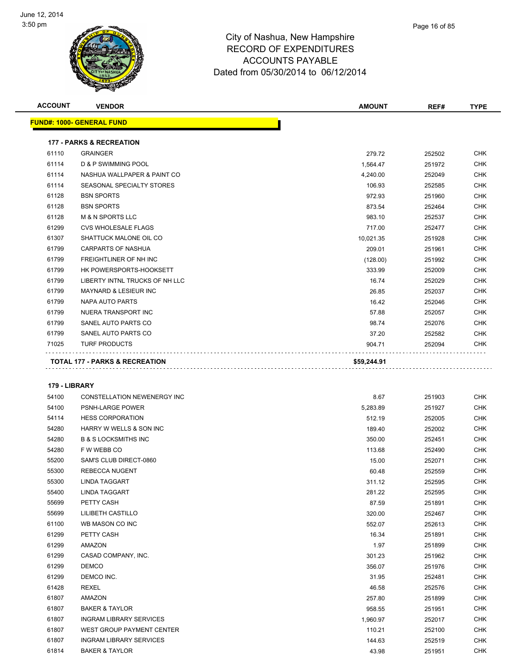

| Page 16 of 85 |
|---------------|
|               |

| <b>ACCOUNT</b> | <b>VENDOR</b>                             | <b>AMOUNT</b> | REF#   | <b>TYPE</b> |
|----------------|-------------------------------------------|---------------|--------|-------------|
|                | <b>FUND#: 1000- GENERAL FUND</b>          |               |        |             |
|                | <b>177 - PARKS &amp; RECREATION</b>       |               |        |             |
| 61110          | <b>GRAINGER</b>                           | 279.72        | 252502 | <b>CHK</b>  |
| 61114          | D & P SWIMMING POOL                       | 1,564.47      | 251972 | <b>CHK</b>  |
| 61114          | NASHUA WALLPAPER & PAINT CO               | 4,240.00      | 252049 | <b>CHK</b>  |
| 61114          | SEASONAL SPECIALTY STORES                 | 106.93        | 252585 | <b>CHK</b>  |
| 61128          | <b>BSN SPORTS</b>                         | 972.93        | 251960 | <b>CHK</b>  |
| 61128          | <b>BSN SPORTS</b>                         | 873.54        | 252464 | <b>CHK</b>  |
| 61128          | <b>M &amp; N SPORTS LLC</b>               | 983.10        | 252537 | <b>CHK</b>  |
| 61299          | <b>CVS WHOLESALE FLAGS</b>                | 717.00        | 252477 | <b>CHK</b>  |
| 61307          | SHATTUCK MALONE OIL CO                    | 10,021.35     | 251928 | <b>CHK</b>  |
| 61799          | <b>CARPARTS OF NASHUA</b>                 | 209.01        | 251961 | <b>CHK</b>  |
| 61799          | <b>FREIGHTLINER OF NH INC</b>             | (128.00)      | 251992 | <b>CHK</b>  |
| 61799          | HK POWERSPORTS-HOOKSETT                   | 333.99        | 252009 | <b>CHK</b>  |
| 61799          | LIBERTY INTNL TRUCKS OF NH LLC            | 16.74         | 252029 | <b>CHK</b>  |
| 61799          | MAYNARD & LESIEUR INC                     | 26.85         | 252037 | <b>CHK</b>  |
| 61799          | NAPA AUTO PARTS                           | 16.42         | 252046 | <b>CHK</b>  |
| 61799          | NUERA TRANSPORT INC                       | 57.88         | 252057 | <b>CHK</b>  |
| 61799          | SANEL AUTO PARTS CO                       | 98.74         | 252076 | <b>CHK</b>  |
| 61799          | SANEL AUTO PARTS CO                       | 37.20         | 252582 | <b>CHK</b>  |
| 71025          | <b>TURF PRODUCTS</b>                      | 904.71        | 252094 | <b>CHK</b>  |
|                | <b>TOTAL 177 - PARKS &amp; RECREATION</b> | \$59,244.91   |        |             |

| 54100 | CONSTELLATION NEWENERGY INC     | 8.67     | 251903 | <b>CHK</b> |
|-------|---------------------------------|----------|--------|------------|
| 54100 | PSNH-LARGE POWER                | 5,283.89 | 251927 | <b>CHK</b> |
| 54114 | <b>HESS CORPORATION</b>         | 512.19   | 252005 | <b>CHK</b> |
| 54280 | HARRY W WELLS & SON INC         | 189.40   | 252002 | <b>CHK</b> |
| 54280 | <b>B &amp; S LOCKSMITHS INC</b> | 350.00   | 252451 | <b>CHK</b> |
| 54280 | F W WEBB CO                     | 113.68   | 252490 | <b>CHK</b> |
| 55200 | SAM'S CLUB DIRECT-0860          | 15.00    | 252071 | <b>CHK</b> |
| 55300 | <b>REBECCA NUGENT</b>           | 60.48    | 252559 | <b>CHK</b> |
| 55300 | <b>LINDA TAGGART</b>            | 311.12   | 252595 | <b>CHK</b> |
| 55400 | <b>LINDA TAGGART</b>            | 281.22   | 252595 | <b>CHK</b> |
| 55699 | PETTY CASH                      | 87.59    | 251891 | <b>CHK</b> |
| 55699 | LILIBETH CASTILLO               | 320.00   | 252467 | <b>CHK</b> |
| 61100 | WB MASON CO INC                 | 552.07   | 252613 | <b>CHK</b> |
| 61299 | PETTY CASH                      | 16.34    | 251891 | <b>CHK</b> |
| 61299 | AMAZON                          | 1.97     | 251899 | <b>CHK</b> |
| 61299 | CASAD COMPANY, INC.             | 301.23   | 251962 | <b>CHK</b> |
| 61299 | <b>DEMCO</b>                    | 356.07   | 251976 | <b>CHK</b> |
| 61299 | DEMCO INC.                      | 31.95    | 252481 | <b>CHK</b> |
| 61428 | <b>REXEL</b>                    | 46.58    | 252576 | <b>CHK</b> |
| 61807 | AMAZON                          | 257.80   | 251899 | <b>CHK</b> |
| 61807 | <b>BAKER &amp; TAYLOR</b>       | 958.55   | 251951 | <b>CHK</b> |
| 61807 | <b>INGRAM LIBRARY SERVICES</b>  | 1,960.97 | 252017 | <b>CHK</b> |
| 61807 | WEST GROUP PAYMENT CENTER       | 110.21   | 252100 | <b>CHK</b> |
| 61807 | <b>INGRAM LIBRARY SERVICES</b>  | 144.63   | 252519 | <b>CHK</b> |
| 61814 | <b>BAKER &amp; TAYLOR</b>       | 43.98    | 251951 | <b>CHK</b> |
|       |                                 |          |        |            |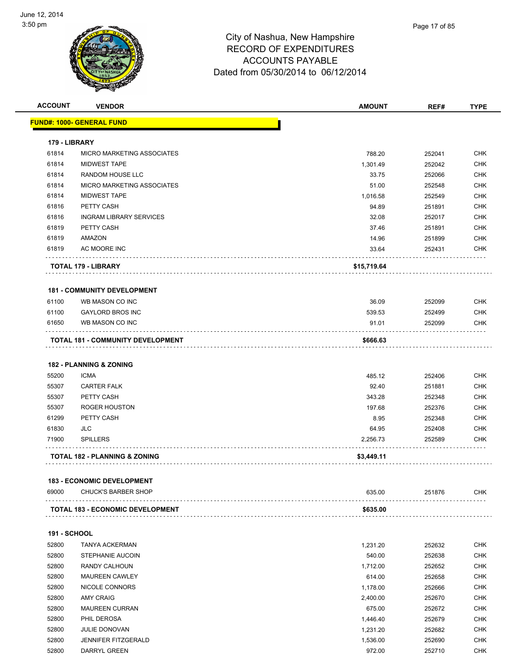

**ACCOUNT VENDOR AMOUNT REF# TYPE**

|                     | <b>FUND#: 1000- GENERAL FUND</b>         |             |        |            |
|---------------------|------------------------------------------|-------------|--------|------------|
| 179 - LIBRARY       |                                          |             |        |            |
| 61814               | MICRO MARKETING ASSOCIATES               | 788.20      | 252041 | <b>CHK</b> |
| 61814               | <b>MIDWEST TAPE</b>                      | 1,301.49    | 252042 | <b>CHK</b> |
| 61814               | <b>RANDOM HOUSE LLC</b>                  | 33.75       | 252066 | <b>CHK</b> |
| 61814               | MICRO MARKETING ASSOCIATES               | 51.00       | 252548 | CHK        |
| 61814               | <b>MIDWEST TAPE</b>                      | 1,016.58    | 252549 | <b>CHK</b> |
| 61816               | PETTY CASH                               | 94.89       | 251891 | <b>CHK</b> |
| 61816               | <b>INGRAM LIBRARY SERVICES</b>           | 32.08       | 252017 | <b>CHK</b> |
| 61819               | PETTY CASH                               | 37.46       | 251891 | <b>CHK</b> |
| 61819               | AMAZON                                   | 14.96       | 251899 | CHK        |
| 61819               | AC MOORE INC                             | 33.64       | 252431 | CHK        |
|                     | TOTAL 179 - LIBRARY                      | \$15,719.64 |        |            |
|                     | <b>181 - COMMUNITY DEVELOPMENT</b>       |             |        |            |
| 61100               | WB MASON CO INC                          | 36.09       | 252099 | CHK        |
| 61100               | <b>GAYLORD BROS INC</b>                  | 539.53      | 252499 | <b>CHK</b> |
| 61650               | WB MASON CO INC                          | 91.01       | 252099 | CHK        |
|                     | <b>TOTAL 181 - COMMUNITY DEVELOPMENT</b> | \$666.63    |        |            |
|                     | <b>182 - PLANNING &amp; ZONING</b>       |             |        |            |
| 55200               | <b>ICMA</b>                              | 485.12      | 252406 | <b>CHK</b> |
| 55307               | <b>CARTER FALK</b>                       | 92.40       | 251881 | <b>CHK</b> |
| 55307               | PETTY CASH                               | 343.28      | 252348 | CHK        |
| 55307               | <b>ROGER HOUSTON</b>                     | 197.68      | 252376 | <b>CHK</b> |
| 61299               | PETTY CASH                               | 8.95        | 252348 | CHK        |
| 61830               | JLC                                      | 64.95       | 252408 | CHK        |
| 71900               | <b>SPILLERS</b>                          | 2,256.73    | 252589 | CHK        |
|                     | TOTAL 182 - PLANNING & ZONING            | \$3,449.11  |        |            |
|                     | <b>183 - ECONOMIC DEVELOPMENT</b>        |             |        |            |
| 69000               | <b>CHUCK'S BARBER SHOP</b>               | 635.00      | 251876 | <b>CHK</b> |
|                     | <b>TOTAL 183 - ECONOMIC DEVELOPMENT</b>  | \$635.00    |        |            |
| <b>191 - SCHOOL</b> |                                          |             |        |            |
| 52800               | <b>TANYA ACKERMAN</b>                    | 1,231.20    | 252632 | <b>CHK</b> |
| 52800               | STEPHANIE AUCOIN                         | 540.00      | 252638 | <b>CHK</b> |
| 52800               | RANDY CALHOUN                            | 1,712.00    | 252652 | <b>CHK</b> |
| 52800               | <b>MAUREEN CAWLEY</b>                    | 614.00      | 252658 | <b>CHK</b> |
| 52800               | NICOLE CONNORS                           | 1,178.00    | 252666 | <b>CHK</b> |
| 52800               | <b>AMY CRAIG</b>                         | 2,400.00    | 252670 | <b>CHK</b> |
| 52800               | <b>MAUREEN CURRAN</b>                    | 675.00      | 252672 | <b>CHK</b> |
| 52800               | PHIL DEROSA                              | 1,446.40    | 252679 | <b>CHK</b> |
| 52800               | <b>JULIE DONOVAN</b>                     | 1,231.20    | 252682 | <b>CHK</b> |
|                     |                                          | 1,536.00    | 252690 | <b>CHK</b> |
| 52800               | <b>JENNIFER FITZGERALD</b>               |             |        |            |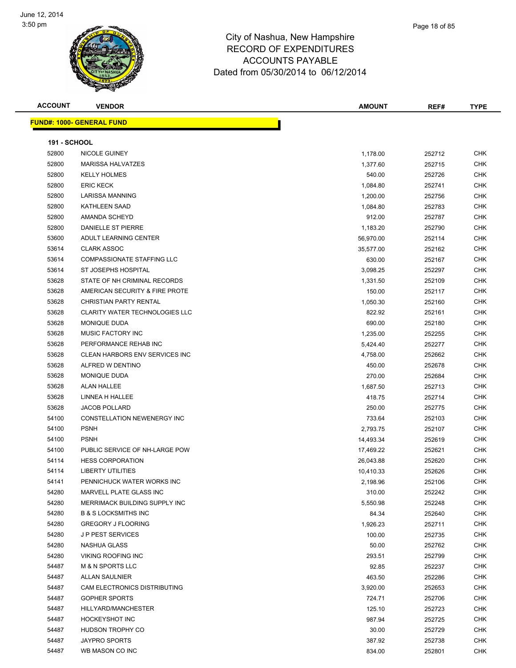

Page 18 of 85

|  | . |  |  |  |  |
|--|---|--|--|--|--|
|  |   |  |  |  |  |

| <b>ACCOUNT</b>      | <b>VENDOR</b>                         | <b>AMOUNT</b> | REF#   | <b>TYPE</b> |
|---------------------|---------------------------------------|---------------|--------|-------------|
|                     | <u> FUND#: 1000- GENERAL FUND</u>     |               |        |             |
| <b>191 - SCHOOL</b> |                                       |               |        |             |
| 52800               | <b>NICOLE GUINEY</b>                  | 1,178.00      | 252712 | <b>CHK</b>  |
| 52800               | <b>MARISSA HALVATZES</b>              | 1,377.60      | 252715 | <b>CHK</b>  |
| 52800               | <b>KELLY HOLMES</b>                   | 540.00        | 252726 | <b>CHK</b>  |
| 52800               | <b>ERIC KECK</b>                      | 1,084.80      | 252741 | <b>CHK</b>  |
| 52800               | <b>LARISSA MANNING</b>                | 1,200.00      | 252756 | <b>CHK</b>  |
| 52800               | <b>KATHLEEN SAAD</b>                  | 1,084.80      | 252783 | <b>CHK</b>  |
| 52800               | AMANDA SCHEYD                         | 912.00        | 252787 | <b>CHK</b>  |
| 52800               | DANIELLE ST PIERRE                    | 1,183.20      | 252790 | <b>CHK</b>  |
| 53600               | ADULT LEARNING CENTER                 | 56,970.00     | 252114 | <b>CHK</b>  |
| 53614               | <b>CLARK ASSOC</b>                    | 35,577.00     | 252162 | <b>CHK</b>  |
| 53614               | <b>COMPASSIONATE STAFFING LLC</b>     | 630.00        | 252167 | <b>CHK</b>  |
| 53614               | <b>ST JOSEPHS HOSPITAL</b>            | 3,098.25      | 252297 | <b>CHK</b>  |
| 53628               | STATE OF NH CRIMINAL RECORDS          | 1,331.50      | 252109 | <b>CHK</b>  |
| 53628               | AMERICAN SECURITY & FIRE PROTE        | 150.00        | 252117 | <b>CHK</b>  |
| 53628               | <b>CHRISTIAN PARTY RENTAL</b>         | 1,050.30      | 252160 | <b>CHK</b>  |
| 53628               | <b>CLARITY WATER TECHNOLOGIES LLC</b> | 822.92        | 252161 | <b>CHK</b>  |
| 53628               | <b>MONIQUE DUDA</b>                   | 690.00        | 252180 | <b>CHK</b>  |
| 53628               | MUSIC FACTORY INC                     | 1,235.00      | 252255 | <b>CHK</b>  |
| 53628               | PERFORMANCE REHAB INC                 | 5,424.40      | 252277 | <b>CHK</b>  |
| 53628               | CLEAN HARBORS ENV SERVICES INC        | 4,758.00      | 252662 | <b>CHK</b>  |
| 53628               | ALFRED W DENTINO                      | 450.00        | 252678 | <b>CHK</b>  |
| 53628               | MONIQUE DUDA                          | 270.00        | 252684 | <b>CHK</b>  |
| 53628               | <b>ALAN HALLEE</b>                    | 1,687.50      | 252713 | <b>CHK</b>  |
| 53628               | LINNEA H HALLEE                       | 418.75        | 252714 | <b>CHK</b>  |
| 53628               | <b>JACOB POLLARD</b>                  | 250.00        | 252775 | <b>CHK</b>  |
| 54100               | CONSTELLATION NEWENERGY INC           | 733.64        | 252103 | <b>CHK</b>  |
| 54100               | <b>PSNH</b>                           | 2,793.75      | 252107 | <b>CHK</b>  |
| 54100               | <b>PSNH</b>                           | 14,493.34     | 252619 | <b>CHK</b>  |
| 54100               | PUBLIC SERVICE OF NH-LARGE POW        | 17,469.22     | 252621 | <b>CHK</b>  |
| 54114               | <b>HESS CORPORATION</b>               | 26,043.88     | 252620 | <b>CHK</b>  |
| 54114               | <b>LIBERTY UTILITIES</b>              | 10,410.33     | 252626 | <b>CHK</b>  |
| 54141               | PENNICHUCK WATER WORKS INC            | 2,198.96      | 252106 | <b>CHK</b>  |
| 54280               | MARVELL PLATE GLASS INC               | 310.00        | 252242 | <b>CHK</b>  |
| 54280               | MERRIMACK BUILDING SUPPLY INC         | 5,550.98      | 252248 | <b>CHK</b>  |
| 54280               | <b>B &amp; S LOCKSMITHS INC</b>       | 84.34         | 252640 | <b>CHK</b>  |
| 54280               | <b>GREGORY J FLOORING</b>             | 1,926.23      | 252711 | <b>CHK</b>  |
| 54280               | <b>JP PEST SERVICES</b>               | 100.00        | 252735 | <b>CHK</b>  |
| 54280               | <b>NASHUA GLASS</b>                   | 50.00         | 252762 | <b>CHK</b>  |
| 54280               | <b>VIKING ROOFING INC</b>             | 293.51        | 252799 | <b>CHK</b>  |

 M & N SPORTS LLC 92.85 252237 CHK ALLAN SAULNIER 463.50 252286 CHK CAM ELECTRONICS DISTRIBUTING 3,920.00 252653 CHK GOPHER SPORTS 724.71 252706 CHK HILLYARD/MANCHESTER 125.10 252723 CHK HOCKEYSHOT INC 987.94 252725 CHK HUDSON TROPHY CO 30.00 252729 CHK JAYPRO SPORTS 387.92 252738 CHK 54487 WB MASON CO INC 66 NO 252801 CHK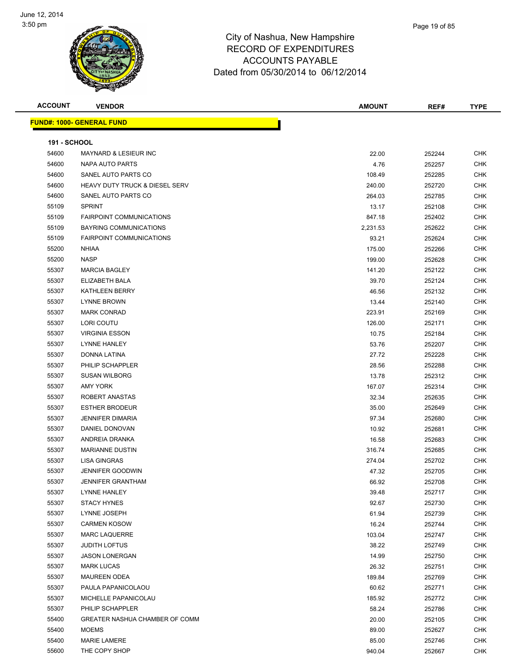

| <b>ACCOUNT</b>      | <b>VENDOR</b>                             | <b>AMOUNT</b> | REF#   | <b>TYPE</b> |
|---------------------|-------------------------------------------|---------------|--------|-------------|
|                     | <b>FUND#: 1000- GENERAL FUND</b>          |               |        |             |
|                     |                                           |               |        |             |
| <b>191 - SCHOOL</b> |                                           |               |        |             |
| 54600               | MAYNARD & LESIEUR INC                     | 22.00         | 252244 | <b>CHK</b>  |
| 54600               | NAPA AUTO PARTS                           | 4.76          | 252257 | <b>CHK</b>  |
| 54600               | SANEL AUTO PARTS CO                       | 108.49        | 252285 | <b>CHK</b>  |
| 54600               | <b>HEAVY DUTY TRUCK &amp; DIESEL SERV</b> | 240.00        | 252720 | <b>CHK</b>  |
| 54600               | SANEL AUTO PARTS CO                       | 264.03        | 252785 | <b>CHK</b>  |
| 55109               | <b>SPRINT</b>                             | 13.17         | 252108 | <b>CHK</b>  |
| 55109               | <b>FAIRPOINT COMMUNICATIONS</b>           | 847.18        | 252402 | <b>CHK</b>  |
| 55109               | <b>BAYRING COMMUNICATIONS</b>             | 2,231.53      | 252622 | <b>CHK</b>  |
| 55109               | <b>FAIRPOINT COMMUNICATIONS</b>           | 93.21         | 252624 | <b>CHK</b>  |
| 55200               | <b>NHIAA</b>                              | 175.00        | 252266 | <b>CHK</b>  |
| 55200               | <b>NASP</b>                               | 199.00        | 252628 | <b>CHK</b>  |
| 55307               | <b>MARCIA BAGLEY</b>                      | 141.20        | 252122 | <b>CHK</b>  |
| 55307               | ELIZABETH BALA                            | 39.70         | 252124 | <b>CHK</b>  |
| 55307               | KATHLEEN BERRY                            | 46.56         | 252132 | <b>CHK</b>  |
| 55307               | <b>LYNNE BROWN</b>                        | 13.44         | 252140 | <b>CHK</b>  |
| 55307               | <b>MARK CONRAD</b>                        | 223.91        | 252169 | <b>CHK</b>  |
| 55307               | LORI COUTU                                | 126.00        | 252171 | <b>CHK</b>  |
| 55307               | <b>VIRGINIA ESSON</b>                     | 10.75         | 252184 | <b>CHK</b>  |
| 55307               | <b>LYNNE HANLEY</b>                       | 53.76         | 252207 | <b>CHK</b>  |
| 55307               | DONNA LATINA                              | 27.72         | 252228 | <b>CHK</b>  |
| 55307               | PHILIP SCHAPPLER                          | 28.56         | 252288 | <b>CHK</b>  |
| 55307               | <b>SUSAN WILBORG</b>                      | 13.78         | 252312 | <b>CHK</b>  |
| 55307               | AMY YORK                                  | 167.07        | 252314 | <b>CHK</b>  |
| 55307               | ROBERT ANASTAS                            | 32.34         | 252635 | <b>CHK</b>  |
| 55307               | <b>ESTHER BRODEUR</b>                     | 35.00         | 252649 | <b>CHK</b>  |
| 55307               | <b>JENNIFER DIMARIA</b>                   | 97.34         | 252680 | <b>CHK</b>  |
| 55307               | DANIEL DONOVAN                            | 10.92         | 252681 | <b>CHK</b>  |
| 55307               | ANDREIA DRANKA                            | 16.58         | 252683 | <b>CHK</b>  |
| 55307               | <b>MARIANNE DUSTIN</b>                    | 316.74        | 252685 | <b>CHK</b>  |
| 55307               | <b>LISA GINGRAS</b>                       | 274.04        | 252702 | <b>CHK</b>  |
| 55307               | <b>JENNIFER GOODWIN</b>                   | 47.32         | 252705 | <b>CHK</b>  |
| 55307               | <b>JENNIFER GRANTHAM</b>                  | 66.92         | 252708 | <b>CHK</b>  |
| 55307               | LYNNE HANLEY                              | 39.48         | 252717 | <b>CHK</b>  |
| 55307               | <b>STACY HYNES</b>                        | 92.67         | 252730 | <b>CHK</b>  |
| 55307               | LYNNE JOSEPH                              | 61.94         | 252739 | <b>CHK</b>  |
| 55307               | <b>CARMEN KOSOW</b>                       | 16.24         | 252744 | <b>CHK</b>  |
| 55307               | <b>MARC LAQUERRE</b>                      | 103.04        | 252747 | <b>CHK</b>  |
| 55307               | <b>JUDITH LOFTUS</b>                      | 38.22         | 252749 | <b>CHK</b>  |
| 55307               | <b>JASON LONERGAN</b>                     | 14.99         | 252750 | <b>CHK</b>  |
| 55307               | <b>MARK LUCAS</b>                         | 26.32         | 252751 | <b>CHK</b>  |
| 55307               | <b>MAUREEN ODEA</b>                       | 189.84        | 252769 | <b>CHK</b>  |
| 55307               | PAULA PAPANICOLAOU                        | 60.62         | 252771 | <b>CHK</b>  |
| 55307               | MICHELLE PAPANICOLAU                      | 185.92        | 252772 | <b>CHK</b>  |
| 55307               | PHILIP SCHAPPLER                          | 58.24         | 252786 | <b>CHK</b>  |
| 55400               | GREATER NASHUA CHAMBER OF COMM            | 20.00         | 252105 | <b>CHK</b>  |
| 55400               | <b>MOEMS</b>                              | 89.00         | 252627 | <b>CHK</b>  |
| 55400               | <b>MARIE LAMERE</b>                       | 85.00         | 252746 | <b>CHK</b>  |
| 55600               | THE COPY SHOP                             | 940.04        | 252667 | <b>CHK</b>  |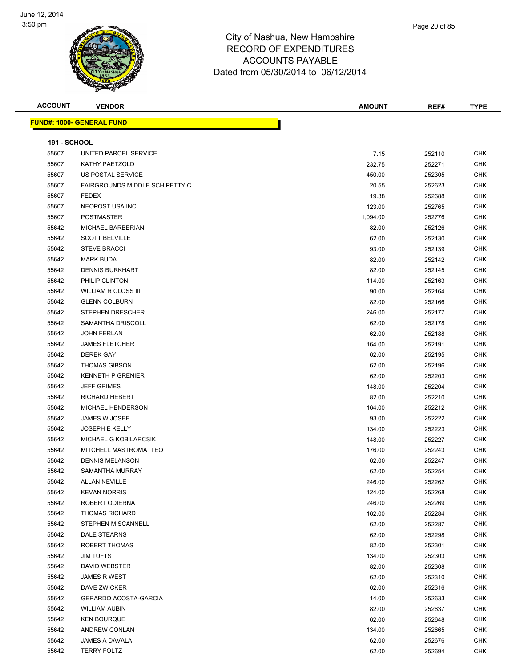**FUND#: 1000- GENERAL FUND**



| ACCOUNT             | <b>VENDOR</b>                         | <b>AMOUNT</b> | REF#   | <b>TYPE</b> |
|---------------------|---------------------------------------|---------------|--------|-------------|
|                     | <u> IND#: 1000- GENERAL FUND</u>      |               |        |             |
|                     |                                       |               |        |             |
| <b>191 - SCHOOL</b> |                                       |               |        |             |
| 55607               | UNITED PARCEL SERVICE                 | 7.15          | 252110 | <b>CHK</b>  |
| 55607               | KATHY PAETZOLD                        | 232.75        | 252271 | <b>CHK</b>  |
| 55607               | US POSTAL SERVICE                     | 450.00        | 252305 | <b>CHK</b>  |
| 55607               | <b>FAIRGROUNDS MIDDLE SCH PETTY C</b> | 20.55         | 252623 | <b>CHK</b>  |
| 55607               | <b>FEDEX</b>                          | 19.38         | 252688 | <b>CHK</b>  |
| 55607               | <b>NEOPOST USA INC</b>                | 123.00        | 252765 | <b>CHK</b>  |
| 55607               | <b>POSTMASTER</b>                     | 1,094.00      | 252776 | <b>CHK</b>  |
| 55642               | MICHAEL BARBERIAN                     | 82.00         | 252126 | <b>CHK</b>  |
| 55642               | <b>SCOTT BELVILLE</b>                 | 62.00         | 252130 | <b>CHK</b>  |
| 55642               | <b>STEVE BRACCI</b>                   | 93.00         | 252139 | <b>CHK</b>  |
| 55642               | <b>MARK BUDA</b>                      | 82.00         | 252142 | <b>CHK</b>  |
| 55642               | <b>DENNIS BURKHART</b>                | 82.00         | 252145 | <b>CHK</b>  |
| 55642               | PHILIP CLINTON                        | 114.00        | 252163 | <b>CHK</b>  |
| 55642               | WILLIAM R CLOSS III                   | 90.00         | 252164 | <b>CHK</b>  |
| 55642               | <b>GLENN COLBURN</b>                  | 82.00         | 252166 | <b>CHK</b>  |
| 55642               | <b>STEPHEN DRESCHER</b>               | 246.00        | 252177 | <b>CHK</b>  |
| 55642               | SAMANTHA DRISCOLL                     | 62.00         | 252178 | <b>CHK</b>  |
| 55642               | <b>JOHN FERLAN</b>                    | 62.00         | 252188 | <b>CHK</b>  |
| 55642               | <b>JAMES FLETCHER</b>                 | 164.00        | 252191 | <b>CHK</b>  |
| 55642               | <b>DEREK GAY</b>                      | 62.00         | 252195 | <b>CHK</b>  |
| 55642               | <b>THOMAS GIBSON</b>                  | 62.00         |        | CHK         |
| 55642               | <b>KENNETH P GRENIER</b>              | 62.00         | 252196 |             |
|                     |                                       |               | 252203 | <b>CHK</b>  |
| 55642               | <b>JEFF GRIMES</b>                    | 148.00        | 252204 | <b>CHK</b>  |
| 55642               | RICHARD HEBERT                        | 82.00         | 252210 | <b>CHK</b>  |
| 55642               | MICHAEL HENDERSON                     | 164.00        | 252212 | <b>CHK</b>  |
| 55642               | JAMES W JOSEF                         | 93.00         | 252222 | <b>CHK</b>  |
| 55642               | <b>JOSEPH E KELLY</b>                 | 134.00        | 252223 | <b>CHK</b>  |
| 55642               | MICHAEL G KOBILARCSIK                 | 148.00        | 252227 | <b>CHK</b>  |
| 55642               | MITCHELL MASTROMATTEO                 | 176.00        | 252243 | <b>CHK</b>  |
| 55642               | <b>DENNIS MELANSON</b>                | 62.00         | 252247 | <b>CHK</b>  |
| 55642               | SAMANTHA MURRAY                       | 62.00         | 252254 | <b>CHK</b>  |
| 55642               | <b>ALLAN NEVILLE</b>                  | 246.00        | 252262 | CHK         |
| 55642               | <b>KEVAN NORRIS</b>                   | 124.00        | 252268 | CHK         |
| 55642               | ROBERT ODIERNA                        | 246.00        | 252269 | <b>CHK</b>  |
| 55642               | <b>THOMAS RICHARD</b>                 | 162.00        | 252284 | <b>CHK</b>  |
| 55642               | STEPHEN M SCANNELL                    | 62.00         | 252287 | <b>CHK</b>  |
| 55642               | DALE STEARNS                          | 62.00         | 252298 | CHK         |
| 55642               | <b>ROBERT THOMAS</b>                  | 82.00         | 252301 | CHK         |
| 55642               | <b>JIM TUFTS</b>                      | 134.00        | 252303 | <b>CHK</b>  |
| 55642               | DAVID WEBSTER                         | 82.00         | 252308 | CHK         |
| 55642               | JAMES R WEST                          | 62.00         | 252310 | CHK         |
| 55642               | DAVE ZWICKER                          | 62.00         | 252316 | <b>CHK</b>  |
| 55642               | GERARDO ACOSTA-GARCIA                 | 14.00         | 252633 | CHK         |
| 55642               | <b>WILLIAM AUBIN</b>                  | 82.00         | 252637 | <b>CHK</b>  |
| 55642               | <b>KEN BOURQUE</b>                    | 62.00         | 252648 | <b>CHK</b>  |
| 55642               | ANDREW CONLAN                         | 134.00        | 252665 | <b>CHK</b>  |
| 55642               | JAMES A DAVALA                        | 62.00         | 252676 | <b>CHK</b>  |
| 55642               | <b>TERRY FOLTZ</b>                    | 62.00         | 252694 | <b>CHK</b>  |
|                     |                                       |               |        |             |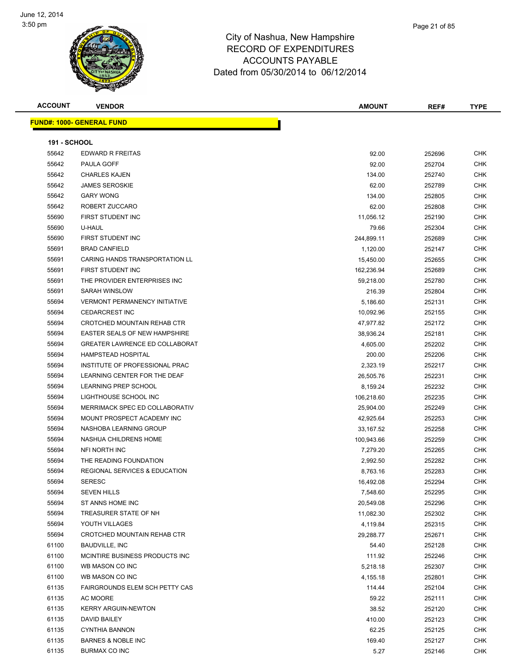

Page 21 of 85

**ACCOUNT VENDOR AMOUNT REF# TYPE**

|                     | <b>FUND#: 1000- GENERAL FUND</b>         |            |        |            |
|---------------------|------------------------------------------|------------|--------|------------|
| <b>191 - SCHOOL</b> |                                          |            |        |            |
| 55642               | EDWARD R FREITAS                         | 92.00      | 252696 | <b>CHK</b> |
| 55642               | PAULA GOFF                               | 92.00      | 252704 | CHK        |
| 55642               | <b>CHARLES KAJEN</b>                     | 134.00     | 252740 | CHK        |
| 55642               | <b>JAMES SEROSKIE</b>                    | 62.00      | 252789 | CHK        |
| 55642               | <b>GARY WONG</b>                         | 134.00     | 252805 | CHK        |
| 55642               | ROBERT ZUCCARO                           | 62.00      | 252808 | <b>CHK</b> |
| 55690               | FIRST STUDENT INC                        | 11,056.12  | 252190 | <b>CHK</b> |
| 55690               | U-HAUL                                   | 79.66      | 252304 | CHK        |
| 55690               | <b>FIRST STUDENT INC</b>                 | 244,899.11 | 252689 | CHK        |
| 55691               | <b>BRAD CANFIELD</b>                     | 1,120.00   | 252147 | CHK        |
| 55691               | CARING HANDS TRANSPORTATION LL           | 15,450.00  | 252655 | CHK        |
| 55691               | FIRST STUDENT INC                        | 162,236.94 | 252689 | CHK        |
| 55691               | THE PROVIDER ENTERPRISES INC             | 59,218.00  | 252780 | CHK        |
| 55691               | SARAH WINSLOW                            | 216.39     | 252804 | <b>CHK</b> |
| 55694               | <b>VERMONT PERMANENCY INITIATIVE</b>     | 5,186.60   | 252131 | CHK        |
| 55694               | <b>CEDARCREST INC</b>                    | 10,092.96  | 252155 | CHK        |
| 55694               | CROTCHED MOUNTAIN REHAB CTR              | 47,977.82  | 252172 | <b>CHK</b> |
| 55694               | EASTER SEALS OF NEW HAMPSHIRE            | 38,936.24  | 252181 | <b>CHK</b> |
| 55694               | GREATER LAWRENCE ED COLLABORAT           | 4,605.00   | 252202 | CHK        |
| 55694               | <b>HAMPSTEAD HOSPITAL</b>                | 200.00     | 252206 | CHK        |
| 55694               | INSTITUTE OF PROFESSIONAL PRAC           | 2,323.19   | 252217 | CHK        |
| 55694               | LEARNING CENTER FOR THE DEAF             | 26,505.76  | 252231 | <b>CHK</b> |
| 55694               | <b>LEARNING PREP SCHOOL</b>              | 8,159.24   | 252232 | CHK        |
| 55694               | LIGHTHOUSE SCHOOL INC                    | 106,218.60 | 252235 | CHK        |
| 55694               | MERRIMACK SPEC ED COLLABORATIV           | 25,904.00  | 252249 | CHK        |
| 55694               | MOUNT PROSPECT ACADEMY INC               | 42,925.64  | 252253 | CHK        |
| 55694               | NASHOBA LEARNING GROUP                   | 33,167.52  | 252258 | CHK        |
| 55694               | NASHUA CHILDRENS HOME                    | 100,943.66 | 252259 | <b>CHK</b> |
| 55694               | NFI NORTH INC                            | 7,279.20   | 252265 | <b>CHK</b> |
| 55694               | THE READING FOUNDATION                   | 2,992.50   | 252282 | CHK        |
| 55694               | <b>REGIONAL SERVICES &amp; EDUCATION</b> | 8,763.16   | 252283 | CHK        |
| 55694               | <b>SERESC</b>                            | 16,492.08  | 252294 | CHK        |
| 55694               | <b>SEVEN HILLS</b>                       | 7,548.60   | 252295 | <b>CHK</b> |
| 55694               | ST ANNS HOME INC                         | 20,549.08  | 252296 | CHK        |
| 55694               | TREASURER STATE OF NH                    | 11,082.30  | 252302 | <b>CHK</b> |
| 55694               | YOUTH VILLAGES                           | 4,119.84   | 252315 | <b>CHK</b> |
| 55694               | CROTCHED MOUNTAIN REHAB CTR              | 29,288.77  | 252671 | CHK        |
| 61100               | <b>BAUDVILLE, INC</b>                    | 54.40      | 252128 | CHK        |
| 61100               | MCINTIRE BUSINESS PRODUCTS INC           | 111.92     | 252246 | CHK        |
| 61100               | WB MASON CO INC                          | 5,218.18   | 252307 | CHK        |
| 61100               | WB MASON CO INC                          | 4,155.18   | 252801 | CHK        |
| 61135               | FAIRGROUNDS ELEM SCH PETTY CAS           | 114.44     | 252104 | CHK        |
| 61135               | AC MOORE                                 | 59.22      | 252111 | CHK        |
| 61135               | <b>KERRY ARGUIN-NEWTON</b>               | 38.52      | 252120 | <b>CHK</b> |
| 61135               | DAVID BAILEY                             | 410.00     | 252123 | CHK        |
| 61135               | <b>CYNTHIA BANNON</b>                    | 62.25      | 252125 | CHK        |
| 61135               | <b>BARNES &amp; NOBLE INC</b>            | 169.40     | 252127 | <b>CHK</b> |

BURMAX CO INC 5.27 252146 CHK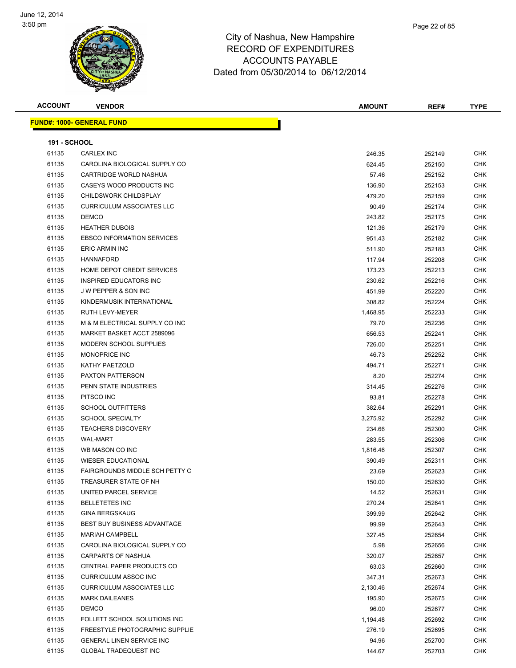

| <b>ACCOUNT</b>      | <b>VENDOR</b>                         | <b>AMOUNT</b> | REF#   | <b>TYPE</b> |
|---------------------|---------------------------------------|---------------|--------|-------------|
|                     | <b>FUND#: 1000- GENERAL FUND</b>      |               |        |             |
|                     |                                       |               |        |             |
| <b>191 - SCHOOL</b> |                                       |               |        |             |
| 61135               | <b>CARLEX INC</b>                     | 246.35        | 252149 | <b>CHK</b>  |
| 61135               | CAROLINA BIOLOGICAL SUPPLY CO         | 624.45        | 252150 | CHK         |
| 61135               | CARTRIDGE WORLD NASHUA                | 57.46         | 252152 | CHK         |
| 61135               | CASEYS WOOD PRODUCTS INC              | 136.90        | 252153 | CHK         |
| 61135               | CHILDSWORK CHILDSPLAY                 | 479.20        | 252159 | <b>CHK</b>  |
| 61135               | <b>CURRICULUM ASSOCIATES LLC</b>      | 90.49         | 252174 | <b>CHK</b>  |
| 61135               | <b>DEMCO</b>                          | 243.82        | 252175 | <b>CHK</b>  |
| 61135               | <b>HEATHER DUBOIS</b>                 | 121.36        | 252179 | <b>CHK</b>  |
| 61135               | <b>EBSCO INFORMATION SERVICES</b>     | 951.43        | 252182 | <b>CHK</b>  |
| 61135               | <b>ERIC ARMIN INC</b>                 | 511.90        | 252183 | <b>CHK</b>  |
| 61135               | <b>HANNAFORD</b>                      | 117.94        | 252208 | CHK         |
| 61135               | HOME DEPOT CREDIT SERVICES            | 173.23        | 252213 | CHK         |
| 61135               | INSPIRED EDUCATORS INC                | 230.62        | 252216 | CHK         |
| 61135               | <b>JW PEPPER &amp; SON INC</b>        | 451.99        | 252220 | CHK         |
| 61135               | KINDERMUSIK INTERNATIONAL             | 308.82        | 252224 | CHK         |
| 61135               | <b>RUTH LEVY-MEYER</b>                | 1,468.95      | 252233 | CHK         |
| 61135               | M & M ELECTRICAL SUPPLY CO INC        | 79.70         | 252236 | CHK         |
| 61135               | MARKET BASKET ACCT 2589096            | 656.53        | 252241 | <b>CHK</b>  |
| 61135               | MODERN SCHOOL SUPPLIES                | 726.00        | 252251 | <b>CHK</b>  |
| 61135               | <b>MONOPRICE INC</b>                  | 46.73         | 252252 | <b>CHK</b>  |
| 61135               | KATHY PAETZOLD                        | 494.71        | 252271 | <b>CHK</b>  |
| 61135               | PAXTON PATTERSON                      | 8.20          | 252274 | CHK         |
| 61135               | PENN STATE INDUSTRIES                 | 314.45        | 252276 | CHK         |
| 61135               | PITSCO INC                            | 93.81         | 252278 | CHK         |
| 61135               | <b>SCHOOL OUTFITTERS</b>              | 382.64        | 252291 | <b>CHK</b>  |
| 61135               | <b>SCHOOL SPECIALTY</b>               | 3,275.92      | 252292 | CHK         |
| 61135               | <b>TEACHERS DISCOVERY</b>             | 234.66        | 252300 | <b>CHK</b>  |
| 61135               | <b>WAL-MART</b>                       | 283.55        | 252306 | CHK         |
| 61135               | WB MASON CO INC                       | 1,816.46      | 252307 | <b>CHK</b>  |
| 61135               | <b>WIESER EDUCATIONAL</b>             | 390.49        | 252311 | <b>CHK</b>  |
| 61135               | <b>FAIRGROUNDS MIDDLE SCH PETTY C</b> | 23.69         | 252623 | CHK         |
| 61135               | TREASURER STATE OF NH                 | 150.00        | 252630 | <b>CHK</b>  |
| 61135               | UNITED PARCEL SERVICE                 | 14.52         | 252631 | <b>CHK</b>  |
| 61135               | <b>BELLETETES INC</b>                 | 270.24        | 252641 | <b>CHK</b>  |
| 61135               | <b>GINA BERGSKAUG</b>                 | 399.99        | 252642 | CHK         |
| 61135               | BEST BUY BUSINESS ADVANTAGE           | 99.99         | 252643 | CHK         |
| 61135               | <b>MARIAH CAMPBELL</b>                | 327.45        | 252654 | CHK         |
| 61135               | CAROLINA BIOLOGICAL SUPPLY CO         | 5.98          | 252656 | <b>CHK</b>  |
| 61135               | CARPARTS OF NASHUA                    | 320.07        | 252657 | <b>CHK</b>  |
| 61135               | CENTRAL PAPER PRODUCTS CO             | 63.03         | 252660 | CHK         |
| 61135               | <b>CURRICULUM ASSOC INC</b>           | 347.31        | 252673 | CHK         |
| 61135               | <b>CURRICULUM ASSOCIATES LLC</b>      | 2,130.46      | 252674 | <b>CHK</b>  |
| 61135               | <b>MARK DAILEANES</b>                 | 195.90        | 252675 | CHK         |
| 61135               | <b>DEMCO</b>                          | 96.00         | 252677 | CHK         |
| 61135               | FOLLETT SCHOOL SOLUTIONS INC          | 1,194.48      | 252692 | CHK         |
| 61135               | FREESTYLE PHOTOGRAPHIC SUPPLIE        | 276.19        | 252695 | CHK         |
| 61135               | <b>GENERAL LINEN SERVICE INC</b>      | 94.96         | 252700 | CHK         |
| 61135               | <b>GLOBAL TRADEQUEST INC</b>          | 144.67        | 252703 | CHK         |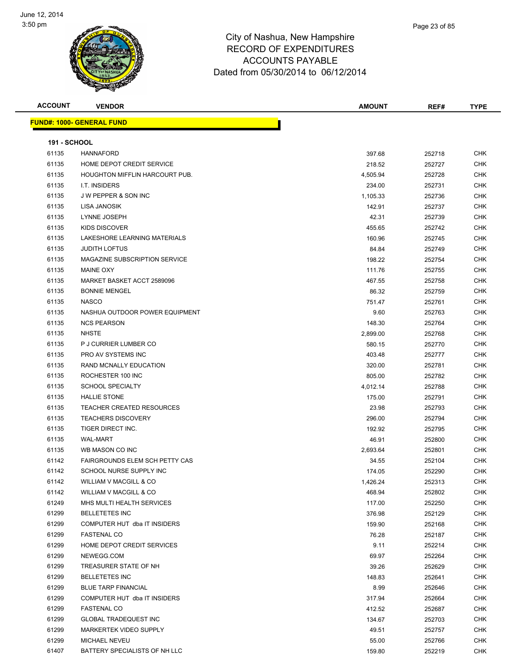

**ACCOUNT VENDOR AMOUNT REF# TYPE FUND#: 1000- GENERAL FUND 191 - SCHOOL** HANNAFORD 397.68 252718 CHK HOME DEPOT CREDIT SERVICE 218.52 252727 CHK HOUGHTON MIFFLIN HARCOURT PUB. 4,505.94 252728 CHK I.T. INSIDERS 234.00 252731 CHK J W PEPPER & SON INC 1,105.33 252736 CHK LISA JANOSIK 142.91 252737 CHK LYNNE JOSEPH 42.31 252739 CHK KIDS DISCOVER 455.65 252742 CHK LAKESHORE LEARNING MATERIALS 160.96 252745 CHK JUDITH LOFTUS 84.84 252749 CHK 61135 MAGAZINE SUBSCRIPTION SERVICE **198.22** 252754 CHK MAINE OXY 111.76 252755 CHK MARKET BASKET ACCT 2589096 467.55 252758 CHK BONNIE MENGEL 86.32 252759 CHK NASCO 751.47 252761 CHK 61135 NASHUA OUTDOOR POWER EQUIPMENT CHARGE AND RESERVE THE SERVE AND RESERVE THE SERVE AND RESERVE THE SERVE NCS PEARSON 148.30 252764 CHK NHSTE 2,899.00 252768 CHK er and the state of the state of the state of the state of the state of the state of the state of the state of the state of the state of the state of the state of the state of the state of the state of the state of the sta PRO AV SYSTEMS INC 403.48 252777 CHK RAND MCNALLY EDUCATION 320.00 252781 CHK ROCHESTER 100 INC 805.00 252782 CHK SCHOOL SPECIALTY 4,012.14 252788 CHK HALLIE STONE 175.00 252791 CHK TEACHER CREATED RESOURCES 23.98 252793 CHK TEACHERS DISCOVERY 296.00 252794 CHK TIGER DIRECT INC. 192.92 252795 CHK WAL-MART 46.91 252800 CHK WB MASON CO INC 2,693.64 252801 CHK FAIRGROUNDS ELEM SCH PETTY CAS 34.55 252104 CHK er 174.05 SCHOOL NURSE SUPPLY INC NEXT CHANGE SUPPLY INCLUSION CHANGE AND RESERVE THE SUPPLY INCLUSION OF THE STATE OF THE STATE OF THE STATE OF THE STATE OF THE STATE OF THE STATE OF THE STATE OF THE STATE OF THE STATE OF WILLIAM V MACGILL & CO 1,426.24 252313 CHK WILLIAM V MACGILL & CO 468.94 252802 CHK MHS MULTI HEALTH SERVICES 117.00 252250 CHK BELLETETES INC 376.98 252129 CHK er by the computer HUT dba IT INSIDERS 159.90 159.90 252168 CHK FASTENAL CO 76.28 252187 CHK er and the Depot of the Depot of the Services of the Services of the Services of the Services of the Services of the Services of the Services of the Services of the Services of the Services of the Services of the Services NEWEGG.COM 69.97 252264 CHK 61299 TREASURER STATE OF NH 30 26 252629 CHK BELLETETES INC 148.83 252641 CHK BLUE TARP FINANCIAL 8.99 252646 CHK COMPUTER HUT dba IT INSIDERS 317.94 252664 CHK FASTENAL CO 412.52 252687 CHK GLOBAL TRADEQUEST INC 134.67 252703 CHK MARKERTEK VIDEO SUPPLY 49.51 252757 CHK MICHAEL NEVEU 55.00 252766 CHK 61407 BATTERY SPECIALISTS OF NH LLC **159.80** 252219 CHK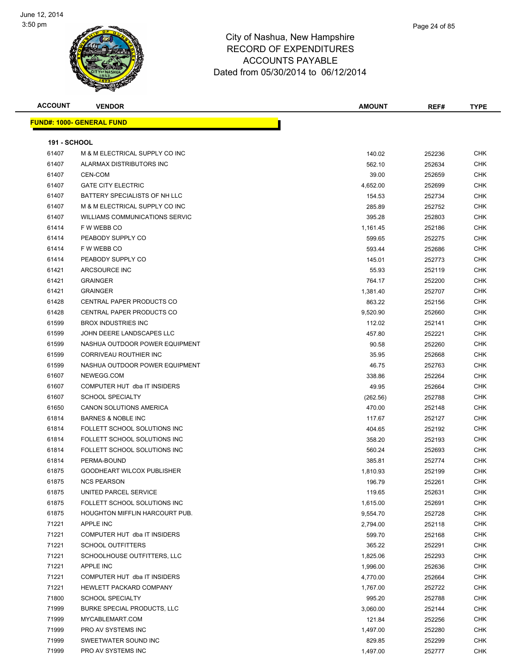

| <b>ACCOUNT</b>      | <b>VENDOR</b>                                            | <b>AMOUNT</b> | REF#             | <b>TYPE</b>              |
|---------------------|----------------------------------------------------------|---------------|------------------|--------------------------|
|                     | <u> FUND#: 1000- GENERAL FUND</u>                        |               |                  |                          |
| <b>191 - SCHOOL</b> |                                                          |               |                  |                          |
| 61407               | M & M ELECTRICAL SUPPLY CO INC                           | 140.02        | 252236           | <b>CHK</b>               |
| 61407               | ALARMAX DISTRIBUTORS INC                                 | 562.10        | 252634           | <b>CHK</b>               |
| 61407               | CEN-COM                                                  | 39.00         | 252659           | <b>CHK</b>               |
| 61407               | <b>GATE CITY ELECTRIC</b>                                | 4,652.00      | 252699           | <b>CHK</b>               |
| 61407               | BATTERY SPECIALISTS OF NH LLC                            | 154.53        | 252734           | <b>CHK</b>               |
| 61407               | M & M ELECTRICAL SUPPLY CO INC                           | 285.89        | 252752           | <b>CHK</b>               |
| 61407               | <b>WILLIAMS COMMUNICATIONS SERVIC</b>                    | 395.28        | 252803           | <b>CHK</b>               |
| 61414               | F W WEBB CO                                              | 1,161.45      | 252186           | <b>CHK</b>               |
| 61414               | PEABODY SUPPLY CO                                        | 599.65        | 252275           | <b>CHK</b>               |
| 61414               | F W WEBB CO                                              | 593.44        | 252686           | <b>CHK</b>               |
| 61414               | PEABODY SUPPLY CO                                        | 145.01        | 252773           | <b>CHK</b>               |
| 61421               | ARCSOURCE INC                                            | 55.93         | 252119           | <b>CHK</b>               |
| 61421               | <b>GRAINGER</b>                                          | 764.17        | 252200           | <b>CHK</b>               |
| 61421               | <b>GRAINGER</b>                                          | 1,381.40      | 252707           | <b>CHK</b>               |
| 61428               | <b>CENTRAL PAPER PRODUCTS CO</b>                         | 863.22        |                  | <b>CHK</b>               |
|                     | <b>CENTRAL PAPER PRODUCTS CO</b>                         |               | 252156           | <b>CHK</b>               |
| 61428               | <b>BROX INDUSTRIES INC</b>                               | 9,520.90      | 252660<br>252141 | <b>CHK</b>               |
| 61599<br>61599      | JOHN DEERE LANDSCAPES LLC                                | 112.02        |                  | <b>CHK</b>               |
|                     |                                                          | 457.80        | 252221           |                          |
| 61599               | NASHUA OUTDOOR POWER EQUIPMENT<br>CORRIVEAU ROUTHIER INC | 90.58         | 252260           | <b>CHK</b>               |
| 61599               |                                                          | 35.95         | 252668           | <b>CHK</b><br><b>CHK</b> |
| 61599               | NASHUA OUTDOOR POWER EQUIPMENT                           | 46.75         | 252763           |                          |
| 61607               | NEWEGG.COM                                               | 338.86        | 252264           | <b>CHK</b>               |
| 61607               | COMPUTER HUT dba IT INSIDERS                             | 49.95         | 252664           | <b>CHK</b>               |
| 61607               | <b>SCHOOL SPECIALTY</b>                                  | (262.56)      | 252788           | <b>CHK</b>               |
| 61650               | <b>CANON SOLUTIONS AMERICA</b>                           | 470.00        | 252148           | <b>CHK</b>               |
| 61814               | <b>BARNES &amp; NOBLE INC</b>                            | 117.67        | 252127           | <b>CHK</b>               |
| 61814               | FOLLETT SCHOOL SOLUTIONS INC                             | 404.65        | 252192           | <b>CHK</b>               |
| 61814               | FOLLETT SCHOOL SOLUTIONS INC                             | 358.20        | 252193           | <b>CHK</b>               |
| 61814               | FOLLETT SCHOOL SOLUTIONS INC                             | 560.24        | 252693           | <b>CHK</b>               |
| 61814               | PERMA-BOUND                                              | 385.81        | 252774           | CHK                      |
| 61875               | GOODHEART WILCOX PUBLISHER                               | 1,810.93      | 252199           | <b>CHK</b>               |
| 61875               | <b>NCS PEARSON</b>                                       | 196.79        | 252261           | <b>CHK</b>               |
| 61875               | UNITED PARCEL SERVICE                                    | 119.65        | 252631           | <b>CHK</b>               |
| 61875               | FOLLETT SCHOOL SOLUTIONS INC                             | 1,615.00      | 252691           | <b>CHK</b>               |
| 61875               | <b>HOUGHTON MIFFLIN HARCOURT PUB.</b>                    | 9,554.70      | 252728           | <b>CHK</b>               |
| 71221               | <b>APPLE INC</b>                                         | 2,794.00      | 252118           | <b>CHK</b>               |
| 71221               | COMPUTER HUT dba IT INSIDERS                             | 599.70        | 252168           | <b>CHK</b>               |
| 71221               | <b>SCHOOL OUTFITTERS</b>                                 | 365.22        | 252291           | <b>CHK</b>               |
| 71221               | SCHOOLHOUSE OUTFITTERS, LLC                              | 1,825.06      | 252293           | <b>CHK</b>               |
| 71221               | <b>APPLE INC</b>                                         | 1,996.00      | 252636           | <b>CHK</b>               |
| 71221               | COMPUTER HUT dba IT INSIDERS                             | 4,770.00      | 252664           | <b>CHK</b>               |
| 71221               | HEWLETT PACKARD COMPANY                                  | 1,767.00      | 252722           | <b>CHK</b>               |
| 71800               | <b>SCHOOL SPECIALTY</b>                                  | 995.20        | 252788           | <b>CHK</b>               |
| 71999               | <b>BURKE SPECIAL PRODUCTS, LLC</b>                       | 3,060.00      | 252144           | <b>CHK</b>               |
| 71999               | MYCABLEMART.COM                                          | 121.84        | 252256           | <b>CHK</b>               |
| 71999               | PRO AV SYSTEMS INC                                       | 1,497.00      | 252280           | <b>CHK</b>               |
| 71999               | SWEETWATER SOUND INC                                     | 829.85        | 252299           | <b>CHK</b>               |
| 71999               | PRO AV SYSTEMS INC                                       | 1,497.00      | 252777           | <b>CHK</b>               |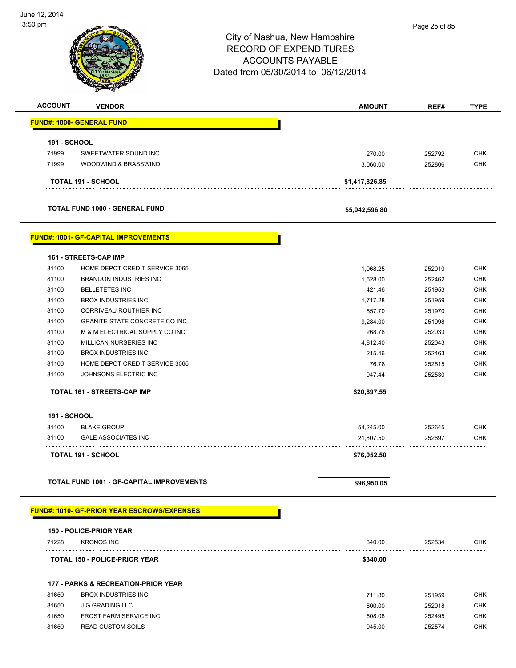## City of Nashua, New Hampshire RECORD OF EXPENDITURES ACCOUNTS PAYABLE Dated from 05/30/2014 to 06/12/2014 **ACCOUNT VENDOR AMOUNT REF# TYPE FUND#: 1000- GENERAL FUND 191 - SCHOOL** 71999 SWEETWATER SOUND INC 270.00 252792 CHK 71999 WOODWIND & BRASSWIND 3,060.00 252806 CHK . . . . . . . . . . . . . . . . . . . . . . . . **TOTAL 191 - SCHOOL \$1,417,826.85 TOTAL FUND 1000 - GENERAL FUND \$5,042,596.80 FUND#: 1001- GF-CAPITAL IMPROVEMENTS**

#### **161 - STREETS-CAP IMP**

| 81100 | HOME DEPOT CREDIT SERVICE 3065        | 1.068.25    | 252010 | <b>CHK</b> |
|-------|---------------------------------------|-------------|--------|------------|
| 81100 | BRANDON INDUSTRIES INC.               | 1,528.00    | 252462 | <b>CHK</b> |
| 81100 | <b>BELLETETES INC</b>                 | 421.46      | 251953 | <b>CHK</b> |
| 81100 | <b>BROX INDUSTRIES INC.</b>           | 1.717.28    | 251959 | <b>CHK</b> |
| 81100 | CORRIVEAU ROUTHIER INC                | 557.70      | 251970 | <b>CHK</b> |
| 81100 | <b>GRANITE STATE CONCRETE CO INC.</b> | 9.284.00    | 251998 | <b>CHK</b> |
| 81100 | M & M ELECTRICAL SUPPLY CO INC        | 268.78      | 252033 | <b>CHK</b> |
| 81100 | MILLICAN NURSERIES INC                | 4.812.40    | 252043 | <b>CHK</b> |
| 81100 | <b>BROX INDUSTRIES INC.</b>           | 215.46      | 252463 | <b>CHK</b> |
| 81100 | HOME DEPOT CREDIT SERVICE 3065        | 76.78       | 252515 | <b>CHK</b> |
| 81100 | JOHNSONS ELECTRIC INC                 | 947.44      | 252530 | <b>CHK</b> |
|       | <b>TOTAL 161 - STREETS-CAP IMP</b>    | \$20,897.55 |        |            |

#### **191 - SCHOOL**

| 81100 | <b>BLAKE GROUP</b>         | 54.245.00   | 252645 | СНК |
|-------|----------------------------|-------------|--------|-----|
| 81100 | <b>GALE ASSOCIATES INC</b> | 21,807.50   | 252697 | СНК |
|       | <b>TOTAL 191 - SCHOOL</b>  | \$76.052.50 |        |     |

#### TOTAL FUND 1001 - GF-CAPITAL IMPROVEMENTS **\$96,950.05** \$96,950.05

#### **FUND#: 1010- GF-PRIOR YEAR ESCROWS/EXPENSES**

|       | <b>150 - POLICE-PRIOR YEAR</b>                 |          |        |            |
|-------|------------------------------------------------|----------|--------|------------|
| 71228 | <b>KRONOS INC</b>                              | 340.00   | 252534 | CHK.       |
|       | <b>TOTAL 150 - POLICE-PRIOR YEAR</b>           | \$340.00 |        |            |
|       | <b>177 - PARKS &amp; RECREATION-PRIOR YEAR</b> |          |        |            |
| 81650 | BROX INDUSTRIES INC                            | 711.80   | 251959 | CHK        |
| 81650 | J G GRADING LLC                                | 800.00   | 252018 | <b>CHK</b> |
| 81650 | <b>FROST FARM SERVICE INC</b>                  | 608.08   | 252495 | CHK        |
| 81650 | <b>READ CUSTOM SOILS</b>                       | 945.00   | 252574 | CHK.       |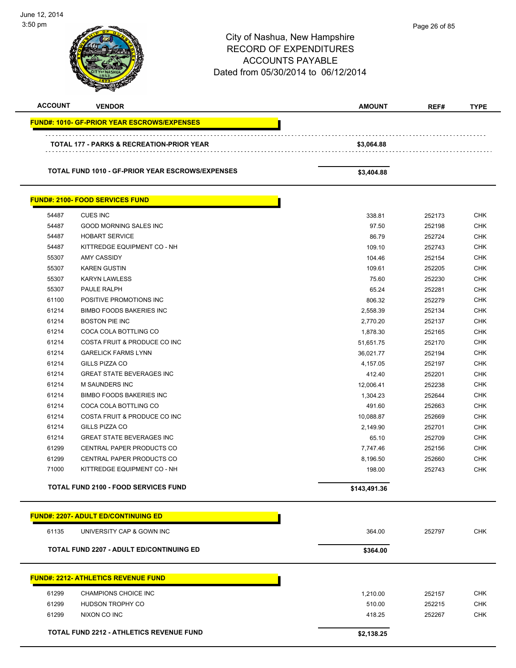City of Nashua, New Hampshire RECORD OF EXPENDITURES ACCOUNTS PAYABLE Dated from 05/30/2014 to 06/12/2014 June 12, 2014 3:50 pm **ACCOUNT VENDOR AMOUNT REF# TYPE FUND#: 1010- GF-PRIOR YEAR ESCROWS/EXPENSES TOTAL 177 - PARKS & RECREATION-PRIOR YEAR \$3,064.88 TOTAL FUND 1010 - GF-PRIOR YEAR ESCROWS/EXPENSES \$3,404.88 FUND#: 2100- FOOD SERVICES FUND** 54487 CUES INC 338.81 252173 CHK 54487 GOOD MORNING SALES INC 97.50 252198 CHK 54487 HOBART SERVICE 86.79 252724 CHK 54487 KITTREDGE EQUIPMENT CO - NH 109.10 252743 CHK 55307 AMY CASSIDY 104.46 252154 CHK 55307 KAREN GUSTIN 109.61 252205 CHK 55307 KARYN LAWLESS 75.60 252230 CHK 55307 PAULE RALPH 65.24 252281 CHK 61100 POSITIVE PROMOTIONS INC 66 AND 100 CHK 6100 MM 252279 CHK 61214 BIMBO FOODS BAKERIES INC 2,558.39 252134 CHK 61214 BOSTON PIE INC 2,770.20 252137 CHK er and the cocal collar both control of the cocal control of the cocal control of the cocal control of the control of the control of the control of the control of the control of the control of the control of the control of 61214 COSTA FRUIT & PRODUCE CO INC 51,651.75 252170 CHK 61214 GARELICK FARMS LYNN 36,021.77 252194 CHK 61214 GILLS PIZZA CO 4,157.05 252197 CHK 61214 GREAT STATE BEVERAGES INC 412.40 252201 CHK 61214 M SAUNDERS INC 12,006.41 252238 CHK 61214 BIMBO FOODS BAKERIES INC 1,304.23 252644 CHK 61214 COCA COLA BOTTLING CO 491.60 252663 CHK 61214 COSTA FRUIT & PRODUCE CO INC 10,088.87 252669 CHK 61214 GILLS PIZZA CO 2,149.90 252701 CHK 61214 GREAT STATE BEVERAGES INC 65.10 252709 CHK 61299 CENTRAL PAPER PRODUCTS CO 7,747.46 252156 CHK 61299 CENTRAL PAPER PRODUCTS CO 8,196.50 252660 CHK The State of the State of the State of the State of the State of the State of the State of the State of the State of the State of the State of the State of the State of the State of the State of the State of the State of t **TOTAL FUND 2100 - FOOD SERVICES FUND \$143,491.36 FUND#: 2207- ADULT ED/CONTINUING ED** 61135 UNIVERSITY CAP & GOWN INC 364.00 252797 CHK **TOTAL FUND 2207 - ADULT ED/CONTINUING ED \$364.00 \$364.00 FUND#: 2212- ATHLETICS REVENUE FUND** 61299 CHAMPIONS CHOICE INC 1,210.00 252157 CHK 61299 HUDSON TROPHY CO 510.00 252215 CHK 61299 NIXON CO INC 418.25 252267 CHK **TOTAL FUND 2212 - ATHLETICS REVENUE FUND \$2,138.25**  Page 26 of 85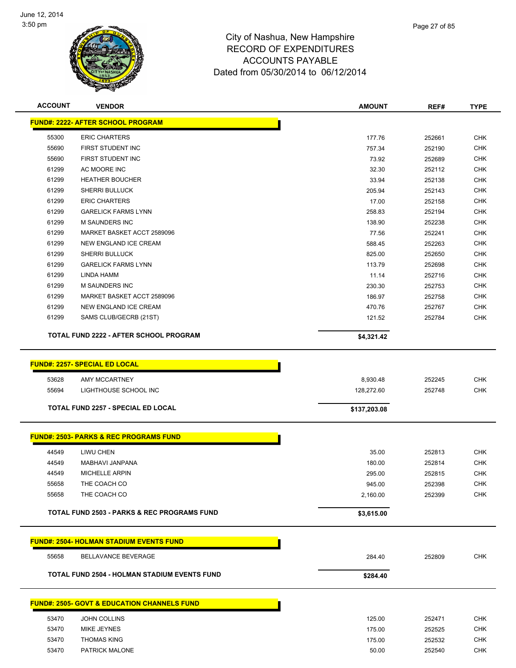

| <b>ACCOUNT</b> | <b>VENDOR</b>                                          | <b>AMOUNT</b>    | REF#             | <b>TYPE</b>              |
|----------------|--------------------------------------------------------|------------------|------------------|--------------------------|
|                | <b>FUND#: 2222- AFTER SCHOOL PROGRAM</b>               |                  |                  |                          |
|                |                                                        |                  |                  |                          |
| 55300<br>55690 | <b>ERIC CHARTERS</b><br>FIRST STUDENT INC              | 177.76           | 252661           | <b>CHK</b>               |
| 55690          | FIRST STUDENT INC                                      | 757.34<br>73.92  | 252190           | <b>CHK</b><br><b>CHK</b> |
| 61299          | AC MOORE INC                                           | 32.30            | 252689<br>252112 | <b>CHK</b>               |
| 61299          | <b>HEATHER BOUCHER</b>                                 | 33.94            | 252138           | <b>CHK</b>               |
| 61299          | SHERRI BULLUCK                                         | 205.94           | 252143           | <b>CHK</b>               |
| 61299          | <b>ERIC CHARTERS</b>                                   | 17.00            |                  | <b>CHK</b>               |
| 61299          | <b>GARELICK FARMS LYNN</b>                             | 258.83           | 252158<br>252194 | <b>CHK</b>               |
| 61299          | <b>M SAUNDERS INC</b>                                  |                  |                  | <b>CHK</b>               |
| 61299          | MARKET BASKET ACCT 2589096                             | 138.90<br>77.56  | 252238<br>252241 | <b>CHK</b>               |
| 61299          | NEW ENGLAND ICE CREAM                                  | 588.45           | 252263           | <b>CHK</b>               |
| 61299          | SHERRI BULLUCK                                         |                  |                  | <b>CHK</b>               |
| 61299          | <b>GARELICK FARMS LYNN</b>                             | 825.00<br>113.79 | 252650<br>252698 | <b>CHK</b>               |
| 61299          | <b>LINDA HAMM</b>                                      |                  | 252716           | <b>CHK</b>               |
| 61299          | <b>M SAUNDERS INC</b>                                  | 11.14<br>230.30  | 252753           | <b>CHK</b>               |
| 61299          | MARKET BASKET ACCT 2589096                             | 186.97           | 252758           | <b>CHK</b>               |
| 61299          | NEW ENGLAND ICE CREAM                                  |                  |                  | <b>CHK</b>               |
| 61299          |                                                        | 470.76           | 252767           | <b>CHK</b>               |
|                | SAMS CLUB/GECRB (21ST)                                 | 121.52           | 252784           |                          |
|                | TOTAL FUND 2222 - AFTER SCHOOL PROGRAM                 | \$4,321.42       |                  |                          |
|                |                                                        |                  |                  |                          |
|                | <b>FUND#: 2257- SPECIAL ED LOCAL</b>                   |                  |                  |                          |
| 53628          | AMY MCCARTNEY                                          | 8,930.48         | 252245           | <b>CHK</b>               |
| 55694          | LIGHTHOUSE SCHOOL INC                                  | 128,272.60       | 252748           | <b>CHK</b>               |
|                |                                                        |                  |                  |                          |
|                | <b>TOTAL FUND 2257 - SPECIAL ED LOCAL</b>              | \$137,203.08     |                  |                          |
|                |                                                        |                  |                  |                          |
|                | <b>FUND#: 2503- PARKS &amp; REC PROGRAMS FUND</b>      |                  |                  |                          |
| 44549          | LIWU CHEN                                              | 35.00            | 252813           | <b>CHK</b>               |
| 44549          | MABHAVI JANPANA                                        | 180.00           | 252814           | <b>CHK</b>               |
| 44549          | <b>MICHELLE ARPIN</b>                                  | 295.00           | 252815           | <b>CHK</b>               |
| 55658          | THE COACH CO                                           | 945.00           | 252398           | <b>CHK</b>               |
| 55658          | THE COACH CO                                           | 2,160.00         | 252399           | <b>CHK</b>               |
|                |                                                        |                  |                  |                          |
|                | TOTAL FUND 2503 - PARKS & REC PROGRAMS FUND            | \$3,615.00       |                  |                          |
|                | <b>FUND#: 2504- HOLMAN STADIUM EVENTS FUND</b>         |                  |                  |                          |
| 55658          | <b>BELLAVANCE BEVERAGE</b>                             | 284.40           | 252809           | <b>CHK</b>               |
|                |                                                        |                  |                  |                          |
|                | TOTAL FUND 2504 - HOLMAN STADIUM EVENTS FUND           | \$284.40         |                  |                          |
|                | <b>FUND#: 2505- GOVT &amp; EDUCATION CHANNELS FUND</b> |                  |                  |                          |
|                |                                                        |                  |                  |                          |
| 53470          | <b>JOHN COLLINS</b>                                    | 125.00           | 252471           | <b>CHK</b>               |
| 53470          | MIKE JEYNES                                            | 175.00           | 252525           | <b>CHK</b>               |
| 53470<br>53470 | <b>THOMAS KING</b><br>PATRICK MALONE                   | 175.00           | 252532           | <b>CHK</b><br><b>CHK</b> |
|                |                                                        | 50.00            | 252540           |                          |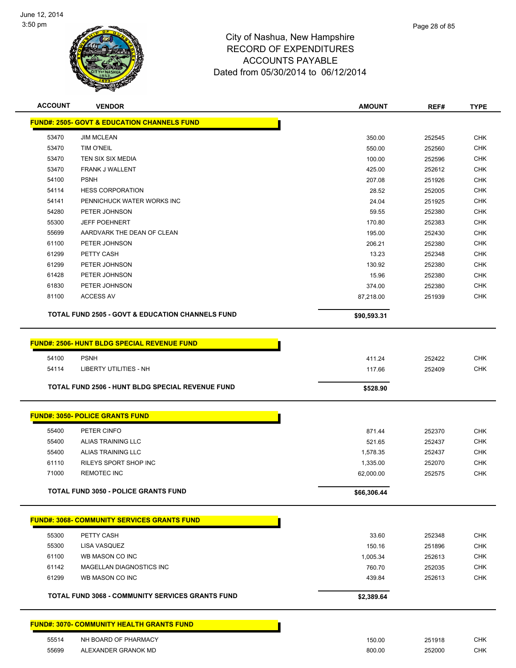

| <b>ACCOUNT</b> | <b>VENDOR</b>                                               | <b>AMOUNT</b> | REF#   | <b>TYPE</b> |
|----------------|-------------------------------------------------------------|---------------|--------|-------------|
|                | <b>FUND#: 2505- GOVT &amp; EDUCATION CHANNELS FUND</b>      |               |        |             |
| 53470          | <b>JIM MCLEAN</b>                                           | 350.00        | 252545 | CHK         |
| 53470          | TIM O'NEIL                                                  | 550.00        | 252560 | <b>CHK</b>  |
| 53470          | TEN SIX SIX MEDIA                                           | 100.00        | 252596 | CHK         |
| 53470          | <b>FRANK J WALLENT</b>                                      | 425.00        | 252612 | CHK         |
| 54100          | <b>PSNH</b>                                                 | 207.08        | 251926 | <b>CHK</b>  |
| 54114          | <b>HESS CORPORATION</b>                                     | 28.52         | 252005 | <b>CHK</b>  |
| 54141          | PENNICHUCK WATER WORKS INC                                  | 24.04         | 251925 | <b>CHK</b>  |
| 54280          | PETER JOHNSON                                               | 59.55         | 252380 | <b>CHK</b>  |
| 55300          | <b>JEFF POEHNERT</b>                                        | 170.80        | 252383 | CHK         |
| 55699          | AARDVARK THE DEAN OF CLEAN                                  | 195.00        | 252430 | <b>CHK</b>  |
| 61100          | PETER JOHNSON                                               | 206.21        | 252380 | <b>CHK</b>  |
| 61299          | PETTY CASH                                                  | 13.23         | 252348 | CHK         |
| 61299          | PETER JOHNSON                                               | 130.92        | 252380 | <b>CHK</b>  |
| 61428          | PETER JOHNSON                                               | 15.96         | 252380 | CHK         |
| 61830          | PETER JOHNSON                                               | 374.00        | 252380 | <b>CHK</b>  |
| 81100          | <b>ACCESS AV</b>                                            | 87,218.00     | 251939 | <b>CHK</b>  |
|                | <b>TOTAL FUND 2505 - GOVT &amp; EDUCATION CHANNELS FUND</b> | \$90,593.31   |        |             |
|                |                                                             |               |        |             |
|                | <b>FUND#: 2506- HUNT BLDG SPECIAL REVENUE FUND</b>          |               |        |             |
| 54100          | <b>PSNH</b>                                                 | 411.24        | 252422 | <b>CHK</b>  |
| 54114          | LIBERTY UTILITIES - NH                                      | 117.66        | 252409 | <b>CHK</b>  |
|                |                                                             |               |        |             |
|                | TOTAL FUND 2506 - HUNT BLDG SPECIAL REVENUE FUND            | \$528.90      |        |             |
|                | <b>FUND#: 3050- POLICE GRANTS FUND</b>                      |               |        |             |
|                |                                                             |               |        |             |
| 55400          | PETER CINFO                                                 | 871.44        | 252370 | CHK         |
| 55400          | ALIAS TRAINING LLC                                          | 521.65        | 252437 | CHK         |
| 55400          | ALIAS TRAINING LLC                                          | 1,578.35      | 252437 | CHK         |
| 61110          | RILEYS SPORT SHOP INC                                       | 1,335.00      | 252070 | <b>CHK</b>  |
| 71000          | <b>REMOTEC INC</b>                                          | 62,000.00     | 252575 | <b>CHK</b>  |
|                | <b>TOTAL FUND 3050 - POLICE GRANTS FUND</b>                 | \$66,306.44   |        |             |
|                |                                                             |               |        |             |
|                | <b>FUND#: 3068- COMMUNITY SERVICES GRANTS FUND</b>          |               |        |             |
| 55300          | PETTY CASH                                                  | 33.60         | 252348 | <b>CHK</b>  |
| 55300          | LISA VASQUEZ                                                | 150.16        | 251896 | <b>CHK</b>  |
| 61100          | WB MASON CO INC                                             | 1,005.34      | 252613 | <b>CHK</b>  |
| 61142          | MAGELLAN DIAGNOSTICS INC                                    | 760.70        | 252035 | <b>CHK</b>  |
| 61299          | WB MASON CO INC                                             | 439.84        | 252613 | <b>CHK</b>  |
|                | <b>TOTAL FUND 3068 - COMMUNITY SERVICES GRANTS FUND</b>     | \$2,389.64    |        |             |
|                | <b>FUND#: 3070- COMMUNITY HEALTH GRANTS FUND</b>            |               |        |             |
| 55514          | NH BOARD OF PHARMACY                                        | 150.00        | 251918 | CHK         |
| 55699          | ALEXANDER GRANOK MD                                         | 800.00        | 252000 | <b>CHK</b>  |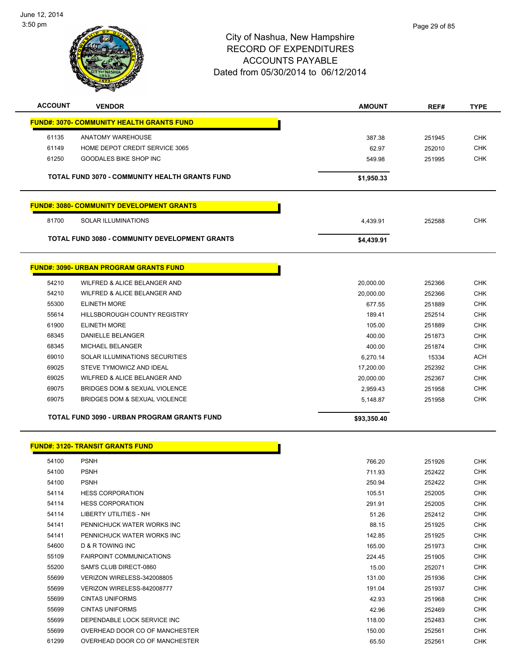

| <b>ACCOUNT</b> | <b>VENDOR</b>                                         | <b>AMOUNT</b> | REF#   | <b>TYPE</b> |
|----------------|-------------------------------------------------------|---------------|--------|-------------|
|                | <b>FUND#: 3070- COMMUNITY HEALTH GRANTS FUND</b>      |               |        |             |
| 61135          | <b>ANATOMY WAREHOUSE</b>                              | 387.38        | 251945 | <b>CHK</b>  |
| 61149          | HOME DEPOT CREDIT SERVICE 3065                        | 62.97         | 252010 | <b>CHK</b>  |
| 61250          | <b>GOODALES BIKE SHOP INC</b>                         | 549.98        | 251995 | <b>CHK</b>  |
|                | <b>TOTAL FUND 3070 - COMMUNITY HEALTH GRANTS FUND</b> | \$1,950.33    |        |             |
|                | <b>FUND#: 3080- COMMUNITY DEVELOPMENT GRANTS</b>      |               |        |             |
| 81700          | <b>SOLAR ILLUMINATIONS</b>                            | 4,439.91      | 252588 | <b>CHK</b>  |
|                | <b>TOTAL FUND 3080 - COMMUNITY DEVELOPMENT GRANTS</b> | \$4,439.91    |        |             |
|                | <b>FUND#: 3090- URBAN PROGRAM GRANTS FUND</b>         |               |        |             |
| 54210          | WILFRED & ALICE BELANGER AND                          | 20,000.00     | 252366 | <b>CHK</b>  |
| 54210          | WILFRED & ALICE BELANGER AND                          | 20,000.00     | 252366 | <b>CHK</b>  |
| 55300          | <b>ELINETH MORE</b>                                   | 677.55        | 251889 | <b>CHK</b>  |
| 55614          | <b>HILLSBOROUGH COUNTY REGISTRY</b>                   | 189.41        | 252514 | <b>CHK</b>  |
| 61900          | <b>ELINETH MORE</b>                                   | 105.00        | 251889 | <b>CHK</b>  |
| 68345          | <b>DANIELLE BELANGER</b>                              | 400.00        | 251873 | <b>CHK</b>  |
| 68345          | <b>MICHAEL BELANGER</b>                               | 400.00        | 251874 | <b>CHK</b>  |
| 69010          | SOLAR ILLUMINATIONS SECURITIES                        | 6,270.14      | 15334  | <b>ACH</b>  |
| 69025          | STEVE TYMOWICZ AND IDEAL                              | 17,200.00     | 252392 | <b>CHK</b>  |
| 69025          | WILFRED & ALICE BELANGER AND                          | 20,000.00     | 252367 | <b>CHK</b>  |
| 69075          | BRIDGES DOM & SEXUAL VIOLENCE                         | 2,959.43      | 251958 | <b>CHK</b>  |
| 69075          | BRIDGES DOM & SEXUAL VIOLENCE                         | 5.148.87      | 251958 | <b>CHK</b>  |
|                | TOTAL FUND 3090 - URBAN PROGRAM GRANTS FUND           | \$93,350.40   |        |             |

#### **FUND#: 3120- TRANSIT GRANTS FUND**

| 54100 | <b>PSNH</b>                     | 766.20 | 251926 | <b>CHK</b> |
|-------|---------------------------------|--------|--------|------------|
| 54100 | <b>PSNH</b>                     | 711.93 | 252422 | CHK        |
| 54100 | <b>PSNH</b>                     | 250.94 | 252422 | <b>CHK</b> |
| 54114 | <b>HESS CORPORATION</b>         | 105.51 | 252005 | CHK        |
| 54114 | <b>HESS CORPORATION</b>         | 291.91 | 252005 | <b>CHK</b> |
| 54114 | <b>LIBERTY UTILITIES - NH</b>   | 51.26  | 252412 | <b>CHK</b> |
| 54141 | PENNICHUCK WATER WORKS INC      | 88.15  | 251925 | <b>CHK</b> |
| 54141 | PENNICHUCK WATER WORKS INC      | 142.85 | 251925 | CHK        |
| 54600 | <b>D &amp; R TOWING INC</b>     | 165.00 | 251973 | CHK        |
| 55109 | <b>FAIRPOINT COMMUNICATIONS</b> | 224.45 | 251905 | CHK        |
| 55200 | SAM'S CLUB DIRECT-0860          | 15.00  | 252071 | <b>CHK</b> |
| 55699 | VERIZON WIRELESS-342008805      | 131.00 | 251936 | CHK        |
| 55699 | VERIZON WIRELESS-842008777      | 191.04 | 251937 | <b>CHK</b> |
| 55699 | <b>CINTAS UNIFORMS</b>          | 42.93  | 251968 | <b>CHK</b> |
| 55699 | <b>CINTAS UNIFORMS</b>          | 42.96  | 252469 | CHK        |
| 55699 | DEPENDABLE LOCK SERVICE INC     | 118.00 | 252483 | <b>CHK</b> |
| 55699 | OVERHEAD DOOR CO OF MANCHESTER  | 150.00 | 252561 | CHK        |
| 61299 | OVERHEAD DOOR CO OF MANCHESTER  | 65.50  | 252561 | <b>CHK</b> |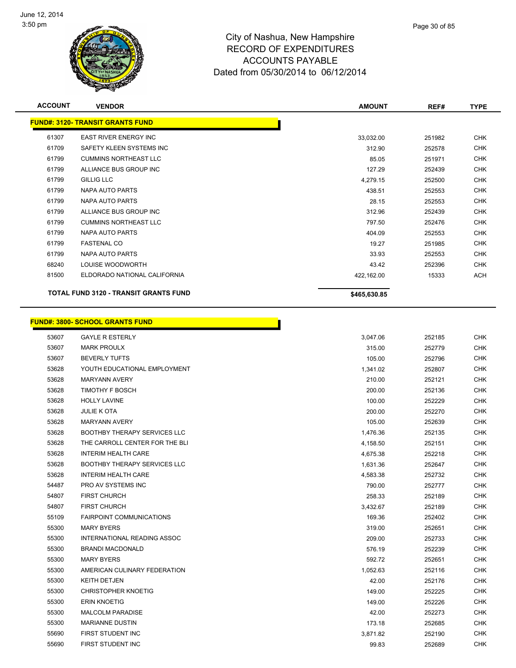

| <b>ACCOUNT</b> | <b>VENDOR</b>                                | <b>AMOUNT</b> | REF#   | <b>TYPE</b> |
|----------------|----------------------------------------------|---------------|--------|-------------|
|                | <b>FUND#: 3120- TRANSIT GRANTS FUND</b>      |               |        |             |
| 61307          | <b>EAST RIVER ENERGY INC</b>                 | 33,032.00     | 251982 | <b>CHK</b>  |
| 61709          | SAFETY KLEEN SYSTEMS INC                     | 312.90        | 252578 | <b>CHK</b>  |
| 61799          | <b>CUMMINS NORTHEAST LLC</b>                 | 85.05         | 251971 | <b>CHK</b>  |
| 61799          | ALLIANCE BUS GROUP INC                       | 127.29        | 252439 | <b>CHK</b>  |
| 61799          | <b>GILLIG LLC</b>                            | 4,279.15      | 252500 | <b>CHK</b>  |
| 61799          | NAPA AUTO PARTS                              | 438.51        | 252553 | <b>CHK</b>  |
| 61799          | NAPA AUTO PARTS                              | 28.15         | 252553 | <b>CHK</b>  |
| 61799          | ALLIANCE BUS GROUP INC                       | 312.96        | 252439 | <b>CHK</b>  |
| 61799          | <b>CUMMINS NORTHEAST LLC</b>                 | 797.50        | 252476 | <b>CHK</b>  |
| 61799          | NAPA AUTO PARTS                              | 404.09        | 252553 | <b>CHK</b>  |
| 61799          | <b>FASTENAL CO</b>                           | 19.27         | 251985 | <b>CHK</b>  |
| 61799          | NAPA AUTO PARTS                              | 33.93         | 252553 | <b>CHK</b>  |
| 68240          | LOUISE WOODWORTH                             | 43.42         | 252396 | <b>CHK</b>  |
| 81500          | ELDORADO NATIONAL CALIFORNIA                 | 422,162.00    | 15333  | ACH         |
|                | <b>TOTAL FUND 3120 - TRANSIT GRANTS FUND</b> | \$465,630.85  |        |             |

|       | <b>FUND#: 3800- SCHOOL GRANTS FUND</b> |          |        |            |
|-------|----------------------------------------|----------|--------|------------|
| 53607 | <b>GAYLE R ESTERLY</b>                 | 3,047.06 | 252185 | <b>CHK</b> |
| 53607 | <b>MARK PROULX</b>                     | 315.00   | 252779 | <b>CHK</b> |
| 53607 | <b>BEVERLY TUFTS</b>                   | 105.00   | 252796 | <b>CHK</b> |
| 53628 | YOUTH EDUCATIONAL EMPLOYMENT           | 1,341.02 | 252807 | <b>CHK</b> |
| 53628 | <b>MARYANN AVERY</b>                   | 210.00   | 252121 | <b>CHK</b> |
| 53628 | <b>TIMOTHY F BOSCH</b>                 | 200.00   | 252136 | <b>CHK</b> |
| 53628 | <b>HOLLY LAVINE</b>                    | 100.00   | 252229 | <b>CHK</b> |
| 53628 | <b>JULIE K OTA</b>                     | 200.00   | 252270 | <b>CHK</b> |
| 53628 | <b>MARYANN AVERY</b>                   | 105.00   | 252639 | <b>CHK</b> |
| 53628 | <b>BOOTHBY THERAPY SERVICES LLC</b>    | 1,476.36 | 252135 | <b>CHK</b> |
| 53628 | THE CARROLL CENTER FOR THE BLI         | 4,158.50 | 252151 | <b>CHK</b> |
| 53628 | <b>INTERIM HEALTH CARE</b>             | 4,675.38 | 252218 | <b>CHK</b> |
| 53628 | <b>BOOTHBY THERAPY SERVICES LLC</b>    | 1,631.36 | 252647 | <b>CHK</b> |
| 53628 | <b>INTERIM HEALTH CARE</b>             | 4,583.38 | 252732 | <b>CHK</b> |
| 54487 | PRO AV SYSTEMS INC                     | 790.00   | 252777 | <b>CHK</b> |
| 54807 | <b>FIRST CHURCH</b>                    | 258.33   | 252189 | <b>CHK</b> |
| 54807 | <b>FIRST CHURCH</b>                    | 3,432.67 | 252189 | <b>CHK</b> |
| 55109 | <b>FAIRPOINT COMMUNICATIONS</b>        | 169.36   | 252402 | <b>CHK</b> |
| 55300 | <b>MARY BYERS</b>                      | 319.00   | 252651 | <b>CHK</b> |
| 55300 | INTERNATIONAL READING ASSOC            | 209.00   | 252733 | <b>CHK</b> |
| 55300 | <b>BRANDI MACDONALD</b>                | 576.19   | 252239 | <b>CHK</b> |
| 55300 | <b>MARY BYERS</b>                      | 592.72   | 252651 | <b>CHK</b> |
| 55300 | AMERICAN CULINARY FEDERATION           | 1,052.63 | 252116 | <b>CHK</b> |
| 55300 | <b>KEITH DETJEN</b>                    | 42.00    | 252176 | <b>CHK</b> |
| 55300 | <b>CHRISTOPHER KNOETIG</b>             | 149.00   | 252225 | CHK        |
| 55300 | <b>ERIN KNOETIG</b>                    | 149.00   | 252226 | <b>CHK</b> |
| 55300 | <b>MALCOLM PARADISE</b>                | 42.00    | 252273 | <b>CHK</b> |
| 55300 | <b>MARIANNE DUSTIN</b>                 | 173.18   | 252685 | CHK        |
| 55690 | FIRST STUDENT INC                      | 3,871.82 | 252190 | <b>CHK</b> |
| 55690 | FIRST STUDENT INC                      | 99.83    | 252689 | <b>CHK</b> |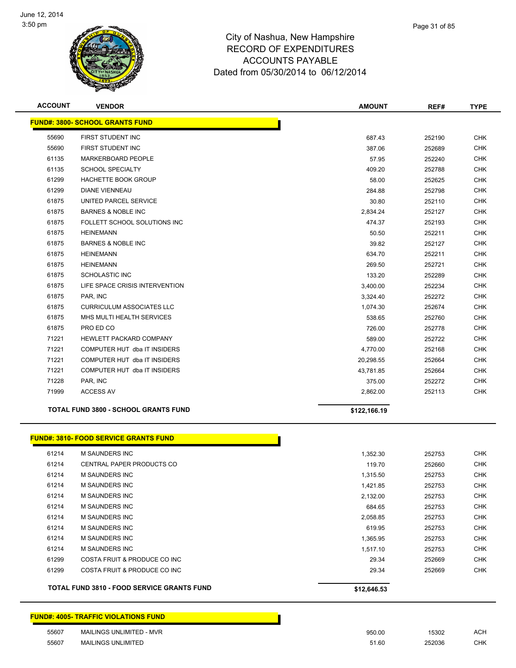

| <b>ACCOUNT</b> | <b>VENDOR</b>                                     | <b>AMOUNT</b> | REF#   | <b>TYPE</b> |
|----------------|---------------------------------------------------|---------------|--------|-------------|
|                | <b>FUND#: 3800- SCHOOL GRANTS FUND</b>            |               |        |             |
| 55690          | FIRST STUDENT INC                                 | 687.43        | 252190 | <b>CHK</b>  |
| 55690          | FIRST STUDENT INC                                 | 387.06        | 252689 | <b>CHK</b>  |
| 61135          | MARKERBOARD PEOPLE                                | 57.95         | 252240 | <b>CHK</b>  |
| 61135          | <b>SCHOOL SPECIALTY</b>                           | 409.20        | 252788 | <b>CHK</b>  |
| 61299          | HACHETTE BOOK GROUP                               | 58.00         | 252625 | <b>CHK</b>  |
| 61299          | <b>DIANE VIENNEAU</b>                             | 284.88        | 252798 | <b>CHK</b>  |
| 61875          | UNITED PARCEL SERVICE                             | 30.80         | 252110 | <b>CHK</b>  |
| 61875          | <b>BARNES &amp; NOBLE INC</b>                     | 2,834.24      | 252127 | <b>CHK</b>  |
| 61875          | FOLLETT SCHOOL SOLUTIONS INC                      | 474.37        | 252193 | <b>CHK</b>  |
| 61875          | <b>HEINEMANN</b>                                  | 50.50         | 252211 | <b>CHK</b>  |
| 61875          | <b>BARNES &amp; NOBLE INC</b>                     | 39.82         | 252127 | <b>CHK</b>  |
| 61875          | <b>HEINEMANN</b>                                  | 634.70        | 252211 | <b>CHK</b>  |
| 61875          | <b>HEINEMANN</b>                                  | 269.50        | 252721 | <b>CHK</b>  |
| 61875          | <b>SCHOLASTIC INC</b>                             | 133.20        | 252289 | <b>CHK</b>  |
| 61875          | LIFE SPACE CRISIS INTERVENTION                    | 3,400.00      | 252234 | <b>CHK</b>  |
| 61875          | PAR, INC                                          | 3,324.40      | 252272 | <b>CHK</b>  |
| 61875          | <b>CURRICULUM ASSOCIATES LLC</b>                  | 1,074.30      | 252674 | <b>CHK</b>  |
| 61875          | MHS MULTI HEALTH SERVICES                         | 538.65        | 252760 | <b>CHK</b>  |
| 61875          | PRO ED CO                                         | 726.00        | 252778 | <b>CHK</b>  |
| 71221          | HEWLETT PACKARD COMPANY                           | 589.00        | 252722 | <b>CHK</b>  |
| 71221          | COMPUTER HUT dba IT INSIDERS                      | 4,770.00      | 252168 | <b>CHK</b>  |
| 71221          | COMPUTER HUT dba IT INSIDERS                      | 20,298.55     | 252664 | <b>CHK</b>  |
| 71221          | COMPUTER HUT dba IT INSIDERS                      | 43,781.85     | 252664 | <b>CHK</b>  |
| 71228          | PAR, INC                                          | 375.00        | 252272 | <b>CHK</b>  |
| 71999          | <b>ACCESS AV</b>                                  | 2,862.00      | 252113 | <b>CHK</b>  |
|                | <b>TOTAL FUND 3800 - SCHOOL GRANTS FUND</b>       | \$122,166.19  |        |             |
|                | <b>FUND#: 3810- FOOD SERVICE GRANTS FUND</b>      |               |        |             |
| 61214          | M SAUNDERS INC                                    | 1,352.30      | 252753 | <b>CHK</b>  |
| 61214          | CENTRAL PAPER PRODUCTS CO                         | 119.70        | 252660 | <b>CHK</b>  |
| 61214          | <b>M SAUNDERS INC</b>                             | 1,315.50      | 252753 | <b>CHK</b>  |
| 61214          | M SAUNDERS INC                                    | 1,421.85      | 252753 | <b>CHK</b>  |
| 61214          | M SAUNDERS INC                                    | 2,132.00      | 252753 | <b>CHK</b>  |
| 61214          | M SAUNDERS INC                                    | 684.65        | 252753 | <b>CHK</b>  |
| 61214          | M SAUNDERS INC                                    | 2,058.85      | 252753 | <b>CHK</b>  |
| 61214          | M SAUNDERS INC                                    | 619.95        | 252753 | <b>CHK</b>  |
| 61214          | M SAUNDERS INC                                    | 1,365.95      | 252753 | <b>CHK</b>  |
| 61214          | M SAUNDERS INC                                    | 1,517.10      | 252753 | <b>CHK</b>  |
| 61299          | COSTA FRUIT & PRODUCE CO INC                      | 29.34         | 252669 | <b>CHK</b>  |
| 61299          | COSTA FRUIT & PRODUCE CO INC                      | 29.34         | 252669 | <b>CHK</b>  |
|                | <b>TOTAL FUND 3810 - FOOD SERVICE GRANTS FUND</b> | \$12,646.53   |        |             |
|                | <b>FUND#: 4005- TRAFFIC VIOLATIONS FUND</b>       |               |        |             |

 MAILINGS UNLIMITED - MVR 950.00 15302 ACH MAILINGS UNLIMITED 51.60 252036 CHK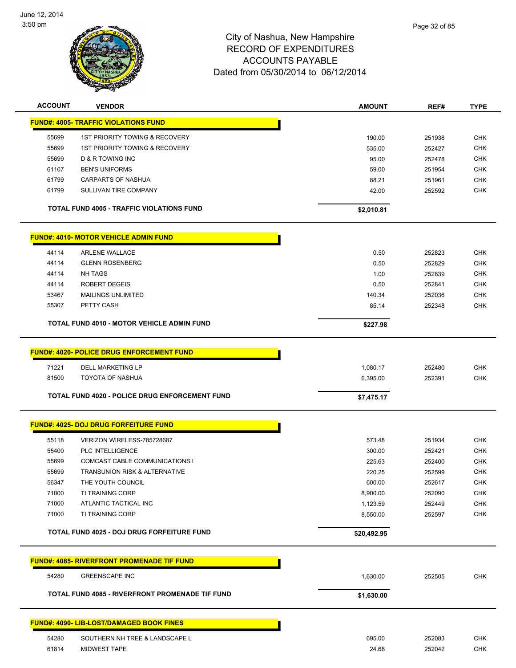

| <b>ACCOUNT</b> | <b>VENDOR</b>                                         | <b>AMOUNT</b> | REF#   | <b>TYPE</b> |
|----------------|-------------------------------------------------------|---------------|--------|-------------|
|                | <b>FUND#: 4005- TRAFFIC VIOLATIONS FUND</b>           |               |        |             |
| 55699          | 1ST PRIORITY TOWING & RECOVERY                        | 190.00        | 251938 | CHK         |
| 55699          | 1ST PRIORITY TOWING & RECOVERY                        | 535.00        | 252427 | <b>CHK</b>  |
| 55699          | <b>D &amp; R TOWING INC</b>                           | 95.00         | 252478 | <b>CHK</b>  |
| 61107          | <b>BEN'S UNIFORMS</b>                                 | 59.00         | 251954 | CHK         |
| 61799          | <b>CARPARTS OF NASHUA</b>                             | 88.21         | 251961 | <b>CHK</b>  |
| 61799          | SULLIVAN TIRE COMPANY                                 | 42.00         | 252592 | <b>CHK</b>  |
|                | <b>TOTAL FUND 4005 - TRAFFIC VIOLATIONS FUND</b>      | \$2,010.81    |        |             |
|                | <b>FUND#: 4010- MOTOR VEHICLE ADMIN FUND</b>          |               |        |             |
| 44114          | <b>ARLENE WALLACE</b>                                 | 0.50          | 252823 | CHK         |
| 44114          | <b>GLENN ROSENBERG</b>                                | 0.50          | 252829 | CHK         |
| 44114          | <b>NH TAGS</b>                                        | 1.00          | 252839 | CHK         |
| 44114          | <b>ROBERT DEGEIS</b>                                  | 0.50          | 252841 | CHK         |
| 53467          | MAILINGS UNLIMITED                                    | 140.34        | 252036 | <b>CHK</b>  |
| 55307          | PETTY CASH                                            | 85.14         | 252348 | <b>CHK</b>  |
|                | TOTAL FUND 4010 - MOTOR VEHICLE ADMIN FUND            |               |        |             |
|                |                                                       | \$227.98      |        |             |
|                | <b>FUND#: 4020- POLICE DRUG ENFORCEMENT FUND</b>      |               |        |             |
| 71221          | <b>DELL MARKETING LP</b>                              | 1,080.17      | 252480 | <b>CHK</b>  |
| 81500          | <b>TOYOTA OF NASHUA</b>                               | 6,395.00      | 252391 | <b>CHK</b>  |
|                | <b>TOTAL FUND 4020 - POLICE DRUG ENFORCEMENT FUND</b> |               |        |             |
|                |                                                       | \$7,475.17    |        |             |
|                | <b>FUND#: 4025- DOJ DRUG FORFEITURE FUND</b>          |               |        |             |
| 55118          | VERIZON WIRELESS-785728687                            | 573.48        | 251934 | <b>CHK</b>  |
| 55400          | PLC INTELLIGENCE                                      | 300.00        | 252421 | <b>CHK</b>  |
| 55699          | COMCAST CABLE COMMUNICATIONS I                        | 225.63        | 252400 | CHK         |
| 55699          | TRANSUNION RISK & ALTERNATIVE                         | 220.25        | 252599 | <b>CHK</b>  |
| 56347          | THE YOUTH COUNCIL                                     | 600.00        | 252617 | <b>CHK</b>  |
| 71000          | <b>TI TRAINING CORP</b>                               | 8,900.00      | 252090 | <b>CHK</b>  |
| 71000          | ATLANTIC TACTICAL INC                                 | 1,123.59      | 252449 | <b>CHK</b>  |
| 71000          | TI TRAINING CORP                                      | 8,550.00      | 252597 | CHK         |
|                | TOTAL FUND 4025 - DOJ DRUG FORFEITURE FUND            | \$20,492.95   |        |             |
|                |                                                       |               |        |             |
|                | <b>FUND#: 4085- RIVERFRONT PROMENADE TIF FUND</b>     |               |        |             |
| 54280          | <b>GREENSCAPE INC</b>                                 | 1,630.00      | 252505 | CHK         |
|                | TOTAL FUND 4085 - RIVERFRONT PROMENADE TIF FUND       | \$1,630.00    |        |             |
|                | <b>FUND#: 4090- LIB-LOST/DAMAGED BOOK FINES</b>       |               |        |             |
|                |                                                       |               |        |             |
| 54280          | SOUTHERN NH TREE & LANDSCAPE L                        | 695.00        | 252083 | <b>CHK</b>  |
| 61814          | MIDWEST TAPE                                          | 24.68         | 252042 | <b>CHK</b>  |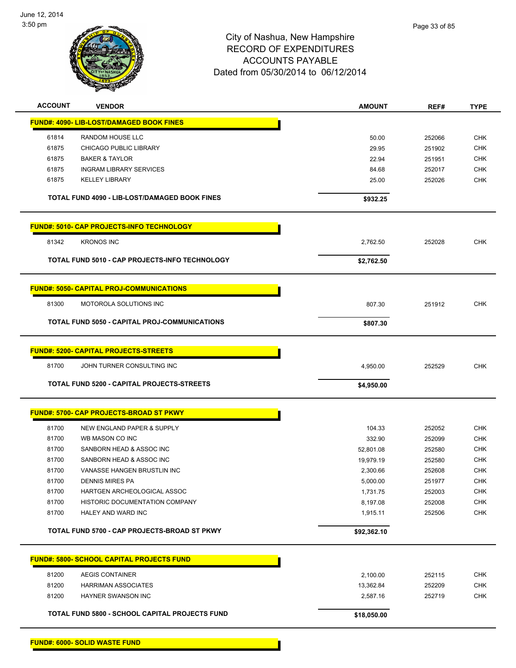

| <b>ACCOUNT</b> | <b>VENDOR</b>                                        | AMOUNT      | REF#   | <b>TYPE</b> |
|----------------|------------------------------------------------------|-------------|--------|-------------|
|                | FUND#: 4090- LIB-LOST/DAMAGED BOOK FINES             |             |        |             |
| 61814          | RANDOM HOUSE LLC                                     | 50.00       | 252066 | <b>CHK</b>  |
| 61875          | <b>CHICAGO PUBLIC LIBRARY</b>                        | 29.95       | 251902 | <b>CHK</b>  |
| 61875          | <b>BAKER &amp; TAYLOR</b>                            | 22.94       | 251951 | CHK         |
| 61875          | <b>INGRAM LIBRARY SERVICES</b>                       | 84.68       | 252017 | CHK         |
| 61875          | <b>KELLEY LIBRARY</b>                                | 25.00       | 252026 | <b>CHK</b>  |
|                | TOTAL FUND 4090 - LIB-LOST/DAMAGED BOOK FINES        | \$932.25    |        |             |
|                | <b>FUND#: 5010- CAP PROJECTS-INFO TECHNOLOGY</b>     |             |        |             |
| 81342          | <b>KRONOS INC</b>                                    | 2,762.50    | 252028 | <b>CHK</b>  |
|                | TOTAL FUND 5010 - CAP PROJECTS-INFO TECHNOLOGY       | \$2,762.50  |        |             |
|                | <b>FUND#: 5050- CAPITAL PROJ-COMMUNICATIONS</b>      |             |        |             |
| 81300          | MOTOROLA SOLUTIONS INC                               | 807.30      | 251912 | <b>CHK</b>  |
|                | <b>TOTAL FUND 5050 - CAPITAL PROJ-COMMUNICATIONS</b> | \$807.30    |        |             |
|                | <b>FUND#: 5200- CAPITAL PROJECTS-STREETS</b>         |             |        |             |
| 81700          | JOHN TURNER CONSULTING INC                           | 4,950.00    | 252529 | <b>CHK</b>  |
|                | TOTAL FUND 5200 - CAPITAL PROJECTS-STREETS           | \$4,950.00  |        |             |
|                |                                                      |             |        |             |
|                | <b>FUND#: 5700- CAP PROJECTS-BROAD ST PKWY</b>       |             |        |             |
| 81700          | NEW ENGLAND PAPER & SUPPLY                           | 104.33      | 252052 | <b>CHK</b>  |
| 81700          | WB MASON CO INC                                      | 332.90      | 252099 | <b>CHK</b>  |
| 81700          | SANBORN HEAD & ASSOC INC                             | 52,801.08   | 252580 | <b>CHK</b>  |
| 81700          | SANBORN HEAD & ASSOC INC                             | 19,979.19   | 252580 | <b>CHK</b>  |
| 81700          | VANASSE HANGEN BRUSTLIN INC                          | 2,300.66    | 252608 | <b>CHK</b>  |
| 81700          | <b>DENNIS MIRES PA</b>                               | 5,000.00    | 251977 | <b>CHK</b>  |
| 81700          | HARTGEN ARCHEOLOGICAL ASSOC                          | 1,731.75    | 252003 | <b>CHK</b>  |
| 81700          | HISTORIC DOCUMENTATION COMPANY                       | 8,197.08    | 252008 | <b>CHK</b>  |
| 81700          | HALEY AND WARD INC                                   | 1,915.11    | 252506 | <b>CHK</b>  |
|                | TOTAL FUND 5700 - CAP PROJECTS-BROAD ST PKWY         | \$92,362.10 |        |             |
|                | <b>FUND#: 5800- SCHOOL CAPITAL PROJECTS FUND</b>     |             |        |             |
| 81200          | <b>AEGIS CONTAINER</b>                               | 2,100.00    | 252115 | <b>CHK</b>  |
| 81200          | <b>HARRIMAN ASSOCIATES</b>                           | 13,362.84   | 252209 | <b>CHK</b>  |
| 81200          | HAYNER SWANSON INC                                   | 2,587.16    | 252719 | <b>CHK</b>  |
|                | TOTAL FUND 5800 - SCHOOL CAPITAL PROJECTS FUND       | \$18,050.00 |        |             |

**FUND#: 6000- SOLID WASTE FUND**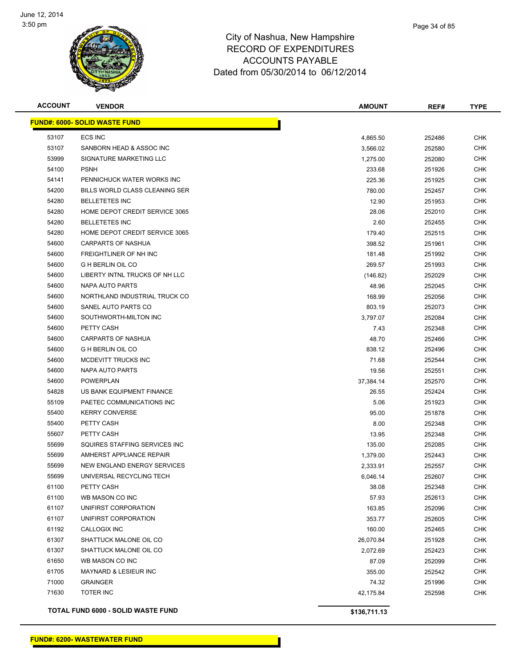

| <b>ACCOUNT</b> | <b>VENDOR</b>                        | <b>AMOUNT</b> | REF#   | <b>TYPE</b> |
|----------------|--------------------------------------|---------------|--------|-------------|
|                | <b>FUND#: 6000- SOLID WASTE FUND</b> |               |        |             |
| 53107          | <b>ECS INC</b>                       | 4,865.50      | 252486 | <b>CHK</b>  |
| 53107          | SANBORN HEAD & ASSOC INC             | 3,566.02      | 252580 | <b>CHK</b>  |
| 53999          | SIGNATURE MARKETING LLC              | 1,275.00      | 252080 | <b>CHK</b>  |
| 54100          | <b>PSNH</b>                          | 233.68        | 251926 | <b>CHK</b>  |
| 54141          | PENNICHUCK WATER WORKS INC           | 225.36        | 251925 | <b>CHK</b>  |
| 54200          | BILLS WORLD CLASS CLEANING SER       | 780.00        | 252457 | <b>CHK</b>  |
| 54280          | <b>BELLETETES INC</b>                | 12.90         | 251953 | <b>CHK</b>  |
| 54280          | HOME DEPOT CREDIT SERVICE 3065       | 28.06         | 252010 | <b>CHK</b>  |
| 54280          | <b>BELLETETES INC</b>                | 2.60          | 252455 | <b>CHK</b>  |
| 54280          | HOME DEPOT CREDIT SERVICE 3065       | 179.40        | 252515 | <b>CHK</b>  |
| 54600          | CARPARTS OF NASHUA                   | 398.52        | 251961 | <b>CHK</b>  |
| 54600          | FREIGHTLINER OF NH INC               | 181.48        | 251992 | <b>CHK</b>  |
| 54600          | <b>G H BERLIN OIL CO</b>             | 269.57        | 251993 | <b>CHK</b>  |
| 54600          | LIBERTY INTNL TRUCKS OF NH LLC       | (146.82)      | 252029 | <b>CHK</b>  |
| 54600          | NAPA AUTO PARTS                      | 48.96         | 252045 | <b>CHK</b>  |
| 54600          | NORTHLAND INDUSTRIAL TRUCK CO        | 168.99        | 252056 | <b>CHK</b>  |
| 54600          | SANEL AUTO PARTS CO                  | 803.19        | 252073 | <b>CHK</b>  |
| 54600          | SOUTHWORTH-MILTON INC                | 3,797.07      | 252084 | <b>CHK</b>  |
| 54600          | PETTY CASH                           | 7.43          | 252348 | <b>CHK</b>  |
| 54600          | <b>CARPARTS OF NASHUA</b>            | 48.70         | 252466 | <b>CHK</b>  |
| 54600          | <b>G H BERLIN OIL CO</b>             | 838.12        | 252496 | <b>CHK</b>  |
| 54600          | MCDEVITT TRUCKS INC                  | 71.68         | 252544 | <b>CHK</b>  |
| 54600          | NAPA AUTO PARTS                      | 19.56         | 252551 | <b>CHK</b>  |
| 54600          | <b>POWERPLAN</b>                     | 37,384.14     | 252570 | <b>CHK</b>  |
| 54828          | US BANK EQUIPMENT FINANCE            | 26.55         | 252424 | <b>CHK</b>  |
| 55109          | PAETEC COMMUNICATIONS INC            | 5.06          | 251923 | <b>CHK</b>  |
| 55400          | <b>KERRY CONVERSE</b>                | 95.00         | 251878 | <b>CHK</b>  |
| 55400          | PETTY CASH                           | 8.00          | 252348 | <b>CHK</b>  |
| 55607          | PETTY CASH                           | 13.95         | 252348 | <b>CHK</b>  |
| 55699          | SQUIRES STAFFING SERVICES INC        | 135.00        | 252085 | CHK         |
| 55699          | AMHERST APPLIANCE REPAIR             | 1,379.00      | 252443 | <b>CHK</b>  |
| 55699          | NEW ENGLAND ENERGY SERVICES          | 2,333.91      | 252557 | <b>CHK</b>  |
| 55699          | UNIVERSAL RECYCLING TECH             | 6,046.14      | 252607 | <b>CHK</b>  |
| 61100          | PETTY CASH                           | 38.08         | 252348 | <b>CHK</b>  |
| 61100          | WB MASON CO INC                      | 57.93         | 252613 | <b>CHK</b>  |
| 61107          | UNIFIRST CORPORATION                 | 163.85        | 252096 | <b>CHK</b>  |
| 61107          | UNIFIRST CORPORATION                 | 353.77        | 252605 | <b>CHK</b>  |
| 61192          | CALLOGIX INC                         | 160.00        | 252465 | <b>CHK</b>  |
| 61307          | SHATTUCK MALONE OIL CO               | 26,070.84     | 251928 | <b>CHK</b>  |
| 61307          | SHATTUCK MALONE OIL CO               | 2,072.69      | 252423 | <b>CHK</b>  |
| 61650          | WB MASON CO INC                      | 87.09         | 252099 | <b>CHK</b>  |
| 61705          | <b>MAYNARD &amp; LESIEUR INC</b>     | 355.00        | 252542 | <b>CHK</b>  |
| 71000          | <b>GRAINGER</b>                      | 74.32         | 251996 | <b>CHK</b>  |
| 71630          | <b>TOTER INC</b>                     | 42,175.84     | 252598 | <b>CHK</b>  |
|                |                                      |               |        |             |

**TOTAL FUND 6000 - SOLID WASTE FUND \$136,711.13**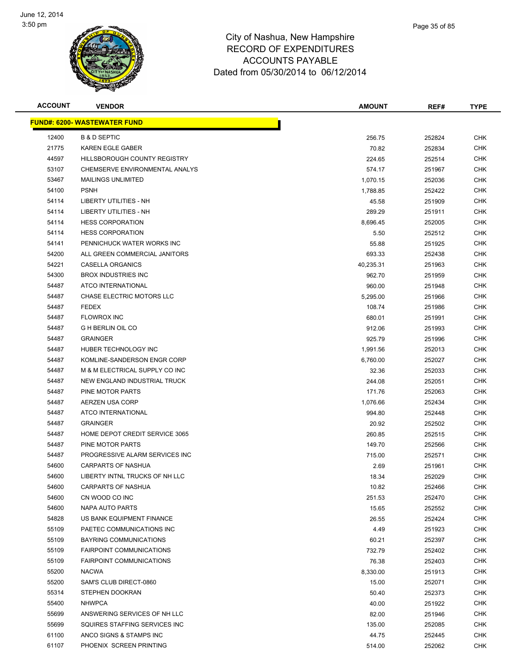

| <b>ACCOUNT</b> | <b>VENDOR</b>                       | <b>AMOUNT</b> | REF#   | <b>TYPE</b> |
|----------------|-------------------------------------|---------------|--------|-------------|
|                | <b>FUND#: 6200- WASTEWATER FUND</b> |               |        |             |
| 12400          | <b>B &amp; D SEPTIC</b>             | 256.75        | 252824 | <b>CHK</b>  |
| 21775          | <b>KAREN EGLE GABER</b>             | 70.82         | 252834 | CHK         |
| 44597          | HILLSBOROUGH COUNTY REGISTRY        | 224.65        | 252514 | CHK         |
| 53107          | CHEMSERVE ENVIRONMENTAL ANALYS      | 574.17        | 251967 | CHK         |
| 53467          | <b>MAILINGS UNLIMITED</b>           | 1,070.15      | 252036 | CHK         |
| 54100          | <b>PSNH</b>                         | 1,788.85      | 252422 | <b>CHK</b>  |
| 54114          | LIBERTY UTILITIES - NH              | 45.58         | 251909 | CHK         |
| 54114          | LIBERTY UTILITIES - NH              | 289.29        | 251911 | CHK         |
| 54114          | <b>HESS CORPORATION</b>             | 8,696.45      | 252005 | <b>CHK</b>  |
| 54114          | <b>HESS CORPORATION</b>             | 5.50          | 252512 | CHK         |
| 54141          | PENNICHUCK WATER WORKS INC          | 55.88         | 251925 | CHK         |
| 54200          | ALL GREEN COMMERCIAL JANITORS       | 693.33        | 252438 | CHK         |
| 54221          | CASELLA ORGANICS                    | 40,235.31     | 251963 | CHK         |
| 54300          | <b>BROX INDUSTRIES INC</b>          | 962.70        | 251959 | CHK         |
| 54487          | ATCO INTERNATIONAL                  | 960.00        | 251948 | CHK         |
| 54487          | CHASE ELECTRIC MOTORS LLC           | 5,295.00      | 251966 | CHK         |
| 54487          | <b>FEDEX</b>                        | 108.74        | 251986 | <b>CHK</b>  |
| 54487          | <b>FLOWROX INC</b>                  | 680.01        | 251991 | <b>CHK</b>  |
| 54487          | <b>G H BERLIN OIL CO</b>            | 912.06        | 251993 | <b>CHK</b>  |
| 54487          | <b>GRAINGER</b>                     | 925.79        | 251996 | <b>CHK</b>  |
| 54487          | HUBER TECHNOLOGY INC                | 1,991.56      | 252013 | CHK         |
| 54487          | KOMLINE-SANDERSON ENGR CORP         | 6,760.00      | 252027 | CHK         |
| 54487          | M & M ELECTRICAL SUPPLY CO INC      | 32.36         | 252033 | CHK         |
| 54487          | NEW ENGLAND INDUSTRIAL TRUCK        | 244.08        | 252051 | CHK         |
| 54487          | PINE MOTOR PARTS                    | 171.76        | 252063 | CHK         |
| 54487          | AERZEN USA CORP                     | 1,076.66      | 252434 | CHK         |
| 54487          | ATCO INTERNATIONAL                  | 994.80        | 252448 | CHK         |
| 54487          | <b>GRAINGER</b>                     | 20.92         | 252502 | <b>CHK</b>  |
| 54487          | HOME DEPOT CREDIT SERVICE 3065      | 260.85        | 252515 | CHK         |
| 54487          | PINE MOTOR PARTS                    | 149.70        | 252566 | CHK         |
| 54487          | PROGRESSIVE ALARM SERVICES INC      | 715.00        | 252571 | CHK         |
| 54600          | <b>CARPARTS OF NASHUA</b>           | 2.69          | 251961 | CHK         |
| 54600          | LIBERTY INTNL TRUCKS OF NH LLC      | 18.34         | 252029 | <b>CHK</b>  |
| 54600          | CARPARTS OF NASHUA                  | 10.82         | 252466 | <b>CHK</b>  |
| 54600          | CN WOOD CO INC                      | 251.53        | 252470 | CHK         |
| 54600          | NAPA AUTO PARTS                     | 15.65         | 252552 | <b>CHK</b>  |
| 54828          | US BANK EQUIPMENT FINANCE           | 26.55         | 252424 | <b>CHK</b>  |
| 55109          | PAETEC COMMUNICATIONS INC           | 4.49          | 251923 | <b>CHK</b>  |
| 55109          | BAYRING COMMUNICATIONS              | 60.21         | 252397 | <b>CHK</b>  |
| 55109          | <b>FAIRPOINT COMMUNICATIONS</b>     | 732.79        | 252402 | <b>CHK</b>  |
| 55109          | <b>FAIRPOINT COMMUNICATIONS</b>     | 76.38         | 252403 | CHK         |
| 55200          | <b>NACWA</b>                        | 8,330.00      | 251913 | <b>CHK</b>  |
| 55200          | SAM'S CLUB DIRECT-0860              | 15.00         | 252071 | CHK         |
| 55314          | STEPHEN DOOKRAN                     | 50.40         | 252373 | CHK         |
| 55400          | <b>NHWPCA</b>                       | 40.00         | 251922 | CHK         |
| 55699          | ANSWERING SERVICES OF NH LLC        | 82.00         | 251946 | CHK         |
| 55699          | SQUIRES STAFFING SERVICES INC       | 135.00        | 252085 | <b>CHK</b>  |
| 61100          | ANCO SIGNS & STAMPS INC             | 44.75         | 252445 | <b>CHK</b>  |
| 61107          | PHOENIX SCREEN PRINTING             | 514.00        | 252062 | <b>CHK</b>  |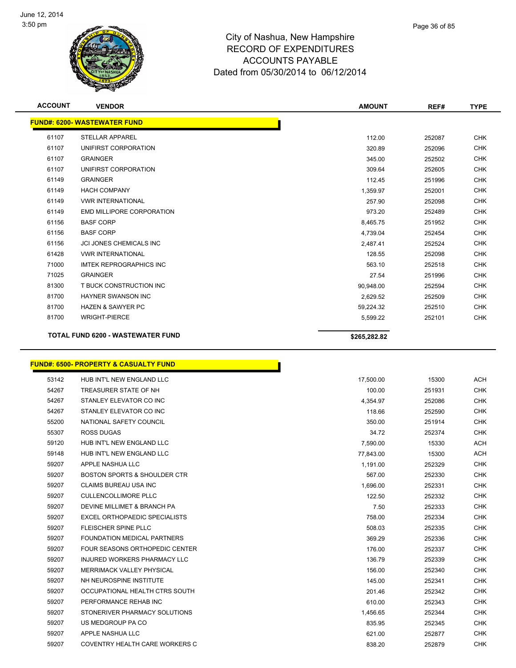

| ACCOUNTS PAYABLE                   |  |
|------------------------------------|--|
| ated from 05/30/2014 to 06/12/2014 |  |
|                                    |  |
|                                    |  |
|                                    |  |

| <b>ACCOUNT</b> | <b>VENDOR</b>                            | <b>AMOUNT</b> | REF#   | <b>TYPE</b> |
|----------------|------------------------------------------|---------------|--------|-------------|
|                | <b>FUND#: 6200-WASTEWATER FUND</b>       |               |        |             |
| 61107          | <b>STELLAR APPAREL</b>                   | 112.00        | 252087 | <b>CHK</b>  |
| 61107          | UNIFIRST CORPORATION                     | 320.89        | 252096 | <b>CHK</b>  |
| 61107          | <b>GRAINGER</b>                          | 345.00        | 252502 | <b>CHK</b>  |
| 61107          | UNIFIRST CORPORATION                     | 309.64        | 252605 | <b>CHK</b>  |
| 61149          | <b>GRAINGER</b>                          | 112.45        | 251996 | <b>CHK</b>  |
| 61149          | <b>HACH COMPANY</b>                      | 1,359.97      | 252001 | <b>CHK</b>  |
| 61149          | <b>VWR INTERNATIONAL</b>                 | 257.90        | 252098 | <b>CHK</b>  |
| 61149          | <b>EMD MILLIPORE CORPORATION</b>         | 973.20        | 252489 | <b>CHK</b>  |
| 61156          | <b>BASF CORP</b>                         | 8,465.75      | 251952 | <b>CHK</b>  |
| 61156          | <b>BASF CORP</b>                         | 4,739.04      | 252454 | <b>CHK</b>  |
| 61156          | <b>JCI JONES CHEMICALS INC</b>           | 2,487.41      | 252524 | <b>CHK</b>  |
| 61428          | <b>VWR INTERNATIONAL</b>                 | 128.55        | 252098 | <b>CHK</b>  |
| 71000          | <b>IMTEK REPROGRAPHICS INC</b>           | 563.10        | 252518 | <b>CHK</b>  |
| 71025          | <b>GRAINGER</b>                          | 27.54         | 251996 | <b>CHK</b>  |
| 81300          | T BUCK CONSTRUCTION INC                  | 90.948.00     | 252594 | <b>CHK</b>  |
| 81700          | <b>HAYNER SWANSON INC</b>                | 2,629.52      | 252509 | <b>CHK</b>  |
| 81700          | <b>HAZEN &amp; SAWYER PC</b>             | 59,224.32     | 252510 | <b>CHK</b>  |
| 81700          | <b>WRIGHT-PIERCE</b>                     | 5,599.22      | 252101 | <b>CHK</b>  |
|                | <b>TOTAL FUND 6200 - WASTEWATER FUND</b> | \$265,282.82  |        |             |

# **FUND#: 6500- PROPERTY & CASUALTY FUND**

| 53142 | HUB INT'L NEW ENGLAND LLC               | 17,500.00 | 15300  | <b>ACH</b> |
|-------|-----------------------------------------|-----------|--------|------------|
| 54267 | TREASURER STATE OF NH                   | 100.00    | 251931 | <b>CHK</b> |
| 54267 | STANLEY ELEVATOR CO INC                 | 4,354.97  | 252086 | <b>CHK</b> |
| 54267 | STANLEY ELEVATOR CO INC                 | 118.66    | 252590 | <b>CHK</b> |
| 55200 | NATIONAL SAFETY COUNCIL                 | 350.00    | 251914 | <b>CHK</b> |
| 55307 | <b>ROSS DUGAS</b>                       | 34.72     | 252374 | <b>CHK</b> |
| 59120 | HUB INT'L NEW ENGLAND LLC               | 7,590.00  | 15330  | <b>ACH</b> |
| 59148 | HUB INT'L NEW ENGLAND LLC               | 77,843.00 | 15300  | <b>ACH</b> |
| 59207 | APPLE NASHUA LLC                        | 1,191.00  | 252329 | <b>CHK</b> |
| 59207 | <b>BOSTON SPORTS &amp; SHOULDER CTR</b> | 567.00    | 252330 | <b>CHK</b> |
| 59207 | <b>CLAIMS BUREAU USA INC</b>            | 1,696.00  | 252331 | <b>CHK</b> |
| 59207 | <b>CULLENCOLLIMORE PLLC</b>             | 122.50    | 252332 | <b>CHK</b> |
| 59207 | DEVINE MILLIMET & BRANCH PA             | 7.50      | 252333 | <b>CHK</b> |
| 59207 | EXCEL ORTHOPAEDIC SPECIALISTS           | 758.00    | 252334 | <b>CHK</b> |
| 59207 | <b>FLEISCHER SPINE PLLC</b>             | 508.03    | 252335 | <b>CHK</b> |
| 59207 | <b>FOUNDATION MEDICAL PARTNERS</b>      | 369.29    | 252336 | <b>CHK</b> |
| 59207 | <b>FOUR SEASONS ORTHOPEDIC CENTER</b>   | 176.00    | 252337 | <b>CHK</b> |
| 59207 | <b>INJURED WORKERS PHARMACY LLC</b>     | 136.79    | 252339 | <b>CHK</b> |
| 59207 | <b>MERRIMACK VALLEY PHYSICAL</b>        | 156.00    | 252340 | <b>CHK</b> |
| 59207 | NH NEUROSPINE INSTITUTE                 | 145.00    | 252341 | <b>CHK</b> |
| 59207 | OCCUPATIONAL HEALTH CTRS SOUTH          | 201.46    | 252342 | <b>CHK</b> |
| 59207 | PERFORMANCE REHAB INC                   | 610.00    | 252343 | <b>CHK</b> |
| 59207 | STONERIVER PHARMACY SOLUTIONS           | 1,456.65  | 252344 | <b>CHK</b> |
| 59207 | US MEDGROUP PA CO                       | 835.95    | 252345 | <b>CHK</b> |
| 59207 | APPLE NASHUA LLC                        | 621.00    | 252877 | <b>CHK</b> |
| 59207 | COVENTRY HEALTH CARE WORKERS C          | 838.20    | 252879 | <b>CHK</b> |

r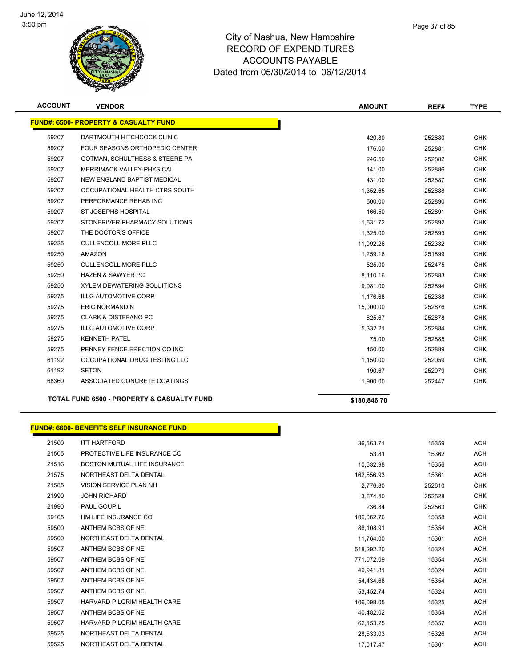

### City of Nashua, New Hampshire RECORD OF EXPENDITURES ACCOUNTS PAYABLE Dated from 05/30/2014 to 06/12/2014

| <b>ACCOUNT</b> | <b>VENDOR</b>                                           | <b>AMOUNT</b> | REF#   | <b>TYPE</b> |
|----------------|---------------------------------------------------------|---------------|--------|-------------|
|                | <b>FUND#: 6500- PROPERTY &amp; CASUALTY FUND</b>        |               |        |             |
| 59207          | DARTMOUTH HITCHCOCK CLINIC                              | 420.80        | 252880 | <b>CHK</b>  |
| 59207          | <b>FOUR SEASONS ORTHOPEDIC CENTER</b>                   | 176.00        | 252881 | <b>CHK</b>  |
| 59207          | GOTMAN, SCHULTHESS & STEERE PA                          | 246.50        | 252882 | <b>CHK</b>  |
| 59207          | <b>MERRIMACK VALLEY PHYSICAL</b>                        | 141.00        | 252886 | <b>CHK</b>  |
| 59207          | NEW ENGLAND BAPTIST MEDICAL                             | 431.00        | 252887 | <b>CHK</b>  |
| 59207          | OCCUPATIONAL HEALTH CTRS SOUTH                          | 1,352.65      | 252888 | <b>CHK</b>  |
| 59207          | PERFORMANCE REHAB INC                                   | 500.00        | 252890 | <b>CHK</b>  |
| 59207          | ST JOSEPHS HOSPITAL                                     | 166.50        | 252891 | <b>CHK</b>  |
| 59207          | STONERIVER PHARMACY SOLUTIONS                           | 1,631.72      | 252892 | <b>CHK</b>  |
| 59207          | THE DOCTOR'S OFFICE                                     | 1,325.00      | 252893 | <b>CHK</b>  |
| 59225          | <b>CULLENCOLLIMORE PLLC</b>                             | 11,092.26     | 252332 | <b>CHK</b>  |
| 59250          | <b>AMAZON</b>                                           | 1,259.16      | 251899 | <b>CHK</b>  |
| 59250          | <b>CULLENCOLLIMORE PLLC</b>                             | 525.00        | 252475 | <b>CHK</b>  |
| 59250          | <b>HAZEN &amp; SAWYER PC</b>                            | 8,110.16      | 252883 | <b>CHK</b>  |
| 59250          | <b>XYLEM DEWATERING SOLUITIONS</b>                      | 9,081.00      | 252894 | <b>CHK</b>  |
| 59275          | <b>ILLG AUTOMOTIVE CORP</b>                             | 1,176.68      | 252338 | <b>CHK</b>  |
| 59275          | <b>ERIC NORMANDIN</b>                                   | 15,000.00     | 252876 | <b>CHK</b>  |
| 59275          | <b>CLARK &amp; DISTEFANO PC</b>                         | 825.67        | 252878 | <b>CHK</b>  |
| 59275          | <b>ILLG AUTOMOTIVE CORP</b>                             | 5,332.21      | 252884 | <b>CHK</b>  |
| 59275          | <b>KENNETH PATEL</b>                                    | 75.00         | 252885 | <b>CHK</b>  |
| 59275          | PENNEY FENCE ERECTION CO INC                            | 450.00        | 252889 | <b>CHK</b>  |
| 61192          | OCCUPATIONAL DRUG TESTING LLC                           | 1.150.00      | 252059 | <b>CHK</b>  |
| 61192          | <b>SETON</b>                                            | 190.67        | 252079 | <b>CHK</b>  |
| 68360          | ASSOCIATED CONCRETE COATINGS                            | 1,900.00      | 252447 | <b>CHK</b>  |
|                | TOTAL FUND CESS.<br><b>DROBERTY &amp; OACUALTY FUND</b> |               |        |             |

**TOTAL FUND 6500 - PROPERTY & CASUALTY FUND \$180,846.70** 

|       | <b>FUND#: 6600- BENEFITS SELF INSURANCE FUND</b> |            |        |            |
|-------|--------------------------------------------------|------------|--------|------------|
| 21500 | <b>ITT HARTFORD</b>                              | 36,563.71  | 15359  | <b>ACH</b> |
| 21505 | PROTECTIVE LIFE INSURANCE CO                     | 53.81      | 15362  | <b>ACH</b> |
| 21516 | <b>BOSTON MUTUAL LIFE INSURANCE</b>              | 10,532.98  | 15356  | <b>ACH</b> |
| 21575 | NORTHEAST DELTA DENTAL                           | 162,556.93 | 15361  | ACH        |
| 21585 | VISION SERVICE PLAN NH                           | 2,776.80   | 252610 | <b>CHK</b> |
| 21990 | <b>JOHN RICHARD</b>                              | 3,674.40   | 252528 | <b>CHK</b> |
| 21990 | PAUL GOUPIL                                      | 236.84     | 252563 | <b>CHK</b> |
| 59165 | HM LIFE INSURANCE CO                             | 106,062.76 | 15358  | ACH        |
| 59500 | ANTHEM BCBS OF NE                                | 86,108.91  | 15354  | <b>ACH</b> |
| 59500 | NORTHEAST DELTA DENTAL                           | 11,764.00  | 15361  | <b>ACH</b> |
| 59507 | ANTHEM BCBS OF NE                                | 518,292.20 | 15324  | <b>ACH</b> |
| 59507 | ANTHEM BCBS OF NE                                | 771,072.09 | 15354  | ACH        |
| 59507 | ANTHEM BCBS OF NE                                | 49,941.81  | 15324  | <b>ACH</b> |
| 59507 | ANTHEM BCBS OF NE                                | 54,434.68  | 15354  | ACH        |
| 59507 | ANTHEM BCBS OF NE                                | 53,452.74  | 15324  | <b>ACH</b> |
| 59507 | HARVARD PILGRIM HEALTH CARE                      | 106,098.05 | 15325  | <b>ACH</b> |
| 59507 | ANTHEM BCBS OF NE                                | 40,482.02  | 15354  | ACH        |
| 59507 | HARVARD PILGRIM HEALTH CARE                      | 62,153.25  | 15357  | ACH        |
| 59525 | NORTHEAST DELTA DENTAL                           | 28,533.03  | 15326  | <b>ACH</b> |
| 59525 | NORTHEAST DELTA DENTAL                           | 17,017.47  | 15361  | <b>ACH</b> |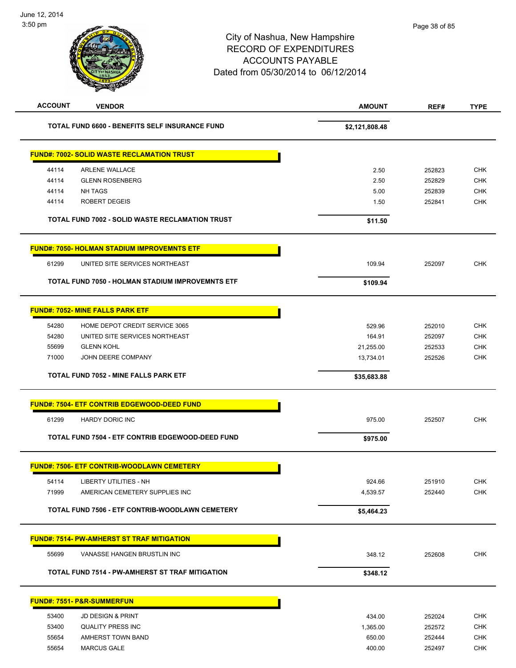# City of Nashua, New Hampshire RECORD OF EXPENDITURES ACCOUNTS PAYABLE Dated from 05/30/2014 to 06/12/2014

| <b>ACCOUNT</b><br><b>VENDOR</b>                         | <b>AMOUNT</b>  | REF#   | <b>TYPE</b> |
|---------------------------------------------------------|----------------|--------|-------------|
| <b>TOTAL FUND 6600 - BENEFITS SELF INSURANCE FUND</b>   | \$2,121,808.48 |        |             |
| <b>FUND#: 7002- SOLID WASTE RECLAMATION TRUST</b>       |                |        |             |
| 44114<br><b>ARLENE WALLACE</b>                          | 2.50           | 252823 | <b>CHK</b>  |
| 44114<br><b>GLENN ROSENBERG</b>                         | 2.50           | 252829 | <b>CHK</b>  |
| 44114<br><b>NH TAGS</b>                                 | 5.00           | 252839 | <b>CHK</b>  |
| <b>ROBERT DEGEIS</b><br>44114                           | 1.50           | 252841 | <b>CHK</b>  |
| <b>TOTAL FUND 7002 - SOLID WASTE RECLAMATION TRUST</b>  | \$11.50        |        |             |
| <b>FUND#: 7050- HOLMAN STADIUM IMPROVEMNTS ETF</b>      |                |        |             |
| UNITED SITE SERVICES NORTHEAST<br>61299                 | 109.94         | 252097 | <b>CHK</b>  |
| <b>TOTAL FUND 7050 - HOLMAN STADIUM IMPROVEMNTS ETF</b> | \$109.94       |        |             |
| <b>FUND#: 7052- MINE FALLS PARK ETF</b>                 |                |        |             |
| 54280<br>HOME DEPOT CREDIT SERVICE 3065                 | 529.96         | 252010 | <b>CHK</b>  |
| 54280<br>UNITED SITE SERVICES NORTHEAST                 | 164.91         | 252097 | <b>CHK</b>  |
| 55699<br><b>GLENN KOHL</b>                              | 21,255.00      | 252533 | <b>CHK</b>  |
| 71000<br>JOHN DEERE COMPANY                             | 13,734.01      | 252526 | <b>CHK</b>  |
| TOTAL FUND 7052 - MINE FALLS PARK ETF                   | \$35,683.88    |        |             |
| <b>FUND#: 7504- ETF CONTRIB EDGEWOOD-DEED FUND</b>      |                |        |             |
| 61299<br><b>HARDY DORIC INC</b>                         | 975.00         | 252507 | <b>CHK</b>  |
| TOTAL FUND 7504 - ETF CONTRIB EDGEWOOD-DEED FUND        | \$975.00       |        |             |
| <b>FUND#: 7506- ETF CONTRIB-WOODLAWN CEMETERY</b>       |                |        |             |
| <b>LIBERTY UTILITIES - NH</b><br>54114                  | 924.66         | 251910 | <b>CHK</b>  |
| AMERICAN CEMETERY SUPPLIES INC<br>71999                 | 4,539.57       | 252440 | <b>CHK</b>  |
| TOTAL FUND 7506 - ETF CONTRIB-WOODLAWN CEMETERY         | \$5,464.23     |        |             |
| <b>FUND#: 7514- PW-AMHERST ST TRAF MITIGATION</b>       |                |        |             |
| 55699<br>VANASSE HANGEN BRUSTLIN INC                    | 348.12         | 252608 | <b>CHK</b>  |
| TOTAL FUND 7514 - PW-AMHERST ST TRAF MITIGATION         | \$348.12       |        |             |
| <b>FUND#: 7551- P&amp;R-SUMMERFUN</b>                   |                |        |             |
| 53400<br>JD DESIGN & PRINT                              | 434.00         | 252024 | <b>CHK</b>  |
| 53400<br><b>QUALITY PRESS INC</b>                       | 1,365.00       | 252572 | CHK         |
| 55654<br>AMHERST TOWN BAND                              | 650.00         | 252444 | <b>CHK</b>  |
| 55654<br><b>MARCUS GALE</b>                             | 400.00         | 252497 | <b>CHK</b>  |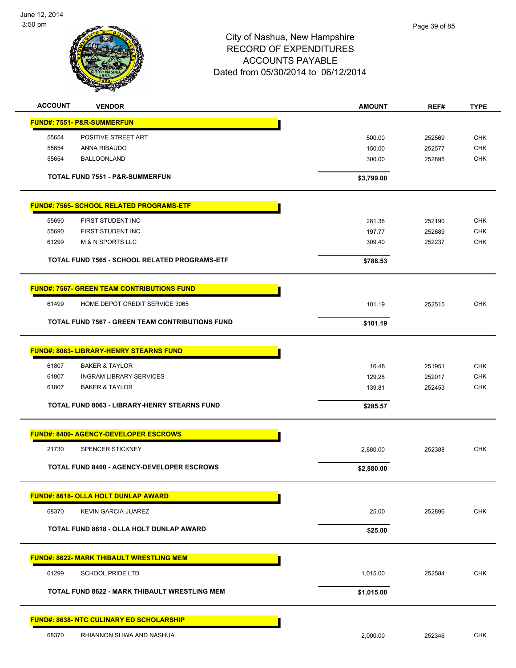

# City of Nashua, New Hampshire RECORD OF EXPENDITURES ACCOUNTS PAYABLE Dated from 05/30/2014 to 06/12/2014

| <b>ACCOUNT</b> | <b>VENDOR</b>                                          | <b>AMOUNT</b>   | REF#             | <b>TYPE</b> |
|----------------|--------------------------------------------------------|-----------------|------------------|-------------|
|                | <b>FUND#: 7551- P&amp;R-SUMMERFUN</b>                  |                 |                  |             |
| 55654          | POSITIVE STREET ART                                    | 500.00          | 252569           | <b>CHK</b>  |
| 55654          | ANNA RIBAUDO                                           | 150.00          | 252577           | <b>CHK</b>  |
| 55654          | <b>BALLOONLAND</b>                                     | 300.00          | 252895           | <b>CHK</b>  |
|                |                                                        |                 |                  |             |
|                | TOTAL FUND 7551 - P&R-SUMMERFUN                        | \$3,799.00      |                  |             |
|                | <b>FUND#: 7565- SCHOOL RELATED PROGRAMS-ETF</b>        |                 |                  |             |
| 55690          | FIRST STUDENT INC                                      | 281.36          | 252190           | <b>CHK</b>  |
| 55690          | FIRST STUDENT INC                                      | 197.77          | 252689           | <b>CHK</b>  |
| 61299          | <b>M &amp; N SPORTS LLC</b>                            | 309.40          | 252237           | <b>CHK</b>  |
|                | TOTAL FUND 7565 - SCHOOL RELATED PROGRAMS-ETF          | \$788.53        |                  |             |
|                |                                                        |                 |                  |             |
|                | <b>FUND#: 7567- GREEN TEAM CONTRIBUTIONS FUND</b>      |                 |                  |             |
| 61499          | HOME DEPOT CREDIT SERVICE 3065                         | 101.19          | 252515           | <b>CHK</b>  |
|                | <b>TOTAL FUND 7567 - GREEN TEAM CONTRIBUTIONS FUND</b> | \$101.19        |                  |             |
|                | <b>FUND#: 8063- LIBRARY-HENRY STEARNS FUND</b>         |                 |                  |             |
| 61807          | <b>BAKER &amp; TAYLOR</b>                              |                 |                  | <b>CHK</b>  |
| 61807          | <b>INGRAM LIBRARY SERVICES</b>                         | 16.48<br>129.28 | 251951<br>252017 | <b>CHK</b>  |
| 61807          | <b>BAKER &amp; TAYLOR</b>                              | 139.81          | 252453           | <b>CHK</b>  |
|                |                                                        |                 |                  |             |
|                | <b>TOTAL FUND 8063 - LIBRARY-HENRY STEARNS FUND</b>    | \$285.57        |                  |             |
|                | <b>FUND#: 8400- AGENCY-DEVELOPER ESCROWS</b>           |                 |                  |             |
| 21730          | SPENCER STICKNEY                                       | 2,880.00        | 252388           | <b>CHK</b>  |
|                | <b>TOTAL FUND 8400 - AGENCY-DEVELOPER ESCROWS</b>      | \$2,880.00      |                  |             |
|                | <b>FUND#: 8618- OLLA HOLT DUNLAP AWARD</b>             |                 |                  |             |
| 68370          | KEVIN GARCIA-JUAREZ                                    | 25.00           | 252896           | <b>CHK</b>  |
|                | TOTAL FUND 8618 - OLLA HOLT DUNLAP AWARD               | \$25.00         |                  |             |
|                |                                                        |                 |                  |             |
|                | <b>FUND#: 8622- MARK THIBAULT WRESTLING MEM</b>        |                 |                  |             |
| 61299          | <b>SCHOOL PRIDE LTD</b>                                | 1,015.00        | 252584           | <b>CHK</b>  |
|                | TOTAL FUND 8622 - MARK THIBAULT WRESTLING MEM          | \$1,015.00      |                  |             |
|                | <b>FUND#: 8638- NTC CULINARY ED SCHOLARSHIP</b>        |                 |                  |             |
| 68370          | RHIANNON SLIWA AND NASHUA                              | 2,000.00        | 252346           | <b>CHK</b>  |
|                |                                                        |                 |                  |             |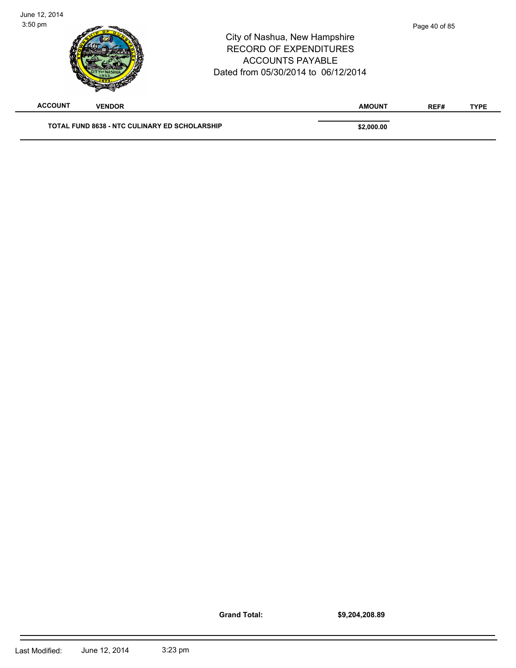| June 12, 2014<br>$3:50$ pm |                                                      | City of Nashua, New Hampshire<br><b>RECORD OF EXPENDITURES</b><br><b>ACCOUNTS PAYABLE</b><br>Dated from 05/30/2014 to 06/12/2014 |               | Page 40 of 85 |             |
|----------------------------|------------------------------------------------------|----------------------------------------------------------------------------------------------------------------------------------|---------------|---------------|-------------|
| <b>ACCOUNT</b>             | <b>VENDOR</b>                                        |                                                                                                                                  | <b>AMOUNT</b> | REF#          | <b>TYPE</b> |
|                            | <b>TOTAL FUND 8638 - NTC CULINARY ED SCHOLARSHIP</b> |                                                                                                                                  | \$2,000.00    |               |             |

**Grand Total:**

 $\overline{\phantom{0}}$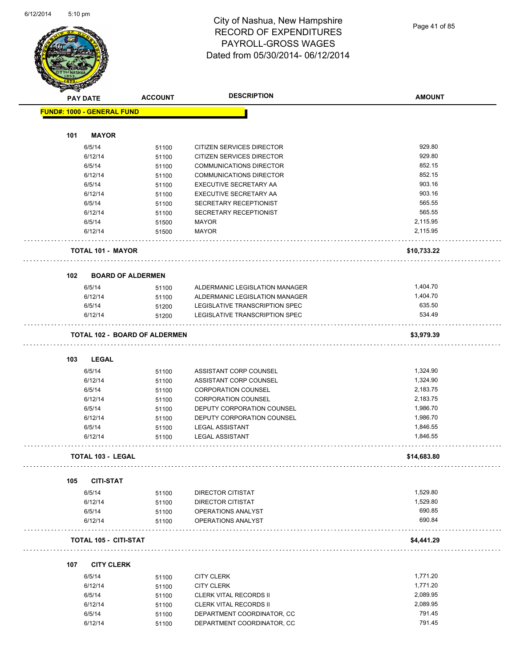Page 41 of 85

| <b>RESERVE</b> |                                      |                |                                |               |
|----------------|--------------------------------------|----------------|--------------------------------|---------------|
|                | <b>PAY DATE</b>                      | <b>ACCOUNT</b> | <b>DESCRIPTION</b>             | <b>AMOUNT</b> |
|                | <b>FUND#: 1000 - GENERAL FUND</b>    |                |                                |               |
|                |                                      |                |                                |               |
| 101            | <b>MAYOR</b>                         |                |                                |               |
|                | 6/5/14                               | 51100          | CITIZEN SERVICES DIRECTOR      | 929.80        |
|                | 6/12/14                              | 51100          | CITIZEN SERVICES DIRECTOR      | 929.80        |
|                | 6/5/14                               | 51100          | <b>COMMUNICATIONS DIRECTOR</b> | 852.15        |
|                | 6/12/14                              | 51100          | <b>COMMUNICATIONS DIRECTOR</b> | 852.15        |
|                | 6/5/14                               | 51100          | EXECUTIVE SECRETARY AA         | 903.16        |
|                | 6/12/14                              | 51100          | EXECUTIVE SECRETARY AA         | 903.16        |
|                | 6/5/14                               | 51100          | SECRETARY RECEPTIONIST         | 565.55        |
|                | 6/12/14                              | 51100          | SECRETARY RECEPTIONIST         | 565.55        |
|                | 6/5/14                               | 51500          | <b>MAYOR</b>                   | 2,115.95      |
|                | 6/12/14                              | 51500          | <b>MAYOR</b>                   | 2,115.95      |
|                | <b>TOTAL 101 - MAYOR</b>             |                |                                | \$10,733.22   |
| 102            | <b>BOARD OF ALDERMEN</b>             |                |                                |               |
|                | 6/5/14                               | 51100          | ALDERMANIC LEGISLATION MANAGER | 1,404.70      |
|                | 6/12/14                              | 51100          | ALDERMANIC LEGISLATION MANAGER | 1,404.70      |
|                | 6/5/14                               | 51200          | LEGISLATIVE TRANSCRIPTION SPEC | 635.50        |
|                | 6/12/14                              | 51200          | LEGISLATIVE TRANSCRIPTION SPEC | 534.49        |
|                | <b>TOTAL 102 - BOARD OF ALDERMEN</b> |                |                                | \$3,979.39    |
|                |                                      |                |                                |               |
| 103            | <b>LEGAL</b>                         |                |                                |               |
|                | 6/5/14                               | 51100          | ASSISTANT CORP COUNSEL         | 1,324.90      |
|                | 6/12/14                              | 51100          | ASSISTANT CORP COUNSEL         | 1,324.90      |
|                | 6/5/14                               | 51100          | <b>CORPORATION COUNSEL</b>     | 2,183.75      |
|                | 6/12/14                              | 51100          | <b>CORPORATION COUNSEL</b>     | 2,183.75      |
|                | 6/5/14                               | 51100          | DEPUTY CORPORATION COUNSEL     | 1,986.70      |
|                | 6/12/14                              | 51100          | DEPUTY CORPORATION COUNSEL     | 1,986.70      |
|                | 6/5/14                               | 51100          | <b>LEGAL ASSISTANT</b>         | 1,846.55      |
|                | 6/12/14                              | 51100          | <b>LEGAL ASSISTANT</b>         | 1,846.55      |
|                | TOTAL 103 - LEGAL                    |                |                                | \$14,683.80   |
| 105            | <b>CITI-STAT</b>                     |                |                                |               |
|                | 6/5/14                               | 51100          | <b>DIRECTOR CITISTAT</b>       | 1,529.80      |
|                | 6/12/14                              | 51100          | DIRECTOR CITISTAT              | 1,529.80      |
|                | 6/5/14                               | 51100          | OPERATIONS ANALYST             | 690.85        |
|                | 6/12/14                              | 51100          | OPERATIONS ANALYST             | 690.84        |
|                | <b>TOTAL 105 - CITI-STAT</b>         |                |                                | \$4,441.29    |
|                |                                      |                |                                |               |
| 107            | <b>CITY CLERK</b>                    |                |                                |               |
|                | 6/5/14                               | 51100          | <b>CITY CLERK</b>              | 1,771.20      |
|                | 6/12/14                              | 51100          | <b>CITY CLERK</b>              | 1,771.20      |
|                | 6/5/14                               | 51100          | <b>CLERK VITAL RECORDS II</b>  | 2,089.95      |
|                | 6/12/14                              | 51100          | <b>CLERK VITAL RECORDS II</b>  | 2,089.95      |
|                | 6/5/14                               | 51100          | DEPARTMENT COORDINATOR, CC     | 791.45        |
|                | 6/12/14                              | 51100          | DEPARTMENT COORDINATOR, CC     | 791.45        |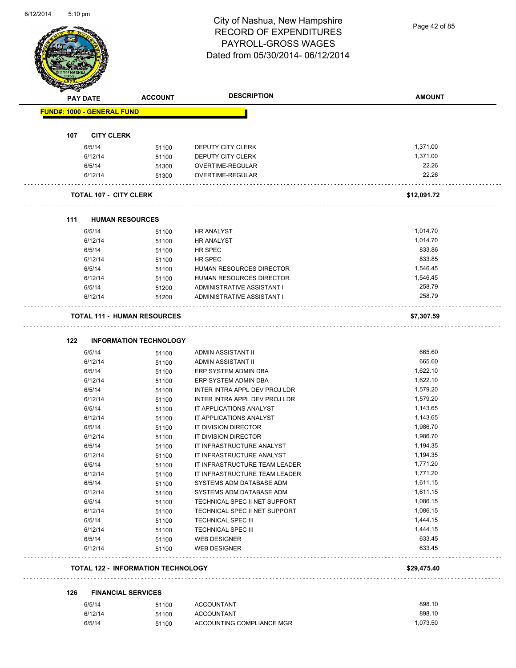

Page 42 of 85

|     | <b>PAY DATE</b>                   | <b>ACCOUNT</b>                            | <b>DESCRIPTION</b>                         | <b>AMOUNT</b>    |
|-----|-----------------------------------|-------------------------------------------|--------------------------------------------|------------------|
|     | <b>FUND#: 1000 - GENERAL FUND</b> |                                           |                                            |                  |
|     |                                   |                                           |                                            |                  |
| 107 | <b>CITY CLERK</b><br>6/5/14       |                                           |                                            | 1,371.00         |
|     | 6/12/14                           | 51100                                     | DEPUTY CITY CLERK<br>DEPUTY CITY CLERK     | 1,371.00         |
|     | 6/5/14                            | 51100                                     | OVERTIME-REGULAR                           | 22.26            |
|     | 6/12/14                           | 51300<br>51300                            | OVERTIME-REGULAR                           | 22.26            |
|     |                                   |                                           |                                            |                  |
|     | <b>TOTAL 107 - CITY CLERK</b>     |                                           |                                            | \$12,091.72      |
| 111 | <b>HUMAN RESOURCES</b>            |                                           |                                            |                  |
|     | 6/5/14                            | 51100                                     | <b>HR ANALYST</b>                          | 1,014.70         |
|     | 6/12/14                           | 51100                                     | <b>HR ANALYST</b>                          | 1,014.70         |
|     | 6/5/14                            | 51100                                     | HR SPEC                                    | 833.86           |
|     | 6/12/14                           | 51100                                     | HR SPEC                                    | 833.85           |
|     | 6/5/14                            | 51100                                     | <b>HUMAN RESOURCES DIRECTOR</b>            | 1,546.45         |
|     | 6/12/14                           | 51100                                     | <b>HUMAN RESOURCES DIRECTOR</b>            | 1,546.45         |
|     | 6/5/14                            | 51200                                     | ADMINISTRATIVE ASSISTANT I                 | 258.79           |
|     | 6/12/14                           | 51200                                     | ADMINISTRATIVE ASSISTANT I                 | 258.79           |
|     |                                   | <b>TOTAL 111 - HUMAN RESOURCES</b>        |                                            | \$7,307.59       |
|     |                                   |                                           |                                            |                  |
| 122 |                                   | <b>INFORMATION TECHNOLOGY</b>             |                                            |                  |
|     | 6/5/14                            | 51100                                     | ADMIN ASSISTANT II                         | 665.60           |
|     | 6/12/14                           | 51100                                     | ADMIN ASSISTANT II                         | 665.60           |
|     | 6/5/14                            | 51100                                     | ERP SYSTEM ADMIN DBA                       | 1,622.10         |
|     | 6/12/14                           | 51100                                     | ERP SYSTEM ADMIN DBA                       | 1,622.10         |
|     | 6/5/14                            | 51100                                     | INTER INTRA APPL DEV PROJ LDR              | 1,579.20         |
|     | 6/12/14                           | 51100                                     | INTER INTRA APPL DEV PROJ LDR              | 1,579.20         |
|     | 6/5/14                            | 51100                                     | IT APPLICATIONS ANALYST                    | 1,143.65         |
|     | 6/12/14                           | 51100                                     | IT APPLICATIONS ANALYST                    | 1,143.65         |
|     | 6/5/14                            | 51100                                     | IT DIVISION DIRECTOR                       | 1,986.70         |
|     | 6/12/14                           | 51100                                     | IT DIVISION DIRECTOR                       | 1,986.70         |
|     | 6/5/14                            | 51100                                     | IT INFRASTRUCTURE ANALYST                  | 1,194.35         |
|     | 6/12/14                           | 51100                                     | IT INFRASTRUCTURE ANALYST                  | 1,194.35         |
|     | 6/5/14                            | 51100                                     | IT INFRASTRUCTURE TEAM LEADER              | 1,771.20         |
|     | 6/12/14                           | 51100                                     | IT INFRASTRUCTURE TEAM LEADER              | 1,771.20         |
|     | 6/5/14                            | 51100                                     | SYSTEMS ADM DATABASE ADM                   | 1,611.15         |
|     | 6/12/14                           | 51100                                     | SYSTEMS ADM DATABASE ADM                   | 1,611.15         |
|     | 6/5/14                            | 51100                                     | TECHNICAL SPEC II NET SUPPORT              | 1,086.15         |
|     | 6/12/14                           | 51100                                     | TECHNICAL SPEC II NET SUPPORT              | 1,086.15         |
|     | 6/5/14                            | 51100                                     | TECHNICAL SPEC III                         | 1,444.15         |
|     | 6/12/14                           | 51100                                     | TECHNICAL SPEC III                         | 1,444.15         |
|     | 6/5/14                            | 51100                                     | <b>WEB DESIGNER</b><br><b>WEB DESIGNER</b> | 633.45<br>633.45 |
|     | 6/12/14                           | 51100                                     |                                            |                  |
|     |                                   | <b>TOTAL 122 - INFORMATION TECHNOLOGY</b> |                                            | \$29,475.40      |
| 126 |                                   | <b>FINANCIAL SERVICES</b>                 |                                            |                  |
|     | 6/5/14                            | 51100                                     | <b>ACCOUNTANT</b>                          | 898.10           |
|     | 6/12/14                           | 51100                                     | <b>ACCOUNTANT</b>                          | 898.10           |
|     | 6/5/14                            | 51100                                     | ACCOUNTING COMPLIANCE MGR                  | 1,073.50         |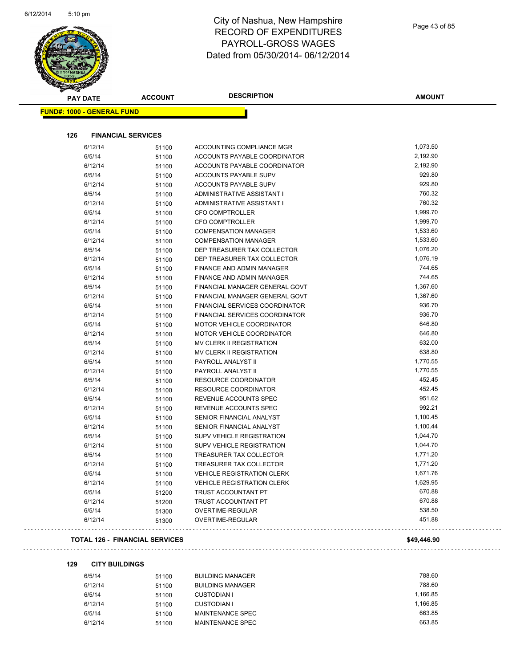

| <b>PAY DATE</b>                   | <b>ACCOUNT</b> | <b>DESCRIPTION</b>                            | <b>AMOUNT</b>      |
|-----------------------------------|----------------|-----------------------------------------------|--------------------|
| <b>FUND#: 1000 - GENERAL FUND</b> |                |                                               |                    |
| 126<br><b>FINANCIAL SERVICES</b>  |                |                                               |                    |
| 6/12/14                           | 51100          | ACCOUNTING COMPLIANCE MGR                     | 1,073.50           |
| 6/5/14                            | 51100          | ACCOUNTS PAYABLE COORDINATOR                  | 2,192.90           |
| 6/12/14                           | 51100          | ACCOUNTS PAYABLE COORDINATOR                  | 2,192.90           |
| 6/5/14                            | 51100          | ACCOUNTS PAYABLE SUPV                         | 929.80             |
| 6/12/14                           | 51100          | ACCOUNTS PAYABLE SUPV                         | 929.80             |
| 6/5/14                            | 51100          | ADMINISTRATIVE ASSISTANT I                    | 760.32             |
| 6/12/14                           | 51100          | ADMINISTRATIVE ASSISTANT I                    | 760.32             |
| 6/5/14                            | 51100          | <b>CFO COMPTROLLER</b>                        | 1,999.70           |
| 6/12/14                           | 51100          | <b>CFO COMPTROLLER</b>                        | 1,999.70           |
| 6/5/14                            | 51100          | <b>COMPENSATION MANAGER</b>                   | 1,533.60           |
| 6/12/14                           | 51100          | <b>COMPENSATION MANAGER</b>                   | 1,533.60           |
| 6/5/14                            | 51100          | DEP TREASURER TAX COLLECTOR                   | 1,076.20           |
| 6/12/14                           | 51100          | DEP TREASURER TAX COLLECTOR                   | 1,076.19           |
| 6/5/14                            | 51100          | FINANCE AND ADMIN MANAGER                     | 744.65             |
| 6/12/14                           | 51100          | FINANCE AND ADMIN MANAGER                     | 744.65             |
| 6/5/14                            | 51100          | FINANCIAL MANAGER GENERAL GOVT                | 1,367.60           |
| 6/12/14                           | 51100          | FINANCIAL MANAGER GENERAL GOVT                | 1,367.60           |
| 6/5/14                            | 51100          | FINANCIAL SERVICES COORDINATOR                | 936.70             |
| 6/12/14                           | 51100          | FINANCIAL SERVICES COORDINATOR                | 936.70             |
| 6/5/14                            | 51100          | MOTOR VEHICLE COORDINATOR                     | 646.80             |
| 6/12/14                           | 51100          | MOTOR VEHICLE COORDINATOR                     | 646.80             |
| 6/5/14                            | 51100          | MV CLERK II REGISTRATION                      | 632.00             |
| 6/12/14                           | 51100          | MV CLERK II REGISTRATION                      | 638.80             |
| 6/5/14                            | 51100          | PAYROLL ANALYST II                            | 1,770.55           |
| 6/12/14                           | 51100          | PAYROLL ANALYST II                            | 1,770.55<br>452.45 |
| 6/5/14                            | 51100          | RESOURCE COORDINATOR                          | 452.45             |
| 6/12/14<br>6/5/14                 | 51100          | RESOURCE COORDINATOR<br>REVENUE ACCOUNTS SPEC | 951.62             |
| 6/12/14                           | 51100<br>51100 | REVENUE ACCOUNTS SPEC                         | 992.21             |
| 6/5/14                            | 51100          | SENIOR FINANCIAL ANALYST                      | 1,100.45           |
| 6/12/14                           | 51100          | SENIOR FINANCIAL ANALYST                      | 1,100.44           |
| 6/5/14                            | 51100          | <b>SUPV VEHICLE REGISTRATION</b>              | 1,044.70           |
| 6/12/14                           | 51100          | <b>SUPV VEHICLE REGISTRATION</b>              | 1,044.70           |
| 6/5/14                            | 51100          | TREASURER TAX COLLECTOR                       | 1,771.20           |
| 6/12/14                           | 51100          | TREASURER TAX COLLECTOR                       | 1,771.20           |
| 6/5/14                            | 51100          | <b>VEHICLE REGISTRATION CLERK</b>             | 1,671.76           |
| 6/12/14                           | 51100          | <b>VEHICLE REGISTRATION CLERK</b>             | 1,629.95           |
| 6/5/14                            | 51200          | TRUST ACCOUNTANT PT                           | 670.88             |
| 6/12/14                           | 51200          | TRUST ACCOUNTANT PT                           | 670.88             |
| 6/5/14                            | 51300          | OVERTIME-REGULAR                              | 538.50             |
| 6/12/14                           | 51300          | OVERTIME-REGULAR                              | 451.88             |

#### **TOTAL 126 - FINANCIAL SERVICES \$49,446.90**

#### **129 CITY BUILDINGS**

 $\omega$  is  $\omega$ 

| 6/5/14  | 51100 | <b>BUILDING MANAGER</b> | 788.60   |
|---------|-------|-------------------------|----------|
| 6/12/14 | 51100 | <b>BUILDING MANAGER</b> | 788.60   |
| 6/5/14  | 51100 | <b>CUSTODIAN I</b>      | 1.166.85 |
| 6/12/14 | 51100 | <b>CUSTODIAN I</b>      | 1.166.85 |
| 6/5/14  | 51100 | MAINTENANCE SPEC        | 663.85   |
| 6/12/14 | 51100 | MAINTENANCE SPEC        | 663.85   |
|         |       |                         |          |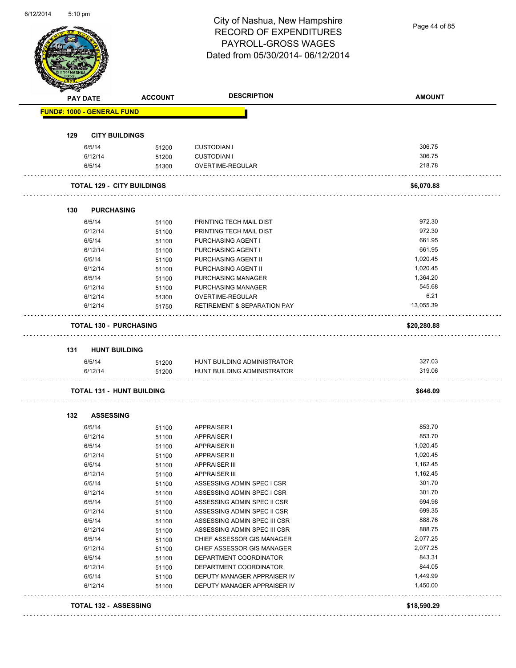Page 44 of 85

| <b>PAY DATE</b>                   | <b>ACCOUNT</b>                    | <b>DESCRIPTION</b>                            | <b>AMOUNT</b> |
|-----------------------------------|-----------------------------------|-----------------------------------------------|---------------|
| <b>FUND#: 1000 - GENERAL FUND</b> |                                   |                                               |               |
| 129                               | <b>CITY BUILDINGS</b>             |                                               |               |
| 6/5/14                            | 51200                             | <b>CUSTODIAN I</b>                            | 306.75        |
| 6/12/14                           | 51200                             | <b>CUSTODIAN I</b>                            | 306.75        |
| 6/5/14                            | 51300                             | OVERTIME-REGULAR                              | 218.78        |
|                                   | <b>TOTAL 129 - CITY BUILDINGS</b> |                                               | \$6,070.88    |
| <b>PURCHASING</b><br>130          |                                   |                                               |               |
|                                   |                                   |                                               | 972.30        |
| 6/5/14                            | 51100                             | PRINTING TECH MAIL DIST                       | 972.30        |
| 6/12/14<br>6/5/14                 | 51100                             | PRINTING TECH MAIL DIST<br>PURCHASING AGENT I | 661.95        |
| 6/12/14                           | 51100<br>51100                    | PURCHASING AGENT I                            | 661.95        |
| 6/5/14                            | 51100                             | <b>PURCHASING AGENT II</b>                    | 1,020.45      |
| 6/12/14                           | 51100                             | PURCHASING AGENT II                           | 1,020.45      |
| 6/5/14                            | 51100                             | PURCHASING MANAGER                            | 1,364.20      |
| 6/12/14                           | 51100                             | PURCHASING MANAGER                            | 545.68        |
| 6/12/14                           | 51300                             | OVERTIME-REGULAR                              | 6.21          |
| 6/12/14                           | 51750                             | <b>RETIREMENT &amp; SEPARATION PAY</b>        | 13,055.39     |
| <b>TOTAL 130 - PURCHASING</b>     |                                   |                                               | \$20,280.88   |
| 131                               | <b>HUNT BUILDING</b>              |                                               |               |
| 6/5/14                            | 51200                             | HUNT BUILDING ADMINISTRATOR                   | 327.03        |
| 6/12/14                           | 51200                             | HUNT BUILDING ADMINISTRATOR                   | 319.06        |
|                                   | <b>TOTAL 131 - HUNT BUILDING</b>  |                                               | \$646.09      |
| <b>ASSESSING</b><br>132           |                                   |                                               |               |
| 6/5/14                            | 51100                             | <b>APPRAISER I</b>                            | 853.70        |
| 6/12/14                           | 51100                             | <b>APPRAISER I</b>                            | 853.70        |
| 6/5/14                            | 51100                             | APPRAISER II                                  | 1,020.45      |
| 6/12/14                           | 51100                             | <b>APPRAISER II</b>                           | 1,020.45      |
| 6/5/14                            | 51100                             | APPRAISER III                                 | 1,162.45      |
| 6/12/14                           | 51100                             | <b>APPRAISER III</b>                          | 1,162.45      |
| 6/5/14                            | 51100                             | ASSESSING ADMIN SPEC I CSR                    | 301.70        |
| 6/12/14                           | 51100                             | ASSESSING ADMIN SPEC I CSR                    | 301.70        |
| 6/5/14                            | 51100                             | ASSESSING ADMIN SPEC II CSR                   | 694.98        |
| 6/12/14                           | 51100                             | ASSESSING ADMIN SPEC II CSR                   | 699.35        |
| 6/5/14                            | 51100                             | ASSESSING ADMIN SPEC III CSR                  | 888.76        |
| 6/12/14                           | 51100                             | ASSESSING ADMIN SPEC III CSR                  | 888.75        |
| 6/5/14                            | 51100                             | CHIEF ASSESSOR GIS MANAGER                    | 2,077.25      |
| 6/12/14                           | 51100                             | CHIEF ASSESSOR GIS MANAGER                    | 2,077.25      |
| 6/5/14                            | 51100                             | DEPARTMENT COORDINATOR                        | 843.31        |
| 6/12/14                           | 51100                             | DEPARTMENT COORDINATOR                        | 844.05        |
| 6/5/14                            | 51100                             | DEPUTY MANAGER APPRAISER IV                   | 1,449.99      |
| 6/12/14                           | 51100                             | DEPUTY MANAGER APPRAISER IV                   | 1,450.00      |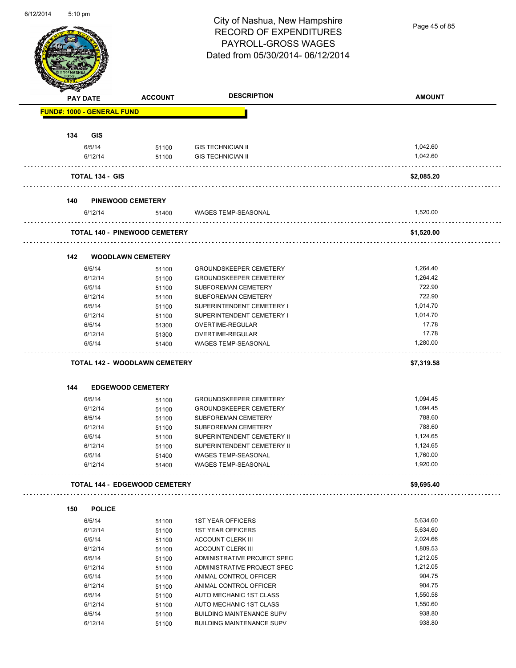Page 45 of 85

|     | <b>PAY DATE</b>        | <b>ACCOUNT</b>                       | <b>DESCRIPTION</b>               | <b>AMOUNT</b> |
|-----|------------------------|--------------------------------------|----------------------------------|---------------|
|     |                        | <b>FUND#: 1000 - GENERAL FUND</b>    |                                  |               |
|     |                        |                                      |                                  |               |
| 134 | <b>GIS</b>             |                                      |                                  |               |
|     | 6/5/14                 | 51100                                | <b>GIS TECHNICIAN II</b>         | 1,042.60      |
|     | 6/12/14                | 51100                                | <b>GIS TECHNICIAN II</b>         | 1,042.60      |
|     | <b>TOTAL 134 - GIS</b> |                                      |                                  | \$2,085.20    |
| 140 |                        | <b>PINEWOOD CEMETERY</b>             |                                  |               |
|     | 6/12/14                | 51400                                | WAGES TEMP-SEASONAL              | 1,520.00      |
|     |                        | <b>TOTAL 140 - PINEWOOD CEMETERY</b> |                                  | \$1,520.00    |
| 142 |                        | <b>WOODLAWN CEMETERY</b>             |                                  |               |
|     | 6/5/14                 | 51100                                | <b>GROUNDSKEEPER CEMETERY</b>    | 1,264.40      |
|     | 6/12/14                | 51100                                | <b>GROUNDSKEEPER CEMETERY</b>    | 1,264.42      |
|     | 6/5/14                 | 51100                                | <b>SUBFOREMAN CEMETERY</b>       | 722.90        |
|     | 6/12/14                | 51100                                | SUBFOREMAN CEMETERY              | 722.90        |
|     | 6/5/14                 | 51100                                | SUPERINTENDENT CEMETERY I        | 1,014.70      |
|     | 6/12/14                | 51100                                | SUPERINTENDENT CEMETERY I        | 1,014.70      |
|     | 6/5/14                 | 51300                                | OVERTIME-REGULAR                 | 17.78         |
|     | 6/12/14                | 51300                                | OVERTIME-REGULAR                 | 17.78         |
|     | 6/5/14                 | 51400                                | WAGES TEMP-SEASONAL              | 1,280.00      |
|     |                        | <b>TOTAL 142 - WOODLAWN CEMETERY</b> |                                  | \$7,319.58    |
| 144 |                        | <b>EDGEWOOD CEMETERY</b>             |                                  |               |
|     | 6/5/14                 | 51100                                | <b>GROUNDSKEEPER CEMETERY</b>    | 1,094.45      |
|     | 6/12/14                | 51100                                | <b>GROUNDSKEEPER CEMETERY</b>    | 1,094.45      |
|     | 6/5/14                 | 51100                                | SUBFOREMAN CEMETERY              | 788.60        |
|     | 6/12/14                | 51100                                | SUBFOREMAN CEMETERY              | 788.60        |
|     | 6/5/14                 | 51100                                | SUPERINTENDENT CEMETERY II       | 1,124.65      |
|     | 6/12/14                | 51100                                | SUPERINTENDENT CEMETERY II       | 1,124.65      |
|     | 6/5/14                 | 51400                                | WAGES TEMP-SEASONAL              | 1,760.00      |
|     | 6/12/14                | 51400                                | WAGES TEMP-SEASONAL              | 1,920.00      |
|     |                        | <b>TOTAL 144 - EDGEWOOD CEMETERY</b> |                                  | \$9,695.40    |
| 150 | <b>POLICE</b>          |                                      |                                  |               |
|     |                        |                                      |                                  | 5,634.60      |
|     | 6/5/14                 | 51100                                | <b>1ST YEAR OFFICERS</b>         |               |
|     | 6/12/14                | 51100                                | <b>1ST YEAR OFFICERS</b>         | 5,634.60      |
|     | 6/5/14                 | 51100                                | <b>ACCOUNT CLERK III</b>         | 2,024.66      |
|     | 6/12/14                | 51100                                | ACCOUNT CLERK III                | 1,809.53      |
|     | 6/5/14                 | 51100                                | ADMINISTRATIVE PROJECT SPEC      | 1,212.05      |
|     | 6/12/14                | 51100                                | ADMINISTRATIVE PROJECT SPEC      | 1,212.05      |
|     | 6/5/14                 | 51100                                | ANIMAL CONTROL OFFICER           | 904.75        |
|     | 6/12/14                | 51100                                | ANIMAL CONTROL OFFICER           | 904.75        |
|     |                        |                                      |                                  | 1,550.58      |
|     | 6/5/14                 | 51100                                | AUTO MECHANIC 1ST CLASS          |               |
|     | 6/12/14                | 51100                                | AUTO MECHANIC 1ST CLASS          | 1,550.60      |
|     | 6/5/14                 | 51100                                | <b>BUILDING MAINTENANCE SUPV</b> | 938.80        |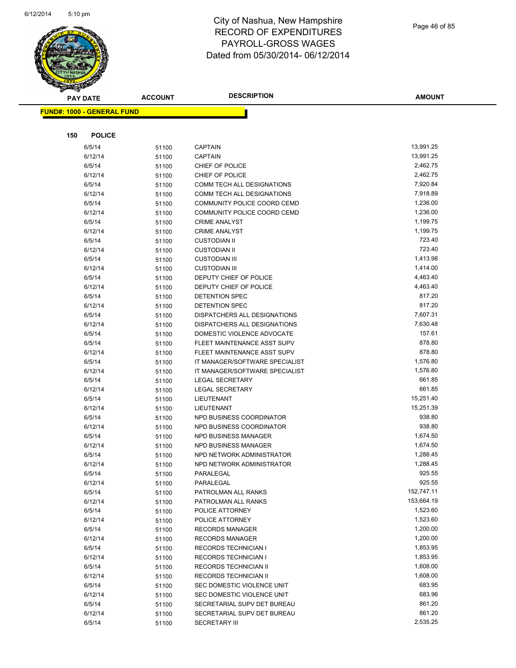

| $\tilde{\phantom{a}}$<br><b>PAY DATE</b> | <b>ACCOUNT</b> | <b>DESCRIPTION</b>               | <b>AMOUNT</b> |
|------------------------------------------|----------------|----------------------------------|---------------|
| <b>FUND#: 1000 - GENERAL FUND</b>        |                |                                  |               |
|                                          |                |                                  |               |
| <b>POLICE</b><br>150                     |                |                                  |               |
|                                          |                |                                  | 13,991.25     |
| 6/5/14<br>6/12/14                        | 51100          | <b>CAPTAIN</b><br><b>CAPTAIN</b> | 13,991.25     |
| 6/5/14                                   | 51100          | CHIEF OF POLICE                  | 2,462.75      |
| 6/12/14                                  | 51100          | CHIEF OF POLICE                  | 2,462.75      |
| 6/5/14                                   | 51100<br>51100 | COMM TECH ALL DESIGNATIONS       | 7,920.84      |
| 6/12/14                                  | 51100          | COMM TECH ALL DESIGNATIONS       | 7,918.89      |
| 6/5/14                                   | 51100          | COMMUNITY POLICE COORD CEMD      | 1,236.00      |
| 6/12/14                                  | 51100          | COMMUNITY POLICE COORD CEMD      | 1,236.00      |
| 6/5/14                                   | 51100          | <b>CRIME ANALYST</b>             | 1,199.75      |
| 6/12/14                                  | 51100          | <b>CRIME ANALYST</b>             | 1,199.75      |
| 6/5/14                                   | 51100          | <b>CUSTODIAN II</b>              | 723.40        |
| 6/12/14                                  | 51100          | <b>CUSTODIAN II</b>              | 723.40        |
| 6/5/14                                   | 51100          | <b>CUSTODIAN III</b>             | 1,413.98      |
| 6/12/14                                  | 51100          | <b>CUSTODIAN III</b>             | 1,414.00      |
| 6/5/14                                   | 51100          | DEPUTY CHIEF OF POLICE           | 4,463.40      |
| 6/12/14                                  | 51100          | DEPUTY CHIEF OF POLICE           | 4,463.40      |
| 6/5/14                                   | 51100          | <b>DETENTION SPEC</b>            | 817.20        |
| 6/12/14                                  | 51100          | <b>DETENTION SPEC</b>            | 817.20        |
| 6/5/14                                   | 51100          | DISPATCHERS ALL DESIGNATIONS     | 7,607.31      |
| 6/12/14                                  | 51100          | DISPATCHERS ALL DESIGNATIONS     | 7,630.48      |
| 6/5/14                                   | 51100          | DOMESTIC VIOLENCE ADVOCATE       | 157.61        |
| 6/5/14                                   | 51100          | FLEET MAINTENANCE ASST SUPV      | 878.80        |
| 6/12/14                                  | 51100          | FLEET MAINTENANCE ASST SUPV      | 878.80        |
| 6/5/14                                   | 51100          | IT MANAGER/SOFTWARE SPECIALIST   | 1,576.80      |
| 6/12/14                                  | 51100          | IT MANAGER/SOFTWARE SPECIALIST   | 1,576.80      |
| 6/5/14                                   | 51100          | <b>LEGAL SECRETARY</b>           | 661.85        |
| 6/12/14                                  | 51100          | <b>LEGAL SECRETARY</b>           | 661.85        |
| 6/5/14                                   | 51100          | LIEUTENANT                       | 15,251.40     |
| 6/12/14                                  | 51100          | LIEUTENANT                       | 15,251.39     |
| 6/5/14                                   | 51100          | NPD BUSINESS COORDINATOR         | 938.80        |
| 6/12/14                                  | 51100          | NPD BUSINESS COORDINATOR         | 938.80        |
| 6/5/14                                   | 51100          | <b>NPD BUSINESS MANAGER</b>      | 1,674.50      |
| 6/12/14                                  | 51100          | <b>NPD BUSINESS MANAGER</b>      | 1,674.50      |
| 6/5/14                                   | 51100          | NPD NETWORK ADMINISTRATOR        | 1,288.45      |
| 6/12/14                                  | 51100          | NPD NETWORK ADMINISTRATOR        | 1,288.45      |
| 6/5/14                                   | 51100          | PARALEGAL                        | 925.55        |
| 6/12/14                                  | 51100          | PARALEGAL                        | 925.55        |
| 6/5/14                                   | 51100          | PATROLMAN ALL RANKS              | 152,747.11    |
| 6/12/14                                  | 51100          | PATROLMAN ALL RANKS              | 153,664.19    |
| 6/5/14                                   | 51100          | POLICE ATTORNEY                  | 1,523.60      |
| 6/12/14                                  | 51100          | POLICE ATTORNEY                  | 1,523.60      |
| 6/5/14                                   | 51100          | <b>RECORDS MANAGER</b>           | 1,200.00      |
| 6/12/14                                  | 51100          | <b>RECORDS MANAGER</b>           | 1,200.00      |
| 6/5/14                                   | 51100          | <b>RECORDS TECHNICIAN I</b>      | 1,853.95      |
| 6/12/14                                  | 51100          | RECORDS TECHNICIAN I             | 1,853.95      |
| 6/5/14                                   | 51100          | RECORDS TECHNICIAN II            | 1,608.00      |
| 6/12/14                                  | 51100          | RECORDS TECHNICIAN II            | 1,608.00      |
| 6/5/14                                   | 51100          | SEC DOMESTIC VIOLENCE UNIT       | 683.95        |
| 6/12/14                                  | 51100          | SEC DOMESTIC VIOLENCE UNIT       | 683.96        |
| 6/5/14                                   | 51100          | SECRETARIAL SUPV DET BUREAU      | 861.20        |
| 6/12/14                                  | 51100          | SECRETARIAL SUPV DET BUREAU      | 861.20        |
| 6/5/14                                   | 51100          | <b>SECRETARY III</b>             | 2,535.25      |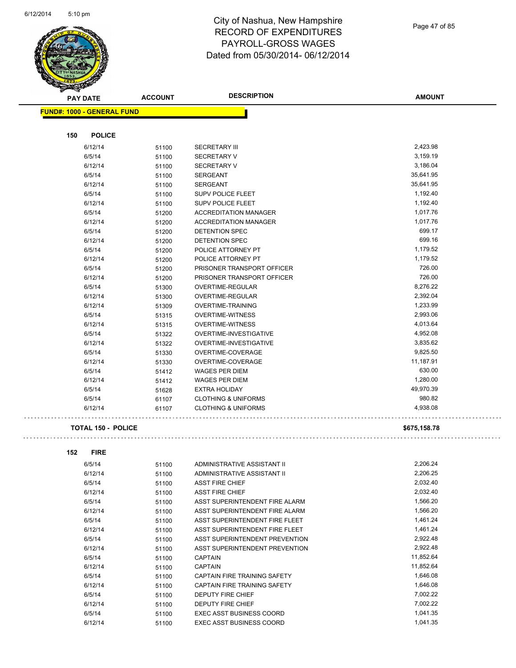

**AMOUNT PAY DATE ACCOUNT DESCRIPTION FUND#: 1000 - GENERAL FUND 150 POLICE** 6/12/14 51100 SECRETARY III 2,423.98 6/5/14 51100 SECRETARY V 3,159.19 6/12/14 51100 SECRETARY V 3,186.04 6/5/14 51100 SERGEANT 35,641.95 6/12/14 51100 SERGEANT 35,641.95 6/5/14 51100 SUPV POLICE FLEET 1,192.40 6/12/14 51100 SUPV POLICE FLEET 1,192.40 6/5/14 51200 ACCREDITATION MANAGER 1,017.76 6/12/14 51200 ACCREDITATION MANAGER 1,017.76 6/5/14 51200 DETENTION SPEC 699.17 6/12/14 51200 DETENTION SPEC 699.16 6/5/14 51200 POLICE ATTORNEY PT 1,179.52 6/12/14 51200 POLICE ATTORNEY PT 1,179.52 6/5/14 51200 PRISONER TRANSPORT OFFICER 726.00 6/12/14 51200 PRISONER TRANSPORT OFFICER 726.00 6/5/14 51300 OVERTIME-REGULAR 8,276.22 6/12/14 51300 OVERTIME-REGULAR 2,392.04 6/12/14 51309 OVERTIME-TRAINING 1,233.99 6/5/14 51315 OVERTIME-WITNESS 2,993.06 6/12/14 51315 OVERTIME-WITNESS 4,013.64

6/5/14 51322 OVERTIME-INVESTIGATIVE 5 16/6/7/14 4,952.08 6/12/14 51322 OVERTIME-INVESTIGATIVE 3,835.62 6/5/14 51330 OVERTIME-COVERAGE 9,825.50 6/12/14 51330 OVERTIME-COVERAGE 11,187.91 6/5/14 51412 WAGES PER DIEM 630.00 6/12/14 51412 WAGES PER DIEM 30 1,280.00 6/5/14 51628 EXTRA HOLIDAY 49,970.39 6/5/14 61107 CLOTHING & UNIFORMS 980.82 6/12/14 61107 CLOTHING & UNIFORMS 4,938.08

#### **TOTAL 150 - POLICE \$675,158.78**

```
152 FIRE
6/5/14 51100 ADMINISTRATIVE ASSISTANT II 2,206.24
6/12/14 51100 ADMINISTRATIVE ASSISTANT II 2,206.25 
6/5/14 51100 ASST FIRE CHIEF 2,032.40
6/12/14 51100 ASST FIRE CHIEF 2,032.40
6/5/14 51100 ASST SUPERINTENDENT FIRE ALARM 1,566.20
6/12/14 51100 ASST SUPERINTENDENT FIRE ALARM 51566.20
6/5/14 51100 ASST SUPERINTENDENT FIRE FLEET 1,461.24
6/12/14 51100 ASST SUPERINTENDENT FIRE FLEET 1,461.24
6/5/14 51100 ASST SUPERINTENDENT PREVENTION 2,922.48 
6/12/14 51100 ASST SUPERINTENDENT PREVENTION 2,922.48 
6/5/14 51100 CAPTAIN 505/14 51100 51100
6/12/14 51100 CAPTAIN 11,852.64 
6/5/14 51100 CAPTAIN FIRE TRAINING SAFETY 1,646.08
6/12/14 51100 CAPTAIN FIRE TRAINING SAFETY 1,646.08
6/5/14 51100 DEPUTY FIRE CHIEF 3 2022 22
6/12/14 51100 DEPUTY FIRE CHIEF 51100 51100 51100 DEPUTY FIRE CHIEF
6/5/14 51100 EXEC ASST BUSINESS COORD 5/5/14 551100
6/12/14 51100 EXEC ASST BUSINESS COORD 51,041.35
```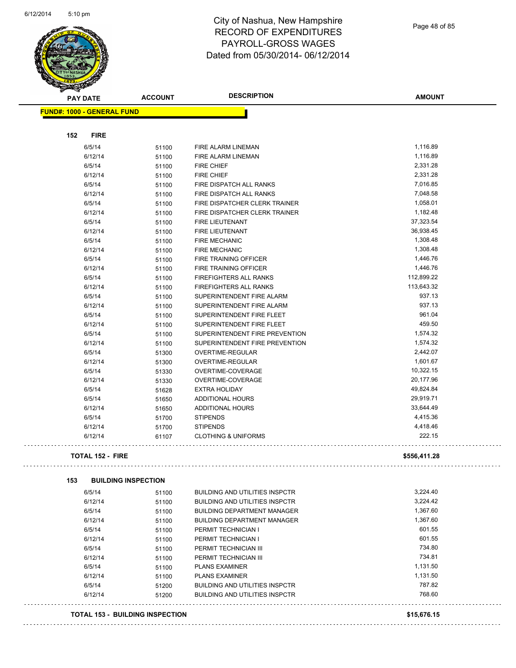

Page 48 of 85

| <b>STARTING</b>                        |                |                                       |               |
|----------------------------------------|----------------|---------------------------------------|---------------|
| <b>PAY DATE</b>                        | <b>ACCOUNT</b> | <b>DESCRIPTION</b>                    | <b>AMOUNT</b> |
| <b>FUND#: 1000 - GENERAL FUND</b>      |                |                                       |               |
|                                        |                |                                       |               |
| <b>FIRE</b><br>152                     |                |                                       |               |
| 6/5/14                                 | 51100          | <b>FIRE ALARM LINEMAN</b>             | 1,116.89      |
| 6/12/14                                | 51100          | FIRE ALARM LINEMAN                    | 1,116.89      |
| 6/5/14                                 | 51100          | <b>FIRE CHIEF</b>                     | 2,331.28      |
| 6/12/14                                | 51100          | <b>FIRE CHIEF</b>                     | 2,331.28      |
| 6/5/14                                 | 51100          | FIRE DISPATCH ALL RANKS               | 7,016.85      |
| 6/12/14                                | 51100          | FIRE DISPATCH ALL RANKS               | 7,048.58      |
| 6/5/14                                 | 51100          | FIRE DISPATCHER CLERK TRAINER         | 1,058.01      |
| 6/12/14                                | 51100          | FIRE DISPATCHER CLERK TRAINER         | 1,182.48      |
| 6/5/14                                 | 51100          | FIRE LIEUTENANT                       | 37,323.54     |
| 6/12/14                                | 51100          | FIRE LIEUTENANT                       | 36,938.45     |
| 6/5/14                                 | 51100          | <b>FIRE MECHANIC</b>                  | 1,308.48      |
| 6/12/14                                | 51100          | <b>FIRE MECHANIC</b>                  | 1,308.48      |
| 6/5/14                                 | 51100          | FIRE TRAINING OFFICER                 | 1,446.76      |
| 6/12/14                                | 51100          | FIRE TRAINING OFFICER                 | 1,446.76      |
| 6/5/14                                 | 51100          | <b>FIREFIGHTERS ALL RANKS</b>         | 112,899.22    |
| 6/12/14                                | 51100          | <b>FIREFIGHTERS ALL RANKS</b>         | 113,643.32    |
| 6/5/14                                 | 51100          | SUPERINTENDENT FIRE ALARM             | 937.13        |
| 6/12/14                                | 51100          | SUPERINTENDENT FIRE ALARM             | 937.13        |
| 6/5/14                                 | 51100          | SUPERINTENDENT FIRE FLEET             | 961.04        |
| 6/12/14                                | 51100          | SUPERINTENDENT FIRE FLEET             | 459.50        |
| 6/5/14                                 | 51100          | SUPERINTENDENT FIRE PREVENTION        | 1,574.32      |
| 6/12/14                                | 51100          | SUPERINTENDENT FIRE PREVENTION        | 1,574.32      |
| 6/5/14                                 | 51300          | OVERTIME-REGULAR                      | 2,442.07      |
| 6/12/14                                | 51300          | OVERTIME-REGULAR                      | 1,601.67      |
| 6/5/14                                 | 51330          | OVERTIME-COVERAGE                     | 10,322.15     |
| 6/12/14                                | 51330          | OVERTIME-COVERAGE                     | 20,177.96     |
| 6/5/14                                 | 51628          | <b>EXTRA HOLIDAY</b>                  | 49,824.84     |
| 6/5/14                                 | 51650          | <b>ADDITIONAL HOURS</b>               | 29,919.71     |
| 6/12/14                                | 51650          | <b>ADDITIONAL HOURS</b>               | 33,644.49     |
| 6/5/14                                 | 51700          | <b>STIPENDS</b>                       | 4,415.36      |
| 6/12/14                                | 51700          | <b>STIPENDS</b>                       | 4,418.46      |
| 6/12/14                                | 61107          | <b>CLOTHING &amp; UNIFORMS</b>        | 222.15        |
| <b>TOTAL 152 - FIRE</b>                |                |                                       | \$556,411.28  |
| 153<br><b>BUILDING INSPECTION</b>      |                |                                       |               |
| 6/5/14                                 | 51100          | <b>BUILDING AND UTILITIES INSPCTR</b> | 3,224.40      |
| 6/12/14                                | 51100          | <b>BUILDING AND UTILITIES INSPCTR</b> | 3,224.42      |
| 6/5/14                                 | 51100          | <b>BUILDING DEPARTMENT MANAGER</b>    | 1,367.60      |
| 6/12/14                                | 51100          | <b>BUILDING DEPARTMENT MANAGER</b>    | 1,367.60      |
| 6/5/14                                 | 51100          | PERMIT TECHNICIAN I                   | 601.55        |
| 6/12/14                                | 51100          | PERMIT TECHNICIAN I                   | 601.55        |
| 6/5/14                                 | 51100          | PERMIT TECHNICIAN III                 | 734.80        |
| 6/12/14                                | 51100          | PERMIT TECHNICIAN III                 | 734.81        |
| 6/5/14                                 | 51100          | <b>PLANS EXAMINER</b>                 | 1,131.50      |
| 6/12/14                                | 51100          | <b>PLANS EXAMINER</b>                 | 1,131.50      |
| 6/5/14                                 | 51200          | <b>BUILDING AND UTILITIES INSPCTR</b> | 787.82        |
| 6/12/14                                | 51200          | <b>BUILDING AND UTILITIES INSPCTR</b> | 768.60        |
| <b>TOTAL 153 - BUILDING INSPECTION</b> |                |                                       | \$15,676.15   |

####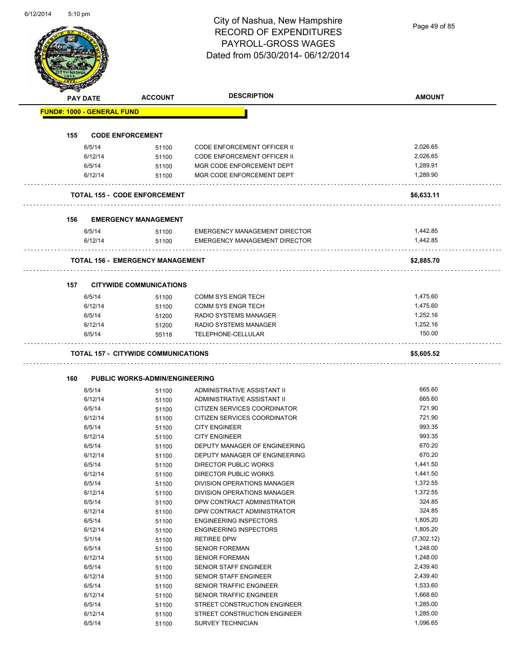Page 49 of 85

|     | <b>PAY DATE</b>                   | <b>ACCOUNT</b>                             | <b>DESCRIPTION</b>                   | <b>AMOUNT</b> |
|-----|-----------------------------------|--------------------------------------------|--------------------------------------|---------------|
|     | <b>FUND#: 1000 - GENERAL FUND</b> |                                            |                                      |               |
|     |                                   |                                            |                                      |               |
| 155 |                                   | <b>CODE ENFORCEMENT</b>                    |                                      |               |
|     | 6/5/14                            | 51100                                      | <b>CODE ENFORCEMENT OFFICER II</b>   | 2,026.65      |
|     | 6/12/14                           | 51100                                      | <b>CODE ENFORCEMENT OFFICER II</b>   | 2,026.65      |
|     | 6/5/14                            | 51100                                      | MGR CODE ENFORCEMENT DEPT            | 1,289.91      |
|     | 6/12/14                           | 51100                                      | MGR CODE ENFORCEMENT DEPT            | 1.289.90      |
|     |                                   | <b>TOTAL 155 - CODE ENFORCEMENT</b>        |                                      | \$6,633.11    |
| 156 |                                   | <b>EMERGENCY MANAGEMENT</b>                |                                      |               |
|     | 6/5/14                            | 51100                                      | <b>EMERGENCY MANAGEMENT DIRECTOR</b> | 1,442.85      |
|     | 6/12/14                           | 51100                                      | <b>EMERGENCY MANAGEMENT DIRECTOR</b> | 1,442.85      |
|     |                                   | <b>TOTAL 156 - EMERGENCY MANAGEMENT</b>    |                                      | \$2,885.70    |
|     |                                   |                                            |                                      |               |
| 157 | 6/5/14                            | <b>CITYWIDE COMMUNICATIONS</b><br>51100    | COMM SYS ENGR TECH                   | 1,475.60      |
|     | 6/12/14                           | 51100                                      | <b>COMM SYS ENGR TECH</b>            | 1,475.60      |
|     | 6/5/14                            | 51200                                      | RADIO SYSTEMS MANAGER                | 1,252.16      |
|     | 6/12/14                           | 51200                                      | RADIO SYSTEMS MANAGER                | 1,252.16      |
|     |                                   |                                            |                                      |               |
|     | 6/5/14                            | 55118                                      | TELEPHONE-CELLULAR                   | 150.00        |
|     |                                   | <b>TOTAL 157 - CITYWIDE COMMUNICATIONS</b> |                                      | \$5,605.52    |
| 160 |                                   | <b>PUBLIC WORKS-ADMIN/ENGINEERING</b>      |                                      |               |
|     | 6/5/14                            | 51100                                      | ADMINISTRATIVE ASSISTANT II          | 665.60        |
|     | 6/12/14                           | 51100                                      | ADMINISTRATIVE ASSISTANT II          | 665.60        |
|     | 6/5/14                            | 51100                                      | CITIZEN SERVICES COORDINATOR         | 721.90        |
|     | 6/12/14                           | 51100                                      | CITIZEN SERVICES COORDINATOR         | 721.90        |
|     | 6/5/14                            | 51100                                      | <b>CITY ENGINEER</b>                 | 993.35        |
|     | 6/12/14                           | 51100                                      | <b>CITY ENGINEER</b>                 | 993.35        |
|     | 6/5/14                            | 51100                                      | DEPUTY MANAGER OF ENGINEERING        | 670.20        |
|     | 6/12/14                           | 51100                                      | DEPUTY MANAGER OF ENGINEERING        | 670.20        |
|     | 6/5/14                            | 51100                                      | <b>DIRECTOR PUBLIC WORKS</b>         | 1,441.50      |
|     | 6/12/14                           | 51100                                      | DIRECTOR PUBLIC WORKS                | 1,441.50      |
|     | 6/5/14                            | 51100                                      | DIVISION OPERATIONS MANAGER          | 1,372.55      |
|     | 6/12/14                           | 51100                                      | DIVISION OPERATIONS MANAGER          | 1,372.55      |
|     | 6/5/14                            | 51100                                      | DPW CONTRACT ADMINISTRATOR           | 324.85        |
|     | 6/12/14                           | 51100                                      | DPW CONTRACT ADMINISTRATOR           | 324.85        |
|     | 6/5/14                            | 51100                                      | <b>ENGINEERING INSPECTORS</b>        | 1,805.20      |
|     | 6/12/14                           | 51100                                      | <b>ENGINEERING INSPECTORS</b>        | 1,805.20      |
|     | 5/1/14                            | 51100                                      | <b>RETIREE DPW</b>                   | (7,302.12)    |
|     | 6/5/14                            | 51100                                      | <b>SENIOR FOREMAN</b>                | 1,248.00      |
|     | 6/12/14                           | 51100                                      | <b>SENIOR FOREMAN</b>                | 1,248.00      |
|     | 6/5/14                            | 51100                                      | SENIOR STAFF ENGINEER                | 2,439.40      |
|     | 6/12/14                           | 51100                                      | SENIOR STAFF ENGINEER                | 2,439.40      |
|     | 6/5/14                            | 51100                                      | SENIOR TRAFFIC ENGINEER              | 1,533.60      |
|     | 6/12/14                           | 51100                                      | SENIOR TRAFFIC ENGINEER              | 1,668.60      |
|     | 6/5/14                            | 51100                                      | STREET CONSTRUCTION ENGINEER         | 1,285.00      |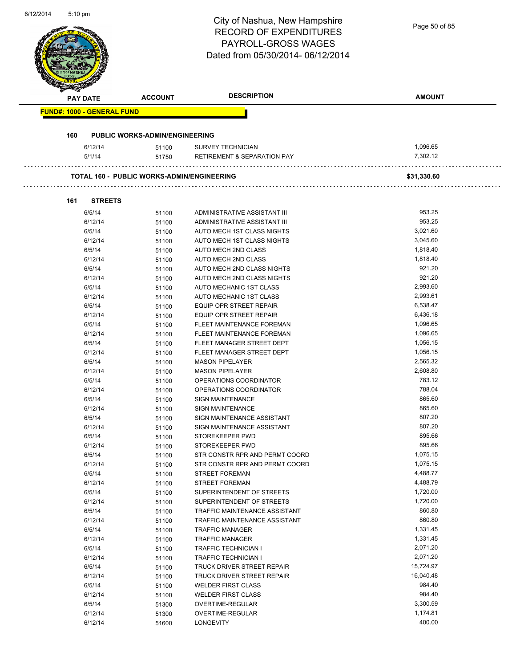|     |                                   |                                            | <b>RECORD OF EXPENDITURES</b><br><b>PAYROLL-GROSS WAGES</b> | Page 50 of 85        |
|-----|-----------------------------------|--------------------------------------------|-------------------------------------------------------------|----------------------|
|     |                                   |                                            | Dated from 05/30/2014-06/12/2014                            |                      |
|     | PAY DATE                          | <b>ACCOUNT</b>                             | <b>DESCRIPTION</b>                                          | <b>AMOUNT</b>        |
|     | <b>FUND#: 1000 - GENERAL FUND</b> |                                            |                                                             |                      |
| 160 |                                   | <b>PUBLIC WORKS-ADMIN/ENGINEERING</b>      |                                                             |                      |
|     | 6/12/14                           | 51100                                      | <b>SURVEY TECHNICIAN</b>                                    | 1,096.65             |
|     | 5/1/14                            | 51750                                      | <b>RETIREMENT &amp; SEPARATION PAY</b>                      | 7,302.12             |
|     |                                   | TOTAL 160 - PUBLIC WORKS-ADMIN/ENGINEERING |                                                             | \$31,330.60          |
| 161 | <b>STREETS</b>                    |                                            |                                                             |                      |
|     | 6/5/14                            | 51100                                      | ADMINISTRATIVE ASSISTANT III                                | 953.25               |
|     | 6/12/14                           | 51100                                      | ADMINISTRATIVE ASSISTANT III                                | 953.25               |
|     | 6/5/14                            | 51100                                      | AUTO MECH 1ST CLASS NIGHTS                                  | 3,021.60             |
|     | 6/12/14                           | 51100                                      | AUTO MECH 1ST CLASS NIGHTS                                  | 3,045.60             |
|     | 6/5/14                            | 51100                                      | AUTO MECH 2ND CLASS                                         | 1,818.40             |
|     | 6/12/14                           | 51100                                      | AUTO MECH 2ND CLASS                                         | 1,818.40             |
|     | 6/5/14                            | 51100                                      | AUTO MECH 2ND CLASS NIGHTS                                  | 921.20               |
|     | 6/12/14                           | 51100                                      | AUTO MECH 2ND CLASS NIGHTS                                  | 921.20               |
|     | 6/5/14                            | 51100                                      | AUTO MECHANIC 1ST CLASS                                     | 2,993.60             |
|     | 6/12/14                           | 51100                                      | AUTO MECHANIC 1ST CLASS                                     | 2,993.61             |
|     | 6/5/14                            | 51100                                      | <b>EQUIP OPR STREET REPAIR</b>                              | 6,538.47             |
|     | 6/12/14                           | 51100                                      | <b>EQUIP OPR STREET REPAIR</b>                              | 6,436.18             |
|     | 6/5/14                            | 51100                                      | FLEET MAINTENANCE FOREMAN                                   | 1,096.65             |
|     | 6/12/14                           | 51100                                      | FLEET MAINTENANCE FOREMAN                                   | 1,096.65             |
|     | 6/5/14                            | 51100                                      | FLEET MANAGER STREET DEPT                                   | 1,056.15             |
|     | 6/12/14                           | 51100                                      | FLEET MANAGER STREET DEPT                                   | 1,056.15<br>2,565.32 |
|     | 6/5/14                            | 51100                                      | <b>MASON PIPELAYER</b><br><b>MASON PIPELAYER</b>            | 2,608.80             |
|     | 6/12/14<br>6/5/14                 | 51100<br>51100                             | OPERATIONS COORDINATOR                                      | 783.12               |
|     | 6/12/14                           | 51100                                      | OPERATIONS COORDINATOR                                      | 788.04               |
|     | 6/5/14                            | 51100                                      | <b>SIGN MAINTENANCE</b>                                     | 865.60               |
|     | 6/12/14                           | 51100                                      | <b>SIGN MAINTENANCE</b>                                     | 865.60               |
|     | 6/5/14                            | 51100                                      | SIGN MAINTENANCE ASSISTANT                                  | 807.20               |
|     | 6/12/14                           | 51100                                      | SIGN MAINTENANCE ASSISTANT                                  | 807.20               |
|     | 6/5/14                            | 51100                                      | STOREKEEPER PWD                                             | 895.66               |
|     | 6/12/14                           | 51100                                      | STOREKEEPER PWD                                             | 895.66               |
|     | 6/5/14                            | 51100                                      | STR CONSTR RPR AND PERMT COORD                              | 1,075.15             |
|     | 6/12/14                           | 51100                                      | STR CONSTR RPR AND PERMT COORD                              | 1,075.15             |
|     | 6/5/14                            | 51100                                      | <b>STREET FOREMAN</b>                                       | 4,488.77             |
|     | 6/12/14                           | 51100                                      | <b>STREET FOREMAN</b>                                       | 4,488.79             |
|     | 6/5/14                            | 51100                                      | SUPERINTENDENT OF STREETS                                   | 1,720.00             |
|     | 6/12/14                           | 51100                                      | SUPERINTENDENT OF STREETS                                   | 1,720.00             |
|     | 6/5/14                            | 51100                                      | TRAFFIC MAINTENANCE ASSISTANT                               | 860.80               |
|     | 6/12/14                           | 51100                                      | TRAFFIC MAINTENANCE ASSISTANT                               | 860.80               |
|     | 6/5/14                            | 51100                                      | <b>TRAFFIC MANAGER</b>                                      | 1,331.45             |
|     | 6/12/14                           | 51100                                      | <b>TRAFFIC MANAGER</b>                                      | 1,331.45             |
|     | 6/5/14                            | 51100                                      | <b>TRAFFIC TECHNICIAN I</b>                                 | 2,071.20             |
|     | 6/12/14                           | 51100                                      | <b>TRAFFIC TECHNICIAN I</b>                                 | 2,071.20             |
|     | 6/5/14                            | 51100                                      | TRUCK DRIVER STREET REPAIR                                  | 15,724.97            |
|     | 6/12/14                           | 51100                                      | TRUCK DRIVER STREET REPAIR                                  | 16,040.48            |
|     | 6/5/14                            | 51100                                      | <b>WELDER FIRST CLASS</b>                                   | 984.40               |
|     | 6/12/14                           | 51100                                      | <b>WELDER FIRST CLASS</b>                                   | 984.40               |
|     | 6/5/14                            | 51300                                      | OVERTIME-REGULAR                                            | 3,300.59             |
|     | 6/12/14                           | 51300                                      | OVERTIME-REGULAR                                            | 1,174.81             |
|     | 6/12/14                           | 51600                                      | LONGEVITY                                                   | 400.00               |

6/12/2014 5:10 pm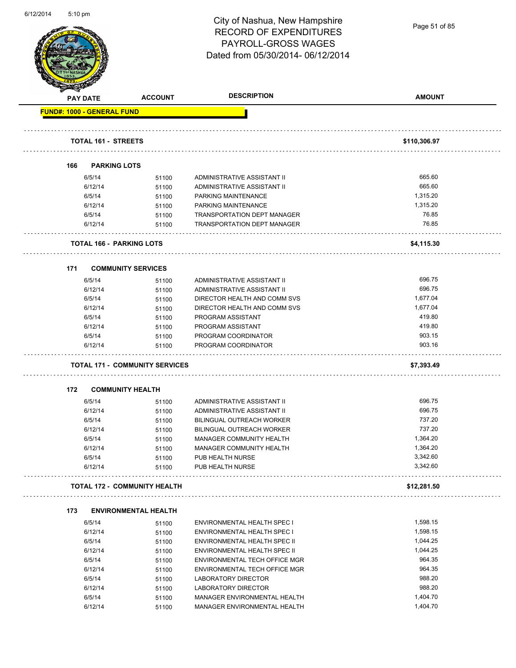

Page 51 of 85

|     | <b>PAY DATE</b>                       | <b>ACCOUNT</b> | <b>DESCRIPTION</b>                                           | <b>AMOUNT</b>        |
|-----|---------------------------------------|----------------|--------------------------------------------------------------|----------------------|
|     | <b>FUND#: 1000 - GENERAL FUND</b>     |                |                                                              |                      |
|     |                                       |                |                                                              |                      |
|     | <b>TOTAL 161 - STREETS</b>            |                |                                                              | \$110,306.97         |
|     |                                       |                |                                                              |                      |
| 166 | <b>PARKING LOTS</b>                   |                |                                                              |                      |
|     | 6/5/14                                | 51100          | ADMINISTRATIVE ASSISTANT II                                  | 665.60               |
|     | 6/12/14                               | 51100          | ADMINISTRATIVE ASSISTANT II                                  | 665.60               |
|     | 6/5/14                                | 51100          | PARKING MAINTENANCE                                          | 1,315.20             |
|     | 6/12/14                               | 51100          | PARKING MAINTENANCE                                          | 1,315.20             |
|     | 6/5/14                                | 51100          | <b>TRANSPORTATION DEPT MANAGER</b>                           | 76.85                |
|     | 6/12/14                               | 51100          | <b>TRANSPORTATION DEPT MANAGER</b>                           | 76.85                |
|     |                                       |                |                                                              |                      |
|     | TOTAL 166 - PARKING LOTS              |                |                                                              | \$4,115.30           |
|     |                                       |                |                                                              |                      |
| 171 | <b>COMMUNITY SERVICES</b>             |                |                                                              |                      |
|     | 6/5/14                                | 51100          | ADMINISTRATIVE ASSISTANT II                                  | 696.75               |
|     | 6/12/14                               | 51100          | ADMINISTRATIVE ASSISTANT II                                  | 696.75               |
|     | 6/5/14                                | 51100          | DIRECTOR HEALTH AND COMM SVS                                 | 1,677.04             |
|     | 6/12/14                               | 51100          | DIRECTOR HEALTH AND COMM SVS                                 | 1,677.04             |
|     | 6/5/14                                | 51100          | PROGRAM ASSISTANT                                            | 419.80               |
|     | 6/12/14                               | 51100          | PROGRAM ASSISTANT                                            | 419.80               |
|     | 6/5/14                                | 51100          | PROGRAM COORDINATOR                                          | 903.15               |
|     | 6/12/14                               | 51100          | PROGRAM COORDINATOR                                          | 903.16               |
|     | <b>TOTAL 171 - COMMUNITY SERVICES</b> |                |                                                              | \$7,393.49           |
| 172 | <b>COMMUNITY HEALTH</b>               |                |                                                              |                      |
|     | 6/5/14                                | 51100          | ADMINISTRATIVE ASSISTANT II                                  | 696.75               |
|     | 6/12/14                               | 51100          | ADMINISTRATIVE ASSISTANT II                                  | 696.75               |
|     | 6/5/14                                | 51100          | <b>BILINGUAL OUTREACH WORKER</b>                             | 737.20               |
|     | 6/12/14                               | 51100          | <b>BILINGUAL OUTREACH WORKER</b>                             | 737.20               |
|     | 6/5/14                                |                | <b>MANAGER COMMUNITY HEALTH</b>                              | 1,364.20             |
|     |                                       | 51100          |                                                              | 1,364.20             |
|     | 6/12/14                               | 51100          | MANAGER COMMUNITY HEALTH                                     |                      |
|     | 6/5/14<br>6/12/14                     | 51100<br>51100 | PUB HEALTH NURSE<br>PUB HEALTH NURSE                         | 3,342.60<br>3,342.60 |
|     |                                       |                |                                                              |                      |
|     | <b>TOTAL 172 - COMMUNITY HEALTH</b>   |                |                                                              | \$12,281.50          |
| 173 | <b>ENVIRONMENTAL HEALTH</b>           |                |                                                              |                      |
|     | 6/5/14                                | 51100          | <b>ENVIRONMENTAL HEALTH SPEC I</b>                           | 1,598.15             |
|     | 6/12/14                               | 51100          | ENVIRONMENTAL HEALTH SPEC I                                  | 1,598.15             |
|     | 6/5/14                                | 51100          | ENVIRONMENTAL HEALTH SPEC II                                 | 1,044.25             |
|     | 6/12/14                               | 51100          | ENVIRONMENTAL HEALTH SPEC II                                 | 1,044.25             |
|     |                                       |                | ENVIRONMENTAL TECH OFFICE MGR                                | 964.35               |
|     |                                       |                |                                                              |                      |
|     | 6/5/14                                | 51100          |                                                              |                      |
|     | 6/12/14                               | 51100          | ENVIRONMENTAL TECH OFFICE MGR                                | 964.35               |
|     | 6/5/14                                | 51100          | LABORATORY DIRECTOR                                          | 988.20               |
|     | 6/12/14                               | 51100          | LABORATORY DIRECTOR                                          | 988.20               |
|     | 6/5/14<br>6/12/14                     | 51100<br>51100 | MANAGER ENVIRONMENTAL HEALTH<br>MANAGER ENVIRONMENTAL HEALTH | 1,404.70<br>1,404.70 |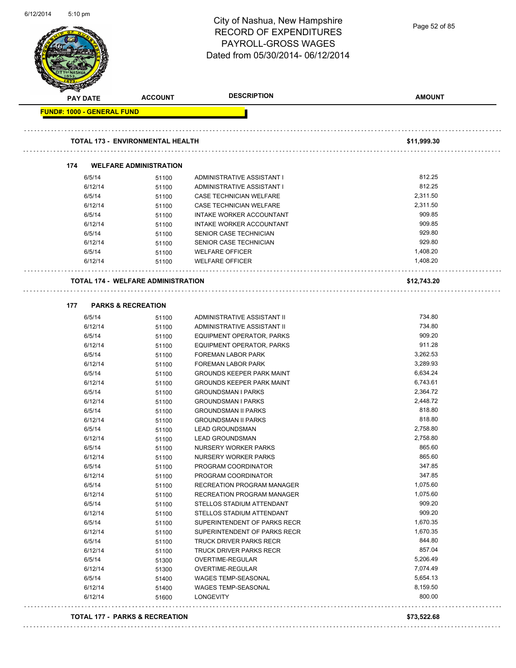|                                   |                                           | City of Nashua, New Hampshire<br><b>RECORD OF EXPENDITURES</b><br>PAYROLL-GROSS WAGES<br>Dated from 05/30/2014-06/12/2014 | Page 52 of 85      |
|-----------------------------------|-------------------------------------------|---------------------------------------------------------------------------------------------------------------------------|--------------------|
| <b>PAY DATE</b>                   | <b>ACCOUNT</b>                            | <b>DESCRIPTION</b>                                                                                                        | <b>AMOUNT</b>      |
| <b>FUND#: 1000 - GENERAL FUND</b> |                                           |                                                                                                                           |                    |
|                                   | <b>TOTAL 173 - ENVIRONMENTAL HEALTH</b>   |                                                                                                                           | \$11,999.30        |
| 174                               | <b>WELFARE ADMINISTRATION</b>             |                                                                                                                           |                    |
| 6/5/14                            | 51100                                     | ADMINISTRATIVE ASSISTANT I                                                                                                | 812.25             |
| 6/12/14                           | 51100                                     | ADMINISTRATIVE ASSISTANT I                                                                                                | 812.25             |
| 6/5/14                            | 51100                                     | CASE TECHNICIAN WELFARE                                                                                                   | 2,311.50           |
| 6/12/14                           | 51100                                     | CASE TECHNICIAN WELFARE                                                                                                   | 2,311.50           |
| 6/5/14                            | 51100                                     | INTAKE WORKER ACCOUNTANT                                                                                                  | 909.85             |
| 6/12/14                           | 51100                                     | INTAKE WORKER ACCOUNTANT                                                                                                  | 909.85             |
| 6/5/14                            | 51100                                     | SENIOR CASE TECHNICIAN                                                                                                    | 929.80             |
| 6/12/14                           | 51100                                     | SENIOR CASE TECHNICIAN                                                                                                    | 929.80             |
| 6/5/14                            | 51100                                     | <b>WELFARE OFFICER</b>                                                                                                    | 1,408.20           |
| 6/12/14                           | 51100                                     | <b>WELFARE OFFICER</b>                                                                                                    | 1,408.20           |
|                                   | <b>TOTAL 174 - WELFARE ADMINISTRATION</b> |                                                                                                                           | \$12,743.20        |
| 177                               | <b>PARKS &amp; RECREATION</b>             |                                                                                                                           |                    |
| 6/5/14                            | 51100                                     | ADMINISTRATIVE ASSISTANT II                                                                                               | 734.80             |
| 6/12/14                           | 51100                                     | ADMINISTRATIVE ASSISTANT II                                                                                               | 734.80             |
| 6/5/14                            | 51100                                     | EQUIPMENT OPERATOR, PARKS                                                                                                 | 909.20             |
| 6/12/14                           | 51100                                     | EQUIPMENT OPERATOR, PARKS                                                                                                 | 911.28             |
| 6/5/14                            | 51100                                     | FOREMAN LABOR PARK                                                                                                        | 3,262.53           |
| 6/12/14                           | 51100                                     | <b>FOREMAN LABOR PARK</b>                                                                                                 | 3,289.93           |
| 6/5/14                            | 51100                                     | <b>GROUNDS KEEPER PARK MAINT</b>                                                                                          | 6,634.24           |
| 6/12/14                           | 51100                                     | <b>GROUNDS KEEPER PARK MAINT</b>                                                                                          | 6,743.61           |
| 6/5/14                            | 51100                                     | <b>GROUNDSMAN I PARKS</b>                                                                                                 | 2,364.72           |
| 6/12/14                           | 51100                                     | <b>GROUNDSMAN I PARKS</b>                                                                                                 | 2,448.72           |
| 6/5/14                            | 51100                                     | <b>GROUNDSMAN II PARKS</b>                                                                                                | 818.80             |
| 6/12/14                           | 51100                                     | <b>GROUNDSMAN II PARKS</b>                                                                                                | 818.80<br>2,758.80 |
| 6/5/14<br>6/12/14                 | 51100                                     | <b>LEAD GROUNDSMAN</b>                                                                                                    | 2,758.80           |
| 6/5/14                            | 51100<br>51100                            | <b>LEAD GROUNDSMAN</b><br><b>NURSERY WORKER PARKS</b>                                                                     | 865.60             |
| 6/12/14                           | 51100                                     | NURSERY WORKER PARKS                                                                                                      | 865.60             |
| 6/5/14                            | 51100                                     | PROGRAM COORDINATOR                                                                                                       | 347.85             |
| 6/12/14                           | 51100                                     | PROGRAM COORDINATOR                                                                                                       | 347.85             |
| 6/5/14                            | 51100                                     | RECREATION PROGRAM MANAGER                                                                                                | 1,075.60           |
| 6/12/14                           | 51100                                     | RECREATION PROGRAM MANAGER                                                                                                | 1,075.60           |
| 6/5/14                            | 51100                                     | STELLOS STADIUM ATTENDANT                                                                                                 | 909.20             |
| 6/12/14                           | 51100                                     | STELLOS STADIUM ATTENDANT                                                                                                 | 909.20             |
| 6/5/14                            | 51100                                     | SUPERINTENDENT OF PARKS RECR                                                                                              | 1,670.35           |
| 6/12/14                           | 51100                                     | SUPERINTENDENT OF PARKS RECR                                                                                              | 1,670.35           |
| 6/5/14                            | 51100                                     | TRUCK DRIVER PARKS RECR                                                                                                   | 844.80             |
| 6/12/14                           | 51100                                     | TRUCK DRIVER PARKS RECR                                                                                                   | 857.04             |
| 6/5/14                            | 51300                                     | OVERTIME-REGULAR                                                                                                          | 5,206.49           |
| 6/12/14                           | 51300                                     | OVERTIME-REGULAR                                                                                                          | 7,074.49           |
| 6/5/14                            | 51400                                     | <b>WAGES TEMP-SEASONAL</b>                                                                                                | 5,654.13           |
| 6/12/14                           | 51400                                     | WAGES TEMP-SEASONAL                                                                                                       | 8,159.50<br>800.00 |
| 6/12/14                           | 51600                                     | LONGEVITY                                                                                                                 |                    |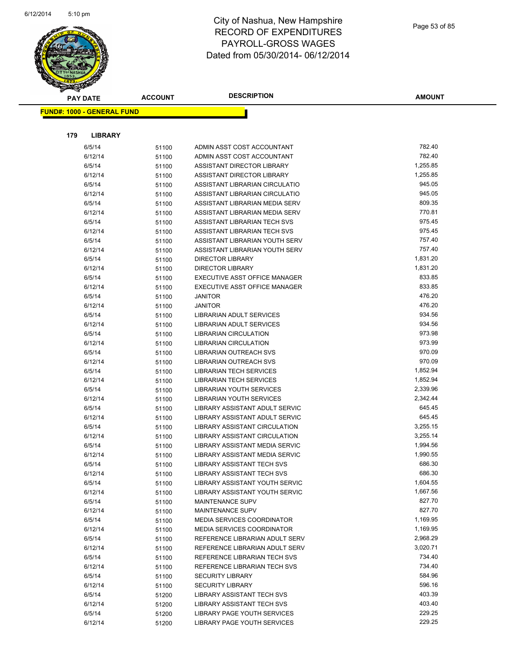

|     | <b>PAY DATE</b>                   | <b>ACCOUNT</b> | <b>DESCRIPTION</b>                                               | <b>AMOUNT</b>      |
|-----|-----------------------------------|----------------|------------------------------------------------------------------|--------------------|
|     | <b>FUND#: 1000 - GENERAL FUND</b> |                |                                                                  |                    |
|     |                                   |                |                                                                  |                    |
|     |                                   |                |                                                                  |                    |
| 179 | <b>LIBRARY</b>                    |                |                                                                  |                    |
|     | 6/5/14                            | 51100          | ADMIN ASST COST ACCOUNTANT                                       | 782.40             |
|     | 6/12/14                           | 51100          | ADMIN ASST COST ACCOUNTANT                                       | 782.40             |
|     | 6/5/14                            | 51100          | ASSISTANT DIRECTOR LIBRARY                                       | 1,255.85           |
|     | 6/12/14                           | 51100          | ASSISTANT DIRECTOR LIBRARY                                       | 1,255.85           |
|     | 6/5/14                            | 51100          | ASSISTANT LIBRARIAN CIRCULATIO                                   | 945.05             |
|     | 6/12/14                           | 51100          | ASSISTANT LIBRARIAN CIRCULATIO                                   | 945.05             |
|     | 6/5/14                            | 51100          | ASSISTANT LIBRARIAN MEDIA SERV                                   | 809.35             |
|     | 6/12/14                           | 51100          | ASSISTANT LIBRARIAN MEDIA SERV                                   | 770.81             |
|     | 6/5/14                            | 51100          | ASSISTANT LIBRARIAN TECH SVS                                     | 975.45             |
|     | 6/12/14                           | 51100          | ASSISTANT LIBRARIAN TECH SVS                                     | 975.45             |
|     | 6/5/14                            | 51100          | ASSISTANT LIBRARIAN YOUTH SERV                                   | 757.40             |
|     | 6/12/14                           | 51100          | ASSISTANT LIBRARIAN YOUTH SERV                                   | 757.40             |
|     | 6/5/14                            | 51100          | <b>DIRECTOR LIBRARY</b>                                          | 1,831.20           |
|     | 6/12/14                           | 51100          | <b>DIRECTOR LIBRARY</b>                                          | 1,831.20           |
|     | 6/5/14                            | 51100          | EXECUTIVE ASST OFFICE MANAGER                                    | 833.85             |
|     | 6/12/14                           | 51100          | EXECUTIVE ASST OFFICE MANAGER                                    | 833.85             |
|     | 6/5/14                            | 51100          | <b>JANITOR</b>                                                   | 476.20             |
|     | 6/12/14                           | 51100          | <b>JANITOR</b>                                                   | 476.20             |
|     | 6/5/14                            | 51100          | <b>LIBRARIAN ADULT SERVICES</b>                                  | 934.56             |
|     | 6/12/14                           | 51100          | LIBRARIAN ADULT SERVICES                                         | 934.56             |
|     | 6/5/14                            | 51100          | LIBRARIAN CIRCULATION                                            | 973.98             |
|     | 6/12/14                           | 51100          | <b>LIBRARIAN CIRCULATION</b>                                     | 973.99             |
|     | 6/5/14                            | 51100          | LIBRARIAN OUTREACH SVS                                           | 970.09             |
|     | 6/12/14                           | 51100          | LIBRARIAN OUTREACH SVS                                           | 970.09             |
|     | 6/5/14                            | 51100          | <b>LIBRARIAN TECH SERVICES</b>                                   | 1,852.94           |
|     | 6/12/14                           | 51100          | <b>LIBRARIAN TECH SERVICES</b>                                   | 1,852.94           |
|     | 6/5/14                            | 51100          | LIBRARIAN YOUTH SERVICES                                         | 2,339.96           |
|     | 6/12/14                           | 51100          | LIBRARIAN YOUTH SERVICES                                         | 2,342.44           |
|     | 6/5/14                            | 51100          | LIBRARY ASSISTANT ADULT SERVIC                                   | 645.45             |
|     | 6/12/14                           | 51100          | LIBRARY ASSISTANT ADULT SERVIC                                   | 645.45             |
|     | 6/5/14                            | 51100          | LIBRARY ASSISTANT CIRCULATION                                    | 3,255.15           |
|     | 6/12/14                           | 51100          | LIBRARY ASSISTANT CIRCULATION                                    | 3,255.14           |
|     | 6/5/14                            | 51100          | LIBRARY ASSISTANT MEDIA SERVIC                                   | 1,994.56           |
|     | 6/12/14                           | 51100          | LIBRARY ASSISTANT MEDIA SERVIC                                   | 1,990.55           |
|     | 6/5/14                            | 51100          | LIBRARY ASSISTANT TECH SVS                                       | 686.30             |
|     | 6/12/14                           | 51100          | LIBRARY ASSISTANT TECH SVS                                       | 686.30<br>1,604.55 |
|     | 6/5/14<br>6/12/14                 | 51100          | LIBRARY ASSISTANT YOUTH SERVIC<br>LIBRARY ASSISTANT YOUTH SERVIC | 1,667.56           |
|     | 6/5/14                            | 51100          | <b>MAINTENANCE SUPV</b>                                          | 827.70             |
|     | 6/12/14                           | 51100          | MAINTENANCE SUPV                                                 | 827.70             |
|     | 6/5/14                            | 51100          | MEDIA SERVICES COORDINATOR                                       | 1,169.95           |
|     | 6/12/14                           | 51100          | <b>MEDIA SERVICES COORDINATOR</b>                                | 1,169.95           |
|     | 6/5/14                            | 51100<br>51100 | REFERENCE LIBRARIAN ADULT SERV                                   | 2,968.29           |
|     | 6/12/14                           | 51100          | REFERENCE LIBRARIAN ADULT SERV                                   | 3,020.71           |
|     | 6/5/14                            | 51100          | REFERENCE LIBRARIAN TECH SVS                                     | 734.40             |
|     | 6/12/14                           | 51100          | REFERENCE LIBRARIAN TECH SVS                                     | 734.40             |
|     | 6/5/14                            | 51100          | <b>SECURITY LIBRARY</b>                                          | 584.96             |
|     | 6/12/14                           | 51100          | <b>SECURITY LIBRARY</b>                                          | 596.16             |
|     | 6/5/14                            | 51200          | LIBRARY ASSISTANT TECH SVS                                       | 403.39             |
|     | 6/12/14                           | 51200          | LIBRARY ASSISTANT TECH SVS                                       | 403.40             |
|     | 6/5/14                            | 51200          | LIBRARY PAGE YOUTH SERVICES                                      | 229.25             |
|     | 6/12/14                           | 51200          | LIBRARY PAGE YOUTH SERVICES                                      | 229.25             |
|     |                                   |                |                                                                  |                    |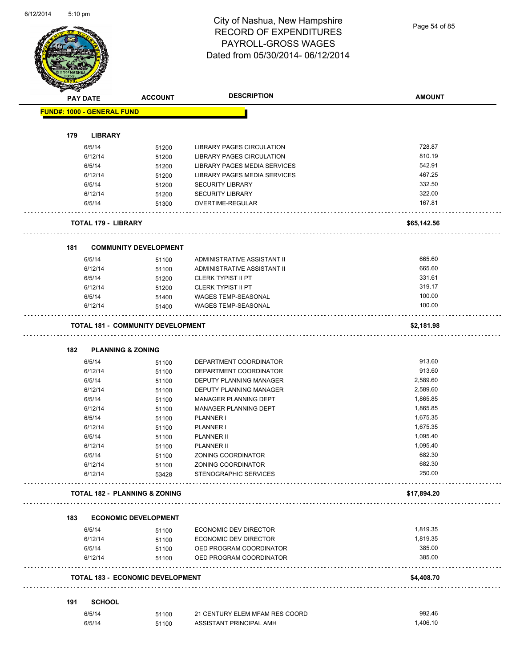Page 54 of 85

|     | <b>PAY DATE</b>                   | <b>ACCOUNT</b>                           | <b>DESCRIPTION</b>                          | <b>AMOUNT</b>    |
|-----|-----------------------------------|------------------------------------------|---------------------------------------------|------------------|
|     | <b>FUND#: 1000 - GENERAL FUND</b> |                                          |                                             |                  |
| 179 | <b>LIBRARY</b>                    |                                          |                                             |                  |
|     |                                   |                                          |                                             | 728.87           |
|     | 6/5/14                            | 51200                                    | LIBRARY PAGES CIRCULATION                   |                  |
|     | 6/12/14                           | 51200                                    | LIBRARY PAGES CIRCULATION                   | 810.19           |
|     | 6/5/14                            | 51200                                    | LIBRARY PAGES MEDIA SERVICES                | 542.91           |
|     | 6/12/14                           | 51200                                    | LIBRARY PAGES MEDIA SERVICES                | 467.25<br>332.50 |
|     | 6/5/14                            | 51200                                    | SECURITY LIBRARY                            |                  |
|     | 6/12/14                           | 51200                                    | <b>SECURITY LIBRARY</b>                     | 322.00<br>167.81 |
|     | 6/5/14                            | 51300                                    | OVERTIME-REGULAR                            |                  |
|     | <b>TOTAL 179 - LIBRARY</b>        |                                          |                                             | \$65,142.56      |
| 181 |                                   | <b>COMMUNITY DEVELOPMENT</b>             |                                             |                  |
|     | 6/5/14                            | 51100                                    | ADMINISTRATIVE ASSISTANT II                 | 665.60           |
|     | 6/12/14                           | 51100                                    | ADMINISTRATIVE ASSISTANT II                 | 665.60           |
|     | 6/5/14                            | 51200                                    | <b>CLERK TYPIST II PT</b>                   | 331.61           |
|     | 6/12/14                           | 51200                                    | <b>CLERK TYPIST II PT</b>                   | 319.17           |
|     | 6/5/14                            | 51400                                    | WAGES TEMP-SEASONAL                         | 100.00           |
|     | 6/12/14                           | 51400                                    | WAGES TEMP-SEASONAL                         | 100.00           |
|     |                                   | <b>TOTAL 181 - COMMUNITY DEVELOPMENT</b> |                                             | \$2,181.98       |
|     |                                   |                                          |                                             |                  |
| 182 | <b>PLANNING &amp; ZONING</b>      |                                          |                                             |                  |
|     | 6/5/14                            | 51100                                    | DEPARTMENT COORDINATOR                      | 913.60           |
|     | 6/12/14                           | 51100                                    | DEPARTMENT COORDINATOR                      | 913.60           |
|     | 6/5/14                            | 51100                                    | DEPUTY PLANNING MANAGER                     | 2,589.60         |
|     | 6/12/14                           | 51100                                    | DEPUTY PLANNING MANAGER                     | 2,589.60         |
|     | 6/5/14                            | 51100                                    | <b>MANAGER PLANNING DEPT</b>                | 1,865.85         |
|     | 6/12/14                           | 51100                                    | <b>MANAGER PLANNING DEPT</b>                | 1,865.85         |
|     | 6/5/14                            | 51100                                    | PLANNER I                                   | 1,675.35         |
|     | 6/12/14                           | 51100                                    | PLANNER I                                   | 1,675.35         |
|     | 6/5/14                            | 51100                                    | PLANNER II                                  | 1,095.40         |
|     | 6/12/14                           | 51100                                    | <b>PLANNER II</b>                           | 1,095.40         |
|     | 6/5/14                            | 51100                                    | ZONING COORDINATOR                          | 682.30<br>682.30 |
|     | 6/12/14<br>6/12/14                | 51100<br>53428                           | ZONING COORDINATOR<br>STENOGRAPHIC SERVICES | 250.00           |
|     |                                   | <b>TOTAL 182 - PLANNING &amp; ZONING</b> |                                             | \$17,894.20      |
|     |                                   |                                          |                                             |                  |
| 183 |                                   | <b>ECONOMIC DEVELOPMENT</b>              |                                             |                  |
|     | 6/5/14                            | 51100                                    | ECONOMIC DEV DIRECTOR                       | 1,819.35         |
|     | 6/12/14                           | 51100                                    | ECONOMIC DEV DIRECTOR                       | 1,819.35         |
|     | 6/5/14                            | 51100                                    | OED PROGRAM COORDINATOR                     | 385.00           |
|     | 6/12/14                           | 51100                                    | OED PROGRAM COORDINATOR                     | 385.00           |
|     |                                   | <b>TOTAL 183 - ECONOMIC DEVELOPMENT</b>  |                                             | \$4,408.70       |
| 191 | <b>SCHOOL</b>                     |                                          |                                             |                  |
|     | 6/5/14                            | 51100                                    | 21 CENTURY ELEM MFAM RES COORD              | 992.46           |
|     | 6/5/14                            |                                          | ASSISTANT PRINCIPAL AMH                     | 1,406.10         |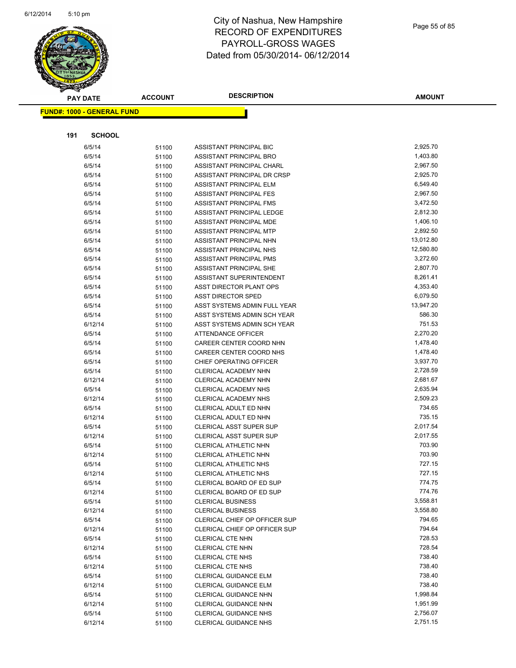

Page 55 of 85

|     | <b>PAY DATE</b>                   | <b>ACCOUNT</b> | <b>DESCRIPTION</b>                           | <b>AMOUNT</b>        |
|-----|-----------------------------------|----------------|----------------------------------------------|----------------------|
|     | <b>FUND#: 1000 - GENERAL FUND</b> |                |                                              |                      |
|     |                                   |                |                                              |                      |
|     |                                   |                |                                              |                      |
| 191 | <b>SCHOOL</b>                     |                |                                              |                      |
|     | 6/5/14                            | 51100          | ASSISTANT PRINCIPAL BIC                      | 2,925.70             |
|     | 6/5/14                            | 51100          | ASSISTANT PRINCIPAL BRO                      | 1,403.80             |
|     | 6/5/14                            | 51100          | ASSISTANT PRINCIPAL CHARL                    | 2,967.50             |
|     | 6/5/14                            | 51100          | ASSISTANT PRINCIPAL DR CRSP                  | 2,925.70             |
|     | 6/5/14                            | 51100          | ASSISTANT PRINCIPAL ELM                      | 6,549.40             |
|     | 6/5/14                            | 51100          | ASSISTANT PRINCIPAL FES                      | 2,967.50             |
|     | 6/5/14                            | 51100          | ASSISTANT PRINCIPAL FMS                      | 3,472.50             |
|     | 6/5/14                            | 51100          | ASSISTANT PRINCIPAL LEDGE                    | 2,812.30             |
|     | 6/5/14                            | 51100          | ASSISTANT PRINCIPAL MDE                      | 1,406.10             |
|     | 6/5/14                            | 51100          | ASSISTANT PRINCIPAL MTP                      | 2,892.50             |
|     | 6/5/14                            | 51100          | ASSISTANT PRINCIPAL NHN                      | 13,012.80            |
|     | 6/5/14                            | 51100          | ASSISTANT PRINCIPAL NHS                      | 12,580.80            |
|     | 6/5/14                            | 51100          | ASSISTANT PRINCIPAL PMS                      | 3,272.60             |
|     | 6/5/14                            | 51100          | ASSISTANT PRINCIPAL SHE                      | 2,807.70             |
|     | 6/5/14                            | 51100          | ASSISTANT SUPERINTENDENT                     | 8,261.41             |
|     | 6/5/14                            | 51100          | ASST DIRECTOR PLANT OPS                      | 4,353.40             |
|     | 6/5/14                            | 51100          | ASST DIRECTOR SPED                           | 6,079.50             |
|     | 6/5/14                            | 51100          | ASST SYSTEMS ADMIN FULL YEAR                 | 13,947.20            |
|     | 6/5/14                            | 51100          | ASST SYSTEMS ADMIN SCH YEAR                  | 586.30               |
|     | 6/12/14                           | 51100          | ASST SYSTEMS ADMIN SCH YEAR                  | 751.53               |
|     | 6/5/14                            | 51100          | ATTENDANCE OFFICER                           | 2,270.20             |
|     | 6/5/14                            | 51100          | CAREER CENTER COORD NHN                      | 1,478.40             |
|     | 6/5/14                            | 51100          | CAREER CENTER COORD NHS                      | 1,478.40             |
|     | 6/5/14                            | 51100          | CHIEF OPERATING OFFICER                      | 3,937.70<br>2,728.59 |
|     | 6/5/14                            | 51100          | CLERICAL ACADEMY NHN                         |                      |
|     | 6/12/14                           | 51100          | CLERICAL ACADEMY NHN                         | 2,681.67<br>2,635.94 |
|     | 6/5/14<br>6/12/14                 | 51100          | CLERICAL ACADEMY NHS<br>CLERICAL ACADEMY NHS | 2,509.23             |
|     | 6/5/14                            | 51100          | CLERICAL ADULT ED NHN                        | 734.65               |
|     | 6/12/14                           | 51100          | CLERICAL ADULT ED NHN                        | 735.15               |
|     | 6/5/14                            | 51100          | CLERICAL ASST SUPER SUP                      | 2,017.54             |
|     | 6/12/14                           | 51100          | CLERICAL ASST SUPER SUP                      | 2,017.55             |
|     | 6/5/14                            | 51100          | CLERICAL ATHLETIC NHN                        | 703.90               |
|     | 6/12/14                           | 51100          | CLERICAL ATHLETIC NHN                        | 703.90               |
|     | 6/5/14                            | 51100<br>51100 | CLERICAL ATHLETIC NHS                        | 727.15               |
|     | 6/12/14                           | 51100          | CLERICAL ATHLETIC NHS                        | 727.15               |
|     | 6/5/14                            | 51100          | CLERICAL BOARD OF ED SUP                     | 774.75               |
|     | 6/12/14                           | 51100          | CLERICAL BOARD OF ED SUP                     | 774.76               |
|     | 6/5/14                            | 51100          | <b>CLERICAL BUSINESS</b>                     | 3,558.81             |
|     | 6/12/14                           | 51100          | <b>CLERICAL BUSINESS</b>                     | 3,558.80             |
|     | 6/5/14                            | 51100          | CLERICAL CHIEF OP OFFICER SUP                | 794.65               |
|     | 6/12/14                           | 51100          | CLERICAL CHIEF OP OFFICER SUP                | 794.64               |
|     | 6/5/14                            | 51100          | CLERICAL CTE NHN                             | 728.53               |
|     | 6/12/14                           | 51100          | CLERICAL CTE NHN                             | 728.54               |
|     | 6/5/14                            | 51100          | CLERICAL CTE NHS                             | 738.40               |
|     | 6/12/14                           | 51100          | <b>CLERICAL CTE NHS</b>                      | 738.40               |
|     | 6/5/14                            | 51100          | <b>CLERICAL GUIDANCE ELM</b>                 | 738.40               |
|     | 6/12/14                           | 51100          | <b>CLERICAL GUIDANCE ELM</b>                 | 738.40               |
|     | 6/5/14                            | 51100          | CLERICAL GUIDANCE NHN                        | 1,998.84             |
|     | 6/12/14                           | 51100          | CLERICAL GUIDANCE NHN                        | 1,951.99             |
|     | 6/5/14                            | 51100          | <b>CLERICAL GUIDANCE NHS</b>                 | 2,756.07             |
|     | 6/12/14                           | 51100          | <b>CLERICAL GUIDANCE NHS</b>                 | 2,751.15             |
|     |                                   |                |                                              |                      |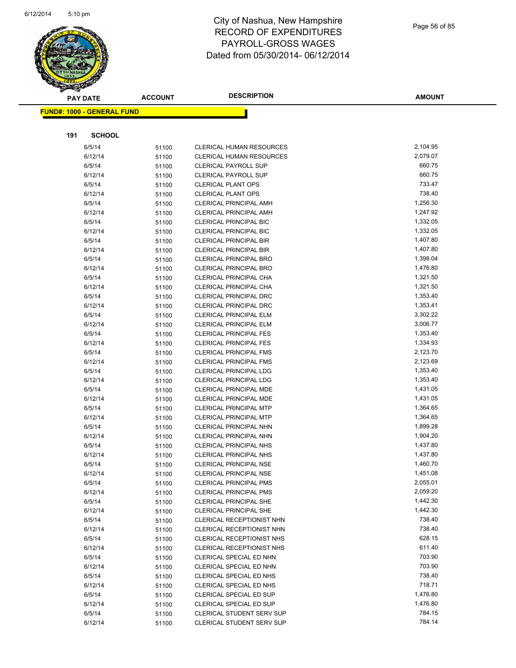

Page 56 of 85

| <b>PAY DATE</b> |                                   | <b>ACCOUNT</b> | <b>DESCRIPTION</b>                               | <b>AMOUNT</b>        |
|-----------------|-----------------------------------|----------------|--------------------------------------------------|----------------------|
|                 | <b>FUND#: 1000 - GENERAL FUND</b> |                |                                                  |                      |
|                 |                                   |                |                                                  |                      |
|                 |                                   |                |                                                  |                      |
| 191             | <b>SCHOOL</b>                     |                |                                                  |                      |
|                 | 6/5/14                            | 51100          | <b>CLERICAL HUMAN RESOURCES</b>                  | 2,104.95             |
|                 | 6/12/14                           | 51100          | <b>CLERICAL HUMAN RESOURCES</b>                  | 2,079.07             |
|                 | 6/5/14                            | 51100          | <b>CLERICAL PAYROLL SUP</b>                      | 660.75               |
|                 | 6/12/14                           | 51100          | <b>CLERICAL PAYROLL SUP</b>                      | 660.75               |
|                 | 6/5/14                            | 51100          | <b>CLERICAL PLANT OPS</b>                        | 733.47               |
|                 | 6/12/14                           | 51100          | <b>CLERICAL PLANT OPS</b>                        | 738.40               |
|                 | 6/5/14                            | 51100          | <b>CLERICAL PRINCIPAL AMH</b>                    | 1,256.30             |
|                 | 6/12/14                           | 51100          | <b>CLERICAL PRINCIPAL AMH</b>                    | 1,247.92             |
|                 | 6/5/14                            | 51100          | <b>CLERICAL PRINCIPAL BIC</b>                    | 1,332.05             |
|                 | 6/12/14                           | 51100          | <b>CLERICAL PRINCIPAL BIC</b>                    | 1,332.05             |
|                 | 6/5/14                            | 51100          | <b>CLERICAL PRINCIPAL BIR</b>                    | 1,407.80             |
|                 | 6/12/14                           | 51100          | <b>CLERICAL PRINCIPAL BIR</b>                    | 1,407.80             |
|                 | 6/5/14                            | 51100          | <b>CLERICAL PRINCIPAL BRO</b>                    | 1,398.04             |
|                 | 6/12/14                           | 51100          | <b>CLERICAL PRINCIPAL BRO</b>                    | 1,476.80             |
|                 | 6/5/14                            | 51100          | CLERICAL PRINCIPAL CHA                           | 1,321.50             |
|                 | 6/12/14                           | 51100          | CLERICAL PRINCIPAL CHA                           | 1,321.50             |
|                 | 6/5/14                            | 51100          | <b>CLERICAL PRINCIPAL DRC</b>                    | 1,353.40             |
|                 | 6/12/14                           | 51100          | <b>CLERICAL PRINCIPAL DRC</b>                    | 1,353.41             |
|                 | 6/5/14                            | 51100          | <b>CLERICAL PRINCIPAL ELM</b>                    | 3,302.22             |
|                 | 6/12/14                           | 51100          | <b>CLERICAL PRINCIPAL ELM</b>                    | 3,006.77             |
|                 | 6/5/14                            | 51100          | <b>CLERICAL PRINCIPAL FES</b>                    | 1,353.40             |
|                 | 6/12/14                           | 51100          | <b>CLERICAL PRINCIPAL FES</b>                    | 1,334.93             |
|                 | 6/5/14                            | 51100          | <b>CLERICAL PRINCIPAL FMS</b>                    | 2,123.70             |
|                 | 6/12/14                           | 51100          | <b>CLERICAL PRINCIPAL FMS</b>                    | 2,123.69             |
|                 | 6/5/14                            | 51100          | CLERICAL PRINCIPAL LDG                           | 1,353.40             |
|                 | 6/12/14                           | 51100          | <b>CLERICAL PRINCIPAL LDG</b>                    | 1,353.40<br>1,431.05 |
|                 | 6/5/14<br>6/12/14                 | 51100          | CLERICAL PRINCIPAL MDE<br>CLERICAL PRINCIPAL MDE | 1,431.05             |
|                 | 6/5/14                            | 51100          | CLERICAL PRINCIPAL MTP                           | 1,364.65             |
|                 | 6/12/14                           | 51100<br>51100 | <b>CLERICAL PRINCIPAL MTP</b>                    | 1,364.65             |
|                 | 6/5/14                            | 51100          | CLERICAL PRINCIPAL NHN                           | 1,899.28             |
|                 | 6/12/14                           | 51100          | CLERICAL PRINCIPAL NHN                           | 1,904.20             |
|                 | 6/5/14                            | 51100          | <b>CLERICAL PRINCIPAL NHS</b>                    | 1,437.80             |
|                 | 6/12/14                           | 51100          | <b>CLERICAL PRINCIPAL NHS</b>                    | 1,437.80             |
|                 | 6/5/14                            | 51100          | <b>CLERICAL PRINCIPAL NSE</b>                    | 1,460.70             |
|                 | 6/12/14                           | 51100          | CLERICAL PRINCIPAL NSE                           | 1,451.08             |
|                 | 6/5/14                            | 51100          | <b>CLERICAL PRINCIPAL PMS</b>                    | 2,055.01             |
|                 | 6/12/14                           | 51100          | <b>CLERICAL PRINCIPAL PMS</b>                    | 2,059.20             |
|                 | 6/5/14                            | 51100          | CLERICAL PRINCIPAL SHE                           | 1,442.30             |
|                 | 6/12/14                           | 51100          | <b>CLERICAL PRINCIPAL SHE</b>                    | 1,442.30             |
|                 | 6/5/14                            | 51100          | CLERICAL RECEPTIONIST NHN                        | 738.40               |
|                 | 6/12/14                           | 51100          | CLERICAL RECEPTIONIST NHN                        | 738.40               |
|                 | 6/5/14                            | 51100          | CLERICAL RECEPTIONIST NHS                        | 628.15               |
|                 | 6/12/14                           | 51100          | <b>CLERICAL RECEPTIONIST NHS</b>                 | 611.40               |
|                 | 6/5/14                            | 51100          | CLERICAL SPECIAL ED NHN                          | 703.90               |
|                 | 6/12/14                           | 51100          | CLERICAL SPECIAL ED NHN                          | 703.90               |
|                 | 6/5/14                            | 51100          | CLERICAL SPECIAL ED NHS                          | 738.40               |
|                 | 6/12/14                           | 51100          | CLERICAL SPECIAL ED NHS                          | 718.71               |
|                 | 6/5/14                            | 51100          | CLERICAL SPECIAL ED SUP                          | 1,476.80             |
|                 | 6/12/14                           | 51100          | CLERICAL SPECIAL ED SUP                          | 1,476.80             |
|                 | 6/5/14                            | 51100          | CLERICAL STUDENT SERV SUP                        | 784.15               |
|                 | 6/12/14                           | 51100          | CLERICAL STUDENT SERV SUP                        | 784.14               |
|                 |                                   |                |                                                  |                      |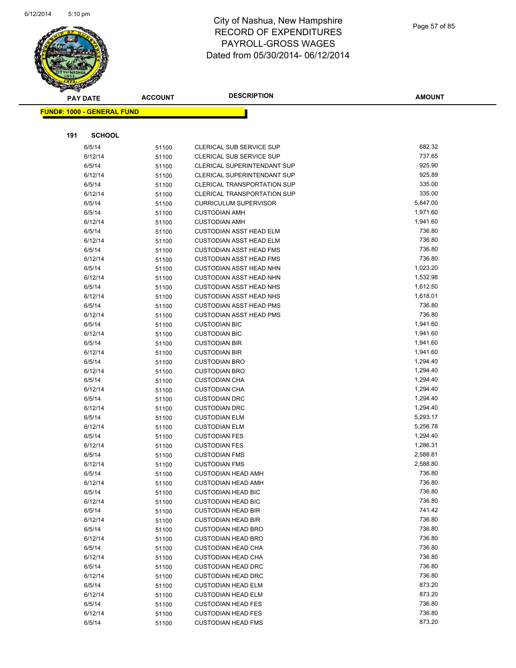

Page 57 of 85

|     | <b>PAY DATE</b>                   | <b>ACCOUNT</b> | <b>DESCRIPTION</b>                                               | <b>AMOUNT</b>      |
|-----|-----------------------------------|----------------|------------------------------------------------------------------|--------------------|
|     | <b>FUND#: 1000 - GENERAL FUND</b> |                |                                                                  |                    |
|     |                                   |                |                                                                  |                    |
|     |                                   |                |                                                                  |                    |
| 191 | <b>SCHOOL</b>                     |                |                                                                  |                    |
|     | 6/5/14                            | 51100          | CLERICAL SUB SERVICE SUP                                         | 682.32             |
|     | 6/12/14                           | 51100          | <b>CLERICAL SUB SERVICE SUP</b>                                  | 737.65             |
|     | 6/5/14                            | 51100          | <b>CLERICAL SUPERINTENDANT SUP</b>                               | 925.90             |
|     | 6/12/14                           | 51100          | <b>CLERICAL SUPERINTENDANT SUP</b>                               | 925.89             |
|     | 6/5/14                            | 51100          | <b>CLERICAL TRANSPORTATION SUP</b>                               | 335.00             |
|     | 6/12/14                           | 51100          | <b>CLERICAL TRANSPORTATION SUP</b>                               | 335.00             |
|     | 6/5/14                            | 51100          | <b>CURRICULUM SUPERVISOR</b>                                     | 5,847.00           |
|     | 6/5/14                            | 51100          | <b>CUSTODIAN AMH</b>                                             | 1,971.60           |
|     | 6/12/14                           | 51100          | <b>CUSTODIAN AMH</b>                                             | 1,941.60           |
|     | 6/5/14                            | 51100          | <b>CUSTODIAN ASST HEAD ELM</b>                                   | 736.80             |
|     | 6/12/14                           | 51100          | <b>CUSTODIAN ASST HEAD ELM</b>                                   | 736.80             |
|     | 6/5/14                            | 51100          | <b>CUSTODIAN ASST HEAD FMS</b>                                   | 736.80             |
|     | 6/12/14                           | 51100          | <b>CUSTODIAN ASST HEAD FMS</b>                                   | 736.80             |
|     | 6/5/14                            | 51100          | <b>CUSTODIAN ASST HEAD NHN</b>                                   | 1,023.20           |
|     | 6/12/14                           | 51100          | <b>CUSTODIAN ASST HEAD NHN</b>                                   | 1,532.98           |
|     | 6/5/14<br>6/12/14                 | 51100          | <b>CUSTODIAN ASST HEAD NHS</b>                                   | 1,612.50           |
|     |                                   | 51100          | <b>CUSTODIAN ASST HEAD NHS</b>                                   | 1,618.01<br>736.80 |
|     | 6/5/14<br>6/12/14                 | 51100          | <b>CUSTODIAN ASST HEAD PMS</b><br><b>CUSTODIAN ASST HEAD PMS</b> | 736.80             |
|     |                                   | 51100          |                                                                  | 1,941.60           |
|     | 6/5/14<br>6/12/14                 | 51100          | <b>CUSTODIAN BIC</b><br><b>CUSTODIAN BIC</b>                     | 1,941.60           |
|     | 6/5/14                            | 51100          | <b>CUSTODIAN BIR</b>                                             | 1,941.60           |
|     | 6/12/14                           | 51100          | <b>CUSTODIAN BIR</b>                                             | 1,941.60           |
|     | 6/5/14                            | 51100<br>51100 | <b>CUSTODIAN BRO</b>                                             | 1,294.40           |
|     | 6/12/14                           | 51100          | <b>CUSTODIAN BRO</b>                                             | 1,294.40           |
|     | 6/5/14                            | 51100          | <b>CUSTODIAN CHA</b>                                             | 1,294.40           |
|     | 6/12/14                           | 51100          | <b>CUSTODIAN CHA</b>                                             | 1,294.40           |
|     | 6/5/14                            | 51100          | <b>CUSTODIAN DRC</b>                                             | 1,294.40           |
|     | 6/12/14                           | 51100          | <b>CUSTODIAN DRC</b>                                             | 1,294.40           |
|     | 6/5/14                            | 51100          | <b>CUSTODIAN ELM</b>                                             | 5,293.17           |
|     | 6/12/14                           | 51100          | <b>CUSTODIAN ELM</b>                                             | 5,256.78           |
|     | 6/5/14                            | 51100          | <b>CUSTODIAN FES</b>                                             | 1,294.40           |
|     | 6/12/14                           | 51100          | <b>CUSTODIAN FES</b>                                             | 1,286.31           |
|     | 6/5/14                            | 51100          | <b>CUSTODIAN FMS</b>                                             | 2,588.81           |
|     | 6/12/14                           | 51100          | <b>CUSTODIAN FMS</b>                                             | 2,588.80           |
|     | 6/5/14                            | 51100          | <b>CUSTODIAN HEAD AMH</b>                                        | 736.80             |
|     | 6/12/14                           | 51100          | <b>CUSTODIAN HEAD AMH</b>                                        | 736.80             |
|     | 6/5/14                            | 51100          | <b>CUSTODIAN HEAD BIC</b>                                        | 736.80             |
|     | 6/12/14                           | 51100          | <b>CUSTODIAN HEAD BIC</b>                                        | 736.80             |
|     | 6/5/14                            | 51100          | <b>CUSTODIAN HEAD BIR</b>                                        | 741.42             |
|     | 6/12/14                           | 51100          | <b>CUSTODIAN HEAD BIR</b>                                        | 736.80             |
|     | 6/5/14                            | 51100          | <b>CUSTODIAN HEAD BRO</b>                                        | 736.80             |
|     | 6/12/14                           | 51100          | <b>CUSTODIAN HEAD BRO</b>                                        | 736.80             |
|     | 6/5/14                            | 51100          | <b>CUSTODIAN HEAD CHA</b>                                        | 736.80             |
|     | 6/12/14                           | 51100          | <b>CUSTODIAN HEAD CHA</b>                                        | 736.80             |
|     | 6/5/14                            | 51100          | <b>CUSTODIAN HEAD DRC</b>                                        | 736.80             |
|     | 6/12/14                           | 51100          | <b>CUSTODIAN HEAD DRC</b>                                        | 736.80             |
|     | 6/5/14                            | 51100          | <b>CUSTODIAN HEAD ELM</b>                                        | 873.20             |
|     | 6/12/14                           | 51100          | <b>CUSTODIAN HEAD ELM</b>                                        | 873.20             |
|     | 6/5/14                            | 51100          | <b>CUSTODIAN HEAD FES</b>                                        | 736.80             |
|     | 6/12/14                           | 51100          | <b>CUSTODIAN HEAD FES</b>                                        | 736.80             |
|     | 6/5/14                            | 51100          | <b>CUSTODIAN HEAD FMS</b>                                        | 873.20             |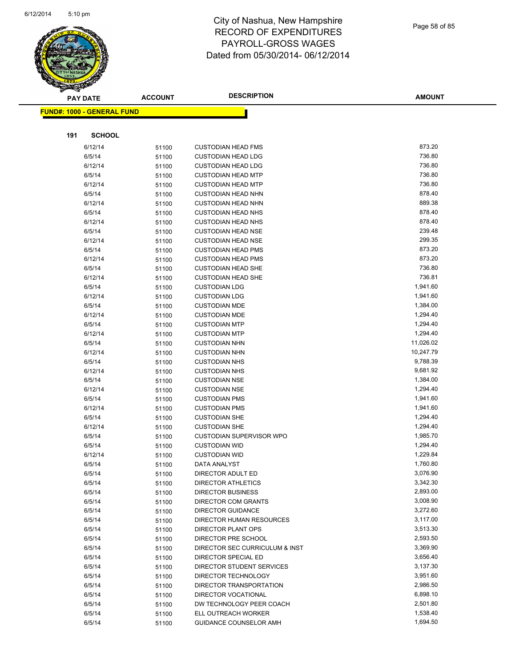

|     | <b>PAY DATE</b>                    | <b>ACCOUNT</b> | <b>DESCRIPTION</b>               | <b>AMOUNT</b> |
|-----|------------------------------------|----------------|----------------------------------|---------------|
|     | <u> FUND#: 1000 - GENERAL FUND</u> |                |                                  |               |
|     |                                    |                |                                  |               |
|     |                                    |                |                                  |               |
| 191 | <b>SCHOOL</b>                      |                |                                  |               |
|     | 6/12/14                            | 51100          | <b>CUSTODIAN HEAD FMS</b>        | 873.20        |
|     | 6/5/14                             | 51100          | <b>CUSTODIAN HEAD LDG</b>        | 736.80        |
|     | 6/12/14                            | 51100          | <b>CUSTODIAN HEAD LDG</b>        | 736.80        |
|     | 6/5/14                             | 51100          | <b>CUSTODIAN HEAD MTP</b>        | 736.80        |
|     | 6/12/14                            | 51100          | <b>CUSTODIAN HEAD MTP</b>        | 736.80        |
|     | 6/5/14                             | 51100          | <b>CUSTODIAN HEAD NHN</b>        | 878.40        |
|     | 6/12/14                            | 51100          | <b>CUSTODIAN HEAD NHN</b>        | 889.38        |
|     | 6/5/14                             | 51100          | <b>CUSTODIAN HEAD NHS</b>        | 878.40        |
|     | 6/12/14                            | 51100          | <b>CUSTODIAN HEAD NHS</b>        | 878.40        |
|     | 6/5/14                             | 51100          | <b>CUSTODIAN HEAD NSE</b>        | 239.48        |
|     | 6/12/14                            | 51100          | <b>CUSTODIAN HEAD NSE</b>        | 299.35        |
|     | 6/5/14                             | 51100          | <b>CUSTODIAN HEAD PMS</b>        | 873.20        |
|     | 6/12/14                            | 51100          | <b>CUSTODIAN HEAD PMS</b>        | 873.20        |
|     | 6/5/14                             | 51100          | <b>CUSTODIAN HEAD SHE</b>        | 736.80        |
|     | 6/12/14                            | 51100          | <b>CUSTODIAN HEAD SHE</b>        | 736.81        |
|     | 6/5/14                             | 51100          | <b>CUSTODIAN LDG</b>             | 1,941.60      |
|     | 6/12/14                            | 51100          | <b>CUSTODIAN LDG</b>             | 1,941.60      |
|     | 6/5/14                             | 51100          | <b>CUSTODIAN MDE</b>             | 1,384.00      |
|     | 6/12/14                            | 51100          | <b>CUSTODIAN MDE</b>             | 1,294.40      |
|     | 6/5/14                             | 51100          | <b>CUSTODIAN MTP</b>             | 1,294.40      |
|     | 6/12/14                            | 51100          | <b>CUSTODIAN MTP</b>             | 1,294.40      |
|     | 6/5/14                             | 51100          | <b>CUSTODIAN NHN</b>             | 11,026.02     |
|     | 6/12/14                            | 51100          | <b>CUSTODIAN NHN</b>             | 10,247.79     |
|     | 6/5/14                             | 51100          | <b>CUSTODIAN NHS</b>             | 9,788.39      |
|     | 6/12/14                            | 51100          | <b>CUSTODIAN NHS</b>             | 9,681.92      |
|     | 6/5/14                             | 51100          | <b>CUSTODIAN NSE</b>             | 1,384.00      |
|     | 6/12/14                            | 51100          | <b>CUSTODIAN NSE</b>             | 1,294.40      |
|     | 6/5/14                             | 51100          | <b>CUSTODIAN PMS</b>             | 1,941.60      |
|     | 6/12/14                            | 51100          | <b>CUSTODIAN PMS</b>             | 1,941.60      |
|     | 6/5/14                             | 51100          | <b>CUSTODIAN SHE</b>             | 1,294.40      |
|     | 6/12/14                            | 51100          | <b>CUSTODIAN SHE</b>             | 1,294.40      |
|     | 6/5/14                             | 51100          | <b>CUSTODIAN SUPERVISOR WPO</b>  | 1,985.70      |
|     | 6/5/14                             | 51100          | <b>CUSTODIAN WID</b>             | 1,294.40      |
|     | 6/12/14                            | 51100          | <b>CUSTODIAN WID</b>             | 1,229.84      |
|     | 6/5/14                             | 51100          | <b>DATA ANALYST</b>              | 1,760.80      |
|     | 6/5/14                             | 51100          | DIRECTOR ADULT ED                | 3,076.90      |
|     | 6/5/14                             | 51100          | <b>DIRECTOR ATHLETICS</b>        | 3,342.30      |
|     | 6/5/14                             | 51100          | <b>DIRECTOR BUSINESS</b>         | 2,893.00      |
|     | 6/5/14                             | 51100          | DIRECTOR COM GRANTS              | 3,008.90      |
|     | 6/5/14                             | 51100          | <b>DIRECTOR GUIDANCE</b>         | 3,272.60      |
|     | 6/5/14                             | 51100          | DIRECTOR HUMAN RESOURCES         | 3,117.00      |
|     | 6/5/14                             | 51100          | <b>DIRECTOR PLANT OPS</b>        | 3,513.30      |
|     | 6/5/14                             | 51100          | DIRECTOR PRE SCHOOL              | 2,593.50      |
|     | 6/5/14                             | 51100          | DIRECTOR SEC CURRICULUM & INST   | 3,369.90      |
|     | 6/5/14                             | 51100          | DIRECTOR SPECIAL ED              | 3,656.40      |
|     | 6/5/14                             | 51100          | <b>DIRECTOR STUDENT SERVICES</b> | 3,137.30      |
|     | 6/5/14                             | 51100          | DIRECTOR TECHNOLOGY              | 3,951.60      |
|     | 6/5/14                             | 51100          | DIRECTOR TRANSPORTATION          | 2,986.50      |
|     | 6/5/14                             | 51100          | DIRECTOR VOCATIONAL              | 6,898.10      |
|     | 6/5/14                             | 51100          | DW TECHNOLOGY PEER COACH         | 2,501.80      |
|     | 6/5/14                             | 51100          | ELL OUTREACH WORKER              | 1,538.40      |
|     | 6/5/14                             | 51100          | GUIDANCE COUNSELOR AMH           | 1,694.50      |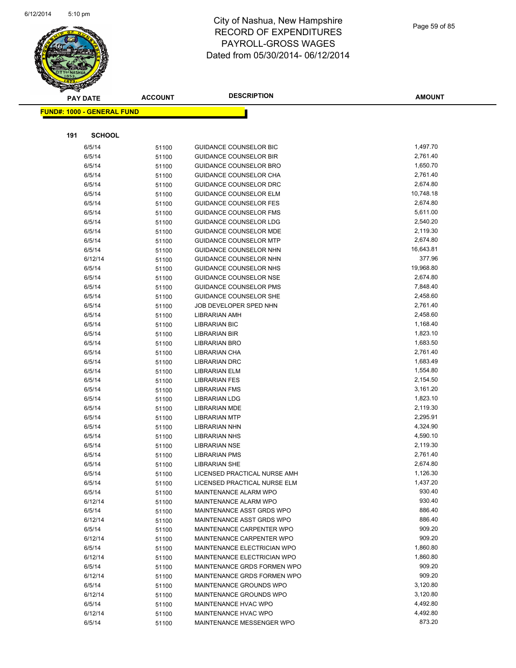

|     | <b>PAY DATE</b>                   | <b>ACCOUNT</b> | <b>DESCRIPTION</b>                                             | <b>AMOUNT</b>        |  |  |
|-----|-----------------------------------|----------------|----------------------------------------------------------------|----------------------|--|--|
|     | <b>FUND#: 1000 - GENERAL FUND</b> |                |                                                                |                      |  |  |
|     |                                   |                |                                                                |                      |  |  |
| 191 | <b>SCHOOL</b>                     |                |                                                                |                      |  |  |
|     |                                   |                |                                                                |                      |  |  |
|     | 6/5/14                            | 51100          | <b>GUIDANCE COUNSELOR BIC</b>                                  | 1,497.70             |  |  |
|     | 6/5/14                            | 51100          | <b>GUIDANCE COUNSELOR BIR</b>                                  | 2,761.40             |  |  |
|     | 6/5/14                            | 51100          | <b>GUIDANCE COUNSELOR BRO</b>                                  | 1,650.70             |  |  |
|     | 6/5/14                            | 51100          | GUIDANCE COUNSELOR CHA                                         | 2,761.40             |  |  |
|     | 6/5/14                            | 51100          | GUIDANCE COUNSELOR DRC                                         | 2,674.80             |  |  |
|     | 6/5/14                            | 51100          | <b>GUIDANCE COUNSELOR ELM</b>                                  | 10,748.18            |  |  |
|     | 6/5/14                            | 51100          | <b>GUIDANCE COUNSELOR FES</b>                                  | 2,674.80<br>5,611.00 |  |  |
|     | 6/5/14<br>6/5/14                  | 51100          | <b>GUIDANCE COUNSELOR FMS</b><br><b>GUIDANCE COUNSELOR LDG</b> | 2,540.20             |  |  |
|     | 6/5/14                            | 51100          | <b>GUIDANCE COUNSELOR MDE</b>                                  | 2,119.30             |  |  |
|     | 6/5/14                            | 51100<br>51100 | <b>GUIDANCE COUNSELOR MTP</b>                                  | 2,674.80             |  |  |
|     | 6/5/14                            |                | GUIDANCE COUNSELOR NHN                                         | 16,643.81            |  |  |
|     | 6/12/14                           | 51100<br>51100 | GUIDANCE COUNSELOR NHN                                         | 377.96               |  |  |
|     | 6/5/14                            | 51100          | <b>GUIDANCE COUNSELOR NHS</b>                                  | 19,968.80            |  |  |
|     | 6/5/14                            | 51100          | GUIDANCE COUNSELOR NSE                                         | 2,674.80             |  |  |
|     | 6/5/14                            | 51100          | <b>GUIDANCE COUNSELOR PMS</b>                                  | 7,848.40             |  |  |
|     | 6/5/14                            | 51100          | <b>GUIDANCE COUNSELOR SHE</b>                                  | 2,458.60             |  |  |
|     | 6/5/14                            | 51100          | JOB DEVELOPER SPED NHN                                         | 2,761.40             |  |  |
|     | 6/5/14                            | 51100          | <b>LIBRARIAN AMH</b>                                           | 2,458.60             |  |  |
|     | 6/5/14                            | 51100          | <b>LIBRARIAN BIC</b>                                           | 1,168.40             |  |  |
|     | 6/5/14                            | 51100          | <b>LIBRARIAN BIR</b>                                           | 1,823.10             |  |  |
|     | 6/5/14                            | 51100          | <b>LIBRARIAN BRO</b>                                           | 1,683.50             |  |  |
|     | 6/5/14                            | 51100          | LIBRARIAN CHA                                                  | 2,761.40             |  |  |
|     | 6/5/14                            | 51100          | <b>LIBRARIAN DRC</b>                                           | 1,683.49             |  |  |
|     | 6/5/14                            | 51100          | <b>LIBRARIAN ELM</b>                                           | 1,554.80             |  |  |
|     | 6/5/14                            | 51100          | <b>LIBRARIAN FES</b>                                           | 2,154.50             |  |  |
|     | 6/5/14                            | 51100          | <b>LIBRARIAN FMS</b>                                           | 3,161.20             |  |  |
|     | 6/5/14                            | 51100          | <b>LIBRARIAN LDG</b>                                           | 1,823.10             |  |  |
|     | 6/5/14                            | 51100          | <b>LIBRARIAN MDE</b>                                           | 2,119.30             |  |  |
|     | 6/5/14                            | 51100          | <b>LIBRARIAN MTP</b>                                           | 2,295.91             |  |  |
|     | 6/5/14                            | 51100          | <b>LIBRARIAN NHN</b>                                           | 4,324.90             |  |  |
|     | 6/5/14                            | 51100          | <b>LIBRARIAN NHS</b>                                           | 4,590.10             |  |  |
|     | 6/5/14                            | 51100          | <b>LIBRARIAN NSE</b>                                           | 2,119.30             |  |  |
|     | 6/5/14                            | 51100          | <b>LIBRARIAN PMS</b>                                           | 2,761.40             |  |  |
|     | 6/5/14                            | 51100          | <b>LIBRARIAN SHE</b>                                           | 2,674.80             |  |  |
|     | 6/5/14                            | 51100          | LICENSED PRACTICAL NURSE AMH                                   | 1,126.30             |  |  |
|     | 6/5/14                            | 51100          | LICENSED PRACTICAL NURSE ELM                                   | 1,437.20             |  |  |
|     | 6/5/14                            | 51100          | MAINTENANCE ALARM WPO                                          | 930.40               |  |  |
|     | 6/12/14                           | 51100          | MAINTENANCE ALARM WPO                                          | 930.40               |  |  |
|     | 6/5/14                            | 51100          | MAINTENANCE ASST GRDS WPO                                      | 886.40               |  |  |
|     | 6/12/14                           | 51100          | MAINTENANCE ASST GRDS WPO                                      | 886.40               |  |  |
|     | 6/5/14                            | 51100          | MAINTENANCE CARPENTER WPO                                      | 909.20               |  |  |
|     | 6/12/14                           | 51100          | MAINTENANCE CARPENTER WPO                                      | 909.20               |  |  |
|     | 6/5/14                            | 51100          | MAINTENANCE ELECTRICIAN WPO                                    | 1,860.80             |  |  |
|     | 6/12/14                           | 51100          | MAINTENANCE ELECTRICIAN WPO                                    | 1,860.80             |  |  |
|     | 6/5/14                            | 51100          | MAINTENANCE GRDS FORMEN WPO                                    | 909.20               |  |  |
|     | 6/12/14                           | 51100          | MAINTENANCE GRDS FORMEN WPO                                    | 909.20               |  |  |
|     | 6/5/14                            | 51100          | MAINTENANCE GROUNDS WPO                                        | 3,120.80             |  |  |
|     | 6/12/14                           | 51100          | MAINTENANCE GROUNDS WPO                                        | 3,120.80             |  |  |
|     | 6/5/14                            | 51100          | MAINTENANCE HVAC WPO                                           | 4,492.80             |  |  |
|     | 6/12/14                           | 51100          | MAINTENANCE HVAC WPO                                           | 4,492.80             |  |  |
|     | 6/5/14                            | 51100          | MAINTENANCE MESSENGER WPO                                      | 873.20               |  |  |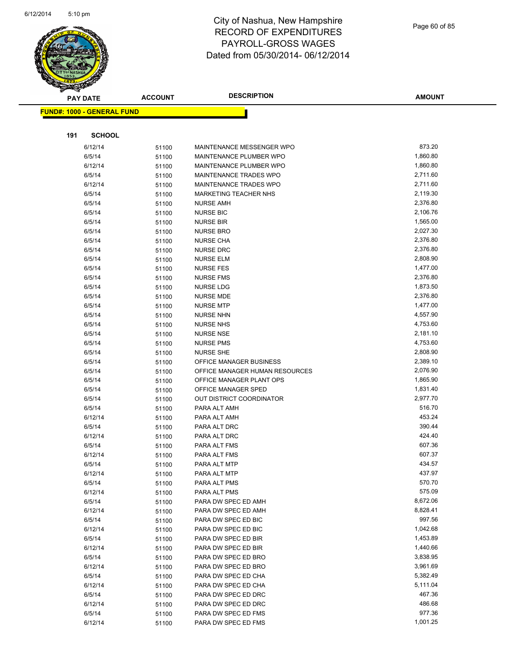

|     | <b>PAY DATE</b>                   | <b>ACCOUNT</b> | <b>DESCRIPTION</b>             | <b>AMOUNT</b> |
|-----|-----------------------------------|----------------|--------------------------------|---------------|
|     | <b>FUND#: 1000 - GENERAL FUND</b> |                |                                |               |
|     |                                   |                |                                |               |
|     |                                   |                |                                |               |
| 191 | <b>SCHOOL</b>                     |                |                                |               |
|     | 6/12/14                           | 51100          | MAINTENANCE MESSENGER WPO      | 873.20        |
|     | 6/5/14                            | 51100          | MAINTENANCE PLUMBER WPO        | 1,860.80      |
|     | 6/12/14                           | 51100          | MAINTENANCE PLUMBER WPO        | 1,860.80      |
|     | 6/5/14                            | 51100          | MAINTENANCE TRADES WPO         | 2,711.60      |
|     | 6/12/14                           | 51100          | MAINTENANCE TRADES WPO         | 2,711.60      |
|     | 6/5/14                            | 51100          | <b>MARKETING TEACHER NHS</b>   | 2,119.30      |
|     | 6/5/14                            | 51100          | <b>NURSE AMH</b>               | 2,376.80      |
|     | 6/5/14                            | 51100          | <b>NURSE BIC</b>               | 2,106.76      |
|     | 6/5/14                            | 51100          | <b>NURSE BIR</b>               | 1,565.00      |
|     | 6/5/14                            | 51100          | <b>NURSE BRO</b>               | 2,027.30      |
|     | 6/5/14                            | 51100          | <b>NURSE CHA</b>               | 2,376.80      |
|     | 6/5/14                            | 51100          | <b>NURSE DRC</b>               | 2,376.80      |
|     | 6/5/14                            | 51100          | <b>NURSE ELM</b>               | 2,808.90      |
|     | 6/5/14                            | 51100          | <b>NURSE FES</b>               | 1,477.00      |
|     | 6/5/14                            | 51100          | <b>NURSE FMS</b>               | 2,376.80      |
|     | 6/5/14                            | 51100          | <b>NURSE LDG</b>               | 1,873.50      |
|     | 6/5/14                            | 51100          | NURSE MDE                      | 2,376.80      |
|     | 6/5/14                            | 51100          | <b>NURSE MTP</b>               | 1,477.00      |
|     | 6/5/14                            | 51100          | <b>NURSE NHN</b>               | 4,557.90      |
|     | 6/5/14                            | 51100          | <b>NURSE NHS</b>               | 4,753.60      |
|     | 6/5/14                            | 51100          | <b>NURSE NSE</b>               | 2,181.10      |
|     | 6/5/14                            | 51100          | <b>NURSE PMS</b>               | 4,753.60      |
|     | 6/5/14                            | 51100          | <b>NURSE SHE</b>               | 2,808.90      |
|     | 6/5/14                            | 51100          | OFFICE MANAGER BUSINESS        | 2,389.10      |
|     | 6/5/14                            | 51100          | OFFICE MANAGER HUMAN RESOURCES | 2,076.90      |
|     | 6/5/14                            | 51100          | OFFICE MANAGER PLANT OPS       | 1,865.90      |
|     | 6/5/14                            | 51100          | OFFICE MANAGER SPED            | 1,831.40      |
|     | 6/5/14                            | 51100          | OUT DISTRICT COORDINATOR       | 2,977.70      |
|     | 6/5/14                            | 51100          | PARA ALT AMH                   | 516.70        |
|     | 6/12/14                           | 51100          | PARA ALT AMH                   | 453.24        |
|     | 6/5/14                            | 51100          | PARA ALT DRC                   | 390.44        |
|     | 6/12/14                           | 51100          | PARA ALT DRC                   | 424.40        |
|     | 6/5/14                            | 51100          | PARA ALT FMS                   | 607.36        |
|     | 6/12/14                           | 51100          | PARA ALT FMS                   | 607.37        |
|     | 6/5/14                            | 51100          | PARA ALT MTP                   | 434.57        |
|     | 6/12/14                           | 51100          | PARA ALT MTP                   | 437.97        |
|     | 6/5/14                            | 51100          | PARA ALT PMS                   | 570.70        |
|     | 6/12/14                           | 51100          | PARA ALT PMS                   | 575.09        |
|     | 6/5/14                            | 51100          | PARA DW SPEC ED AMH            | 8,672.06      |
|     | 6/12/14                           | 51100          | PARA DW SPEC ED AMH            | 8,828.41      |
|     | 6/5/14                            | 51100          | PARA DW SPEC ED BIC            | 997.56        |
|     | 6/12/14                           | 51100          | PARA DW SPEC ED BIC            | 1,042.68      |
|     | 6/5/14                            | 51100          | PARA DW SPEC ED BIR            | 1,453.89      |
|     | 6/12/14                           | 51100          | PARA DW SPEC ED BIR            | 1,440.66      |
|     | 6/5/14                            | 51100          | PARA DW SPEC ED BRO            | 3,838.95      |
|     | 6/12/14                           | 51100          | PARA DW SPEC ED BRO            | 3,961.69      |
|     | 6/5/14                            | 51100          | PARA DW SPEC ED CHA            | 5,382.49      |
|     | 6/12/14                           | 51100          | PARA DW SPEC ED CHA            | 5,111.04      |
|     | 6/5/14                            | 51100          | PARA DW SPEC ED DRC            | 467.36        |
|     | 6/12/14                           | 51100          | PARA DW SPEC ED DRC            | 486.68        |
|     | 6/5/14                            | 51100          | PARA DW SPEC ED FMS            | 977.36        |
|     | 6/12/14                           | 51100          | PARA DW SPEC ED FMS            | 1,001.25      |
|     |                                   |                |                                |               |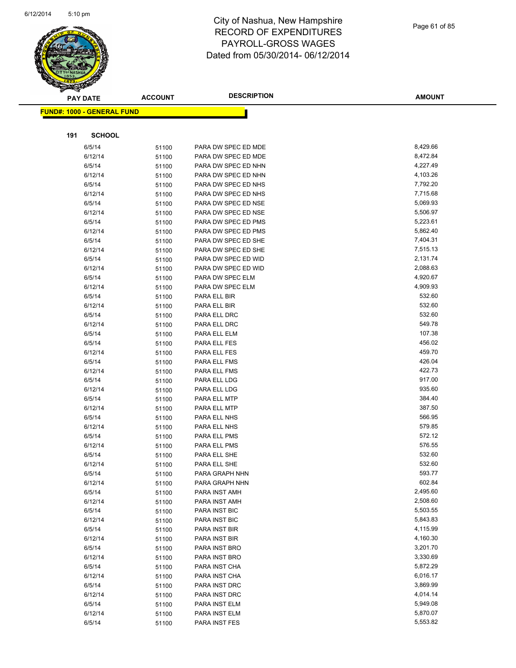

| <b>PAY DATE</b> |                                   | <b>ACCOUNT</b> | <b>DESCRIPTION</b>             | <b>AMOUNT</b>        |
|-----------------|-----------------------------------|----------------|--------------------------------|----------------------|
|                 | <b>FUND#: 1000 - GENERAL FUND</b> |                |                                |                      |
|                 |                                   |                |                                |                      |
| 191             | <b>SCHOOL</b>                     |                |                                |                      |
|                 | 6/5/14                            | 51100          | PARA DW SPEC ED MDE            | 8,429.66             |
|                 | 6/12/14                           | 51100          | PARA DW SPEC ED MDE            | 8,472.84             |
|                 | 6/5/14                            | 51100          | PARA DW SPEC ED NHN            | 4,227.49             |
|                 | 6/12/14                           | 51100          | PARA DW SPEC ED NHN            | 4,103.26             |
|                 | 6/5/14                            | 51100          | PARA DW SPEC ED NHS            | 7,792.20             |
|                 | 6/12/14                           | 51100          | PARA DW SPEC ED NHS            | 7,715.68             |
|                 | 6/5/14                            | 51100          | PARA DW SPEC ED NSE            | 5,069.93             |
|                 | 6/12/14                           | 51100          | PARA DW SPEC ED NSE            | 5,506.97             |
|                 | 6/5/14                            | 51100          | PARA DW SPEC ED PMS            | 5,223.61             |
|                 | 6/12/14                           | 51100          | PARA DW SPEC ED PMS            | 5,862.40             |
|                 | 6/5/14                            | 51100          | PARA DW SPEC ED SHE            | 7,404.31             |
|                 | 6/12/14                           | 51100          | PARA DW SPEC ED SHE            | 7,515.13             |
|                 | 6/5/14                            | 51100          | PARA DW SPEC ED WID            | 2,131.74             |
|                 | 6/12/14                           | 51100          | PARA DW SPEC ED WID            | 2,088.63             |
|                 | 6/5/14                            | 51100          | PARA DW SPEC ELM               | 4,920.67             |
|                 | 6/12/14                           | 51100          | PARA DW SPEC ELM               | 4,909.93             |
|                 | 6/5/14                            | 51100          | PARA ELL BIR                   | 532.60               |
|                 | 6/12/14                           | 51100          | PARA ELL BIR                   | 532.60               |
|                 | 6/5/14                            | 51100          | PARA ELL DRC                   | 532.60               |
|                 | 6/12/14                           | 51100          | PARA ELL DRC                   | 549.78               |
|                 | 6/5/14                            | 51100          | PARA ELL ELM                   | 107.38               |
|                 | 6/5/14                            | 51100          | PARA ELL FES                   | 456.02               |
|                 | 6/12/14                           | 51100          | PARA ELL FES                   | 459.70               |
|                 | 6/5/14                            | 51100          | PARA ELL FMS                   | 426.04               |
|                 | 6/12/14                           | 51100          | PARA ELL FMS                   | 422.73               |
|                 | 6/5/14                            | 51100          | PARA ELL LDG                   | 917.00               |
|                 | 6/12/14                           | 51100          | PARA ELL LDG                   | 935.60               |
|                 | 6/5/14                            | 51100          | PARA ELL MTP                   | 384.40               |
|                 | 6/12/14                           | 51100          | PARA ELL MTP                   | 387.50               |
|                 | 6/5/14                            | 51100          | PARA ELL NHS                   | 566.95               |
|                 | 6/12/14                           | 51100          | PARA ELL NHS                   | 579.85               |
|                 | 6/5/14                            | 51100          | PARA ELL PMS                   | 572.12               |
|                 | 6/12/14                           | 51100          | PARA ELL PMS                   | 576.55               |
|                 | 6/5/14                            | 51100          | PARA ELL SHE                   | 532.60               |
|                 | 6/12/14                           | 51100          | PARA ELL SHE                   | 532.60               |
|                 | 6/5/14                            | 51100          | PARA GRAPH NHN                 | 593.77               |
|                 | 6/12/14                           | 51100          | PARA GRAPH NHN                 | 602.84               |
|                 | 6/5/14                            | 51100          | PARA INST AMH                  | 2,495.60             |
|                 | 6/12/14                           | 51100          | PARA INST AMH                  | 2,508.60             |
|                 | 6/5/14                            | 51100          | PARA INST BIC                  | 5,503.55             |
|                 | 6/12/14                           | 51100          | PARA INST BIC                  | 5,843.83<br>4,115.99 |
|                 | 6/5/14<br>6/12/14                 | 51100          | PARA INST BIR                  | 4,160.30             |
|                 |                                   | 51100          | PARA INST BIR                  | 3,201.70             |
|                 | 6/5/14<br>6/12/14                 | 51100          | PARA INST BRO<br>PARA INST BRO | 3,330.69             |
|                 | 6/5/14                            | 51100          |                                | 5,872.29             |
|                 | 6/12/14                           | 51100          | PARA INST CHA<br>PARA INST CHA | 6,016.17             |
|                 | 6/5/14                            | 51100          | PARA INST DRC                  | 3,869.99             |
|                 | 6/12/14                           | 51100          | PARA INST DRC                  | 4,014.14             |
|                 | 6/5/14                            | 51100          | PARA INST ELM                  | 5,949.08             |
|                 | 6/12/14                           | 51100          | PARA INST ELM                  | 5,870.07             |
|                 |                                   | 51100          |                                | 5,553.82             |
|                 | 6/5/14                            | 51100          | PARA INST FES                  |                      |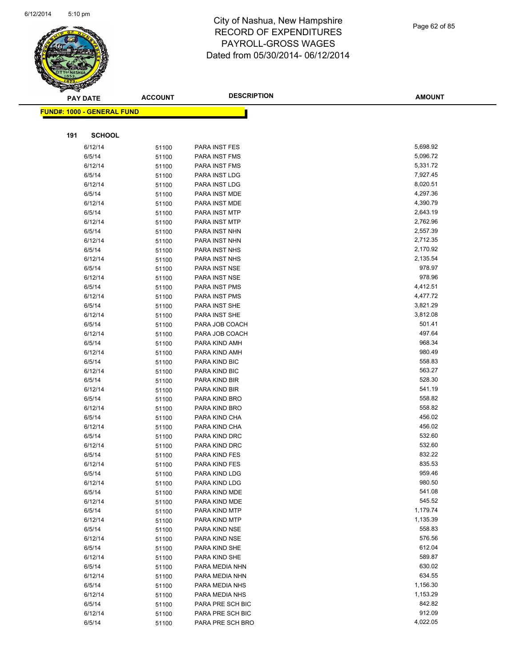

|     | <b>PAY DATE</b>                         | <b>ACCOUNT</b> | <b>DESCRIPTION</b>             | <b>AMOUNT</b>    |
|-----|-----------------------------------------|----------------|--------------------------------|------------------|
|     | <mark>FUND#: 1000 - GENERAL FUND</mark> |                |                                |                  |
|     |                                         |                |                                |                  |
|     |                                         |                |                                |                  |
| 191 | <b>SCHOOL</b>                           |                |                                |                  |
|     | 6/12/14                                 | 51100          | PARA INST FES                  | 5,698.92         |
|     | 6/5/14                                  | 51100          | PARA INST FMS                  | 5,096.72         |
|     | 6/12/14                                 | 51100          | PARA INST FMS                  | 5,331.72         |
|     | 6/5/14                                  | 51100          | PARA INST LDG                  | 7,927.45         |
|     | 6/12/14                                 | 51100          | PARA INST LDG                  | 8,020.51         |
|     | 6/5/14                                  | 51100          | PARA INST MDE                  | 4,297.36         |
|     | 6/12/14                                 | 51100          | PARA INST MDE                  | 4,390.79         |
|     | 6/5/14                                  | 51100          | PARA INST MTP                  | 2,643.19         |
|     | 6/12/14                                 | 51100          | PARA INST MTP                  | 2,762.96         |
|     | 6/5/14                                  | 51100          | PARA INST NHN                  | 2,557.39         |
|     | 6/12/14                                 | 51100          | PARA INST NHN                  | 2,712.35         |
|     | 6/5/14                                  | 51100          | PARA INST NHS                  | 2,170.92         |
|     | 6/12/14                                 | 51100          | PARA INST NHS                  | 2,135.54         |
|     | 6/5/14                                  | 51100          | PARA INST NSE                  | 978.97           |
|     | 6/12/14                                 | 51100          | PARA INST NSE                  | 978.96           |
|     | 6/5/14                                  | 51100          | PARA INST PMS                  | 4,412.51         |
|     | 6/12/14                                 | 51100          | PARA INST PMS                  | 4,477.72         |
|     | 6/5/14                                  | 51100          | PARA INST SHE                  | 3,821.29         |
|     | 6/12/14                                 | 51100          | PARA INST SHE                  | 3,812.08         |
|     | 6/5/14                                  | 51100          | PARA JOB COACH                 | 501.41           |
|     | 6/12/14                                 | 51100          | PARA JOB COACH                 | 497.64           |
|     | 6/5/14                                  | 51100          | PARA KIND AMH                  | 968.34           |
|     | 6/12/14                                 | 51100          | PARA KIND AMH                  | 980.49           |
|     | 6/5/14                                  | 51100          | PARA KIND BIC                  | 558.83           |
|     | 6/12/14                                 | 51100          | PARA KIND BIC                  | 563.27           |
|     | 6/5/14                                  | 51100          | PARA KIND BIR                  | 528.30<br>541.19 |
|     | 6/12/14<br>6/5/14                       | 51100          | PARA KIND BIR                  | 558.82           |
|     | 6/12/14                                 | 51100          | PARA KIND BRO<br>PARA KIND BRO | 558.82           |
|     | 6/5/14                                  | 51100          | PARA KIND CHA                  | 456.02           |
|     | 6/12/14                                 | 51100          | PARA KIND CHA                  | 456.02           |
|     | 6/5/14                                  | 51100<br>51100 | PARA KIND DRC                  | 532.60           |
|     | 6/12/14                                 | 51100          | PARA KIND DRC                  | 532.60           |
|     | 6/5/14                                  | 51100          | PARA KIND FES                  | 832.22           |
|     | 6/12/14                                 | 51100          | PARA KIND FES                  | 835.53           |
|     | 6/5/14                                  | 51100          | PARA KIND LDG                  | 959.46           |
|     | 6/12/14                                 | 51100          | PARA KIND LDG                  | 980.50           |
|     | 6/5/14                                  | 51100          | PARA KIND MDE                  | 541.08           |
|     | 6/12/14                                 | 51100          | PARA KIND MDE                  | 545.52           |
|     | 6/5/14                                  | 51100          | PARA KIND MTP                  | 1,179.74         |
|     | 6/12/14                                 | 51100          | PARA KIND MTP                  | 1,135.39         |
|     | 6/5/14                                  | 51100          | PARA KIND NSE                  | 558.83           |
|     | 6/12/14                                 | 51100          | PARA KIND NSE                  | 576.56           |
|     | 6/5/14                                  | 51100          | PARA KIND SHE                  | 612.04           |
|     | 6/12/14                                 | 51100          | PARA KIND SHE                  | 589.87           |
|     | 6/5/14                                  | 51100          | PARA MEDIA NHN                 | 630.02           |
|     | 6/12/14                                 | 51100          | PARA MEDIA NHN                 | 634.55           |
|     | 6/5/14                                  | 51100          | PARA MEDIA NHS                 | 1,156.30         |
|     | 6/12/14                                 | 51100          | PARA MEDIA NHS                 | 1,153.29         |
|     | 6/5/14                                  | 51100          | PARA PRE SCH BIC               | 842.82           |
|     | 6/12/14                                 | 51100          | PARA PRE SCH BIC               | 912.09           |
|     | 6/5/14                                  | 51100          | PARA PRE SCH BRO               | 4,022.05         |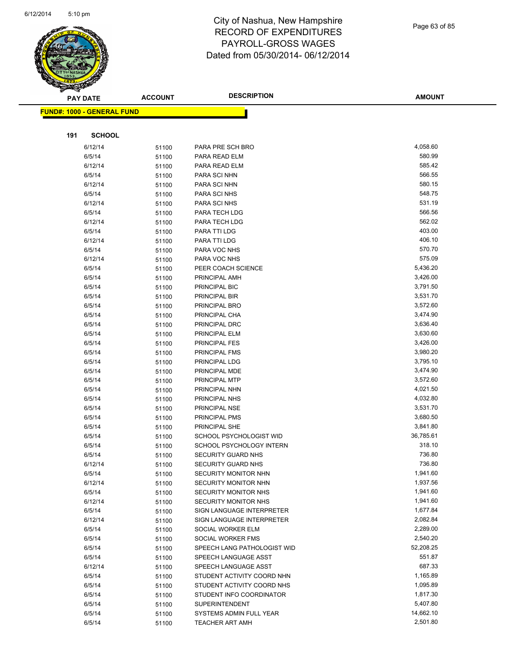

Page 63 of 85

|     | PAY DATE                          | <b>ACCOUNT</b> | <b>DESCRIPTION</b>             | <b>AMOUNT</b>        |
|-----|-----------------------------------|----------------|--------------------------------|----------------------|
|     | <b>FUND#: 1000 - GENERAL FUND</b> |                |                                |                      |
|     |                                   |                |                                |                      |
|     |                                   |                |                                |                      |
| 191 | <b>SCHOOL</b>                     |                |                                |                      |
|     | 6/12/14                           | 51100          | PARA PRE SCH BRO               | 4,058.60             |
|     | 6/5/14                            | 51100          | PARA READ ELM                  | 580.99               |
|     | 6/12/14                           | 51100          | PARA READ ELM                  | 585.42               |
|     | 6/5/14                            | 51100          | PARA SCI NHN                   | 566.55               |
|     | 6/12/14                           | 51100          | PARA SCI NHN                   | 580.15               |
|     | 6/5/14                            | 51100          | PARA SCI NHS                   | 548.75               |
|     | 6/12/14                           | 51100          | PARA SCI NHS                   | 531.19               |
|     | 6/5/14                            | 51100          | PARA TECH LDG                  | 566.56               |
|     | 6/12/14                           | 51100          | PARA TECH LDG                  | 562.02               |
|     | 6/5/14                            | 51100          | PARA TTI LDG                   | 403.00               |
|     | 6/12/14                           | 51100          | PARA TTI LDG                   | 406.10               |
|     | 6/5/14                            | 51100          | PARA VOC NHS                   | 570.70               |
|     | 6/12/14                           | 51100          | PARA VOC NHS                   | 575.09               |
|     | 6/5/14                            | 51100          | PEER COACH SCIENCE             | 5,436.20             |
|     | 6/5/14                            | 51100          | PRINCIPAL AMH                  | 3,426.00             |
|     | 6/5/14                            | 51100          | PRINCIPAL BIC                  | 3,791.50             |
|     | 6/5/14                            | 51100          | PRINCIPAL BIR                  | 3,531.70             |
|     | 6/5/14                            | 51100          | PRINCIPAL BRO                  | 3,572.60             |
|     | 6/5/14                            | 51100          | PRINCIPAL CHA                  | 3,474.90             |
|     | 6/5/14                            | 51100          | PRINCIPAL DRC                  | 3,636.40             |
|     | 6/5/14                            | 51100          | PRINCIPAL ELM                  | 3,630.60<br>3,426.00 |
|     | 6/5/14                            | 51100          | PRINCIPAL FES                  | 3,980.20             |
|     | 6/5/14                            | 51100          | PRINCIPAL FMS                  | 3,795.10             |
|     | 6/5/14                            | 51100          | PRINCIPAL LDG                  | 3,474.90             |
|     | 6/5/14<br>6/5/14                  | 51100          | PRINCIPAL MDE<br>PRINCIPAL MTP | 3,572.60             |
|     | 6/5/14                            | 51100          | PRINCIPAL NHN                  | 4,021.50             |
|     | 6/5/14                            | 51100          | PRINCIPAL NHS                  | 4,032.80             |
|     | 6/5/14                            | 51100          | PRINCIPAL NSE                  | 3,531.70             |
|     | 6/5/14                            | 51100          | PRINCIPAL PMS                  | 3,680.50             |
|     | 6/5/14                            | 51100<br>51100 | PRINCIPAL SHE                  | 3,841.80             |
|     | 6/5/14                            | 51100          | SCHOOL PSYCHOLOGIST WID        | 36,785.61            |
|     | 6/5/14                            | 51100          | SCHOOL PSYCHOLOGY INTERN       | 318.10               |
|     | 6/5/14                            | 51100          | SECURITY GUARD NHS             | 736.80               |
|     | 6/12/14                           | 51100          | SECURITY GUARD NHS             | 736.80               |
|     | 6/5/14                            | 51100          | <b>SECURITY MONITOR NHN</b>    | 1,941.60             |
|     | 6/12/14                           | 51100          | SECURITY MONITOR NHN           | 1,937.56             |
|     | 6/5/14                            | 51100          | <b>SECURITY MONITOR NHS</b>    | 1,941.60             |
|     | 6/12/14                           | 51100          | SECURITY MONITOR NHS           | 1,941.60             |
|     | 6/5/14                            | 51100          | SIGN LANGUAGE INTERPRETER      | 1,677.84             |
|     | 6/12/14                           | 51100          | SIGN LANGUAGE INTERPRETER      | 2,082.84             |
|     | 6/5/14                            | 51100          | SOCIAL WORKER ELM              | 2,289.00             |
|     | 6/5/14                            | 51100          | SOCIAL WORKER FMS              | 2,540.20             |
|     | 6/5/14                            | 51100          | SPEECH LANG PATHOLOGIST WID    | 52,208.25            |
|     | 6/5/14                            | 51100          | SPEECH LANGUAGE ASST           | 551.87               |
|     | 6/12/14                           | 51100          | SPEECH LANGUAGE ASST           | 687.33               |
|     | 6/5/14                            | 51100          | STUDENT ACTIVITY COORD NHN     | 1,165.89             |
|     | 6/5/14                            | 51100          | STUDENT ACTIVITY COORD NHS     | 1,095.89             |
|     | 6/5/14                            | 51100          | STUDENT INFO COORDINATOR       | 1,817.30             |
|     | 6/5/14                            | 51100          | SUPERINTENDENT                 | 5,407.80             |
|     | 6/5/14                            | 51100          | SYSTEMS ADMIN FULL YEAR        | 14,662.10            |
|     | 6/5/14                            | 51100          | <b>TEACHER ART AMH</b>         | 2,501.80             |
|     |                                   |                |                                |                      |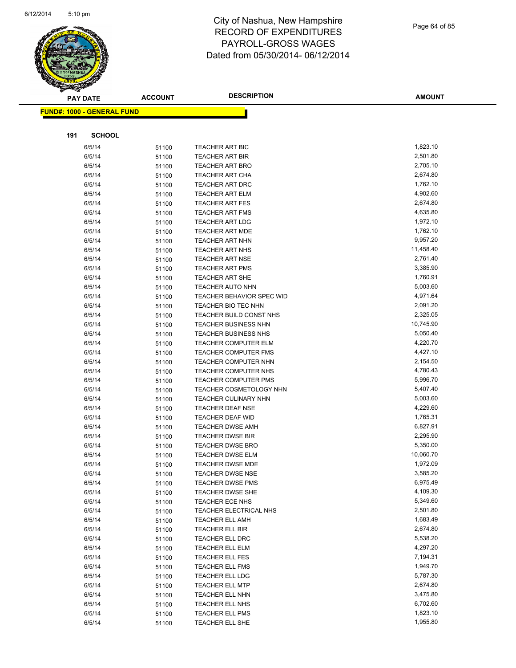

Page 64 of 85

| $\tilde{\phantom{a}}$ | <b>PAY DATE</b>                   | <b>ACCOUNT</b> | <b>DESCRIPTION</b>                                 | <b>AMOUNT</b>        |  |
|-----------------------|-----------------------------------|----------------|----------------------------------------------------|----------------------|--|
|                       | <b>FUND#: 1000 - GENERAL FUND</b> |                |                                                    |                      |  |
|                       |                                   |                |                                                    |                      |  |
| 191                   | <b>SCHOOL</b>                     |                |                                                    |                      |  |
|                       | 6/5/14                            | 51100          | <b>TEACHER ART BIC</b>                             | 1,823.10             |  |
|                       | 6/5/14                            | 51100          | <b>TEACHER ART BIR</b>                             | 2,501.80             |  |
|                       | 6/5/14                            | 51100          | <b>TEACHER ART BRO</b>                             | 2,705.10             |  |
|                       | 6/5/14                            | 51100          | <b>TEACHER ART CHA</b>                             | 2,674.80             |  |
|                       | 6/5/14                            | 51100          | <b>TEACHER ART DRC</b>                             | 1,762.10             |  |
|                       | 6/5/14                            | 51100          | <b>TEACHER ART ELM</b>                             | 4,902.60             |  |
|                       | 6/5/14                            | 51100          | <b>TEACHER ART FES</b>                             | 2,674.80             |  |
|                       | 6/5/14                            | 51100          | TEACHER ART FMS                                    | 4,635.80             |  |
|                       | 6/5/14                            | 51100          | <b>TEACHER ART LDG</b>                             | 1,972.10             |  |
|                       | 6/5/14                            | 51100          | <b>TEACHER ART MDE</b>                             | 1,762.10             |  |
|                       | 6/5/14                            | 51100          | <b>TEACHER ART NHN</b>                             | 9,957.20             |  |
|                       | 6/5/14                            | 51100          | <b>TEACHER ART NHS</b>                             | 11,458.40            |  |
|                       | 6/5/14                            | 51100          | <b>TEACHER ART NSE</b>                             | 2,761.40             |  |
|                       | 6/5/14                            | 51100          | <b>TEACHER ART PMS</b>                             | 3,385.90             |  |
|                       | 6/5/14                            | 51100          | <b>TEACHER ART SHE</b>                             | 1,760.91             |  |
|                       | 6/5/14                            | 51100          | <b>TEACHER AUTO NHN</b>                            | 5,003.60             |  |
|                       | 6/5/14                            | 51100          | <b>TEACHER BEHAVIOR SPEC WID</b>                   | 4,971.64             |  |
|                       | 6/5/14                            | 51100          | TEACHER BIO TEC NHN                                | 2,091.20             |  |
|                       | 6/5/14                            | 51100          | TEACHER BUILD CONST NHS                            | 2,325.05             |  |
|                       | 6/5/14                            | 51100          | TEACHER BUSINESS NHN                               | 10,745.90            |  |
|                       | 6/5/14                            | 51100          | <b>TEACHER BUSINESS NHS</b>                        | 5,050.40             |  |
|                       | 6/5/14                            | 51100          | TEACHER COMPUTER ELM                               | 4,220.70             |  |
|                       | 6/5/14                            | 51100          | <b>TEACHER COMPUTER FMS</b>                        | 4,427.10             |  |
|                       | 6/5/14                            | 51100          | <b>TEACHER COMPUTER NHN</b>                        | 2,154.50             |  |
|                       | 6/5/14                            | 51100          | TEACHER COMPUTER NHS                               | 4,780.43             |  |
|                       | 6/5/14                            | 51100          | <b>TEACHER COMPUTER PMS</b>                        | 5,996.70             |  |
|                       | 6/5/14                            | 51100          | TEACHER COSMETOLOGY NHN                            | 5,407.40             |  |
|                       | 6/5/14                            | 51100          | <b>TEACHER CULINARY NHN</b>                        | 5,003.60             |  |
|                       | 6/5/14                            | 51100          | <b>TEACHER DEAF NSE</b>                            | 4,229.60             |  |
|                       | 6/5/14                            | 51100          | <b>TEACHER DEAF WID</b>                            | 1,765.31<br>6,827.91 |  |
|                       | 6/5/14<br>6/5/14                  | 51100          | <b>TEACHER DWSE AMH</b><br><b>TEACHER DWSE BIR</b> | 2,295.90             |  |
|                       | 6/5/14                            | 51100          | <b>TEACHER DWSE BRO</b>                            | 5,350.00             |  |
|                       | 6/5/14                            | 51100          | <b>TEACHER DWSE ELM</b>                            | 10,060.70            |  |
|                       | 6/5/14                            | 51100<br>51100 | <b>TEACHER DWSE MDE</b>                            | 1,972.09             |  |
|                       | 6/5/14                            |                | <b>TEACHER DWSE NSE</b>                            | 3,585.20             |  |
|                       | 6/5/14                            | 51100<br>51100 | <b>TEACHER DWSE PMS</b>                            | 6,975.49             |  |
|                       | 6/5/14                            | 51100          | <b>TEACHER DWSE SHE</b>                            | 4,109.30             |  |
|                       | 6/5/14                            | 51100          | <b>TEACHER ECE NHS</b>                             | 5,349.60             |  |
|                       | 6/5/14                            | 51100          | TEACHER ELECTRICAL NHS                             | 2,501.80             |  |
|                       | 6/5/14                            | 51100          | <b>TEACHER ELL AMH</b>                             | 1,683.49             |  |
|                       | 6/5/14                            | 51100          | TEACHER ELL BIR                                    | 2,674.80             |  |
|                       | 6/5/14                            | 51100          | TEACHER ELL DRC                                    | 5,538.20             |  |
|                       | 6/5/14                            | 51100          | TEACHER ELL ELM                                    | 4,297.20             |  |
|                       | 6/5/14                            | 51100          | <b>TEACHER ELL FES</b>                             | 7,194.31             |  |
|                       | 6/5/14                            | 51100          | TEACHER ELL FMS                                    | 1,949.70             |  |
|                       | 6/5/14                            | 51100          | TEACHER ELL LDG                                    | 5,787.30             |  |
|                       | 6/5/14                            | 51100          | <b>TEACHER ELL MTP</b>                             | 2,674.80             |  |
|                       | 6/5/14                            | 51100          | TEACHER ELL NHN                                    | 3,475.80             |  |
|                       | 6/5/14                            | 51100          | TEACHER ELL NHS                                    | 6,702.60             |  |
|                       | 6/5/14                            | 51100          | <b>TEACHER ELL PMS</b>                             | 1,823.10             |  |
|                       | 6/5/14                            | 51100          | TEACHER ELL SHE                                    | 1,955.80             |  |
|                       |                                   |                |                                                    |                      |  |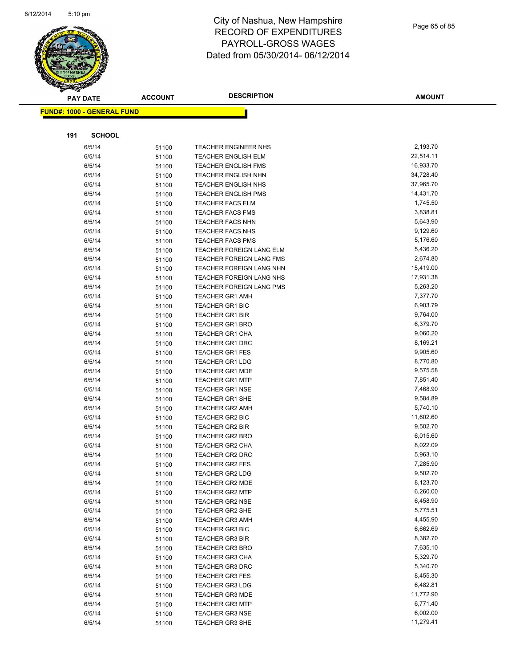

Page 65 of 85

| <b>FUND#: 1000 - GENERAL FUND</b><br><b>SCHOOL</b><br>191<br>2,193.70<br>6/5/14<br>TEACHER ENGINEER NHS<br>51100<br>22,514.11<br>6/5/14<br><b>TEACHER ENGLISH ELM</b><br>51100<br>16,933.70<br>6/5/14<br><b>TEACHER ENGLISH FMS</b><br>51100<br>6/5/14<br>34,728.40<br><b>TEACHER ENGLISH NHN</b><br>51100<br>37,965.70<br>6/5/14<br><b>TEACHER ENGLISH NHS</b><br>51100<br>6/5/14<br>TEACHER ENGLISH PMS<br>14,431.70<br>51100<br>1,745.50<br>6/5/14<br><b>TEACHER FACS ELM</b><br>51100<br>3,838.81<br>6/5/14<br><b>TEACHER FACS FMS</b><br>51100<br>5,643.90<br>6/5/14<br><b>TEACHER FACS NHN</b><br>51100<br>9,129.60<br>6/5/14<br><b>TEACHER FACS NHS</b><br>51100<br>5,176.60<br>6/5/14<br><b>TEACHER FACS PMS</b><br>51100<br>5,436.20<br>6/5/14<br>TEACHER FOREIGN LANG ELM<br>51100<br>2,674.80<br>6/5/14<br>TEACHER FOREIGN LANG FMS<br>51100<br>15,419.00<br>6/5/14<br>TEACHER FOREIGN LANG NHN<br>51100<br>6/5/14<br>TEACHER FOREIGN LANG NHS<br>17,931.38<br>51100<br>6/5/14<br>TEACHER FOREIGN LANG PMS<br>5,263.20<br>51100<br>6/5/14<br>7,377.70<br><b>TEACHER GR1 AMH</b><br>51100<br>6,903.79<br>6/5/14<br><b>TEACHER GR1 BIC</b><br>51100<br>9,764.00<br>6/5/14<br><b>TEACHER GR1 BIR</b><br>51100<br>6,379.70<br>6/5/14<br><b>TEACHER GR1 BRO</b><br>51100<br>9,060.20<br>6/5/14<br><b>TEACHER GR1 CHA</b><br>51100<br>8,169.21<br>6/5/14<br><b>TEACHER GR1 DRC</b><br>51100<br>9,905.60<br>6/5/14<br><b>TEACHER GR1 FES</b><br>51100<br>8,770.80<br>6/5/14<br><b>TEACHER GR1 LDG</b><br>51100<br>9,575.58<br>6/5/14<br><b>TEACHER GR1 MDE</b><br>51100<br>6/5/14<br>7,851.40<br><b>TEACHER GR1 MTP</b><br>51100<br>7,468.90<br>6/5/14<br>TEACHER GR1 NSE<br>51100<br>9,584.89<br>6/5/14<br><b>TEACHER GR1 SHE</b><br>51100<br>5,740.10<br>6/5/14<br><b>TEACHER GR2 AMH</b><br>51100<br>11,602.60<br>6/5/14<br><b>TEACHER GR2 BIC</b><br>51100<br>9,502.70<br>6/5/14<br><b>TEACHER GR2 BIR</b><br>51100<br>6,015.60<br>6/5/14<br><b>TEACHER GR2 BRO</b><br>51100<br>8,022.09<br>6/5/14<br><b>TEACHER GR2 CHA</b><br>51100<br><b>TEACHER GR2 DRC</b><br>5,963.10<br>6/5/14<br>51100<br>7,285.90<br>6/5/14<br>51100<br><b>TEACHER GR2 FES</b><br>9,502.70<br><b>TEACHER GR2 LDG</b><br>6/5/14<br>51100<br>8,123.70<br>6/5/14<br><b>TEACHER GR2 MDE</b><br>51100<br>6,260.00<br>6/5/14<br><b>TEACHER GR2 MTP</b><br>51100<br>6,458.90<br>6/5/14<br><b>TEACHER GR2 NSE</b><br>51100<br>5,775.51<br>6/5/14<br><b>TEACHER GR2 SHE</b><br>51100<br>4,455.90<br>6/5/14<br><b>TEACHER GR3 AMH</b><br>51100<br>6,662.69<br>6/5/14<br><b>TEACHER GR3 BIC</b><br>51100<br>8,382.70<br>6/5/14<br><b>TEACHER GR3 BIR</b><br>51100<br>7,635.10<br>6/5/14<br><b>TEACHER GR3 BRO</b><br>51100<br>5,329.70<br>6/5/14<br><b>TEACHER GR3 CHA</b><br>51100<br>5,340.70<br><b>TEACHER GR3 DRC</b><br>6/5/14<br>51100<br>8,455.30<br>6/5/14<br><b>TEACHER GR3 FES</b><br>51100<br>6,482.81<br>6/5/14<br><b>TEACHER GR3 LDG</b><br>51100<br>11,772.90<br>6/5/14<br><b>TEACHER GR3 MDE</b><br>51100<br>6,771.40<br>6/5/14<br><b>TEACHER GR3 MTP</b><br>51100<br>6,002.00<br>6/5/14<br><b>TEACHER GR3 NSE</b><br>51100<br>11,279.41<br>6/5/14<br><b>TEACHER GR3 SHE</b><br>51100 | <b>PAY DATE</b> | <b>ACCOUNT</b> | <b>DESCRIPTION</b> | <b>AMOUNT</b> |
|----------------------------------------------------------------------------------------------------------------------------------------------------------------------------------------------------------------------------------------------------------------------------------------------------------------------------------------------------------------------------------------------------------------------------------------------------------------------------------------------------------------------------------------------------------------------------------------------------------------------------------------------------------------------------------------------------------------------------------------------------------------------------------------------------------------------------------------------------------------------------------------------------------------------------------------------------------------------------------------------------------------------------------------------------------------------------------------------------------------------------------------------------------------------------------------------------------------------------------------------------------------------------------------------------------------------------------------------------------------------------------------------------------------------------------------------------------------------------------------------------------------------------------------------------------------------------------------------------------------------------------------------------------------------------------------------------------------------------------------------------------------------------------------------------------------------------------------------------------------------------------------------------------------------------------------------------------------------------------------------------------------------------------------------------------------------------------------------------------------------------------------------------------------------------------------------------------------------------------------------------------------------------------------------------------------------------------------------------------------------------------------------------------------------------------------------------------------------------------------------------------------------------------------------------------------------------------------------------------------------------------------------------------------------------------------------------------------------------------------------------------------------------------------------------------------------------------------------------------------------------------------------------------------------------------------------------------------------------------------------------------------------------------------------------------------------------------------------------------------------------------------------------------------------------|-----------------|----------------|--------------------|---------------|
|                                                                                                                                                                                                                                                                                                                                                                                                                                                                                                                                                                                                                                                                                                                                                                                                                                                                                                                                                                                                                                                                                                                                                                                                                                                                                                                                                                                                                                                                                                                                                                                                                                                                                                                                                                                                                                                                                                                                                                                                                                                                                                                                                                                                                                                                                                                                                                                                                                                                                                                                                                                                                                                                                                                                                                                                                                                                                                                                                                                                                                                                                                                                                                            |                 |                |                    |               |
|                                                                                                                                                                                                                                                                                                                                                                                                                                                                                                                                                                                                                                                                                                                                                                                                                                                                                                                                                                                                                                                                                                                                                                                                                                                                                                                                                                                                                                                                                                                                                                                                                                                                                                                                                                                                                                                                                                                                                                                                                                                                                                                                                                                                                                                                                                                                                                                                                                                                                                                                                                                                                                                                                                                                                                                                                                                                                                                                                                                                                                                                                                                                                                            |                 |                |                    |               |
|                                                                                                                                                                                                                                                                                                                                                                                                                                                                                                                                                                                                                                                                                                                                                                                                                                                                                                                                                                                                                                                                                                                                                                                                                                                                                                                                                                                                                                                                                                                                                                                                                                                                                                                                                                                                                                                                                                                                                                                                                                                                                                                                                                                                                                                                                                                                                                                                                                                                                                                                                                                                                                                                                                                                                                                                                                                                                                                                                                                                                                                                                                                                                                            |                 |                |                    |               |
|                                                                                                                                                                                                                                                                                                                                                                                                                                                                                                                                                                                                                                                                                                                                                                                                                                                                                                                                                                                                                                                                                                                                                                                                                                                                                                                                                                                                                                                                                                                                                                                                                                                                                                                                                                                                                                                                                                                                                                                                                                                                                                                                                                                                                                                                                                                                                                                                                                                                                                                                                                                                                                                                                                                                                                                                                                                                                                                                                                                                                                                                                                                                                                            |                 |                |                    |               |
|                                                                                                                                                                                                                                                                                                                                                                                                                                                                                                                                                                                                                                                                                                                                                                                                                                                                                                                                                                                                                                                                                                                                                                                                                                                                                                                                                                                                                                                                                                                                                                                                                                                                                                                                                                                                                                                                                                                                                                                                                                                                                                                                                                                                                                                                                                                                                                                                                                                                                                                                                                                                                                                                                                                                                                                                                                                                                                                                                                                                                                                                                                                                                                            |                 |                |                    |               |
|                                                                                                                                                                                                                                                                                                                                                                                                                                                                                                                                                                                                                                                                                                                                                                                                                                                                                                                                                                                                                                                                                                                                                                                                                                                                                                                                                                                                                                                                                                                                                                                                                                                                                                                                                                                                                                                                                                                                                                                                                                                                                                                                                                                                                                                                                                                                                                                                                                                                                                                                                                                                                                                                                                                                                                                                                                                                                                                                                                                                                                                                                                                                                                            |                 |                |                    |               |
|                                                                                                                                                                                                                                                                                                                                                                                                                                                                                                                                                                                                                                                                                                                                                                                                                                                                                                                                                                                                                                                                                                                                                                                                                                                                                                                                                                                                                                                                                                                                                                                                                                                                                                                                                                                                                                                                                                                                                                                                                                                                                                                                                                                                                                                                                                                                                                                                                                                                                                                                                                                                                                                                                                                                                                                                                                                                                                                                                                                                                                                                                                                                                                            |                 |                |                    |               |
|                                                                                                                                                                                                                                                                                                                                                                                                                                                                                                                                                                                                                                                                                                                                                                                                                                                                                                                                                                                                                                                                                                                                                                                                                                                                                                                                                                                                                                                                                                                                                                                                                                                                                                                                                                                                                                                                                                                                                                                                                                                                                                                                                                                                                                                                                                                                                                                                                                                                                                                                                                                                                                                                                                                                                                                                                                                                                                                                                                                                                                                                                                                                                                            |                 |                |                    |               |
|                                                                                                                                                                                                                                                                                                                                                                                                                                                                                                                                                                                                                                                                                                                                                                                                                                                                                                                                                                                                                                                                                                                                                                                                                                                                                                                                                                                                                                                                                                                                                                                                                                                                                                                                                                                                                                                                                                                                                                                                                                                                                                                                                                                                                                                                                                                                                                                                                                                                                                                                                                                                                                                                                                                                                                                                                                                                                                                                                                                                                                                                                                                                                                            |                 |                |                    |               |
|                                                                                                                                                                                                                                                                                                                                                                                                                                                                                                                                                                                                                                                                                                                                                                                                                                                                                                                                                                                                                                                                                                                                                                                                                                                                                                                                                                                                                                                                                                                                                                                                                                                                                                                                                                                                                                                                                                                                                                                                                                                                                                                                                                                                                                                                                                                                                                                                                                                                                                                                                                                                                                                                                                                                                                                                                                                                                                                                                                                                                                                                                                                                                                            |                 |                |                    |               |
|                                                                                                                                                                                                                                                                                                                                                                                                                                                                                                                                                                                                                                                                                                                                                                                                                                                                                                                                                                                                                                                                                                                                                                                                                                                                                                                                                                                                                                                                                                                                                                                                                                                                                                                                                                                                                                                                                                                                                                                                                                                                                                                                                                                                                                                                                                                                                                                                                                                                                                                                                                                                                                                                                                                                                                                                                                                                                                                                                                                                                                                                                                                                                                            |                 |                |                    |               |
|                                                                                                                                                                                                                                                                                                                                                                                                                                                                                                                                                                                                                                                                                                                                                                                                                                                                                                                                                                                                                                                                                                                                                                                                                                                                                                                                                                                                                                                                                                                                                                                                                                                                                                                                                                                                                                                                                                                                                                                                                                                                                                                                                                                                                                                                                                                                                                                                                                                                                                                                                                                                                                                                                                                                                                                                                                                                                                                                                                                                                                                                                                                                                                            |                 |                |                    |               |
|                                                                                                                                                                                                                                                                                                                                                                                                                                                                                                                                                                                                                                                                                                                                                                                                                                                                                                                                                                                                                                                                                                                                                                                                                                                                                                                                                                                                                                                                                                                                                                                                                                                                                                                                                                                                                                                                                                                                                                                                                                                                                                                                                                                                                                                                                                                                                                                                                                                                                                                                                                                                                                                                                                                                                                                                                                                                                                                                                                                                                                                                                                                                                                            |                 |                |                    |               |
|                                                                                                                                                                                                                                                                                                                                                                                                                                                                                                                                                                                                                                                                                                                                                                                                                                                                                                                                                                                                                                                                                                                                                                                                                                                                                                                                                                                                                                                                                                                                                                                                                                                                                                                                                                                                                                                                                                                                                                                                                                                                                                                                                                                                                                                                                                                                                                                                                                                                                                                                                                                                                                                                                                                                                                                                                                                                                                                                                                                                                                                                                                                                                                            |                 |                |                    |               |
|                                                                                                                                                                                                                                                                                                                                                                                                                                                                                                                                                                                                                                                                                                                                                                                                                                                                                                                                                                                                                                                                                                                                                                                                                                                                                                                                                                                                                                                                                                                                                                                                                                                                                                                                                                                                                                                                                                                                                                                                                                                                                                                                                                                                                                                                                                                                                                                                                                                                                                                                                                                                                                                                                                                                                                                                                                                                                                                                                                                                                                                                                                                                                                            |                 |                |                    |               |
|                                                                                                                                                                                                                                                                                                                                                                                                                                                                                                                                                                                                                                                                                                                                                                                                                                                                                                                                                                                                                                                                                                                                                                                                                                                                                                                                                                                                                                                                                                                                                                                                                                                                                                                                                                                                                                                                                                                                                                                                                                                                                                                                                                                                                                                                                                                                                                                                                                                                                                                                                                                                                                                                                                                                                                                                                                                                                                                                                                                                                                                                                                                                                                            |                 |                |                    |               |
|                                                                                                                                                                                                                                                                                                                                                                                                                                                                                                                                                                                                                                                                                                                                                                                                                                                                                                                                                                                                                                                                                                                                                                                                                                                                                                                                                                                                                                                                                                                                                                                                                                                                                                                                                                                                                                                                                                                                                                                                                                                                                                                                                                                                                                                                                                                                                                                                                                                                                                                                                                                                                                                                                                                                                                                                                                                                                                                                                                                                                                                                                                                                                                            |                 |                |                    |               |
|                                                                                                                                                                                                                                                                                                                                                                                                                                                                                                                                                                                                                                                                                                                                                                                                                                                                                                                                                                                                                                                                                                                                                                                                                                                                                                                                                                                                                                                                                                                                                                                                                                                                                                                                                                                                                                                                                                                                                                                                                                                                                                                                                                                                                                                                                                                                                                                                                                                                                                                                                                                                                                                                                                                                                                                                                                                                                                                                                                                                                                                                                                                                                                            |                 |                |                    |               |
|                                                                                                                                                                                                                                                                                                                                                                                                                                                                                                                                                                                                                                                                                                                                                                                                                                                                                                                                                                                                                                                                                                                                                                                                                                                                                                                                                                                                                                                                                                                                                                                                                                                                                                                                                                                                                                                                                                                                                                                                                                                                                                                                                                                                                                                                                                                                                                                                                                                                                                                                                                                                                                                                                                                                                                                                                                                                                                                                                                                                                                                                                                                                                                            |                 |                |                    |               |
|                                                                                                                                                                                                                                                                                                                                                                                                                                                                                                                                                                                                                                                                                                                                                                                                                                                                                                                                                                                                                                                                                                                                                                                                                                                                                                                                                                                                                                                                                                                                                                                                                                                                                                                                                                                                                                                                                                                                                                                                                                                                                                                                                                                                                                                                                                                                                                                                                                                                                                                                                                                                                                                                                                                                                                                                                                                                                                                                                                                                                                                                                                                                                                            |                 |                |                    |               |
|                                                                                                                                                                                                                                                                                                                                                                                                                                                                                                                                                                                                                                                                                                                                                                                                                                                                                                                                                                                                                                                                                                                                                                                                                                                                                                                                                                                                                                                                                                                                                                                                                                                                                                                                                                                                                                                                                                                                                                                                                                                                                                                                                                                                                                                                                                                                                                                                                                                                                                                                                                                                                                                                                                                                                                                                                                                                                                                                                                                                                                                                                                                                                                            |                 |                |                    |               |
|                                                                                                                                                                                                                                                                                                                                                                                                                                                                                                                                                                                                                                                                                                                                                                                                                                                                                                                                                                                                                                                                                                                                                                                                                                                                                                                                                                                                                                                                                                                                                                                                                                                                                                                                                                                                                                                                                                                                                                                                                                                                                                                                                                                                                                                                                                                                                                                                                                                                                                                                                                                                                                                                                                                                                                                                                                                                                                                                                                                                                                                                                                                                                                            |                 |                |                    |               |
|                                                                                                                                                                                                                                                                                                                                                                                                                                                                                                                                                                                                                                                                                                                                                                                                                                                                                                                                                                                                                                                                                                                                                                                                                                                                                                                                                                                                                                                                                                                                                                                                                                                                                                                                                                                                                                                                                                                                                                                                                                                                                                                                                                                                                                                                                                                                                                                                                                                                                                                                                                                                                                                                                                                                                                                                                                                                                                                                                                                                                                                                                                                                                                            |                 |                |                    |               |
|                                                                                                                                                                                                                                                                                                                                                                                                                                                                                                                                                                                                                                                                                                                                                                                                                                                                                                                                                                                                                                                                                                                                                                                                                                                                                                                                                                                                                                                                                                                                                                                                                                                                                                                                                                                                                                                                                                                                                                                                                                                                                                                                                                                                                                                                                                                                                                                                                                                                                                                                                                                                                                                                                                                                                                                                                                                                                                                                                                                                                                                                                                                                                                            |                 |                |                    |               |
|                                                                                                                                                                                                                                                                                                                                                                                                                                                                                                                                                                                                                                                                                                                                                                                                                                                                                                                                                                                                                                                                                                                                                                                                                                                                                                                                                                                                                                                                                                                                                                                                                                                                                                                                                                                                                                                                                                                                                                                                                                                                                                                                                                                                                                                                                                                                                                                                                                                                                                                                                                                                                                                                                                                                                                                                                                                                                                                                                                                                                                                                                                                                                                            |                 |                |                    |               |
|                                                                                                                                                                                                                                                                                                                                                                                                                                                                                                                                                                                                                                                                                                                                                                                                                                                                                                                                                                                                                                                                                                                                                                                                                                                                                                                                                                                                                                                                                                                                                                                                                                                                                                                                                                                                                                                                                                                                                                                                                                                                                                                                                                                                                                                                                                                                                                                                                                                                                                                                                                                                                                                                                                                                                                                                                                                                                                                                                                                                                                                                                                                                                                            |                 |                |                    |               |
|                                                                                                                                                                                                                                                                                                                                                                                                                                                                                                                                                                                                                                                                                                                                                                                                                                                                                                                                                                                                                                                                                                                                                                                                                                                                                                                                                                                                                                                                                                                                                                                                                                                                                                                                                                                                                                                                                                                                                                                                                                                                                                                                                                                                                                                                                                                                                                                                                                                                                                                                                                                                                                                                                                                                                                                                                                                                                                                                                                                                                                                                                                                                                                            |                 |                |                    |               |
|                                                                                                                                                                                                                                                                                                                                                                                                                                                                                                                                                                                                                                                                                                                                                                                                                                                                                                                                                                                                                                                                                                                                                                                                                                                                                                                                                                                                                                                                                                                                                                                                                                                                                                                                                                                                                                                                                                                                                                                                                                                                                                                                                                                                                                                                                                                                                                                                                                                                                                                                                                                                                                                                                                                                                                                                                                                                                                                                                                                                                                                                                                                                                                            |                 |                |                    |               |
|                                                                                                                                                                                                                                                                                                                                                                                                                                                                                                                                                                                                                                                                                                                                                                                                                                                                                                                                                                                                                                                                                                                                                                                                                                                                                                                                                                                                                                                                                                                                                                                                                                                                                                                                                                                                                                                                                                                                                                                                                                                                                                                                                                                                                                                                                                                                                                                                                                                                                                                                                                                                                                                                                                                                                                                                                                                                                                                                                                                                                                                                                                                                                                            |                 |                |                    |               |
|                                                                                                                                                                                                                                                                                                                                                                                                                                                                                                                                                                                                                                                                                                                                                                                                                                                                                                                                                                                                                                                                                                                                                                                                                                                                                                                                                                                                                                                                                                                                                                                                                                                                                                                                                                                                                                                                                                                                                                                                                                                                                                                                                                                                                                                                                                                                                                                                                                                                                                                                                                                                                                                                                                                                                                                                                                                                                                                                                                                                                                                                                                                                                                            |                 |                |                    |               |
|                                                                                                                                                                                                                                                                                                                                                                                                                                                                                                                                                                                                                                                                                                                                                                                                                                                                                                                                                                                                                                                                                                                                                                                                                                                                                                                                                                                                                                                                                                                                                                                                                                                                                                                                                                                                                                                                                                                                                                                                                                                                                                                                                                                                                                                                                                                                                                                                                                                                                                                                                                                                                                                                                                                                                                                                                                                                                                                                                                                                                                                                                                                                                                            |                 |                |                    |               |
|                                                                                                                                                                                                                                                                                                                                                                                                                                                                                                                                                                                                                                                                                                                                                                                                                                                                                                                                                                                                                                                                                                                                                                                                                                                                                                                                                                                                                                                                                                                                                                                                                                                                                                                                                                                                                                                                                                                                                                                                                                                                                                                                                                                                                                                                                                                                                                                                                                                                                                                                                                                                                                                                                                                                                                                                                                                                                                                                                                                                                                                                                                                                                                            |                 |                |                    |               |
|                                                                                                                                                                                                                                                                                                                                                                                                                                                                                                                                                                                                                                                                                                                                                                                                                                                                                                                                                                                                                                                                                                                                                                                                                                                                                                                                                                                                                                                                                                                                                                                                                                                                                                                                                                                                                                                                                                                                                                                                                                                                                                                                                                                                                                                                                                                                                                                                                                                                                                                                                                                                                                                                                                                                                                                                                                                                                                                                                                                                                                                                                                                                                                            |                 |                |                    |               |
|                                                                                                                                                                                                                                                                                                                                                                                                                                                                                                                                                                                                                                                                                                                                                                                                                                                                                                                                                                                                                                                                                                                                                                                                                                                                                                                                                                                                                                                                                                                                                                                                                                                                                                                                                                                                                                                                                                                                                                                                                                                                                                                                                                                                                                                                                                                                                                                                                                                                                                                                                                                                                                                                                                                                                                                                                                                                                                                                                                                                                                                                                                                                                                            |                 |                |                    |               |
|                                                                                                                                                                                                                                                                                                                                                                                                                                                                                                                                                                                                                                                                                                                                                                                                                                                                                                                                                                                                                                                                                                                                                                                                                                                                                                                                                                                                                                                                                                                                                                                                                                                                                                                                                                                                                                                                                                                                                                                                                                                                                                                                                                                                                                                                                                                                                                                                                                                                                                                                                                                                                                                                                                                                                                                                                                                                                                                                                                                                                                                                                                                                                                            |                 |                |                    |               |
|                                                                                                                                                                                                                                                                                                                                                                                                                                                                                                                                                                                                                                                                                                                                                                                                                                                                                                                                                                                                                                                                                                                                                                                                                                                                                                                                                                                                                                                                                                                                                                                                                                                                                                                                                                                                                                                                                                                                                                                                                                                                                                                                                                                                                                                                                                                                                                                                                                                                                                                                                                                                                                                                                                                                                                                                                                                                                                                                                                                                                                                                                                                                                                            |                 |                |                    |               |
|                                                                                                                                                                                                                                                                                                                                                                                                                                                                                                                                                                                                                                                                                                                                                                                                                                                                                                                                                                                                                                                                                                                                                                                                                                                                                                                                                                                                                                                                                                                                                                                                                                                                                                                                                                                                                                                                                                                                                                                                                                                                                                                                                                                                                                                                                                                                                                                                                                                                                                                                                                                                                                                                                                                                                                                                                                                                                                                                                                                                                                                                                                                                                                            |                 |                |                    |               |
|                                                                                                                                                                                                                                                                                                                                                                                                                                                                                                                                                                                                                                                                                                                                                                                                                                                                                                                                                                                                                                                                                                                                                                                                                                                                                                                                                                                                                                                                                                                                                                                                                                                                                                                                                                                                                                                                                                                                                                                                                                                                                                                                                                                                                                                                                                                                                                                                                                                                                                                                                                                                                                                                                                                                                                                                                                                                                                                                                                                                                                                                                                                                                                            |                 |                |                    |               |
|                                                                                                                                                                                                                                                                                                                                                                                                                                                                                                                                                                                                                                                                                                                                                                                                                                                                                                                                                                                                                                                                                                                                                                                                                                                                                                                                                                                                                                                                                                                                                                                                                                                                                                                                                                                                                                                                                                                                                                                                                                                                                                                                                                                                                                                                                                                                                                                                                                                                                                                                                                                                                                                                                                                                                                                                                                                                                                                                                                                                                                                                                                                                                                            |                 |                |                    |               |
|                                                                                                                                                                                                                                                                                                                                                                                                                                                                                                                                                                                                                                                                                                                                                                                                                                                                                                                                                                                                                                                                                                                                                                                                                                                                                                                                                                                                                                                                                                                                                                                                                                                                                                                                                                                                                                                                                                                                                                                                                                                                                                                                                                                                                                                                                                                                                                                                                                                                                                                                                                                                                                                                                                                                                                                                                                                                                                                                                                                                                                                                                                                                                                            |                 |                |                    |               |
|                                                                                                                                                                                                                                                                                                                                                                                                                                                                                                                                                                                                                                                                                                                                                                                                                                                                                                                                                                                                                                                                                                                                                                                                                                                                                                                                                                                                                                                                                                                                                                                                                                                                                                                                                                                                                                                                                                                                                                                                                                                                                                                                                                                                                                                                                                                                                                                                                                                                                                                                                                                                                                                                                                                                                                                                                                                                                                                                                                                                                                                                                                                                                                            |                 |                |                    |               |
|                                                                                                                                                                                                                                                                                                                                                                                                                                                                                                                                                                                                                                                                                                                                                                                                                                                                                                                                                                                                                                                                                                                                                                                                                                                                                                                                                                                                                                                                                                                                                                                                                                                                                                                                                                                                                                                                                                                                                                                                                                                                                                                                                                                                                                                                                                                                                                                                                                                                                                                                                                                                                                                                                                                                                                                                                                                                                                                                                                                                                                                                                                                                                                            |                 |                |                    |               |
|                                                                                                                                                                                                                                                                                                                                                                                                                                                                                                                                                                                                                                                                                                                                                                                                                                                                                                                                                                                                                                                                                                                                                                                                                                                                                                                                                                                                                                                                                                                                                                                                                                                                                                                                                                                                                                                                                                                                                                                                                                                                                                                                                                                                                                                                                                                                                                                                                                                                                                                                                                                                                                                                                                                                                                                                                                                                                                                                                                                                                                                                                                                                                                            |                 |                |                    |               |
|                                                                                                                                                                                                                                                                                                                                                                                                                                                                                                                                                                                                                                                                                                                                                                                                                                                                                                                                                                                                                                                                                                                                                                                                                                                                                                                                                                                                                                                                                                                                                                                                                                                                                                                                                                                                                                                                                                                                                                                                                                                                                                                                                                                                                                                                                                                                                                                                                                                                                                                                                                                                                                                                                                                                                                                                                                                                                                                                                                                                                                                                                                                                                                            |                 |                |                    |               |
|                                                                                                                                                                                                                                                                                                                                                                                                                                                                                                                                                                                                                                                                                                                                                                                                                                                                                                                                                                                                                                                                                                                                                                                                                                                                                                                                                                                                                                                                                                                                                                                                                                                                                                                                                                                                                                                                                                                                                                                                                                                                                                                                                                                                                                                                                                                                                                                                                                                                                                                                                                                                                                                                                                                                                                                                                                                                                                                                                                                                                                                                                                                                                                            |                 |                |                    |               |
|                                                                                                                                                                                                                                                                                                                                                                                                                                                                                                                                                                                                                                                                                                                                                                                                                                                                                                                                                                                                                                                                                                                                                                                                                                                                                                                                                                                                                                                                                                                                                                                                                                                                                                                                                                                                                                                                                                                                                                                                                                                                                                                                                                                                                                                                                                                                                                                                                                                                                                                                                                                                                                                                                                                                                                                                                                                                                                                                                                                                                                                                                                                                                                            |                 |                |                    |               |
|                                                                                                                                                                                                                                                                                                                                                                                                                                                                                                                                                                                                                                                                                                                                                                                                                                                                                                                                                                                                                                                                                                                                                                                                                                                                                                                                                                                                                                                                                                                                                                                                                                                                                                                                                                                                                                                                                                                                                                                                                                                                                                                                                                                                                                                                                                                                                                                                                                                                                                                                                                                                                                                                                                                                                                                                                                                                                                                                                                                                                                                                                                                                                                            |                 |                |                    |               |
|                                                                                                                                                                                                                                                                                                                                                                                                                                                                                                                                                                                                                                                                                                                                                                                                                                                                                                                                                                                                                                                                                                                                                                                                                                                                                                                                                                                                                                                                                                                                                                                                                                                                                                                                                                                                                                                                                                                                                                                                                                                                                                                                                                                                                                                                                                                                                                                                                                                                                                                                                                                                                                                                                                                                                                                                                                                                                                                                                                                                                                                                                                                                                                            |                 |                |                    |               |
|                                                                                                                                                                                                                                                                                                                                                                                                                                                                                                                                                                                                                                                                                                                                                                                                                                                                                                                                                                                                                                                                                                                                                                                                                                                                                                                                                                                                                                                                                                                                                                                                                                                                                                                                                                                                                                                                                                                                                                                                                                                                                                                                                                                                                                                                                                                                                                                                                                                                                                                                                                                                                                                                                                                                                                                                                                                                                                                                                                                                                                                                                                                                                                            |                 |                |                    |               |
|                                                                                                                                                                                                                                                                                                                                                                                                                                                                                                                                                                                                                                                                                                                                                                                                                                                                                                                                                                                                                                                                                                                                                                                                                                                                                                                                                                                                                                                                                                                                                                                                                                                                                                                                                                                                                                                                                                                                                                                                                                                                                                                                                                                                                                                                                                                                                                                                                                                                                                                                                                                                                                                                                                                                                                                                                                                                                                                                                                                                                                                                                                                                                                            |                 |                |                    |               |
|                                                                                                                                                                                                                                                                                                                                                                                                                                                                                                                                                                                                                                                                                                                                                                                                                                                                                                                                                                                                                                                                                                                                                                                                                                                                                                                                                                                                                                                                                                                                                                                                                                                                                                                                                                                                                                                                                                                                                                                                                                                                                                                                                                                                                                                                                                                                                                                                                                                                                                                                                                                                                                                                                                                                                                                                                                                                                                                                                                                                                                                                                                                                                                            |                 |                |                    |               |
|                                                                                                                                                                                                                                                                                                                                                                                                                                                                                                                                                                                                                                                                                                                                                                                                                                                                                                                                                                                                                                                                                                                                                                                                                                                                                                                                                                                                                                                                                                                                                                                                                                                                                                                                                                                                                                                                                                                                                                                                                                                                                                                                                                                                                                                                                                                                                                                                                                                                                                                                                                                                                                                                                                                                                                                                                                                                                                                                                                                                                                                                                                                                                                            |                 |                |                    |               |
|                                                                                                                                                                                                                                                                                                                                                                                                                                                                                                                                                                                                                                                                                                                                                                                                                                                                                                                                                                                                                                                                                                                                                                                                                                                                                                                                                                                                                                                                                                                                                                                                                                                                                                                                                                                                                                                                                                                                                                                                                                                                                                                                                                                                                                                                                                                                                                                                                                                                                                                                                                                                                                                                                                                                                                                                                                                                                                                                                                                                                                                                                                                                                                            |                 |                |                    |               |
|                                                                                                                                                                                                                                                                                                                                                                                                                                                                                                                                                                                                                                                                                                                                                                                                                                                                                                                                                                                                                                                                                                                                                                                                                                                                                                                                                                                                                                                                                                                                                                                                                                                                                                                                                                                                                                                                                                                                                                                                                                                                                                                                                                                                                                                                                                                                                                                                                                                                                                                                                                                                                                                                                                                                                                                                                                                                                                                                                                                                                                                                                                                                                                            |                 |                |                    |               |
|                                                                                                                                                                                                                                                                                                                                                                                                                                                                                                                                                                                                                                                                                                                                                                                                                                                                                                                                                                                                                                                                                                                                                                                                                                                                                                                                                                                                                                                                                                                                                                                                                                                                                                                                                                                                                                                                                                                                                                                                                                                                                                                                                                                                                                                                                                                                                                                                                                                                                                                                                                                                                                                                                                                                                                                                                                                                                                                                                                                                                                                                                                                                                                            |                 |                |                    |               |
|                                                                                                                                                                                                                                                                                                                                                                                                                                                                                                                                                                                                                                                                                                                                                                                                                                                                                                                                                                                                                                                                                                                                                                                                                                                                                                                                                                                                                                                                                                                                                                                                                                                                                                                                                                                                                                                                                                                                                                                                                                                                                                                                                                                                                                                                                                                                                                                                                                                                                                                                                                                                                                                                                                                                                                                                                                                                                                                                                                                                                                                                                                                                                                            |                 |                |                    |               |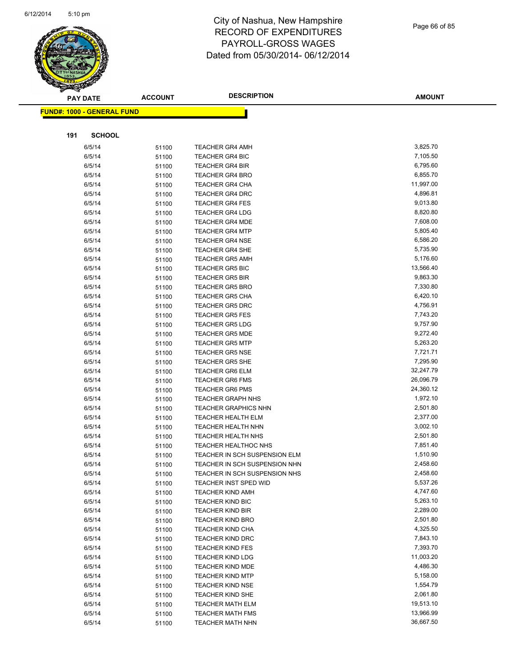

Page 66 of 85

|     | <b>PAY DATE</b>                    | <b>ACCOUNT</b> | <b>DESCRIPTION</b>                               | <b>AMOUNT</b>        |
|-----|------------------------------------|----------------|--------------------------------------------------|----------------------|
|     | <u> FUND#: 1000 - GENERAL FUND</u> |                |                                                  |                      |
|     |                                    |                |                                                  |                      |
|     |                                    |                |                                                  |                      |
| 191 | <b>SCHOOL</b>                      |                |                                                  |                      |
|     | 6/5/14                             | 51100          | <b>TEACHER GR4 AMH</b>                           | 3,825.70             |
|     | 6/5/14                             | 51100          | <b>TEACHER GR4 BIC</b>                           | 7,105.50             |
|     | 6/5/14                             | 51100          | <b>TEACHER GR4 BIR</b>                           | 6,795.60             |
|     | 6/5/14                             | 51100          | <b>TEACHER GR4 BRO</b>                           | 6,855.70             |
|     | 6/5/14                             | 51100          | TEACHER GR4 CHA                                  | 11,997.00            |
|     | 6/5/14                             | 51100          | <b>TEACHER GR4 DRC</b>                           | 4,896.81             |
|     | 6/5/14                             | 51100          | <b>TEACHER GR4 FES</b>                           | 9,013.80             |
|     | 6/5/14                             | 51100          | <b>TEACHER GR4 LDG</b>                           | 8,820.80             |
|     | 6/5/14                             | 51100          | <b>TEACHER GR4 MDE</b>                           | 7,608.00             |
|     | 6/5/14                             | 51100          | <b>TEACHER GR4 MTP</b>                           | 5,805.40             |
|     | 6/5/14                             | 51100          | <b>TEACHER GR4 NSE</b>                           | 6,586.20             |
|     | 6/5/14                             | 51100          | <b>TEACHER GR4 SHE</b>                           | 5,735.90             |
|     | 6/5/14                             | 51100          | <b>TEACHER GR5 AMH</b>                           | 5,176.60             |
|     | 6/5/14                             | 51100          | <b>TEACHER GR5 BIC</b>                           | 13,566.40            |
|     | 6/5/14                             | 51100          | <b>TEACHER GR5 BIR</b>                           | 9,863.30             |
|     | 6/5/14                             | 51100          | <b>TEACHER GR5 BRO</b>                           | 7,330.80             |
|     | 6/5/14                             | 51100          | <b>TEACHER GR5 CHA</b>                           | 6,420.10             |
|     | 6/5/14                             | 51100          | <b>TEACHER GR5 DRC</b>                           | 4,756.91             |
|     | 6/5/14                             | 51100          | <b>TEACHER GR5 FES</b><br><b>TEACHER GR5 LDG</b> | 7,743.20<br>9,757.90 |
|     | 6/5/14<br>6/5/14                   | 51100          | <b>TEACHER GR5 MDE</b>                           | 9,272.40             |
|     | 6/5/14                             | 51100          | <b>TEACHER GR5 MTP</b>                           | 5,263.20             |
|     | 6/5/14                             | 51100          | <b>TEACHER GR5 NSE</b>                           | 7,721.71             |
|     | 6/5/14                             | 51100          | <b>TEACHER GR5 SHE</b>                           | 7,295.90             |
|     | 6/5/14                             | 51100          | TEACHER GR6 ELM                                  | 32,247.79            |
|     | 6/5/14                             | 51100          | <b>TEACHER GR6 FMS</b>                           | 26,096.79            |
|     | 6/5/14                             | 51100          | <b>TEACHER GR6 PMS</b>                           | 24,360.12            |
|     | 6/5/14                             | 51100<br>51100 | <b>TEACHER GRAPH NHS</b>                         | 1,972.10             |
|     | 6/5/14                             | 51100          | <b>TEACHER GRAPHICS NHN</b>                      | 2,501.80             |
|     | 6/5/14                             | 51100          | <b>TEACHER HEALTH ELM</b>                        | 2,377.00             |
|     | 6/5/14                             | 51100          | TEACHER HEALTH NHN                               | 3,002.10             |
|     | 6/5/14                             | 51100          | TEACHER HEALTH NHS                               | 2,501.80             |
|     | 6/5/14                             | 51100          | <b>TEACHER HEALTHOC NHS</b>                      | 7,851.40             |
|     | 6/5/14                             | 51100          | TEACHER IN SCH SUSPENSION ELM                    | 1,510.90             |
|     | 6/5/14                             | 51100          | TEACHER IN SCH SUSPENSION NHN                    | 2,458.60             |
|     | 6/5/14                             | 51100          | TEACHER IN SCH SUSPENSION NHS                    | 2,458.60             |
|     | 6/5/14                             | 51100          | <b>TEACHER INST SPED WID</b>                     | 5,537.26             |
|     | 6/5/14                             | 51100          | <b>TEACHER KIND AMH</b>                          | 4,747.60             |
|     | 6/5/14                             | 51100          | <b>TEACHER KIND BIC</b>                          | 5,263.10             |
|     | 6/5/14                             | 51100          | <b>TEACHER KIND BIR</b>                          | 2,289.00             |
|     | 6/5/14                             | 51100          | <b>TEACHER KIND BRO</b>                          | 2,501.80             |
|     | 6/5/14                             | 51100          | <b>TEACHER KIND CHA</b>                          | 4,325.50             |
|     | 6/5/14                             | 51100          | <b>TEACHER KIND DRC</b>                          | 7,843.10             |
|     | 6/5/14                             | 51100          | <b>TEACHER KIND FES</b>                          | 7,393.70             |
|     | 6/5/14                             | 51100          | <b>TEACHER KIND LDG</b>                          | 11,003.20            |
|     | 6/5/14                             | 51100          | <b>TEACHER KIND MDE</b>                          | 4,486.30             |
|     | 6/5/14                             | 51100          | <b>TEACHER KIND MTP</b>                          | 5,158.00             |
|     | 6/5/14                             | 51100          | <b>TEACHER KIND NSE</b>                          | 1,554.79             |
|     | 6/5/14                             | 51100          | <b>TEACHER KIND SHE</b>                          | 2,061.80             |
|     | 6/5/14                             | 51100          | <b>TEACHER MATH ELM</b>                          | 19,513.10            |
|     | 6/5/14                             | 51100          | <b>TEACHER MATH FMS</b>                          | 13,966.99            |
|     | 6/5/14                             | 51100          | <b>TEACHER MATH NHN</b>                          | 36,667.50            |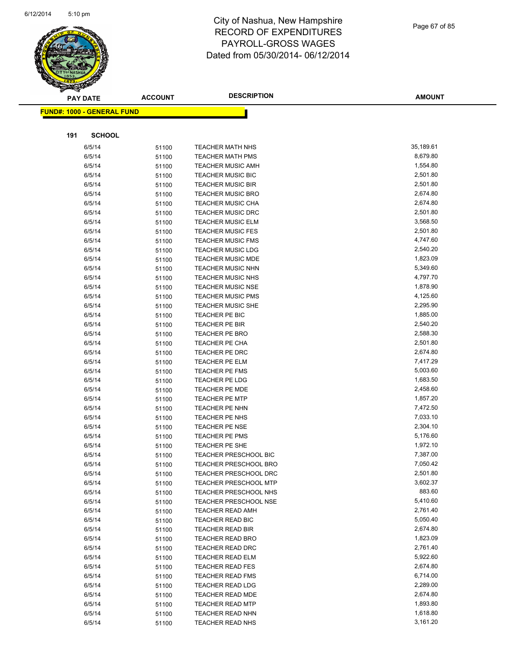

Page 67 of 85

| <b>PAY DATE</b>                   | <b>ACCOUNT</b> | <b>DESCRIPTION</b>                      | <b>AMOUNT</b>        |
|-----------------------------------|----------------|-----------------------------------------|----------------------|
| <b>FUND#: 1000 - GENERAL FUND</b> |                |                                         |                      |
|                                   |                |                                         |                      |
|                                   |                |                                         |                      |
| 191<br><b>SCHOOL</b>              |                |                                         |                      |
| 6/5/14                            | 51100          | <b>TEACHER MATH NHS</b>                 | 35,189.61            |
| 6/5/14                            | 51100          | <b>TEACHER MATH PMS</b>                 | 8,679.80             |
| 6/5/14                            | 51100          | <b>TEACHER MUSIC AMH</b>                | 1,554.80             |
| 6/5/14                            | 51100          | TEACHER MUSIC BIC                       | 2,501.80             |
| 6/5/14                            | 51100          | <b>TEACHER MUSIC BIR</b>                | 2,501.80             |
| 6/5/14                            | 51100          | <b>TEACHER MUSIC BRO</b>                | 2,674.80             |
| 6/5/14                            | 51100          | <b>TEACHER MUSIC CHA</b>                | 2,674.80             |
| 6/5/14                            | 51100          | <b>TEACHER MUSIC DRC</b>                | 2,501.80             |
| 6/5/14                            | 51100          | <b>TEACHER MUSIC ELM</b>                | 3,568.50             |
| 6/5/14                            | 51100          | <b>TEACHER MUSIC FES</b>                | 2,501.80             |
| 6/5/14                            | 51100          | <b>TEACHER MUSIC FMS</b>                | 4,747.60             |
| 6/5/14                            | 51100          | <b>TEACHER MUSIC LDG</b>                | 2,540.20             |
| 6/5/14                            | 51100          | <b>TEACHER MUSIC MDE</b>                | 1,823.09             |
| 6/5/14                            | 51100          | TEACHER MUSIC NHN                       | 5,349.60             |
| 6/5/14                            | 51100          | <b>TEACHER MUSIC NHS</b>                | 4,797.70             |
| 6/5/14                            | 51100          | <b>TEACHER MUSIC NSE</b>                | 1,878.90             |
| 6/5/14                            | 51100          | <b>TEACHER MUSIC PMS</b>                | 4,125.60             |
| 6/5/14                            | 51100          | TEACHER MUSIC SHE                       | 2,295.90             |
| 6/5/14                            | 51100          | TEACHER PE BIC                          | 1,885.00             |
| 6/5/14                            | 51100          | <b>TEACHER PE BIR</b>                   | 2,540.20             |
| 6/5/14                            | 51100          | TEACHER PE BRO                          | 2,588.30             |
| 6/5/14                            | 51100          | TEACHER PE CHA                          | 2,501.80             |
| 6/5/14                            | 51100          | TEACHER PE DRC                          | 2,674.80             |
| 6/5/14                            | 51100          | TEACHER PE ELM                          | 7,417.29             |
| 6/5/14                            | 51100          | TEACHER PE FMS                          | 5,003.60<br>1,683.50 |
| 6/5/14                            | 51100          | <b>TEACHER PE LDG</b>                   | 2,458.60             |
| 6/5/14<br>6/5/14                  | 51100          | TEACHER PE MDE<br><b>TEACHER PE MTP</b> | 1,857.20             |
| 6/5/14                            | 51100          | TEACHER PE NHN                          | 7,472.50             |
| 6/5/14                            | 51100<br>51100 | TEACHER PE NHS                          | 7,033.10             |
| 6/5/14                            | 51100          | <b>TEACHER PE NSE</b>                   | 2,304.10             |
| 6/5/14                            | 51100          | TEACHER PE PMS                          | 5,176.60             |
| 6/5/14                            | 51100          | TEACHER PE SHE                          | 1,972.10             |
| 6/5/14                            | 51100          | <b>TEACHER PRESCHOOL BIC</b>            | 7,387.00             |
| 6/5/14                            | 51100          | <b>TEACHER PRESCHOOL BRO</b>            | 7,050.42             |
| 6/5/14                            | 51100          | TEACHER PRESCHOOL DRC                   | 2,501.80             |
| 6/5/14                            | 51100          | <b>TEACHER PRESCHOOL MTP</b>            | 3,602.37             |
| 6/5/14                            | 51100          | TEACHER PRESCHOOL NHS                   | 883.60               |
| 6/5/14                            | 51100          | <b>TEACHER PRESCHOOL NSE</b>            | 5,410.60             |
| 6/5/14                            | 51100          | <b>TEACHER READ AMH</b>                 | 2,761.40             |
| 6/5/14                            | 51100          | TEACHER READ BIC                        | 5,050.40             |
| 6/5/14                            | 51100          | <b>TEACHER READ BIR</b>                 | 2,674.80             |
| 6/5/14                            | 51100          | <b>TEACHER READ BRO</b>                 | 1,823.09             |
| 6/5/14                            | 51100          | TEACHER READ DRC                        | 2,761.40             |
| 6/5/14                            | 51100          | <b>TEACHER READ ELM</b>                 | 5,922.60             |
| 6/5/14                            | 51100          | <b>TEACHER READ FES</b>                 | 2,674.80             |
| 6/5/14                            | 51100          | <b>TEACHER READ FMS</b>                 | 6,714.00             |
| 6/5/14                            | 51100          | <b>TEACHER READ LDG</b>                 | 2,289.00             |
| 6/5/14                            | 51100          | TEACHER READ MDE                        | 2,674.80             |
| 6/5/14                            | 51100          | <b>TEACHER READ MTP</b>                 | 1,893.80             |
| 6/5/14                            | 51100          | <b>TEACHER READ NHN</b>                 | 1,618.80             |
| 6/5/14                            | 51100          | TEACHER READ NHS                        | 3,161.20             |
|                                   |                |                                         |                      |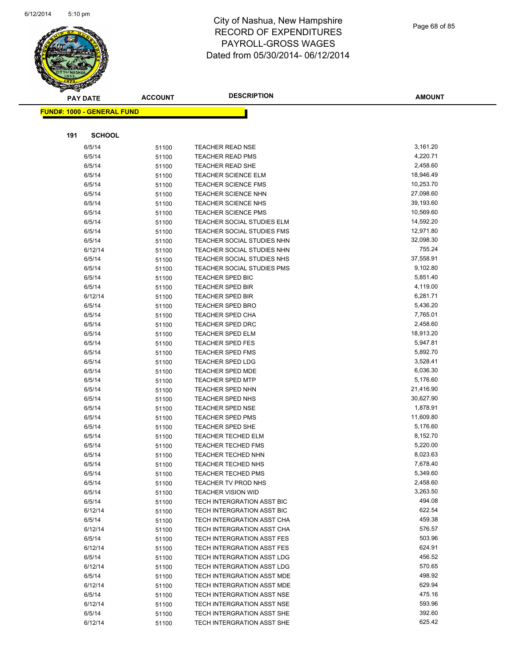

Page 68 of 85

| <b>PAY DATE</b>                   | <b>ACCOUNT</b> | <b>DESCRIPTION</b>                          | <b>AMOUNT</b>         |
|-----------------------------------|----------------|---------------------------------------------|-----------------------|
| <b>FUND#: 1000 - GENERAL FUND</b> |                |                                             |                       |
|                                   |                |                                             |                       |
|                                   |                |                                             |                       |
| 191                               | <b>SCHOOL</b>  |                                             |                       |
| 6/5/14                            | 51100          | <b>TEACHER READ NSE</b>                     | 3,161.20              |
| 6/5/14                            | 51100          | <b>TEACHER READ PMS</b>                     | 4,220.71              |
| 6/5/14                            | 51100          | <b>TEACHER READ SHE</b>                     | 2,458.60              |
| 6/5/14                            | 51100          | <b>TEACHER SCIENCE ELM</b>                  | 18,946.49             |
| 6/5/14                            | 51100          | <b>TEACHER SCIENCE FMS</b>                  | 10,253.70             |
| 6/5/14                            | 51100          | <b>TEACHER SCIENCE NHN</b>                  | 27,098.60             |
| 6/5/14                            | 51100          | <b>TEACHER SCIENCE NHS</b>                  | 39,193.60             |
| 6/5/14                            | 51100          | <b>TEACHER SCIENCE PMS</b>                  | 10,569.60             |
| 6/5/14                            | 51100          | TEACHER SOCIAL STUDIES ELM                  | 14,592.20             |
| 6/5/14                            | 51100          | <b>TEACHER SOCIAL STUDIES FMS</b>           | 12,971.80             |
| 6/5/14                            | 51100          | TEACHER SOCIAL STUDIES NHN                  | 32,098.30             |
| 6/12/14                           | 51100          | TEACHER SOCIAL STUDIES NHN                  | 755.24                |
| 6/5/14                            | 51100          | TEACHER SOCIAL STUDIES NHS                  | 37,558.91             |
| 6/5/14                            | 51100          | TEACHER SOCIAL STUDIES PMS                  | 9,102.80              |
| 6/5/14                            | 51100          | TEACHER SPED BIC                            | 5,851.40              |
| 6/5/14                            | 51100          | TEACHER SPED BIR                            | 4,119.00              |
| 6/12/14                           | 51100          | <b>TEACHER SPED BIR</b>                     | 6,281.71              |
| 6/5/14                            | 51100          | <b>TEACHER SPED BRO</b>                     | 5,436.20              |
| 6/5/14                            | 51100          | <b>TEACHER SPED CHA</b>                     | 7,765.01              |
| 6/5/14                            | 51100          | <b>TEACHER SPED DRC</b>                     | 2,458.60              |
| 6/5/14                            | 51100          | TEACHER SPED ELM                            | 18,913.20             |
| 6/5/14                            | 51100          | <b>TEACHER SPED FES</b>                     | 5,947.81              |
| 6/5/14                            | 51100          | <b>TEACHER SPED FMS</b>                     | 5,892.70              |
| 6/5/14                            | 51100          | <b>TEACHER SPED LDG</b>                     | 3,528.41              |
| 6/5/14                            | 51100          | <b>TEACHER SPED MDE</b>                     | 6,036.30              |
| 6/5/14<br>6/5/14                  | 51100          | <b>TEACHER SPED MTP</b><br>TEACHER SPED NHN | 5,176.60<br>21,416.90 |
| 6/5/14                            | 51100          | <b>TEACHER SPED NHS</b>                     | 30,627.90             |
| 6/5/14                            | 51100          | <b>TEACHER SPED NSE</b>                     | 1,878.91              |
| 6/5/14                            | 51100          | <b>TEACHER SPED PMS</b>                     | 11,609.80             |
| 6/5/14                            | 51100<br>51100 | <b>TEACHER SPED SHE</b>                     | 5,176.60              |
| 6/5/14                            | 51100          | <b>TEACHER TECHED ELM</b>                   | 8,152.70              |
| 6/5/14                            | 51100          | TEACHER TECHED FMS                          | 5,220.00              |
| 6/5/14                            | 51100          | TEACHER TECHED NHN                          | 8,023.63              |
| 6/5/14                            | 51100          | <b>TEACHER TECHED NHS</b>                   | 7,678.40              |
| 6/5/14                            | 51100          | <b>TEACHER TECHED PMS</b>                   | 5,349.60              |
| 6/5/14                            | 51100          | TEACHER TV PROD NHS                         | 2,458.60              |
| 6/5/14                            | 51100          | <b>TEACHER VISION WID</b>                   | 3,263.50              |
| 6/5/14                            | 51100          | TECH INTERGRATION ASST BIC                  | 494.08                |
| 6/12/14                           | 51100          | TECH INTERGRATION ASST BIC                  | 622.54                |
| 6/5/14                            | 51100          | TECH INTERGRATION ASST CHA                  | 459.38                |
| 6/12/14                           | 51100          | TECH INTERGRATION ASST CHA                  | 576.57                |
| 6/5/14                            | 51100          | TECH INTERGRATION ASST FES                  | 503.96                |
| 6/12/14                           | 51100          | <b>TECH INTERGRATION ASST FES</b>           | 624.91                |
| 6/5/14                            | 51100          | TECH INTERGRATION ASST LDG                  | 456.52                |
| 6/12/14                           | 51100          | TECH INTERGRATION ASST LDG                  | 570.65                |
| 6/5/14                            | 51100          | TECH INTERGRATION ASST MDE                  | 498.92                |
| 6/12/14                           | 51100          | TECH INTERGRATION ASST MDE                  | 629.94                |
| 6/5/14                            | 51100          | TECH INTERGRATION ASST NSE                  | 475.16                |
| 6/12/14                           | 51100          | TECH INTERGRATION ASST NSE                  | 593.96                |
| 6/5/14                            | 51100          | TECH INTERGRATION ASST SHE                  | 392.60                |
| 6/12/14                           | 51100          | TECH INTERGRATION ASST SHE                  | 625.42                |
|                                   |                |                                             |                       |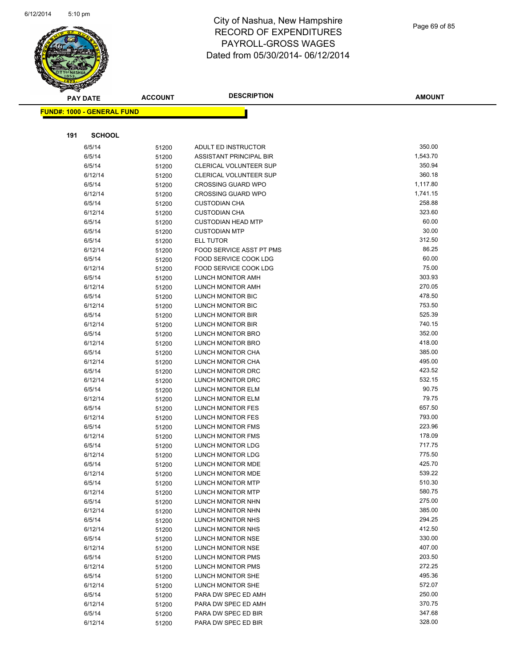

Page 69 of 85

| <b>PAY DATE</b>                   | <b>ACCOUNT</b> | <b>DESCRIPTION</b>              | <b>AMOUNT</b> |
|-----------------------------------|----------------|---------------------------------|---------------|
| <b>FUND#: 1000 - GENERAL FUND</b> |                |                                 |               |
|                                   |                |                                 |               |
|                                   |                |                                 |               |
| <b>SCHOOL</b><br>191              |                |                                 |               |
| 6/5/14                            | 51200          | ADULT ED INSTRUCTOR             | 350.00        |
| 6/5/14                            | 51200          | ASSISTANT PRINCIPAL BIR         | 1,543.70      |
| 6/5/14                            | 51200          | CLERICAL VOLUNTEER SUP          | 350.94        |
| 6/12/14                           | 51200          | <b>CLERICAL VOLUNTEER SUP</b>   | 360.18        |
| 6/5/14                            | 51200          | <b>CROSSING GUARD WPO</b>       | 1,117.80      |
| 6/12/14                           | 51200          | <b>CROSSING GUARD WPO</b>       | 1,741.15      |
| 6/5/14                            | 51200          | <b>CUSTODIAN CHA</b>            | 258.88        |
| 6/12/14                           | 51200          | <b>CUSTODIAN CHA</b>            | 323.60        |
| 6/5/14                            | 51200          | <b>CUSTODIAN HEAD MTP</b>       | 60.00         |
| 6/5/14                            | 51200          | <b>CUSTODIAN MTP</b>            | 30.00         |
| 6/5/14                            | 51200          | ELL TUTOR                       | 312.50        |
| 6/12/14                           | 51200          | <b>FOOD SERVICE ASST PT PMS</b> | 86.25         |
| 6/5/14                            | 51200          | FOOD SERVICE COOK LDG           | 60.00         |
| 6/12/14                           | 51200          | FOOD SERVICE COOK LDG           | 75.00         |
| 6/5/14                            | 51200          | LUNCH MONITOR AMH               | 303.93        |
| 6/12/14                           | 51200          | LUNCH MONITOR AMH               | 270.05        |
| 6/5/14                            | 51200          | LUNCH MONITOR BIC               | 478.50        |
| 6/12/14                           | 51200          | <b>LUNCH MONITOR BIC</b>        | 753.50        |
| 6/5/14                            | 51200          | <b>LUNCH MONITOR BIR</b>        | 525.39        |
| 6/12/14                           | 51200          | LUNCH MONITOR BIR               | 740.15        |
| 6/5/14                            | 51200          | LUNCH MONITOR BRO               | 352.00        |
| 6/12/14                           | 51200          | LUNCH MONITOR BRO               | 418.00        |
| 6/5/14                            | 51200          | LUNCH MONITOR CHA               | 385.00        |
| 6/12/14                           | 51200          | LUNCH MONITOR CHA               | 495.00        |
| 6/5/14                            | 51200          | LUNCH MONITOR DRC               | 423.52        |
| 6/12/14                           | 51200          | LUNCH MONITOR DRC               | 532.15        |
| 6/5/14                            | 51200          | LUNCH MONITOR ELM               | 90.75         |
| 6/12/14                           | 51200          | LUNCH MONITOR ELM               | 79.75         |
| 6/5/14                            | 51200          | LUNCH MONITOR FES               | 657.50        |
| 6/12/14                           | 51200          | LUNCH MONITOR FES               | 793.00        |
| 6/5/14                            | 51200          | <b>LUNCH MONITOR FMS</b>        | 223.96        |
| 6/12/14                           | 51200          | LUNCH MONITOR FMS               | 178.09        |
| 6/5/14                            | 51200          | <b>LUNCH MONITOR LDG</b>        | 717.75        |
| 6/12/14                           | 51200          | LUNCH MONITOR LDG               | 775.50        |
| 6/5/14                            | 51200          | <b>LUNCH MONITOR MDE</b>        | 425.70        |
| 6/12/14                           | 51200          | LUNCH MONITOR MDE               | 539.22        |
| 6/5/14                            | 51200          | LUNCH MONITOR MTP               | 510.30        |
| 6/12/14                           | 51200          | LUNCH MONITOR MTP               | 580.75        |
| 6/5/14                            | 51200          | LUNCH MONITOR NHN               | 275.00        |
| 6/12/14                           | 51200          | LUNCH MONITOR NHN               | 385.00        |
| 6/5/14                            | 51200          | LUNCH MONITOR NHS               | 294.25        |
| 6/12/14                           | 51200          | LUNCH MONITOR NHS               | 412.50        |
| 6/5/14                            | 51200          | LUNCH MONITOR NSE               | 330.00        |
| 6/12/14                           | 51200          | LUNCH MONITOR NSE               | 407.00        |
| 6/5/14                            | 51200          | LUNCH MONITOR PMS               | 203.50        |
| 6/12/14                           | 51200          | LUNCH MONITOR PMS               | 272.25        |
| 6/5/14                            | 51200          | LUNCH MONITOR SHE               | 495.36        |
| 6/12/14                           | 51200          | LUNCH MONITOR SHE               | 572.07        |
| 6/5/14                            | 51200          | PARA DW SPEC ED AMH             | 250.00        |
| 6/12/14                           | 51200          | PARA DW SPEC ED AMH             | 370.75        |
| 6/5/14                            | 51200          | PARA DW SPEC ED BIR             | 347.68        |
| 6/12/14                           | 51200          | PARA DW SPEC ED BIR             | 328.00        |
|                                   |                |                                 |               |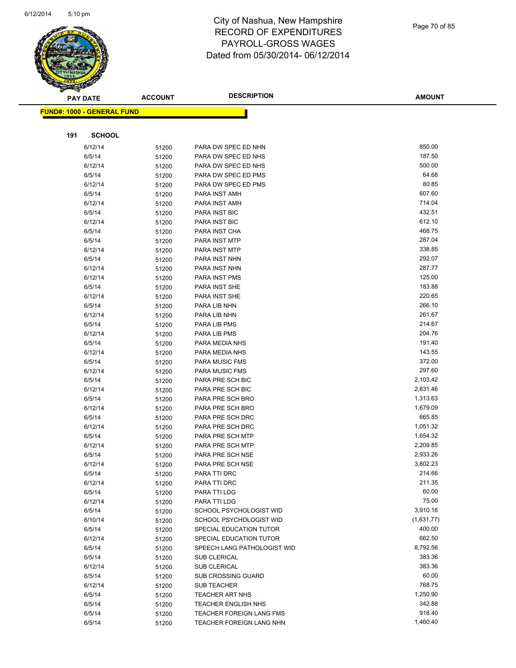

|     | <b>PAY DATE</b>                   | <b>ACCOUNT</b> | <b>DESCRIPTION</b>                        | <b>AMOUNT</b>    |
|-----|-----------------------------------|----------------|-------------------------------------------|------------------|
|     | <b>FUND#: 1000 - GENERAL FUND</b> |                |                                           |                  |
|     |                                   |                |                                           |                  |
|     |                                   |                |                                           |                  |
| 191 | <b>SCHOOL</b>                     |                |                                           |                  |
|     | 6/12/14                           | 51200          | PARA DW SPEC ED NHN                       | 850.00           |
|     | 6/5/14                            | 51200          | PARA DW SPEC ED NHS                       | 187.50           |
|     | 6/12/14                           | 51200          | PARA DW SPEC ED NHS                       | 500.00           |
|     | 6/5/14                            | 51200          | PARA DW SPEC ED PMS                       | 64.68            |
|     | 6/12/14                           | 51200          | PARA DW SPEC ED PMS                       | 80.85            |
|     | 6/5/14                            | 51200          | PARA INST AMH                             | 607.60           |
|     | 6/12/14                           | 51200          | PARA INST AMH                             | 714.04           |
|     | 6/5/14                            | 51200          | <b>PARA INST BIC</b>                      | 432.51           |
|     | 6/12/14                           | 51200          | <b>PARA INST BIC</b>                      | 612.10           |
|     | 6/5/14                            | 51200          | PARA INST CHA                             | 468.75           |
|     | 6/5/14                            | 51200          | PARA INST MTP                             | 287.04           |
|     | 6/12/14                           | 51200          | PARA INST MTP                             | 338.85           |
|     | 6/5/14                            | 51200          | PARA INST NHN                             | 292.07           |
|     | 6/12/14                           | 51200          | PARA INST NHN                             | 287.77           |
|     | 6/12/14                           | 51200          | PARA INST PMS                             | 125.00           |
|     | 6/5/14                            | 51200          | PARA INST SHE                             | 183.88           |
|     | 6/12/14                           | 51200          | PARA INST SHE                             | 220.65           |
|     | 6/5/14                            | 51200          | PARA LIB NHN                              | 266.10           |
|     | 6/12/14                           | 51200          | PARA LIB NHN                              | 261.67           |
|     | 6/5/14                            | 51200          | PARA LIB PMS                              | 214.67           |
|     | 6/12/14                           | 51200          | PARA LIB PMS                              | 204.76           |
|     | 6/5/14                            | 51200          | PARA MEDIA NHS                            | 191.40<br>143.55 |
|     | 6/12/14                           | 51200          | PARA MEDIA NHS                            | 372.00           |
|     | 6/5/14                            | 51200          | <b>PARA MUSIC FMS</b>                     | 297.60           |
|     | 6/12/14<br>6/5/14                 | 51200          | <b>PARA MUSIC FMS</b><br>PARA PRE SCH BIC | 2,103.42         |
|     | 6/12/14                           | 51200          | PARA PRE SCH BIC                          | 2,831.46         |
|     | 6/5/14                            | 51200          | PARA PRE SCH BRO                          | 1,313.63         |
|     | 6/12/14                           | 51200          | PARA PRE SCH BRO                          | 1,679.09         |
|     | 6/5/14                            | 51200          | PARA PRE SCH DRC                          | 665.85           |
|     | 6/12/14                           | 51200<br>51200 | PARA PRE SCH DRC                          | 1,051.32         |
|     | 6/5/14                            | 51200          | PARA PRE SCH MTP                          | 1,654.32         |
|     | 6/12/14                           | 51200          | PARA PRE SCH MTP                          | 2,209.85         |
|     | 6/5/14                            | 51200          | PARA PRE SCH NSE                          | 2,933.26         |
|     | 6/12/14                           | 51200          | PARA PRE SCH NSE                          | 3,802.23         |
|     | 6/5/14                            | 51200          | PARA TTI DRC                              | 214.66           |
|     | 6/12/14                           | 51200          | PARA TTI DRC                              | 211.35           |
|     | 6/5/14                            | 51200          | PARA TTI LDG                              | 60.00            |
|     | 6/12/14                           | 51200          | PARA TTI LDG                              | 75.00            |
|     | 6/5/14                            | 51200          | SCHOOL PSYCHOLOGIST WID                   | 3,910.16         |
|     | 6/10/14                           | 51200          | SCHOOL PSYCHOLOGIST WID                   | (1,631.77)       |
|     | 6/5/14                            | 51200          | SPECIAL EDUCATION TUTOR                   | 400.00           |
|     | 6/12/14                           | 51200          | SPECIAL EDUCATION TUTOR                   | 662.50           |
|     | 6/5/14                            | 51200          | SPEECH LANG PATHOLOGIST WID               | 8,792.56         |
|     | 6/5/14                            | 51200          | <b>SUB CLERICAL</b>                       | 383.36           |
|     | 6/12/14                           | 51200          | <b>SUB CLERICAL</b>                       | 383.36           |
|     | 6/5/14                            | 51200          | <b>SUB CROSSING GUARD</b>                 | 60.00            |
|     | 6/12/14                           | 51200          | <b>SUB TEACHER</b>                        | 768.75           |
|     | 6/5/14                            | 51200          | <b>TEACHER ART NHS</b>                    | 1,250.90         |
|     | 6/5/14                            | 51200          | <b>TEACHER ENGLISH NHS</b>                | 342.88           |
|     | 6/5/14                            | 51200          | TEACHER FOREIGN LANG FMS                  | 918.40           |
|     | 6/5/14                            | 51200          | TEACHER FOREIGN LANG NHN                  | 1,460.40         |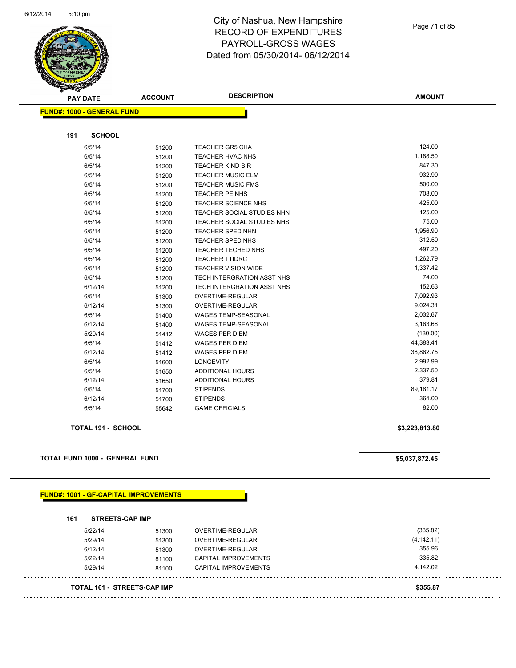

**FUND#: 1000** 

**191** 

#### City of Nashua, New Hampshire RECORD OF EXPENDITURES PAYROLL-GROSS WAGES Dated from 05/30/2014- 06/12/2014

| - GENERAL FUND |       |                                   |           |  |  |  |
|----------------|-------|-----------------------------------|-----------|--|--|--|
|                |       |                                   |           |  |  |  |
| <b>SCHOOL</b>  |       |                                   |           |  |  |  |
| 6/5/14         | 51200 | <b>TEACHER GR5 CHA</b>            | 124.00    |  |  |  |
| 6/5/14         | 51200 | <b>TEACHER HVAC NHS</b>           | 1,188.50  |  |  |  |
| 6/5/14         | 51200 | <b>TEACHER KIND BIR</b>           | 847.30    |  |  |  |
| 6/5/14         | 51200 | <b>TEACHER MUSIC ELM</b>          | 932.90    |  |  |  |
| 6/5/14         | 51200 | <b>TEACHER MUSIC FMS</b>          | 500.00    |  |  |  |
| 6/5/14         | 51200 | <b>TEACHER PE NHS</b>             | 708.00    |  |  |  |
| 6/5/14         | 51200 | <b>TEACHER SCIENCE NHS</b>        | 425.00    |  |  |  |
| 6/5/14         | 51200 | <b>TEACHER SOCIAL STUDIES NHN</b> | 125.00    |  |  |  |
| 6/5/14         | 51200 | <b>TEACHER SOCIAL STUDIES NHS</b> | 75.00     |  |  |  |
| 6/5/14         | 51200 | <b>TEACHER SPED NHN</b>           | 1,956.90  |  |  |  |
| 6/5/14         | 51200 | <b>TEACHER SPED NHS</b>           | 312.50    |  |  |  |
| 6/5/14         | 51200 | <b>TEACHER TECHED NHS</b>         | 497.20    |  |  |  |
| 6/5/14         | 51200 | <b>TEACHER TTIDRC</b>             | 1,262.79  |  |  |  |
| 6/5/14         | 51200 | <b>TEACHER VISION WIDE</b>        | 1,337.42  |  |  |  |
| 6/5/14         | 51200 | TECH INTERGRATION ASST NHS        | 74.00     |  |  |  |
| 6/12/14        | 51200 | TECH INTERGRATION ASST NHS        | 152.63    |  |  |  |
| 6/5/14         | 51300 | <b>OVERTIME-REGULAR</b>           | 7,092.93  |  |  |  |
| 6/12/14        | 51300 | <b>OVERTIME-REGULAR</b>           | 9,024.31  |  |  |  |
| 6/5/14         | 51400 | <b>WAGES TEMP-SEASONAL</b>        | 2,032.67  |  |  |  |
| 6/12/14        | 51400 | <b>WAGES TEMP-SEASONAL</b>        | 3,163.68  |  |  |  |
| 5/29/14        | 51412 | <b>WAGES PER DIEM</b>             | (130.00)  |  |  |  |
| 6/5/14         | 51412 | <b>WAGES PER DIEM</b>             | 44,383.41 |  |  |  |
| 6/12/14        | 51412 | <b>WAGES PER DIEM</b>             | 38,862.75 |  |  |  |

6/5/14 51600 LONGEVITY 2,992.99 6/5/14 51650 ADDITIONAL HOURS 2,337.50 6/12/14 51650 ADDITIONAL HOURS 379.81 6/5/14 51700 STIPENDS 89,181.17 6/12/14 51700 STIPENDS 364.00 6/5/14 55642 GAME OFFICIALS 82.00

**TOTAL 191 - SCHOOL \$3,223,813.80**

**TOTAL FUND 1000 - GENERAL FUND \$5,037,872.45** 

. . . . . . . . . . . . . . . .

#### **FUND#: 1001 - GF-CAPITAL IMPROVEMENTS**

| <b>TOTAL 161 - STREETS-CAP IMP</b> |       |                             | \$355.87    |
|------------------------------------|-------|-----------------------------|-------------|
| 5/29/14                            | 81100 | <b>CAPITAL IMPROVEMENTS</b> | 4,142.02    |
| 5/22/14                            | 81100 | <b>CAPITAL IMPROVEMENTS</b> | 335.82      |
| 6/12/14                            | 51300 | <b>OVERTIME-REGULAR</b>     | 355.96      |
| 5/29/14                            | 51300 | OVERTIME-REGULAR            | (4, 142.11) |
| 5/22/14                            | 51300 | <b>OVERTIME-REGULAR</b>     | (335.82)    |
| 161<br><b>STREETS-CAP IMP</b>      |       |                             |             |

**AMOUNT**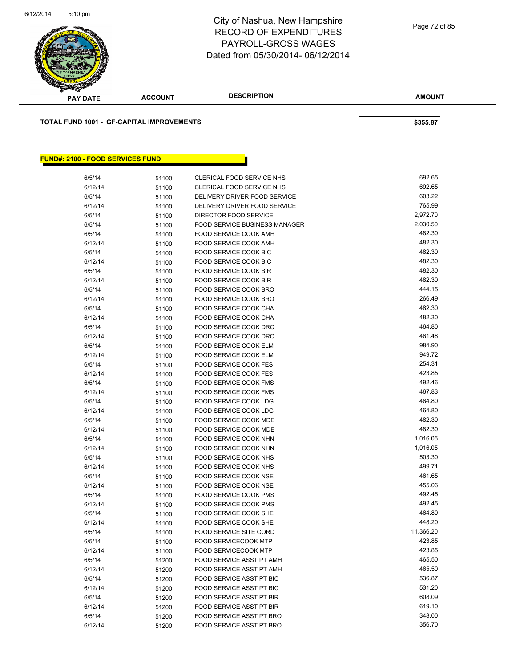

| <b>PAY DATE</b>                                  | <b>ACCOUNT</b> | <b>DESCRIPTION</b>                   | <b>AMOUNT</b> |
|--------------------------------------------------|----------------|--------------------------------------|---------------|
|                                                  |                |                                      |               |
| <b>TOTAL FUND 1001 - GF-CAPITAL IMPROVEMENTS</b> |                |                                      | \$355.87      |
|                                                  |                |                                      |               |
| <b>FUND#: 2100 - FOOD SERVICES FUND</b>          |                |                                      |               |
| 6/5/14                                           | 51100          | CLERICAL FOOD SERVICE NHS            | 692.65        |
| 6/12/14                                          | 51100          | <b>CLERICAL FOOD SERVICE NHS</b>     | 692.65        |
| 6/5/14                                           | 51100          | DELIVERY DRIVER FOOD SERVICE         | 603.22        |
| 6/12/14                                          | 51100          | DELIVERY DRIVER FOOD SERVICE         | 765.99        |
| 6/5/14                                           | 51100          | DIRECTOR FOOD SERVICE                | 2,972.70      |
| 6/5/14                                           | 51100          | <b>FOOD SERVICE BUSINESS MANAGER</b> | 2,030.50      |
| 6/5/14                                           | 51100          | FOOD SERVICE COOK AMH                | 482.30        |
| 6/12/14                                          | 51100          | FOOD SERVICE COOK AMH                | 482.30        |
| 6/5/14                                           | 51100          | <b>FOOD SERVICE COOK BIC</b>         | 482.30        |
| 6/12/14                                          | 51100          | <b>FOOD SERVICE COOK BIC</b>         | 482.30        |
| 6/5/14                                           | 51100          | FOOD SERVICE COOK BIR                | 482.30        |
| 6/12/14                                          | 51100          | FOOD SERVICE COOK BIR                | 482.30        |
| 6/5/14                                           | 51100          | <b>FOOD SERVICE COOK BRO</b>         | 444.15        |
| 6/12/14                                          | 51100          | FOOD SERVICE COOK BRO                | 266.49        |
| 6/5/14                                           | 51100          | <b>FOOD SERVICE COOK CHA</b>         | 482.30        |
| 6/12/14                                          | 51100          | <b>FOOD SERVICE COOK CHA</b>         | 482.30        |
| 6/5/14                                           | 51100          | FOOD SERVICE COOK DRC                | 464.80        |
| 6/12/14                                          | 51100          | FOOD SERVICE COOK DRC                | 461.48        |
| 6/5/14                                           | 51100          | FOOD SERVICE COOK ELM                | 984.90        |
| 6/12/14                                          | 51100          | FOOD SERVICE COOK ELM                | 949.72        |
| 6/5/14                                           | 51100          | FOOD SERVICE COOK FES                | 254.31        |
| 6/12/14                                          | 51100          | <b>FOOD SERVICE COOK FES</b>         | 423.85        |
| 6/5/14                                           | 51100          | FOOD SERVICE COOK FMS                | 492.46        |
| 6/12/14                                          | 51100          | FOOD SERVICE COOK FMS                | 467.83        |
| 6/5/14                                           | 51100          | FOOD SERVICE COOK LDG                | 464.80        |
| 6/12/14                                          | 51100          | FOOD SERVICE COOK LDG                | 464.80        |
| 6/5/14                                           | 51100          | <b>FOOD SERVICE COOK MDE</b>         | 482.30        |
| 6/12/14                                          | 51100          | FOOD SERVICE COOK MDE                | 482.30        |
| 6/5/14                                           | 51100          | FOOD SERVICE COOK NHN                | 1,016.05      |
| 6/12/14                                          | 51100          | FOOD SERVICE COOK NHN                | 1,016.05      |
| 6/5/14                                           | 51100          | FOOD SERVICE COOK NHS                | 503.30        |
| 6/12/14                                          | 51100          | FOOD SERVICE COOK NHS                | 499.71        |
| 6/5/14                                           | 51100          | FOOD SERVICE COOK NSE                | 461.65        |
| 6/12/14                                          | 51100          | FOOD SERVICE COOK NSE                | 455.06        |
| 6/5/14                                           | 51100          | FOOD SERVICE COOK PMS                | 492.45        |
| 6/12/14                                          | 51100          | FOOD SERVICE COOK PMS                | 492.45        |
| 6/5/14                                           | 51100          | FOOD SERVICE COOK SHE                | 464.80        |
| 6/12/14                                          | 51100          | FOOD SERVICE COOK SHE                | 448.20        |
| 6/5/14                                           | 51100          | <b>FOOD SERVICE SITE CORD</b>        | 11,366.20     |
| 6/5/14                                           | 51100          | <b>FOOD SERVICECOOK MTP</b>          | 423.85        |
| 6/12/14                                          | 51100          | <b>FOOD SERVICECOOK MTP</b>          | 423.85        |
| 6/5/14                                           | 51200          | FOOD SERVICE ASST PT AMH             | 465.50        |
| 6/12/14                                          | 51200          | FOOD SERVICE ASST PT AMH             | 465.50        |
| 6/5/14                                           | 51200          | FOOD SERVICE ASST PT BIC             | 536.87        |
| 6/12/14                                          | 51200          | FOOD SERVICE ASST PT BIC             | 531.20        |
| 6/5/14                                           | 51200          | FOOD SERVICE ASST PT BIR             | 608.09        |

 $6/12/14$  51200 FOOD SERVICE ASST PT BIR<br> $6/5/14$  51200 FOOD SERVICE ASST PT BRO  $6/5/14$  51200 FOOD SERVICE ASST PT BRO<br> $6/12/14$  51200 FOOD SERVICE ASST PT BRO 356.70

6/12/14 51200 FOOD SERVICE ASST PT BRO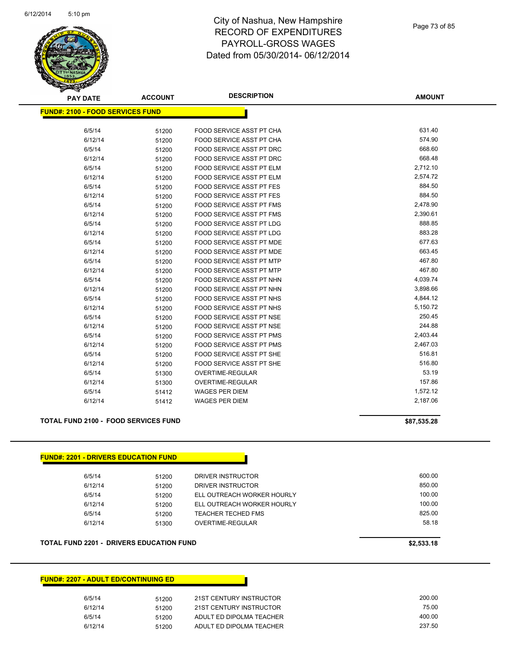

| <b>PAY DATE</b>                         | <b>ACCOUNT</b> | <b>DESCRIPTION</b>              | <b>AMOUNT</b> |
|-----------------------------------------|----------------|---------------------------------|---------------|
| <b>FUND#: 2100 - FOOD SERVICES FUND</b> |                |                                 |               |
|                                         |                |                                 |               |
| 6/5/14                                  | 51200          | FOOD SERVICE ASST PT CHA        | 631.40        |
| 6/12/14                                 | 51200          | FOOD SERVICE ASST PT CHA        | 574.90        |
| 6/5/14                                  | 51200          | FOOD SERVICE ASST PT DRC        | 668.60        |
| 6/12/14                                 | 51200          | FOOD SERVICE ASST PT DRC        | 668.48        |
| 6/5/14                                  | 51200          | FOOD SERVICE ASST PT ELM        | 2,712.10      |
| 6/12/14                                 | 51200          | FOOD SERVICE ASST PT ELM        | 2,574.72      |
| 6/5/14                                  | 51200          | <b>FOOD SERVICE ASST PT FES</b> | 884.50        |
| 6/12/14                                 | 51200          | <b>FOOD SERVICE ASST PT FES</b> | 884.50        |
| 6/5/14                                  | 51200          | FOOD SERVICE ASST PT FMS        | 2,478.90      |
| 6/12/14                                 | 51200          | FOOD SERVICE ASST PT FMS        | 2,390.61      |
| 6/5/14                                  | 51200          | FOOD SERVICE ASST PT LDG        | 888.85        |
| 6/12/14                                 | 51200          | FOOD SERVICE ASST PT LDG        | 883.28        |
| 6/5/14                                  | 51200          | <b>FOOD SERVICE ASST PT MDE</b> | 677.63        |
| 6/12/14                                 | 51200          | <b>FOOD SERVICE ASST PT MDE</b> | 663.45        |
| 6/5/14                                  | 51200          | FOOD SERVICE ASST PT MTP        | 467.80        |
| 6/12/14                                 | 51200          | FOOD SERVICE ASST PT MTP        | 467.80        |
| 6/5/14                                  | 51200          | FOOD SERVICE ASST PT NHN        | 4,039.74      |
| 6/12/14                                 | 51200          | FOOD SERVICE ASST PT NHN        | 3,898.66      |
| 6/5/14                                  | 51200          | <b>FOOD SERVICE ASST PT NHS</b> | 4,844.12      |
| 6/12/14                                 | 51200          | FOOD SERVICE ASST PT NHS        | 5,150.72      |
| 6/5/14                                  | 51200          | FOOD SERVICE ASST PT NSE        | 250.45        |
| 6/12/14                                 | 51200          | FOOD SERVICE ASST PT NSE        | 244.88        |
| 6/5/14                                  | 51200          | FOOD SERVICE ASST PT PMS        | 2,403.44      |
| 6/12/14                                 | 51200          | FOOD SERVICE ASST PT PMS        | 2,467.03      |
| 6/5/14                                  | 51200          | FOOD SERVICE ASST PT SHE        | 516.81        |
| 6/12/14                                 | 51200          | FOOD SERVICE ASST PT SHE        | 516.80        |
| 6/5/14                                  | 51300          | OVERTIME-REGULAR                | 53.19         |
| 6/12/14                                 | 51300          | OVERTIME-REGULAR                | 157.86        |
| 6/5/14                                  | 51412          | <b>WAGES PER DIEM</b>           | 1,572.12      |
| 6/12/14                                 | 51412          | <b>WAGES PER DIEM</b>           | 2,187.06      |

#### **TOTAL FUND 2100 - FOOD SERVICES FUND \$87,535.28 \$87,535.28**

| <b>FUND#: 2201 - DRIVERS EDUCATION FUND</b> |       |                            |        |
|---------------------------------------------|-------|----------------------------|--------|
| 6/5/14                                      | 51200 | DRIVER INSTRUCTOR          | 600.00 |
| 6/12/14                                     | 51200 | DRIVER INSTRUCTOR          | 850.00 |
| 6/5/14                                      | 51200 | ELL OUTREACH WORKER HOURLY | 100.00 |
| 6/12/14                                     | 51200 | ELL OUTREACH WORKER HOURLY | 100.00 |
| 6/5/14                                      | 51200 | TEACHER TECHED FMS         | 825.00 |
| 6/12/14                                     | 51300 | OVERTIME-REGULAR           | 58.18  |

#### **TOTAL FUND 2201 - DRIVERS EDUCATION FUND \$2,533.18**

#### **FUND#: 2207 - ADULT ED/CONTINUING ED**

| 6/5/14  | 51200 | 21ST CENTURY INSTRUCTOR  | 200.00 |
|---------|-------|--------------------------|--------|
| 6/12/14 | 51200 | 21ST CENTURY INSTRUCTOR  | 75.00  |
| 6/5/14  | 51200 | ADULT ED DIPOLMA TEACHER | 400.00 |
| 6/12/14 | 51200 | ADULT ED DIPOLMA TEACHER | 237.50 |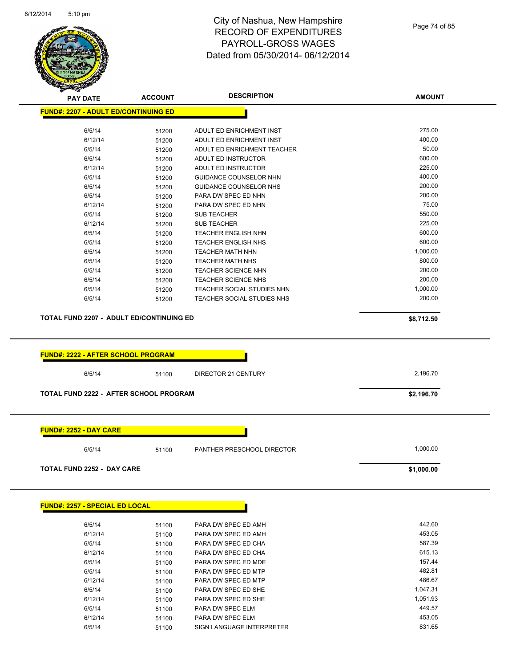

Page 74 of 85

**AMOUNT**

| 275.00<br>6/5/14<br>ADULT ED ENRICHMENT INST<br>51200<br>400.00<br>6/12/14<br>51200<br>ADULT ED ENRICHMENT INST<br>50.00<br>6/5/14<br>ADULT ED ENRICHMENT TEACHER<br>51200<br>600.00<br>6/5/14<br>51200<br>ADULT ED INSTRUCTOR<br>6/12/14<br>225.00<br>ADULT ED INSTRUCTOR<br>51200<br>400.00<br>6/5/14<br>GUIDANCE COUNSELOR NHN<br>51200<br>200.00<br>6/5/14<br><b>GUIDANCE COUNSELOR NHS</b><br>51200<br>200.00<br>6/5/14<br>PARA DW SPEC ED NHN<br>51200<br>75.00<br>6/12/14<br>PARA DW SPEC ED NHN<br>51200<br>550.00<br>6/5/14<br><b>SUB TEACHER</b><br>51200<br>225.00<br>6/12/14<br><b>SUB TEACHER</b><br>51200<br>600.00<br>6/5/14<br><b>TEACHER ENGLISH NHN</b><br>51200<br>600.00<br>6/5/14<br>TEACHER ENGLISH NHS<br>51200<br>6/5/14<br>1,000.00<br><b>TEACHER MATH NHN</b><br>51200<br>800.00<br>6/5/14<br>51200<br><b>TEACHER MATH NHS</b> |
|----------------------------------------------------------------------------------------------------------------------------------------------------------------------------------------------------------------------------------------------------------------------------------------------------------------------------------------------------------------------------------------------------------------------------------------------------------------------------------------------------------------------------------------------------------------------------------------------------------------------------------------------------------------------------------------------------------------------------------------------------------------------------------------------------------------------------------------------------------|
|                                                                                                                                                                                                                                                                                                                                                                                                                                                                                                                                                                                                                                                                                                                                                                                                                                                          |
|                                                                                                                                                                                                                                                                                                                                                                                                                                                                                                                                                                                                                                                                                                                                                                                                                                                          |
|                                                                                                                                                                                                                                                                                                                                                                                                                                                                                                                                                                                                                                                                                                                                                                                                                                                          |
|                                                                                                                                                                                                                                                                                                                                                                                                                                                                                                                                                                                                                                                                                                                                                                                                                                                          |
|                                                                                                                                                                                                                                                                                                                                                                                                                                                                                                                                                                                                                                                                                                                                                                                                                                                          |
|                                                                                                                                                                                                                                                                                                                                                                                                                                                                                                                                                                                                                                                                                                                                                                                                                                                          |
|                                                                                                                                                                                                                                                                                                                                                                                                                                                                                                                                                                                                                                                                                                                                                                                                                                                          |
|                                                                                                                                                                                                                                                                                                                                                                                                                                                                                                                                                                                                                                                                                                                                                                                                                                                          |
|                                                                                                                                                                                                                                                                                                                                                                                                                                                                                                                                                                                                                                                                                                                                                                                                                                                          |
|                                                                                                                                                                                                                                                                                                                                                                                                                                                                                                                                                                                                                                                                                                                                                                                                                                                          |
|                                                                                                                                                                                                                                                                                                                                                                                                                                                                                                                                                                                                                                                                                                                                                                                                                                                          |
|                                                                                                                                                                                                                                                                                                                                                                                                                                                                                                                                                                                                                                                                                                                                                                                                                                                          |
|                                                                                                                                                                                                                                                                                                                                                                                                                                                                                                                                                                                                                                                                                                                                                                                                                                                          |
|                                                                                                                                                                                                                                                                                                                                                                                                                                                                                                                                                                                                                                                                                                                                                                                                                                                          |
| 200.00                                                                                                                                                                                                                                                                                                                                                                                                                                                                                                                                                                                                                                                                                                                                                                                                                                                   |
| 6/5/14<br>TEACHER SCIENCE NHN<br>51200<br>200.00                                                                                                                                                                                                                                                                                                                                                                                                                                                                                                                                                                                                                                                                                                                                                                                                         |
| 6/5/14<br>51200<br><b>TEACHER SCIENCE NHS</b>                                                                                                                                                                                                                                                                                                                                                                                                                                                                                                                                                                                                                                                                                                                                                                                                            |
| 1,000.00<br>6/5/14<br>TEACHER SOCIAL STUDIES NHN<br>51200<br>200.00                                                                                                                                                                                                                                                                                                                                                                                                                                                                                                                                                                                                                                                                                                                                                                                      |
| 6/5/14<br>TEACHER SOCIAL STUDIES NHS<br>51200                                                                                                                                                                                                                                                                                                                                                                                                                                                                                                                                                                                                                                                                                                                                                                                                            |
| <b>TOTAL FUND 2207 - ADULT ED/CONTINUING ED</b><br>\$8,712.50                                                                                                                                                                                                                                                                                                                                                                                                                                                                                                                                                                                                                                                                                                                                                                                            |
| <b>FUND#: 2222 - AFTER SCHOOL PROGRAM</b>                                                                                                                                                                                                                                                                                                                                                                                                                                                                                                                                                                                                                                                                                                                                                                                                                |
|                                                                                                                                                                                                                                                                                                                                                                                                                                                                                                                                                                                                                                                                                                                                                                                                                                                          |
| 2,196.70<br>6/5/14<br>DIRECTOR 21 CENTURY<br>51100                                                                                                                                                                                                                                                                                                                                                                                                                                                                                                                                                                                                                                                                                                                                                                                                       |
| <b>TOTAL FUND 2222 - AFTER SCHOOL PROGRAM</b><br>\$2,196.70                                                                                                                                                                                                                                                                                                                                                                                                                                                                                                                                                                                                                                                                                                                                                                                              |
|                                                                                                                                                                                                                                                                                                                                                                                                                                                                                                                                                                                                                                                                                                                                                                                                                                                          |
| <u> FUND#: 2252 - DAY CARE</u>                                                                                                                                                                                                                                                                                                                                                                                                                                                                                                                                                                                                                                                                                                                                                                                                                           |
| 1,000.00<br>6/5/14<br>PANTHER PRESCHOOL DIRECTOR<br>51100                                                                                                                                                                                                                                                                                                                                                                                                                                                                                                                                                                                                                                                                                                                                                                                                |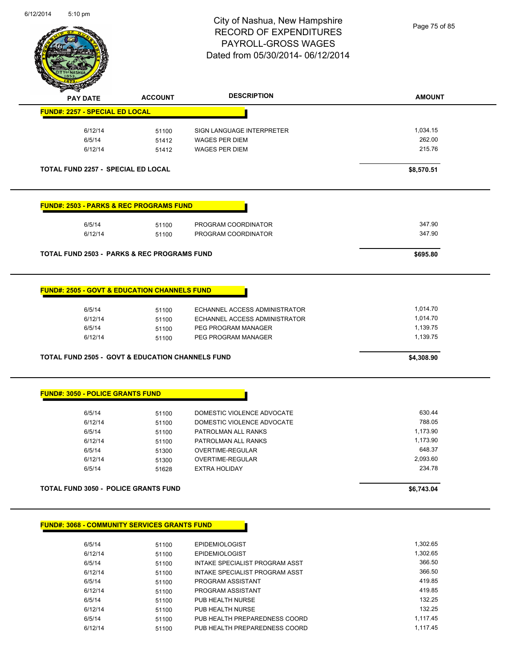

Page 75 of 85

| <b>FUND#: 2257 - SPECIAL ED LOCAL</b>                       | <b>ACCOUNT</b> | <b>DESCRIPTION</b>            | <b>AMOUNT</b> |
|-------------------------------------------------------------|----------------|-------------------------------|---------------|
|                                                             |                |                               |               |
| 6/12/14                                                     | 51100          | SIGN LANGUAGE INTERPRETER     | 1,034.15      |
| 6/5/14                                                      | 51412          | <b>WAGES PER DIEM</b>         | 262.00        |
| 6/12/14                                                     | 51412          | <b>WAGES PER DIEM</b>         | 215.76        |
|                                                             |                |                               |               |
| <b>TOTAL FUND 2257 - SPECIAL ED LOCAL</b>                   |                |                               | \$8,570.51    |
| <b>FUND#: 2503 - PARKS &amp; REC PROGRAMS FUND</b>          |                |                               |               |
| 6/5/14                                                      | 51100          | PROGRAM COORDINATOR           | 347.90        |
| 6/12/14                                                     | 51100          | PROGRAM COORDINATOR           | 347.90        |
| <b>TOTAL FUND 2503 - PARKS &amp; REC PROGRAMS FUND</b>      |                |                               | \$695.80      |
|                                                             |                |                               |               |
| <b>FUND#: 2505 - GOVT &amp; EDUCATION CHANNELS FUND</b>     |                |                               |               |
|                                                             |                |                               |               |
| 6/5/14                                                      | 51100          | ECHANNEL ACCESS ADMINISTRATOR | 1,014.70      |
| 6/12/14                                                     | 51100          | ECHANNEL ACCESS ADMINISTRATOR | 1,014.70      |
| 6/5/14                                                      | 51100          | PEG PROGRAM MANAGER           | 1,139.75      |
| 6/12/14                                                     | 51100          | PEG PROGRAM MANAGER           | 1,139.75      |
| <b>TOTAL FUND 2505 - GOVT &amp; EDUCATION CHANNELS FUND</b> |                |                               | \$4,308.90    |
|                                                             |                |                               |               |
|                                                             |                |                               |               |
| <b>FUND#: 3050 - POLICE GRANTS FUND</b>                     |                |                               |               |
| 6/5/14                                                      | 51100          | DOMESTIC VIOLENCE ADVOCATE    | 630.44        |
| 6/12/14                                                     | 51100          | DOMESTIC VIOLENCE ADVOCATE    | 788.05        |
| 6/5/14                                                      | 51100          | PATROLMAN ALL RANKS           | 1,173.90      |
| 6/12/14                                                     | 51100          | PATROLMAN ALL RANKS           | 1,173.90      |
| 6/5/14                                                      | 51300          | OVERTIME-REGULAR              | 648.37        |
| 6/12/14                                                     | 51300          | OVERTIME-REGULAR              | 2,093.60      |
| 6/5/14                                                      | 51628          | EXTRA HOLIDAY                 | 234.78        |

6/12/14 51100 PROGRAM ASSISTANT 419.85 6/5/14 51100 PUB HEALTH NURSE 132.25

6/5/14 51100 PUB HEALTH PREPAREDNESS COORD 1,117.45 6/12/14 51100 PUB HEALTH PREPAREDNESS COORD 1,117.45

6/12/14 51100 PUB HEALTH NURSE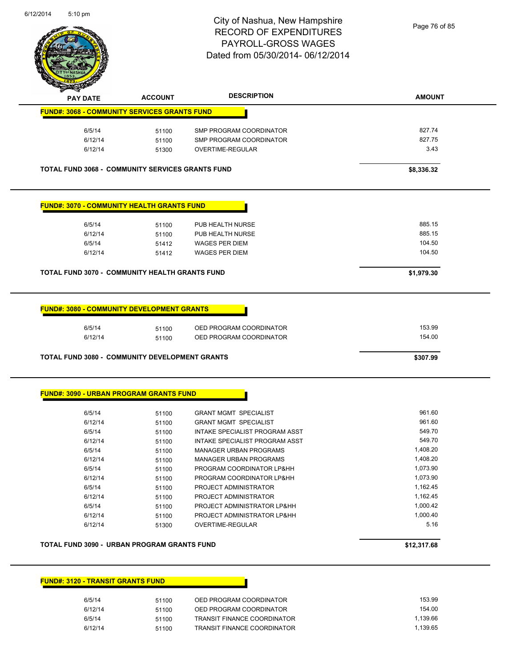

Page 76 of 85

| <b>FUND#: 3068 - COMMUNITY SERVICES GRANTS FUND</b><br>6/5/14<br>6/12/14 |       |                                | <b>AMOUNT</b> |
|--------------------------------------------------------------------------|-------|--------------------------------|---------------|
|                                                                          |       |                                |               |
|                                                                          | 51100 | SMP PROGRAM COORDINATOR        | 827.74        |
|                                                                          | 51100 | SMP PROGRAM COORDINATOR        | 827.75        |
| 6/12/14                                                                  | 51300 | OVERTIME-REGULAR               | 3.43          |
| <b>TOTAL FUND 3068 - COMMUNITY SERVICES GRANTS FUND</b>                  |       |                                | \$8,336.32    |
|                                                                          |       |                                |               |
| <b>FUND#: 3070 - COMMUNITY HEALTH GRANTS FUND</b>                        |       |                                |               |
| 6/5/14                                                                   | 51100 | PUB HEALTH NURSE               | 885.15        |
| 6/12/14                                                                  | 51100 | PUB HEALTH NURSE               | 885.15        |
| 6/5/14                                                                   | 51412 | <b>WAGES PER DIEM</b>          | 104.50        |
| 6/12/14                                                                  | 51412 | <b>WAGES PER DIEM</b>          | 104.50        |
| <b>TOTAL FUND 3070 - COMMUNITY HEALTH GRANTS FUND</b>                    |       |                                | \$1,979.30    |
| <b>FUND#: 3080 - COMMUNITY DEVELOPMENT GRANTS</b>                        |       |                                |               |
| 6/5/14                                                                   | 51100 | OED PROGRAM COORDINATOR        | 153.99        |
| 6/12/14                                                                  | 51100 | OED PROGRAM COORDINATOR        | 154.00        |
| <b>TOTAL FUND 3080 - COMMUNITY DEVELOPMENT GRANTS</b>                    |       |                                | \$307.99      |
|                                                                          |       |                                |               |
| <b>FUND#: 3090 - URBAN PROGRAM GRANTS FUND</b>                           |       |                                |               |
| 6/5/14                                                                   | 51100 | <b>GRANT MGMT SPECIALIST</b>   | 961.60        |
| 6/12/14                                                                  | 51100 | <b>GRANT MGMT SPECIALIST</b>   | 961.60        |
| 6/5/14                                                                   | 51100 | INTAKE SPECIALIST PROGRAM ASST | 549.70        |
| 6/12/14                                                                  | 51100 | INTAKE SPECIALIST PROGRAM ASST | 549.70        |
| 6/5/14                                                                   | 51100 | <b>MANAGER URBAN PROGRAMS</b>  | 1,408.20      |
| 6/12/14                                                                  | 51100 | <b>MANAGER URBAN PROGRAMS</b>  | 1,408.20      |
| 6/5/14                                                                   | 51100 | PROGRAM COORDINATOR LP&HH      | 1,073.90      |
| 6/12/14                                                                  | 51100 | PROGRAM COORDINATOR LP&HH      | 1,073.90      |
| 6/5/14                                                                   | 51100 | PROJECT ADMINISTRATOR          | 1,162.45      |
| 6/12/14                                                                  | 51100 | PROJECT ADMINISTRATOR          | 1,162.45      |
| 6/5/14                                                                   | 51100 | PROJECT ADMINISTRATOR LP&HH    | 1,000.42      |
| 6/12/14                                                                  | 51100 | PROJECT ADMINISTRATOR LP&HH    | 1,000.40      |
| 6/12/14                                                                  | 51300 | OVERTIME-REGULAR               | 5.16          |

#### **FUND#: 3120 - TRANSIT GRANTS FUND**

| 6/5/14  | 51100 | OED PROGRAM COORDINATOR            | 153.99   |
|---------|-------|------------------------------------|----------|
| 6/12/14 | 51100 | OED PROGRAM COORDINATOR            | 154.00   |
| 6/5/14  | 51100 | <b>TRANSIT FINANCE COORDINATOR</b> | 1.139.66 |
| 6/12/14 | 51100 | <b>TRANSIT FINANCE COORDINATOR</b> | 1.139.65 |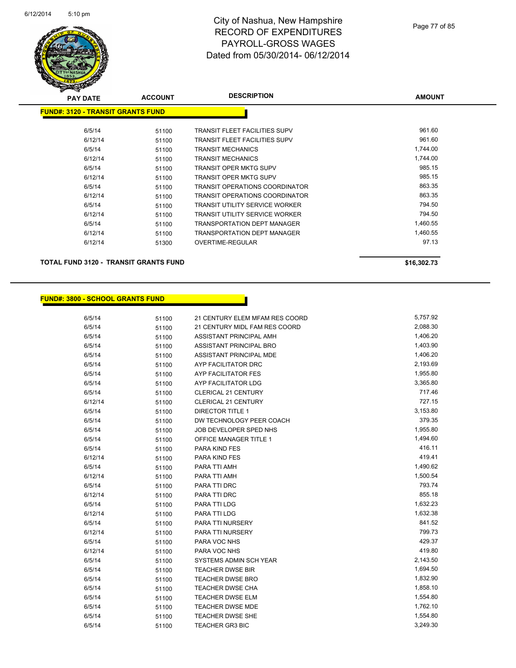

| <b>PAY DATE</b>                          | <b>ACCOUNT</b> | <b>DESCRIPTION</b>                    | <b>AMOUNT</b> |
|------------------------------------------|----------------|---------------------------------------|---------------|
| <b>FUND#: 3120 - TRANSIT GRANTS FUND</b> |                |                                       |               |
|                                          |                |                                       |               |
| 6/5/14                                   | 51100          | <b>TRANSIT FLEET FACILITIES SUPV</b>  | 961.60        |
| 6/12/14                                  | 51100          | <b>TRANSIT FLEET FACILITIES SUPV</b>  | 961.60        |
| 6/5/14                                   | 51100          | <b>TRANSIT MECHANICS</b>              | 1,744.00      |
| 6/12/14                                  | 51100          | <b>TRANSIT MECHANICS</b>              | 1,744.00      |
| 6/5/14                                   | 51100          | <b>TRANSIT OPER MKTG SUPV</b>         | 985.15        |
| 6/12/14                                  | 51100          | <b>TRANSIT OPER MKTG SUPV</b>         | 985.15        |
| 6/5/14                                   | 51100          | TRANSIT OPERATIONS COORDINATOR        | 863.35        |
| 6/12/14                                  | 51100          | <b>TRANSIT OPERATIONS COORDINATOR</b> | 863.35        |
| 6/5/14                                   | 51100          | <b>TRANSIT UTILITY SERVICE WORKER</b> | 794.50        |
| 6/12/14                                  | 51100          | <b>TRANSIT UTILITY SERVICE WORKER</b> | 794.50        |
| 6/5/14                                   | 51100          | <b>TRANSPORTATION DEPT MANAGER</b>    | 1,460.55      |
| 6/12/14                                  | 51100          | <b>TRANSPORTATION DEPT MANAGER</b>    | 1,460.55      |
| 6/12/14                                  | 51300          | OVERTIME-REGULAR                      | 97.13         |
|                                          |                |                                       |               |

**TOTAL FUND 3120 - TRANSIT GRANTS FUND \$16,302.73** 

#### **FUND#: 3800 - SCHOOL GRANTS FUND**

6/5/14 51100 21 CENTURY ELEM MFAM RES COORD 5,757.92 6/5/14 51100 21 CENTURY MIDL FAM RES COORD 2,088.30 6/5/14 51100 ASSISTANT PRINCIPAL AMH 6/5/14 51100 ASSISTANT PRINCIPAL BRO 1,403.90 6/5/14 51100 ASSISTANT PRINCIPAL MDE 6/5/14 51100 AYP FACILITATOR DRC 2,193.69 6/5/14 51100 AYP FACILITATOR FES 1,955.80 6/5/14 51100 AYP FACILITATOR LDG 3,365.80 6/5/14 51100 CLERICAL 21 CENTURY 717.46 6/12/14 51100 CLERICAL 21 CENTURY 727.15 6/5/14 51100 DIRECTOR TITLE 1 3,153.80 6/5/14 51100 DW TECHNOLOGY PEER COACH 379.35 6/5/14 51100 JOB DEVELOPER SPED NHS 1,955.80 6/5/14 51100 OFFICE MANAGER TITLE 1 1,494.60 6/5/14 51100 PARA KIND FES 416.11 6/12/14 51100 PARA KIND FES 419.41 6/5/14 51100 PARA TTI AMH 1,490.62 6/12/14 51100 PARA TTI AMH 1,500.54 6/5/14 51100 PARA TTI DRC 793.74 6/12/14 51100 PARA TTI DRC 66/12/14 555.18 6/5/14 51100 PARA TTI LDG 1,632.23 6/12/14 51100 PARA TTI LDG 1,632.38 6/5/14 51100 PARA TTI NURSERY 841.52 6/12/14 51100 PARA TTI NURSERY 799.73 6/5/14 51100 PARA VOC NHS 429.37 6/12/14 51100 PARA VOC NHS 6/12/14 51100 PARA VOC NHS 6/5/14 51100 SYSTEMS ADMIN SCH YEAR 5/143.50 6/5/14 51100 TEACHER DWSE BIR 1,694.50 6/5/14 51100 TEACHER DWSE BRO 1,832.90 6/5/14 51100 TEACHER DWSE CHA 1,858.10 6/5/14 51100 TEACHER DWSE ELM 1,554.80 6/5/14 51100 TEACHER DWSE MDE 1,762.10 6/5/14 51100 TEACHER DWSE SHE 1,554.80 6/5/14 51100 TEACHER GR3 BIC 3,249.30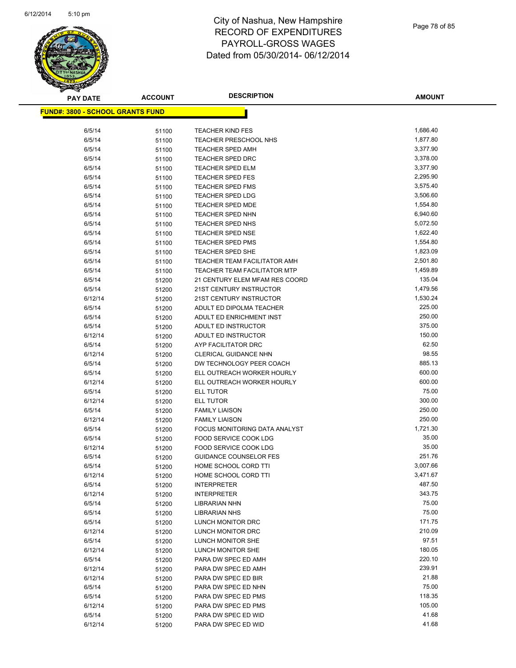

| <b>PAY DATE</b>                          | <b>ACCOUNT</b> | <b>DESCRIPTION</b>                  | <b>AMOUNT</b>   |
|------------------------------------------|----------------|-------------------------------------|-----------------|
| <u> FUND#: 3800 - SCHOOL GRANTS FUND</u> |                |                                     |                 |
|                                          |                |                                     |                 |
| 6/5/14                                   | 51100          | <b>TEACHER KIND FES</b>             | 1,686.40        |
| 6/5/14                                   | 51100          | TEACHER PRESCHOOL NHS               | 1,877.80        |
| 6/5/14                                   | 51100          | <b>TEACHER SPED AMH</b>             | 3,377.90        |
| 6/5/14                                   | 51100          | <b>TEACHER SPED DRC</b>             | 3,378.00        |
| 6/5/14                                   | 51100          | <b>TEACHER SPED ELM</b>             | 3,377.90        |
| 6/5/14                                   | 51100          | <b>TEACHER SPED FES</b>             | 2,295.90        |
| 6/5/14                                   | 51100          | <b>TEACHER SPED FMS</b>             | 3,575.40        |
| 6/5/14                                   | 51100          | <b>TEACHER SPED LDG</b>             | 3,506.60        |
| 6/5/14                                   | 51100          | <b>TEACHER SPED MDE</b>             | 1,554.80        |
| 6/5/14                                   | 51100          | TEACHER SPED NHN                    | 6,940.60        |
| 6/5/14                                   | 51100          | <b>TEACHER SPED NHS</b>             | 5,072.50        |
| 6/5/14                                   | 51100          | <b>TEACHER SPED NSE</b>             | 1,622.40        |
| 6/5/14                                   | 51100          | <b>TEACHER SPED PMS</b>             | 1,554.80        |
| 6/5/14                                   | 51100          | <b>TEACHER SPED SHE</b>             | 1,823.09        |
| 6/5/14                                   | 51100          | <b>TEACHER TEAM FACILITATOR AMH</b> | 2,501.80        |
| 6/5/14                                   | 51100          | <b>TEACHER TEAM FACILITATOR MTP</b> | 1,459.89        |
| 6/5/14                                   | 51200          | 21 CENTURY ELEM MFAM RES COORD      | 135.04          |
| 6/5/14                                   | 51200          | <b>21ST CENTURY INSTRUCTOR</b>      | 1,479.56        |
| 6/12/14                                  | 51200          | 21ST CENTURY INSTRUCTOR             | 1,530.24        |
| 6/5/14                                   | 51200          | ADULT ED DIPOLMA TEACHER            | 225.00          |
| 6/5/14                                   | 51200          | ADULT ED ENRICHMENT INST            | 250.00          |
| 6/5/14                                   | 51200          | ADULT ED INSTRUCTOR                 | 375.00          |
| 6/12/14                                  | 51200          | ADULT ED INSTRUCTOR                 | 150.00          |
| 6/5/14                                   | 51200          | AYP FACILITATOR DRC                 | 62.50           |
| 6/12/14                                  | 51200          | CLERICAL GUIDANCE NHN               | 98.55           |
| 6/5/14                                   | 51200          | DW TECHNOLOGY PEER COACH            | 885.13          |
| 6/5/14                                   | 51200          | ELL OUTREACH WORKER HOURLY          | 600.00          |
| 6/12/14                                  | 51200          | ELL OUTREACH WORKER HOURLY          | 600.00          |
| 6/5/14                                   | 51200          | ELL TUTOR                           | 75.00           |
| 6/12/14                                  | 51200          | ELL TUTOR                           | 300.00          |
| 6/5/14                                   | 51200          | <b>FAMILY LIAISON</b>               | 250.00          |
| 6/12/14                                  | 51200          | <b>FAMILY LIAISON</b>               | 250.00          |
| 6/5/14                                   | 51200          | FOCUS MONITORING DATA ANALYST       | 1,721.30        |
| 6/5/14                                   | 51200          | FOOD SERVICE COOK LDG               | 35.00           |
| 6/12/14                                  | 51200          | FOOD SERVICE COOK LDG               | 35.00           |
| 6/5/14                                   | 51200          | <b>GUIDANCE COUNSELOR FES</b>       | 251.76          |
| 6/5/14                                   | 51200          | HOME SCHOOL CORD TTI                | 3,007.66        |
| 6/12/14                                  | 51200          | HOME SCHOOL CORD TTI                | 3,471.67        |
| 6/5/14                                   | 51200          | <b>INTERPRETER</b>                  | 487.50          |
| 6/12/14                                  | 51200          | <b>INTERPRETER</b>                  | 343.75          |
| 6/5/14                                   | 51200          | <b>LIBRARIAN NHN</b>                | 75.00           |
| 6/5/14                                   | 51200          | <b>LIBRARIAN NHS</b>                | 75.00           |
| 6/5/14                                   | 51200          | LUNCH MONITOR DRC                   | 171.75          |
| 6/12/14                                  | 51200          | LUNCH MONITOR DRC                   | 210.09          |
| 6/5/14                                   | 51200          | LUNCH MONITOR SHE                   | 97.51           |
| 6/12/14                                  | 51200          | LUNCH MONITOR SHE                   | 180.05          |
| 6/5/14                                   | 51200          | PARA DW SPEC ED AMH                 | 220.10          |
| 6/12/14                                  | 51200          | PARA DW SPEC ED AMH                 | 239.91          |
| 6/12/14                                  | 51200          | PARA DW SPEC ED BIR                 | 21.88           |
| 6/5/14                                   | 51200          | PARA DW SPEC ED NHN                 | 75.00<br>118.35 |
| 6/5/14                                   | 51200          | PARA DW SPEC ED PMS                 | 105.00          |
| 6/12/14                                  | 51200          | PARA DW SPEC ED PMS                 | 41.68           |
| 6/5/14                                   | 51200          | PARA DW SPEC ED WID                 |                 |
| 6/12/14                                  | 51200          | PARA DW SPEC ED WID                 | 41.68           |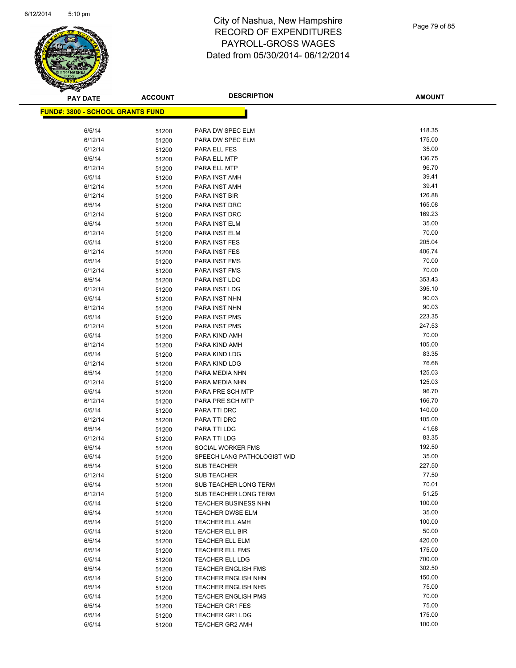

| <b>PAY DATE</b>                          | <b>ACCOUNT</b> | <b>DESCRIPTION</b>                               | <b>AMOUNT</b>    |
|------------------------------------------|----------------|--------------------------------------------------|------------------|
| <u> FUND#: 3800 - SCHOOL GRANTS FUND</u> |                |                                                  |                  |
|                                          |                |                                                  |                  |
| 6/5/14                                   | 51200          | PARA DW SPEC ELM                                 | 118.35           |
| 6/12/14                                  | 51200          | PARA DW SPEC ELM                                 | 175.00           |
| 6/12/14                                  | 51200          | PARA ELL FES                                     | 35.00            |
| 6/5/14                                   | 51200          | PARA ELL MTP                                     | 136.75           |
| 6/12/14                                  | 51200          | PARA ELL MTP                                     | 96.70            |
| 6/5/14                                   | 51200          | PARA INST AMH                                    | 39.41            |
| 6/12/14                                  | 51200          | PARA INST AMH                                    | 39.41            |
| 6/12/14                                  | 51200          | PARA INST BIR                                    | 126.88           |
| 6/5/14                                   | 51200          | PARA INST DRC                                    | 165.08           |
| 6/12/14                                  | 51200          | PARA INST DRC                                    | 169.23           |
| 6/5/14                                   | 51200          | PARA INST ELM                                    | 35.00            |
| 6/12/14                                  | 51200          | PARA INST ELM                                    | 70.00            |
| 6/5/14                                   | 51200          | PARA INST FES                                    | 205.04           |
| 6/12/14                                  | 51200          | PARA INST FES                                    | 406.74           |
| 6/5/14                                   | 51200          | PARA INST FMS                                    | 70.00            |
| 6/12/14                                  | 51200          | PARA INST FMS                                    | 70.00            |
| 6/5/14                                   | 51200          | PARA INST LDG                                    | 353.43           |
| 6/12/14                                  | 51200          | PARA INST LDG                                    | 395.10           |
| 6/5/14                                   | 51200          | PARA INST NHN                                    | 90.03            |
| 6/12/14                                  | 51200          | PARA INST NHN                                    | 90.03            |
| 6/5/14                                   | 51200          | <b>PARA INST PMS</b>                             | 223.35           |
| 6/12/14                                  | 51200          | PARA INST PMS                                    | 247.53           |
| 6/5/14                                   | 51200          | PARA KIND AMH                                    | 70.00            |
| 6/12/14                                  | 51200          | PARA KIND AMH                                    | 105.00           |
| 6/5/14                                   | 51200          | PARA KIND LDG                                    | 83.35            |
| 6/12/14                                  | 51200          | PARA KIND LDG                                    | 76.68            |
| 6/5/14                                   | 51200          | PARA MEDIA NHN                                   | 125.03           |
| 6/12/14                                  | 51200          | PARA MEDIA NHN                                   | 125.03           |
| 6/5/14                                   | 51200          | PARA PRE SCH MTP                                 | 96.70            |
| 6/12/14                                  | 51200          | PARA PRE SCH MTP                                 | 166.70           |
| 6/5/14                                   | 51200          | PARA TTI DRC                                     | 140.00           |
| 6/12/14                                  | 51200          | PARA TTI DRC                                     | 105.00           |
| 6/5/14                                   | 51200          | PARA TTI LDG                                     | 41.68            |
| 6/12/14                                  | 51200          | PARA TTI LDG                                     | 83.35            |
| 6/5/14                                   | 51200          | SOCIAL WORKER FMS                                | 192.50           |
| 6/5/14                                   | 51200          | SPEECH LANG PATHOLOGIST WID                      | 35.00            |
| 6/5/14                                   | 51200          | <b>SUB TEACHER</b>                               | 227.50           |
| 6/12/14                                  | 51200          | <b>SUB TEACHER</b>                               | 77.50            |
| 6/5/14                                   | 51200          | SUB TEACHER LONG TERM                            | 70.01            |
| 6/12/14                                  | 51200          | SUB TEACHER LONG TERM                            | 51.25            |
| 6/5/14                                   | 51200          | TEACHER BUSINESS NHN                             | 100.00           |
| 6/5/14                                   | 51200          | <b>TEACHER DWSE ELM</b>                          | 35.00            |
| 6/5/14                                   | 51200          | <b>TEACHER ELL AMH</b>                           | 100.00           |
| 6/5/14                                   | 51200          | TEACHER ELL BIR                                  | 50.00            |
| 6/5/14                                   | 51200          | TEACHER ELL ELM                                  | 420.00           |
| 6/5/14                                   | 51200          | TEACHER ELL FMS                                  | 175.00<br>700.00 |
| 6/5/14                                   | 51200          | TEACHER ELL LDG                                  |                  |
| 6/5/14                                   | 51200          | <b>TEACHER ENGLISH FMS</b>                       | 302.50<br>150.00 |
| 6/5/14<br>6/5/14                         | 51200          | <b>TEACHER ENGLISH NHN</b>                       | 75.00            |
|                                          | 51200          | <b>TEACHER ENGLISH NHS</b>                       | 70.00            |
| 6/5/14<br>6/5/14                         | 51200          | <b>TEACHER ENGLISH PMS</b>                       | 75.00            |
| 6/5/14                                   | 51200          | <b>TEACHER GR1 FES</b><br><b>TEACHER GR1 LDG</b> | 175.00           |
| 6/5/14                                   | 51200          | <b>TEACHER GR2 AMH</b>                           | 100.00           |
|                                          | 51200          |                                                  |                  |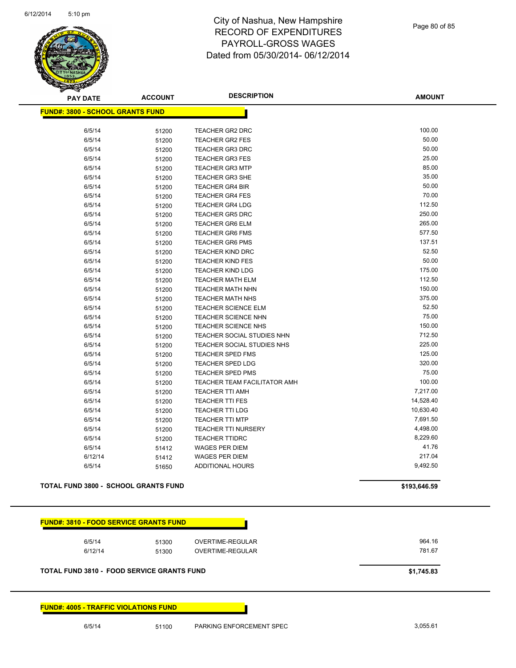

Page 80 of 85

| <b>PAY DATE</b>                                   | <b>ACCOUNT</b> | <b>DESCRIPTION</b>           | <b>AMOUNT</b> |
|---------------------------------------------------|----------------|------------------------------|---------------|
| <b>FUND#: 3800 - SCHOOL GRANTS FUND</b>           |                |                              |               |
|                                                   |                |                              |               |
| 6/5/14                                            | 51200          | <b>TEACHER GR2 DRC</b>       | 100.00        |
| 6/5/14                                            | 51200          | <b>TEACHER GR2 FES</b>       | 50.00         |
| 6/5/14                                            | 51200          | <b>TEACHER GR3 DRC</b>       | 50.00         |
| 6/5/14                                            | 51200          | <b>TEACHER GR3 FES</b>       | 25.00         |
| 6/5/14                                            | 51200          | <b>TEACHER GR3 MTP</b>       | 85.00         |
| 6/5/14                                            | 51200          | <b>TEACHER GR3 SHE</b>       | 35.00         |
| 6/5/14                                            | 51200          | <b>TEACHER GR4 BIR</b>       | 50.00         |
| 6/5/14                                            | 51200          | <b>TEACHER GR4 FES</b>       | 70.00         |
| 6/5/14                                            | 51200          | <b>TEACHER GR4 LDG</b>       | 112.50        |
| 6/5/14                                            | 51200          | <b>TEACHER GR5 DRC</b>       | 250.00        |
| 6/5/14                                            | 51200          | <b>TEACHER GR6 ELM</b>       | 265.00        |
| 6/5/14                                            | 51200          | <b>TEACHER GR6 FMS</b>       | 577.50        |
| 6/5/14                                            | 51200          | <b>TEACHER GR6 PMS</b>       | 137.51        |
| 6/5/14                                            | 51200          | TEACHER KIND DRC             | 52.50         |
| 6/5/14                                            | 51200          | <b>TEACHER KIND FES</b>      | 50.00         |
| 6/5/14                                            | 51200          | <b>TEACHER KIND LDG</b>      | 175.00        |
| 6/5/14                                            | 51200          | <b>TEACHER MATH ELM</b>      | 112.50        |
| 6/5/14                                            | 51200          | <b>TEACHER MATH NHN</b>      | 150.00        |
| 6/5/14                                            | 51200          | <b>TEACHER MATH NHS</b>      | 375.00        |
| 6/5/14                                            | 51200          | <b>TEACHER SCIENCE ELM</b>   | 52.50         |
| 6/5/14                                            | 51200          | TEACHER SCIENCE NHN          | 75.00         |
| 6/5/14                                            | 51200          | TEACHER SCIENCE NHS          | 150.00        |
| 6/5/14                                            | 51200          | TEACHER SOCIAL STUDIES NHN   | 712.50        |
| 6/5/14                                            | 51200          | TEACHER SOCIAL STUDIES NHS   | 225.00        |
| 6/5/14                                            | 51200          | TEACHER SPED FMS             | 125.00        |
| 6/5/14                                            | 51200          | <b>TEACHER SPED LDG</b>      | 320.00        |
| 6/5/14                                            | 51200          | <b>TEACHER SPED PMS</b>      | 75.00         |
| 6/5/14                                            | 51200          | TEACHER TEAM FACILITATOR AMH | 100.00        |
| 6/5/14                                            | 51200          | <b>TEACHER TTI AMH</b>       | 7,217.00      |
| 6/5/14                                            | 51200          | <b>TEACHER TTI FES</b>       | 14,528.40     |
| 6/5/14                                            | 51200          | <b>TEACHER TTI LDG</b>       | 10,630.40     |
| 6/5/14                                            | 51200          | <b>TEACHER TTI MTP</b>       | 7,691.50      |
| 6/5/14                                            | 51200          | TEACHER TTI NURSERY          | 4,498.00      |
| 6/5/14                                            | 51200          | <b>TEACHER TTIDRC</b>        | 8,229.60      |
| 6/5/14                                            | 51412          | <b>WAGES PER DIEM</b>        | 41.76         |
| 6/12/14                                           | 51412          | <b>WAGES PER DIEM</b>        | 217.04        |
| 6/5/14                                            | 51650          | <b>ADDITIONAL HOURS</b>      | 9,492.50      |
| <b>TOTAL FUND 3800 - SCHOOL GRANTS FUND</b>       |                |                              | \$193,646.59  |
|                                                   |                |                              |               |
|                                                   |                |                              |               |
| <b>FUND#: 3810 - FOOD SERVICE GRANTS FUND</b>     |                |                              |               |
| 6/5/14                                            | 51300          | OVERTIME-REGULAR             | 964.16        |
| 6/12/14                                           | 51300          | OVERTIME-REGULAR             | 781.67        |
|                                                   |                |                              |               |
| <b>TOTAL FUND 3810 - FOOD SERVICE GRANTS FUND</b> |                |                              | \$1,745.83    |
|                                                   |                |                              |               |

**FUND#: 4005 - TRAFFIC VIOLATIONS FUND**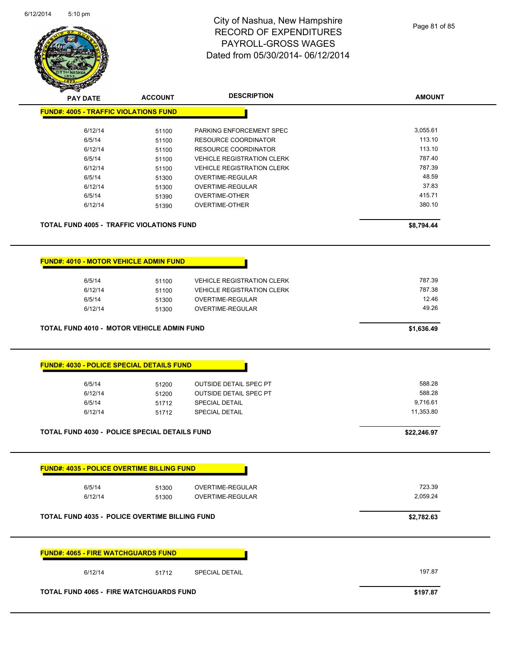

| <b>FUND#: 4005 - TRAFFIC VIOLATIONS FUND</b>                                                                                                                                                                     |                         |                                                                                         | <b>AMOUNT</b>                |
|------------------------------------------------------------------------------------------------------------------------------------------------------------------------------------------------------------------|-------------------------|-----------------------------------------------------------------------------------------|------------------------------|
|                                                                                                                                                                                                                  |                         |                                                                                         |                              |
|                                                                                                                                                                                                                  |                         |                                                                                         |                              |
| 6/12/14                                                                                                                                                                                                          | 51100                   | PARKING ENFORCEMENT SPEC                                                                | 3,055.61                     |
| 6/5/14                                                                                                                                                                                                           | 51100                   | <b>RESOURCE COORDINATOR</b>                                                             | 113.10                       |
| 6/12/14                                                                                                                                                                                                          | 51100                   | <b>RESOURCE COORDINATOR</b>                                                             | 113.10                       |
| 6/5/14                                                                                                                                                                                                           | 51100                   | <b>VEHICLE REGISTRATION CLERK</b>                                                       | 787.40                       |
| 6/12/14                                                                                                                                                                                                          | 51100                   | <b>VEHICLE REGISTRATION CLERK</b>                                                       | 787.39                       |
| 6/5/14                                                                                                                                                                                                           | 51300                   | OVERTIME-REGULAR                                                                        | 48.59                        |
| 6/12/14                                                                                                                                                                                                          | 51300                   | OVERTIME-REGULAR                                                                        | 37.83                        |
| 6/5/14                                                                                                                                                                                                           | 51390                   | OVERTIME-OTHER                                                                          | 415.71                       |
| 6/12/14                                                                                                                                                                                                          | 51390                   | OVERTIME-OTHER                                                                          | 380.10                       |
| <b>TOTAL FUND 4005 - TRAFFIC VIOLATIONS FUND</b>                                                                                                                                                                 |                         |                                                                                         | \$8,794.44                   |
| <b>FUND#: 4010 - MOTOR VEHICLE ADMIN FUND</b>                                                                                                                                                                    |                         |                                                                                         |                              |
| 6/5/14                                                                                                                                                                                                           | 51100                   | <b>VEHICLE REGISTRATION CLERK</b>                                                       | 787.39                       |
| 6/12/14                                                                                                                                                                                                          | 51100                   | <b>VEHICLE REGISTRATION CLERK</b>                                                       | 787.38                       |
| 6/5/14                                                                                                                                                                                                           | 51300                   | OVERTIME-REGULAR                                                                        | 12.46                        |
| 6/12/14                                                                                                                                                                                                          | 51300                   | OVERTIME-REGULAR                                                                        | 49.26                        |
|                                                                                                                                                                                                                  |                         |                                                                                         |                              |
| TOTAL FUND 4010 - MOTOR VEHICLE ADMIN FUND                                                                                                                                                                       |                         |                                                                                         | \$1,636.49                   |
| <b>FUND#: 4030 - POLICE SPECIAL DETAILS FUND</b>                                                                                                                                                                 |                         |                                                                                         |                              |
| 6/5/14<br>6/12/14<br>6/5/14                                                                                                                                                                                      | 51200<br>51200<br>51712 | <b>OUTSIDE DETAIL SPEC PT</b><br><b>OUTSIDE DETAIL SPEC PT</b><br><b>SPECIAL DETAIL</b> | 588.28<br>588.28<br>9,716.61 |
| 6/12/14                                                                                                                                                                                                          | 51712                   | <b>SPECIAL DETAIL</b>                                                                   | 11,353.80                    |
|                                                                                                                                                                                                                  |                         |                                                                                         | \$22,246.97                  |
|                                                                                                                                                                                                                  |                         |                                                                                         |                              |
| 6/5/14                                                                                                                                                                                                           | 51300                   | OVERTIME-REGULAR                                                                        | 723.39                       |
| 6/12/14                                                                                                                                                                                                          | 51300                   | OVERTIME-REGULAR                                                                        | 2,059.24                     |
|                                                                                                                                                                                                                  |                         |                                                                                         | \$2,782.63                   |
|                                                                                                                                                                                                                  |                         |                                                                                         |                              |
| <b>TOTAL FUND 4030 - POLICE SPECIAL DETAILS FUND</b><br><b>FUND#: 4035 - POLICE OVERTIME BILLING FUND</b><br><b>TOTAL FUND 4035 - POLICE OVERTIME BILLING FUND</b><br><b>FUND#: 4065 - FIRE WATCHGUARDS FUND</b> |                         |                                                                                         |                              |
| 6/12/14                                                                                                                                                                                                          | 51712                   | SPECIAL DETAIL                                                                          | 197.87                       |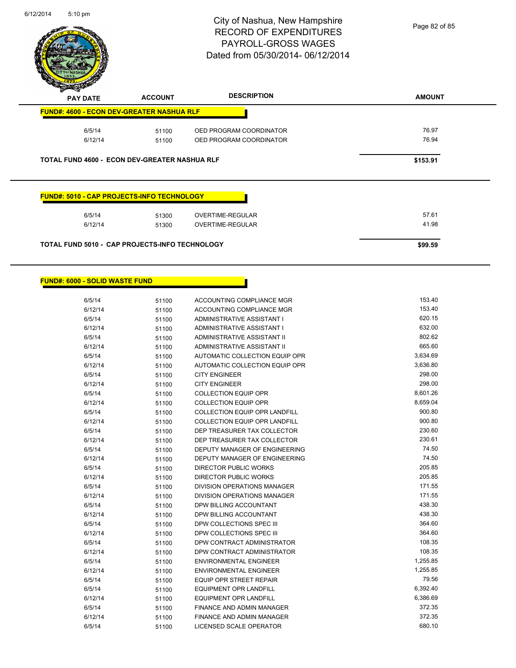

Page 82 of 85

| <b>PAY DATE</b>                                                                                                     | <b>ACCOUNT</b> | <b>DESCRIPTION</b>      | <b>AMOUNT</b> |
|---------------------------------------------------------------------------------------------------------------------|----------------|-------------------------|---------------|
| <b>FUND#: 4600 - ECON DEV-GREATER NASHUA RLF</b>                                                                    |                |                         |               |
| 6/5/14                                                                                                              | 51100          | OED PROGRAM COORDINATOR | 76.97         |
| 6/12/14                                                                                                             | 51100          | OED PROGRAM COORDINATOR | 76.94         |
|                                                                                                                     |                |                         |               |
|                                                                                                                     |                |                         | \$153.91      |
| <b>TOTAL FUND 4600 - ECON DEV-GREATER NASHUA RLF</b><br><b>FUND#: 5010 - CAP PROJECTS-INFO TECHNOLOGY</b><br>6/5/14 | 51300          | OVERTIME-REGULAR        | 57.61         |
| 6/12/14                                                                                                             | 51300          | OVERTIME-REGULAR        | 41.98         |

Г

#### **FUND#: 6000 - SOLID WASTE FUND**

| 6/5/14  | 51100 | ACCOUNTING COMPLIANCE MGR            | 153.40   |
|---------|-------|--------------------------------------|----------|
| 6/12/14 | 51100 | <b>ACCOUNTING COMPLIANCE MGR</b>     | 153.40   |
| 6/5/14  | 51100 | ADMINISTRATIVE ASSISTANT I           | 620.15   |
| 6/12/14 | 51100 | ADMINISTRATIVE ASSISTANT I           | 632.00   |
| 6/5/14  | 51100 | <b>ADMINISTRATIVE ASSISTANT II</b>   | 802.62   |
| 6/12/14 | 51100 | <b>ADMINISTRATIVE ASSISTANT II</b>   | 665.60   |
| 6/5/14  | 51100 | AUTOMATIC COLLECTION EQUIP OPR       | 3,634.69 |
| 6/12/14 | 51100 | AUTOMATIC COLLECTION EQUIP OPR       | 3,636.80 |
| 6/5/14  | 51100 | <b>CITY ENGINEER</b>                 | 298.00   |
| 6/12/14 | 51100 | <b>CITY ENGINEER</b>                 | 298.00   |
| 6/5/14  | 51100 | <b>COLLECTION EQUIP OPR</b>          | 8,601.26 |
| 6/12/14 | 51100 | <b>COLLECTION EQUIP OPR</b>          | 8,659.04 |
| 6/5/14  | 51100 | <b>COLLECTION EQUIP OPR LANDFILL</b> | 900.80   |
| 6/12/14 | 51100 | <b>COLLECTION EQUIP OPR LANDFILL</b> | 900.80   |
| 6/5/14  | 51100 | DEP TREASURER TAX COLLECTOR          | 230.60   |
| 6/12/14 | 51100 | DEP TREASURER TAX COLLECTOR          | 230.61   |
| 6/5/14  | 51100 | DEPUTY MANAGER OF ENGINEERING        | 74.50    |
| 6/12/14 | 51100 | DEPUTY MANAGER OF ENGINEERING        | 74.50    |
| 6/5/14  | 51100 | <b>DIRECTOR PUBLIC WORKS</b>         | 205.85   |
| 6/12/14 | 51100 | DIRECTOR PUBLIC WORKS                | 205.85   |
| 6/5/14  | 51100 | <b>DIVISION OPERATIONS MANAGER</b>   | 171.55   |
| 6/12/14 | 51100 | DIVISION OPERATIONS MANAGER          | 171.55   |
| 6/5/14  | 51100 | DPW BILLING ACCOUNTANT               | 438.30   |
| 6/12/14 | 51100 | DPW BILLING ACCOUNTANT               | 438.30   |
| 6/5/14  | 51100 | DPW COLLECTIONS SPEC III             | 364.60   |
| 6/12/14 | 51100 | DPW COLLECTIONS SPEC III             | 364.60   |
| 6/5/14  | 51100 | DPW CONTRACT ADMINISTRATOR           | 108.35   |
| 6/12/14 | 51100 | DPW CONTRACT ADMINISTRATOR           | 108.35   |
| 6/5/14  | 51100 | <b>ENVIRONMENTAL ENGINEER</b>        | 1,255.85 |
| 6/12/14 | 51100 | ENVIRONMENTAL ENGINEER               | 1,255.85 |
| 6/5/14  | 51100 | <b>EQUIP OPR STREET REPAIR</b>       | 79.56    |
| 6/5/14  | 51100 | <b>EQUIPMENT OPR LANDFILL</b>        | 6,392.40 |
| 6/12/14 | 51100 | <b>EQUIPMENT OPR LANDFILL</b>        | 6,386.69 |
| 6/5/14  | 51100 | FINANCE AND ADMIN MANAGER            | 372.35   |
| 6/12/14 | 51100 | <b>FINANCE AND ADMIN MANAGER</b>     | 372.35   |
| 6/5/14  | 51100 | <b>LICENSED SCALE OPERATOR</b>       | 680.10   |
|         |       |                                      |          |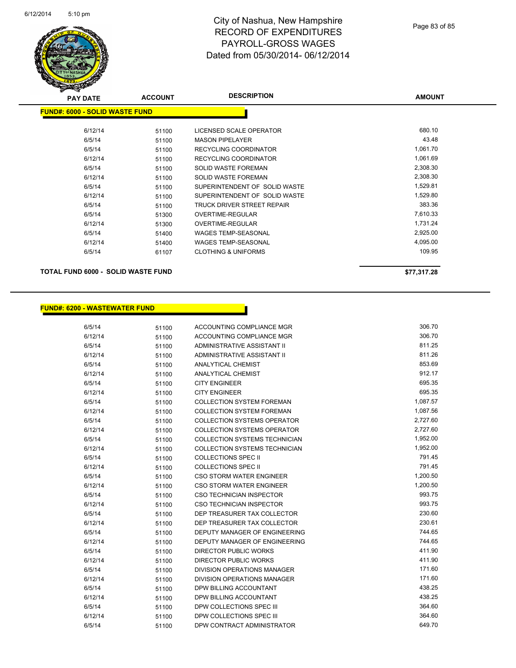

| <b>PAY DATE</b>                           | <b>ACCOUNT</b> | <b>DESCRIPTION</b>             | <b>AMOUNT</b> |
|-------------------------------------------|----------------|--------------------------------|---------------|
| <b>FUND#: 6000 - SOLID WASTE FUND</b>     |                |                                |               |
| 6/12/14                                   | 51100          | LICENSED SCALE OPERATOR        | 680.10        |
| 6/5/14                                    | 51100          | <b>MASON PIPELAYER</b>         | 43.48         |
| 6/5/14                                    | 51100          | RECYCLING COORDINATOR          | 1,061.70      |
| 6/12/14                                   | 51100          | RECYCLING COORDINATOR          | 1,061.69      |
| 6/5/14                                    | 51100          | <b>SOLID WASTE FOREMAN</b>     | 2,308.30      |
| 6/12/14                                   | 51100          | <b>SOLID WASTE FOREMAN</b>     | 2,308.30      |
| 6/5/14                                    | 51100          | SUPERINTENDENT OF SOLID WASTE  | 1,529.81      |
| 6/12/14                                   | 51100          | SUPERINTENDENT OF SOLID WASTE  | 1,529.80      |
| 6/5/14                                    | 51100          | TRUCK DRIVER STREET REPAIR     | 383.36        |
| 6/5/14                                    | 51300          | OVERTIME-REGULAR               | 7,610.33      |
| 6/12/14                                   | 51300          | <b>OVERTIME-REGULAR</b>        | 1,731.24      |
| 6/5/14                                    | 51400          | <b>WAGES TEMP-SEASONAL</b>     | 2,925.00      |
| 6/12/14                                   | 51400          | <b>WAGES TEMP-SEASONAL</b>     | 4,095.00      |
| 6/5/14                                    | 61107          | <b>CLOTHING &amp; UNIFORMS</b> | 109.95        |
| <b>TOTAL FUND 6000 - SOLID WASTE FUND</b> |                |                                | \$77,317.28   |

#### **FUND#: 6200 - WASTEWATER FUND**

| 6/5/14  | 51100 | ACCOUNTING COMPLIANCE MGR            | 306.70   |
|---------|-------|--------------------------------------|----------|
| 6/12/14 | 51100 | ACCOUNTING COMPLIANCE MGR            | 306.70   |
| 6/5/14  | 51100 | ADMINISTRATIVE ASSISTANT II          | 811.25   |
| 6/12/14 | 51100 | ADMINISTRATIVE ASSISTANT II          | 811.26   |
| 6/5/14  | 51100 | <b>ANALYTICAL CHEMIST</b>            | 853.69   |
| 6/12/14 | 51100 | <b>ANALYTICAL CHEMIST</b>            | 912.17   |
| 6/5/14  | 51100 | <b>CITY ENGINEER</b>                 | 695.35   |
| 6/12/14 | 51100 | <b>CITY ENGINEER</b>                 | 695.35   |
| 6/5/14  | 51100 | <b>COLLECTION SYSTEM FOREMAN</b>     | 1,087.57 |
| 6/12/14 | 51100 | <b>COLLECTION SYSTEM FOREMAN</b>     | 1,087.56 |
| 6/5/14  | 51100 | <b>COLLECTION SYSTEMS OPERATOR</b>   | 2,727.60 |
| 6/12/14 | 51100 | <b>COLLECTION SYSTEMS OPERATOR</b>   | 2,727.60 |
| 6/5/14  | 51100 | <b>COLLECTION SYSTEMS TECHNICIAN</b> | 1,952.00 |
| 6/12/14 | 51100 | <b>COLLECTION SYSTEMS TECHNICIAN</b> | 1,952.00 |
| 6/5/14  | 51100 | <b>COLLECTIONS SPEC II</b>           | 791.45   |
| 6/12/14 | 51100 | <b>COLLECTIONS SPEC II</b>           | 791.45   |
| 6/5/14  | 51100 | <b>CSO STORM WATER ENGINEER</b>      | 1,200.50 |
| 6/12/14 | 51100 | <b>CSO STORM WATER ENGINEER</b>      | 1,200.50 |
| 6/5/14  | 51100 | <b>CSO TECHNICIAN INSPECTOR</b>      | 993.75   |
| 6/12/14 | 51100 | <b>CSO TECHNICIAN INSPECTOR</b>      | 993.75   |
| 6/5/14  | 51100 | DEP TREASURER TAX COLLECTOR          | 230.60   |
| 6/12/14 | 51100 | DEP TREASURER TAX COLLECTOR          | 230.61   |
| 6/5/14  | 51100 | <b>DEPUTY MANAGER OF ENGINEERING</b> | 744.65   |
| 6/12/14 | 51100 | DEPUTY MANAGER OF ENGINEERING        | 744.65   |
| 6/5/14  | 51100 | <b>DIRECTOR PUBLIC WORKS</b>         | 411.90   |
| 6/12/14 | 51100 | DIRECTOR PUBLIC WORKS                | 411.90   |
| 6/5/14  | 51100 | <b>DIVISION OPERATIONS MANAGER</b>   | 171.60   |
| 6/12/14 | 51100 | <b>DIVISION OPERATIONS MANAGER</b>   | 171.60   |
| 6/5/14  | 51100 | DPW BILLING ACCOUNTANT               | 438.25   |
| 6/12/14 | 51100 | DPW BILLING ACCOUNTANT               | 438.25   |
| 6/5/14  | 51100 | DPW COLLECTIONS SPEC III             | 364.60   |
| 6/12/14 | 51100 | DPW COLLECTIONS SPEC III             | 364.60   |
| 6/5/14  | 51100 | DPW CONTRACT ADMINISTRATOR           | 649.70   |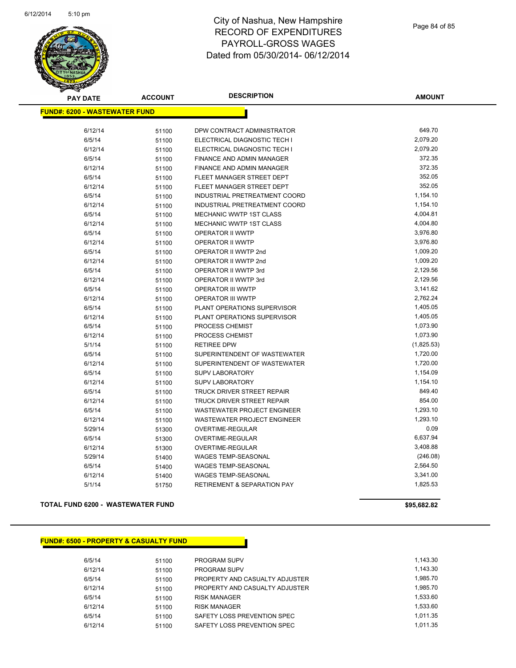

| <b>PAY DATE</b>                      | <b>ACCOUNT</b> | <b>DESCRIPTION</b>                     | <b>AMOUNT</b> |
|--------------------------------------|----------------|----------------------------------------|---------------|
| <b>FUND#: 6200 - WASTEWATER FUND</b> |                |                                        |               |
| 6/12/14                              | 51100          | DPW CONTRACT ADMINISTRATOR             | 649.70        |
| 6/5/14                               | 51100          | ELECTRICAL DIAGNOSTIC TECH I           | 2,079.20      |
| 6/12/14                              | 51100          | ELECTRICAL DIAGNOSTIC TECH I           | 2,079.20      |
| 6/5/14                               | 51100          | <b>FINANCE AND ADMIN MANAGER</b>       | 372.35        |
| 6/12/14                              | 51100          | <b>FINANCE AND ADMIN MANAGER</b>       | 372.35        |
| 6/5/14                               | 51100          | FLEET MANAGER STREET DEPT              | 352.05        |
| 6/12/14                              | 51100          | FLEET MANAGER STREET DEPT              | 352.05        |
| 6/5/14                               | 51100          | INDUSTRIAL PRETREATMENT COORD          | 1,154.10      |
| 6/12/14                              | 51100          | INDUSTRIAL PRETREATMENT COORD          | 1,154.10      |
| 6/5/14                               | 51100          | <b>MECHANIC WWTP 1ST CLASS</b>         | 4,004.81      |
| 6/12/14                              | 51100          | MECHANIC WWTP 1ST CLASS                | 4,004.80      |
| 6/5/14                               | 51100          | OPERATOR II WWTP                       | 3,976.80      |
| 6/12/14                              | 51100          | <b>OPERATOR II WWTP</b>                | 3,976.80      |
| 6/5/14                               | 51100          | OPERATOR II WWTP 2nd                   | 1,009.20      |
| 6/12/14                              | 51100          | OPERATOR II WWTP 2nd                   | 1,009.20      |
| 6/5/14                               | 51100          | OPERATOR II WWTP 3rd                   | 2,129.56      |
| 6/12/14                              | 51100          | OPERATOR II WWTP 3rd                   | 2,129.56      |
| 6/5/14                               | 51100          | <b>OPERATOR III WWTP</b>               | 3,141.62      |
| 6/12/14                              | 51100          | <b>OPERATOR III WWTP</b>               | 2,762.24      |
| 6/5/14                               | 51100          | PLANT OPERATIONS SUPERVISOR            | 1,405.05      |
| 6/12/14                              | 51100          | PLANT OPERATIONS SUPERVISOR            | 1,405.05      |
| 6/5/14                               | 51100          | PROCESS CHEMIST                        | 1,073.90      |
| 6/12/14                              | 51100          | PROCESS CHEMIST                        | 1,073.90      |
| 5/1/14                               | 51100          | <b>RETIREE DPW</b>                     | (1,825.53)    |
| 6/5/14                               | 51100          | SUPERINTENDENT OF WASTEWATER           | 1,720.00      |
| 6/12/14                              | 51100          | SUPERINTENDENT OF WASTEWATER           | 1,720.00      |
| 6/5/14                               | 51100          | <b>SUPV LABORATORY</b>                 | 1,154.09      |
| 6/12/14                              | 51100          | SUPV LABORATORY                        | 1,154.10      |
| 6/5/14                               | 51100          | <b>TRUCK DRIVER STREET REPAIR</b>      | 849.40        |
| 6/12/14                              | 51100          | TRUCK DRIVER STREET REPAIR             | 854.00        |
| 6/5/14                               | 51100          | <b>WASTEWATER PROJECT ENGINEER</b>     | 1,293.10      |
| 6/12/14                              | 51100          | <b>WASTEWATER PROJECT ENGINEER</b>     | 1,293.10      |
| 5/29/14                              | 51300          | <b>OVERTIME-REGULAR</b>                | 0.09          |
| 6/5/14                               | 51300          | OVERTIME-REGULAR                       | 6,637.94      |
| 6/12/14                              | 51300          | <b>OVERTIME-REGULAR</b>                | 3,408.88      |
| 5/29/14                              | 51400          | <b>WAGES TEMP-SEASONAL</b>             | (246.08)      |
| 6/5/14                               | 51400          | <b>WAGES TEMP-SEASONAL</b>             | 2,564.50      |
| 6/12/14                              | 51400          | <b>WAGES TEMP-SEASONAL</b>             | 3,341.00      |
| 5/1/14                               | 51750          | <b>RETIREMENT &amp; SEPARATION PAY</b> | 1,825.53      |
|                                      |                |                                        |               |

#### **TOTAL FUND 6200 - WASTEWATER FUND \$95,682.82**

#### **FUND#: 6500 - PROPERTY & CASUALTY FUND**

| 6/5/14  | 51100 | <b>PROGRAM SUPV</b>            | 1.143.30 |
|---------|-------|--------------------------------|----------|
| 6/12/14 | 51100 | <b>PROGRAM SUPV</b>            | 1.143.30 |
| 6/5/14  | 51100 | PROPERTY AND CASUALTY ADJUSTER | 1.985.70 |
| 6/12/14 | 51100 | PROPERTY AND CASUALTY ADJUSTER | 1.985.70 |
| 6/5/14  | 51100 | <b>RISK MANAGER</b>            | 1.533.60 |
| 6/12/14 | 51100 | <b>RISK MANAGER</b>            | 1.533.60 |
| 6/5/14  | 51100 | SAFETY LOSS PREVENTION SPEC    | 1.011.35 |
| 6/12/14 | 51100 | SAFETY LOSS PREVENTION SPEC    | 1.011.35 |